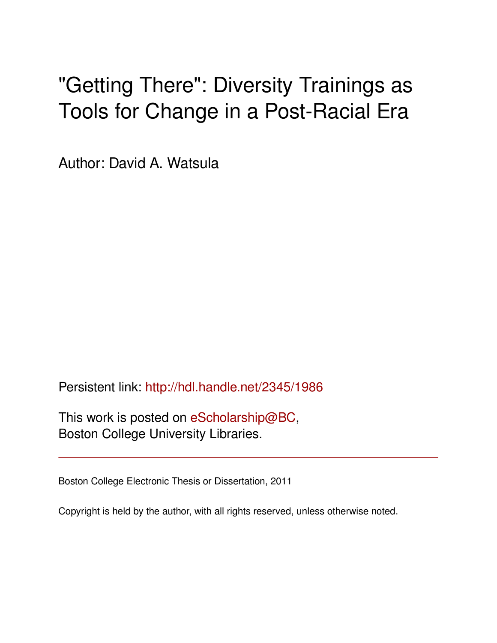# "Getting There": Diversity Trainings as Tools for Change in a Post-Racial Era

Author: David A. Watsula

Persistent link: <http://hdl.handle.net/2345/1986>

This work is posted on [eScholarship@BC](http://escholarship.bc.edu), Boston College University Libraries.

Boston College Electronic Thesis or Dissertation, 2011

Copyright is held by the author, with all rights reserved, unless otherwise noted.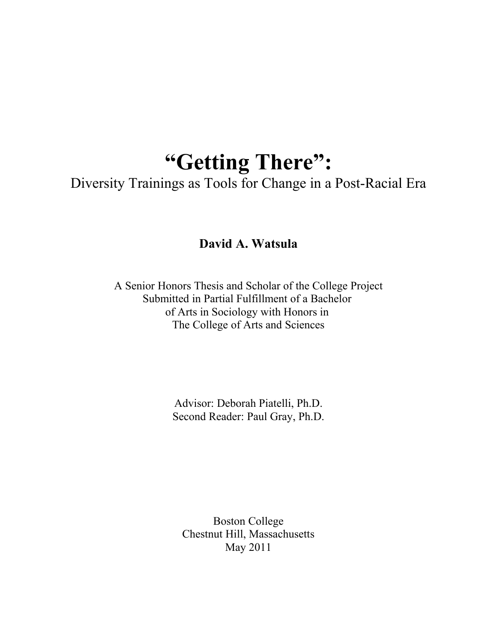## **"Getting There":**

Diversity Trainings as Tools for Change in a Post-Racial Era

**David A. Watsula**

A Senior Honors Thesis and Scholar of the College Project Submitted in Partial Fulfillment of a Bachelor of Arts in Sociology with Honors in The College of Arts and Sciences

> Advisor: Deborah Piatelli, Ph.D. Second Reader: Paul Gray, Ph.D.

Boston College Chestnut Hill, Massachusetts May 2011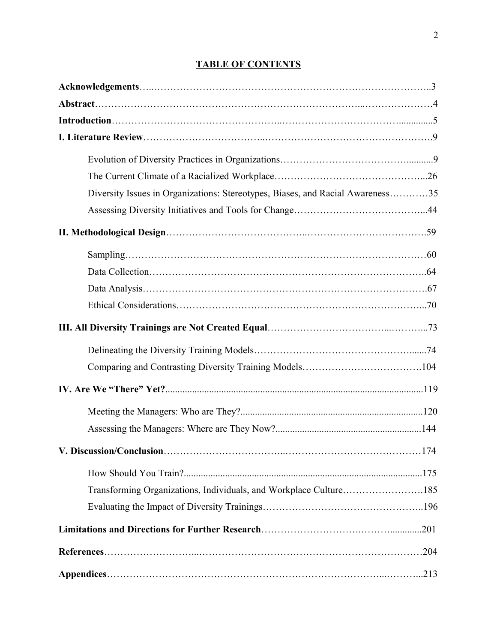### **TABLE OF CONTENTS**

| Diversity Issues in Organizations: Stereotypes, Biases, and Racial Awareness35 |  |
|--------------------------------------------------------------------------------|--|
|                                                                                |  |
|                                                                                |  |
|                                                                                |  |
|                                                                                |  |
|                                                                                |  |
|                                                                                |  |
|                                                                                |  |
|                                                                                |  |
|                                                                                |  |
|                                                                                |  |
|                                                                                |  |
|                                                                                |  |
|                                                                                |  |
|                                                                                |  |
| Transforming Organizations, Individuals, and Workplace Culture185              |  |
|                                                                                |  |
|                                                                                |  |
|                                                                                |  |
|                                                                                |  |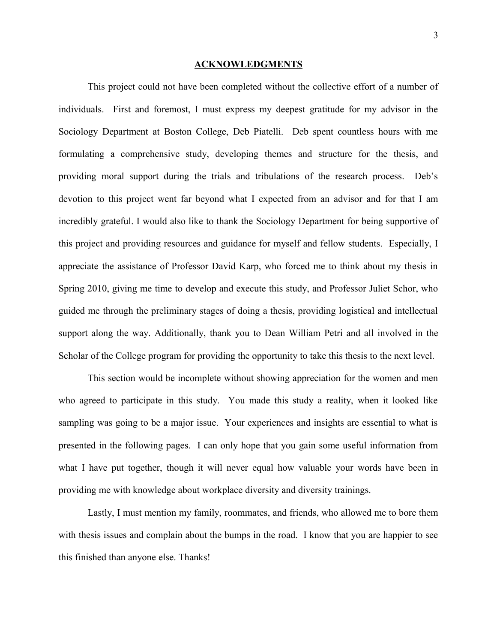#### **ACKNOWLEDGMENTS**

This project could not have been completed without the collective effort of a number of individuals. First and foremost, I must express my deepest gratitude for my advisor in the Sociology Department at Boston College, Deb Piatelli. Deb spent countless hours with me formulating a comprehensive study, developing themes and structure for the thesis, and providing moral support during the trials and tribulations of the research process. Deb's devotion to this project went far beyond what I expected from an advisor and for that I am incredibly grateful. I would also like to thank the Sociology Department for being supportive of this project and providing resources and guidance for myself and fellow students. Especially, I appreciate the assistance of Professor David Karp, who forced me to think about my thesis in Spring 2010, giving me time to develop and execute this study, and Professor Juliet Schor, who guided me through the preliminary stages of doing a thesis, providing logistical and intellectual support along the way. Additionally, thank you to Dean William Petri and all involved in the Scholar of the College program for providing the opportunity to take this thesis to the next level.

This section would be incomplete without showing appreciation for the women and men who agreed to participate in this study. You made this study a reality, when it looked like sampling was going to be a major issue. Your experiences and insights are essential to what is presented in the following pages. I can only hope that you gain some useful information from what I have put together, though it will never equal how valuable your words have been in providing me with knowledge about workplace diversity and diversity trainings.

Lastly, I must mention my family, roommates, and friends, who allowed me to bore them with thesis issues and complain about the bumps in the road. I know that you are happier to see this finished than anyone else. Thanks!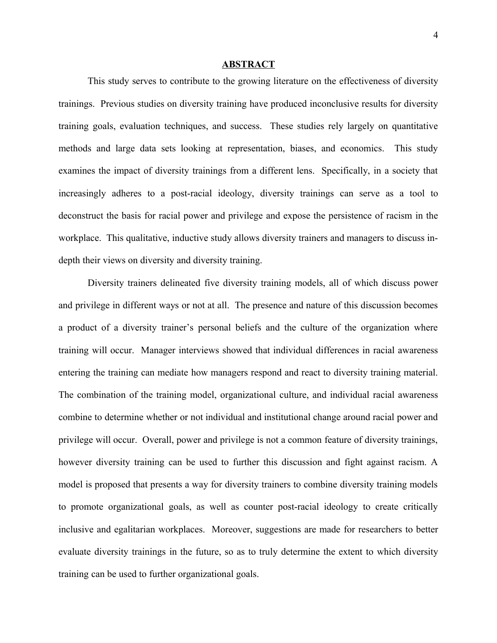#### **ABSTRACT**

This study serves to contribute to the growing literature on the effectiveness of diversity trainings. Previous studies on diversity training have produced inconclusive results for diversity training goals, evaluation techniques, and success. These studies rely largely on quantitative methods and large data sets looking at representation, biases, and economics. This study examines the impact of diversity trainings from a different lens. Specifically, in a society that increasingly adheres to a post-racial ideology, diversity trainings can serve as a tool to deconstruct the basis for racial power and privilege and expose the persistence of racism in the workplace. This qualitative, inductive study allows diversity trainers and managers to discuss indepth their views on diversity and diversity training.

Diversity trainers delineated five diversity training models, all of which discuss power and privilege in different ways or not at all. The presence and nature of this discussion becomes a product of a diversity trainer's personal beliefs and the culture of the organization where training will occur. Manager interviews showed that individual differences in racial awareness entering the training can mediate how managers respond and react to diversity training material. The combination of the training model, organizational culture, and individual racial awareness combine to determine whether or not individual and institutional change around racial power and privilege will occur. Overall, power and privilege is not a common feature of diversity trainings, however diversity training can be used to further this discussion and fight against racism. A model is proposed that presents a way for diversity trainers to combine diversity training models to promote organizational goals, as well as counter post-racial ideology to create critically inclusive and egalitarian workplaces. Moreover, suggestions are made for researchers to better evaluate diversity trainings in the future, so as to truly determine the extent to which diversity training can be used to further organizational goals.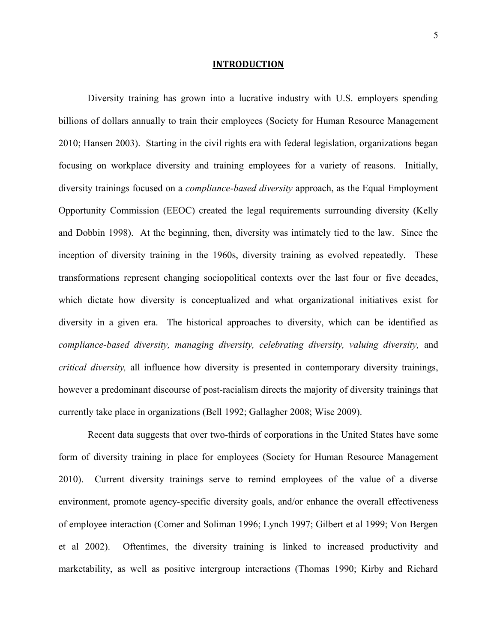#### **INTRODUCTION**

Diversity training has grown into a lucrative industry with U.S. employers spending billions of dollars annually to train their employees (Society for Human Resource Management 2010; Hansen 2003). Starting in the civil rights era with federal legislation, organizations began focusing on workplace diversity and training employees for a variety of reasons. Initially, diversity trainings focused on a *compliance-based diversity* approach, as the Equal Employment Opportunity Commission (EEOC) created the legal requirements surrounding diversity (Kelly and Dobbin 1998). At the beginning, then, diversity was intimately tied to the law. Since the inception of diversity training in the 1960s, diversity training as evolved repeatedly. These transformations represent changing sociopolitical contexts over the last four or five decades, which dictate how diversity is conceptualized and what organizational initiatives exist for diversity in a given era. The historical approaches to diversity, which can be identified as *compliance-based diversity, managing diversity, celebrating diversity, valuing diversity,* and *critical diversity,* all influence how diversity is presented in contemporary diversity trainings, however a predominant discourse of post-racialism directs the majority of diversity trainings that currently take place in organizations (Bell 1992; Gallagher 2008; Wise 2009).

Recent data suggests that over two-thirds of corporations in the United States have some form of diversity training in place for employees (Society for Human Resource Management 2010). Current diversity trainings serve to remind employees of the value of a diverse environment, promote agency-specific diversity goals, and/or enhance the overall effectiveness of employee interaction (Comer and Soliman 1996; Lynch 1997; Gilbert et al 1999; Von Bergen et al 2002). Oftentimes, the diversity training is linked to increased productivity and marketability, as well as positive intergroup interactions (Thomas 1990; Kirby and Richard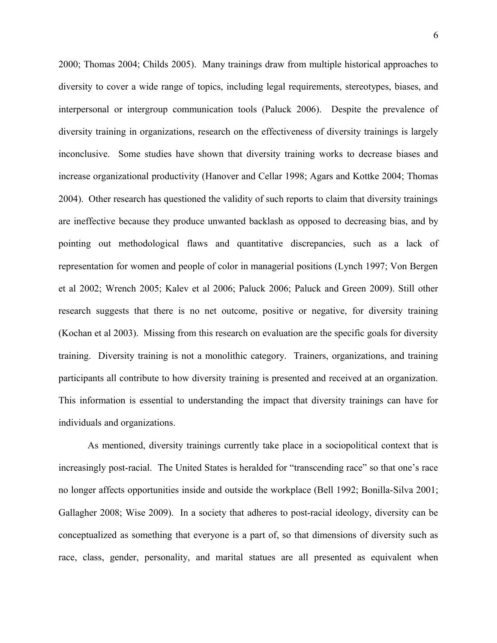2000; Thomas 2004; Childs 2005). Many trainings draw from multiple historical approaches to diversity to cover a wide range of topics, including legal requirements, stereotypes, biases, and interpersonal or intergroup communication tools (Paluck 2006). Despite the prevalence of diversity training in organizations, research on the effectiveness of diversity trainings is largely inconclusive. Some studies have shown that diversity training works to decrease biases and increase organizational productivity (Hanover and Cellar 1998; Agars and Kottke 2004; Thomas 2004). Other research has questioned the validity of such reports to claim that diversity trainings are ineffective because they produce unwanted backlash as opposed to decreasing bias, and by pointing out methodological flaws and quantitative discrepancies, such as a lack of representation for women and people of color in managerial positions (Lynch 1997; Von Bergen et al 2002; Wrench 2005; Kalev et al 2006; Paluck 2006; Paluck and Green 2009). Still other research suggests that there is no net outcome, positive or negative, for diversity training (Kochan et al 2003). Missing from this research on evaluation are the specific goals for diversity training. Diversity training is not a monolithic category. Trainers, organizations, and training participants all contribute to how diversity training is presented and received at an organization. This information is essential to understanding the impact that diversity trainings can have for individuals and organizations.

As mentioned, diversity trainings currently take place in a sociopolitical context that is increasingly post-racial. The United States is heralded for "transcending race" so that one's race no longer affects opportunities inside and outside the workplace (Bell 1992; Bonilla-Silva 2001; Gallagher 2008; Wise 2009). In a society that adheres to post-racial ideology, diversity can be conceptualized as something that everyone is a part of, so that dimensions of diversity such as race, class, gender, personality, and marital statues are all presented as equivalent when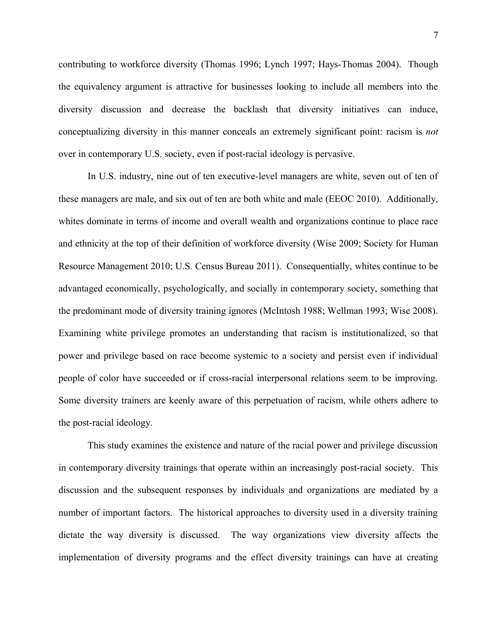contributing to workforce diversity (Thomas 1996; Lynch 1997; Hays-Thomas 2004). Though the equivalency argument is attractive for businesses looking to include all members into the diversity discussion and decrease the backlash that diversity initiatives can induce, conceptualizing diversity in this manner conceals an extremely significant point: racism is *not* over in contemporary U.S. society, even if post-racial ideology is pervasive.

In U.S. industry, nine out of ten executive-level managers are white, seven out of ten of these managers are male, and six out of ten are both white and male (EEOC 2010). Additionally, whites dominate in terms of income and overall wealth and organizations continue to place race and ethnicity at the top of their definition of workforce diversity (Wise 2009; Society for Human Resource Management 2010; U.S. Census Bureau 2011). Consequentially, whites continue to be advantaged economically, psychologically, and socially in contemporary society, something that the predominant mode of diversity training ignores (McIntosh 1988; Wellman 1993; Wise 2008). Examining white privilege promotes an understanding that racism is institutionalized, so that power and privilege based on race become systemic to a society and persist even if individual people of color have succeeded or if cross-racial interpersonal relations seem to be improving. Some diversity trainers are keenly aware of this perpetuation of racism, while others adhere to the post-racial ideology.

This study examines the existence and nature of the racial power and privilege discussion in contemporary diversity trainings that operate within an increasingly post-racial society. This discussion and the subsequent responses by individuals and organizations are mediated by a number of important factors. The historical approaches to diversity used in a diversity training dictate the way diversity is discussed. The way organizations view diversity affects the implementation of diversity programs and the effect diversity trainings can have at creating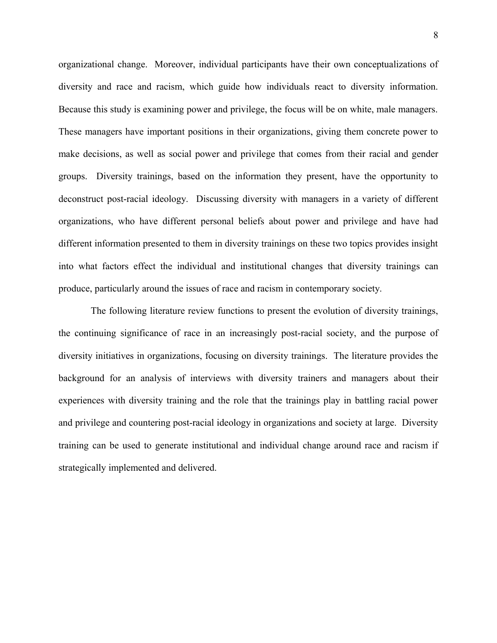organizational change. Moreover, individual participants have their own conceptualizations of diversity and race and racism, which guide how individuals react to diversity information. Because this study is examining power and privilege, the focus will be on white, male managers. These managers have important positions in their organizations, giving them concrete power to make decisions, as well as social power and privilege that comes from their racial and gender groups. Diversity trainings, based on the information they present, have the opportunity to deconstruct post-racial ideology. Discussing diversity with managers in a variety of different organizations, who have different personal beliefs about power and privilege and have had different information presented to them in diversity trainings on these two topics provides insight into what factors effect the individual and institutional changes that diversity trainings can produce, particularly around the issues of race and racism in contemporary society.

 The following literature review functions to present the evolution of diversity trainings, the continuing significance of race in an increasingly post-racial society, and the purpose of diversity initiatives in organizations, focusing on diversity trainings. The literature provides the background for an analysis of interviews with diversity trainers and managers about their experiences with diversity training and the role that the trainings play in battling racial power and privilege and countering post-racial ideology in organizations and society at large. Diversity training can be used to generate institutional and individual change around race and racism if strategically implemented and delivered.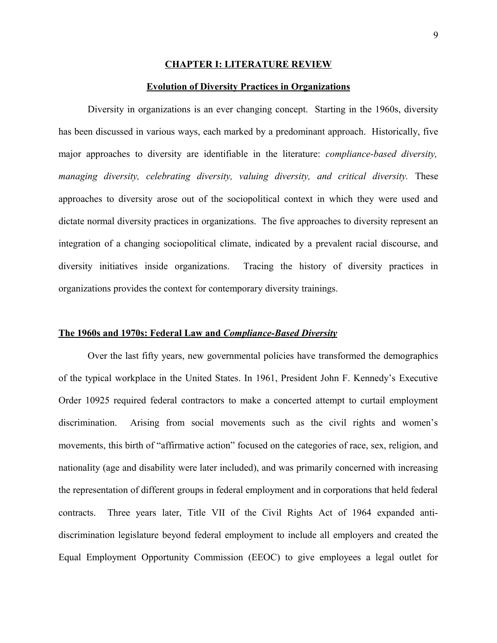#### **CHAPTER I: LITERATURE REVIEW**

#### **Evolution of Diversity Practices in Organizations**

Diversity in organizations is an ever changing concept. Starting in the 1960s, diversity has been discussed in various ways, each marked by a predominant approach. Historically, five major approaches to diversity are identifiable in the literature: *compliance-based diversity, managing diversity, celebrating diversity, valuing diversity, and critical diversity.* These approaches to diversity arose out of the sociopolitical context in which they were used and dictate normal diversity practices in organizations. The five approaches to diversity represent an integration of a changing sociopolitical climate, indicated by a prevalent racial discourse, and diversity initiatives inside organizations. Tracing the history of diversity practices in organizations provides the context for contemporary diversity trainings.

#### **The 1960s and 1970s: Federal Law and** *Compliance-Based Diversity*

Over the last fifty years, new governmental policies have transformed the demographics of the typical workplace in the United States. In 1961, President John F. Kennedy's Executive Order 10925 required federal contractors to make a concerted attempt to curtail employment discrimination. Arising from social movements such as the civil rights and women's movements, this birth of "affirmative action" focused on the categories of race, sex, religion, and nationality (age and disability were later included), and was primarily concerned with increasing the representation of different groups in federal employment and in corporations that held federal contracts. Three years later, Title VII of the Civil Rights Act of 1964 expanded antidiscrimination legislature beyond federal employment to include all employers and created the Equal Employment Opportunity Commission (EEOC) to give employees a legal outlet for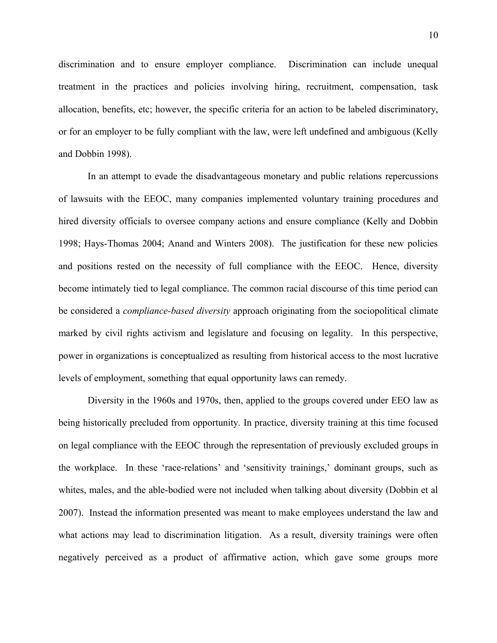discrimination and to ensure employer compliance. Discrimination can include unequal treatment in the practices and policies involving hiring, recruitment, compensation, task allocation, benefits, etc; however, the specific criteria for an action to be labeled discriminatory, or for an employer to be fully compliant with the law, were left undefined and ambiguous (Kelly and Dobbin 1998).

In an attempt to evade the disadvantageous monetary and public relations repercussions of lawsuits with the EEOC, many companies implemented voluntary training procedures and hired diversity officials to oversee company actions and ensure compliance (Kelly and Dobbin 1998; Hays-Thomas 2004; Anand and Winters 2008). The justification for these new policies and positions rested on the necessity of full compliance with the EEOC. Hence, diversity become intimately tied to legal compliance. The common racial discourse of this time period can be considered a *compliance-based diversity* approach originating from the sociopolitical climate marked by civil rights activism and legislature and focusing on legality. In this perspective, power in organizations is conceptualized as resulting from historical access to the most lucrative levels of employment, something that equal opportunity laws can remedy.

Diversity in the 1960s and 1970s, then, applied to the groups covered under EEO law as being historically precluded from opportunity. In practice, diversity training at this time focused on legal compliance with the EEOC through the representation of previously excluded groups in the workplace. In these 'race-relations' and 'sensitivity trainings,' dominant groups, such as whites, males, and the able-bodied were not included when talking about diversity (Dobbin et al 2007). Instead the information presented was meant to make employees understand the law and what actions may lead to discrimination litigation. As a result, diversity trainings were often negatively perceived as a product of affirmative action, which gave some groups more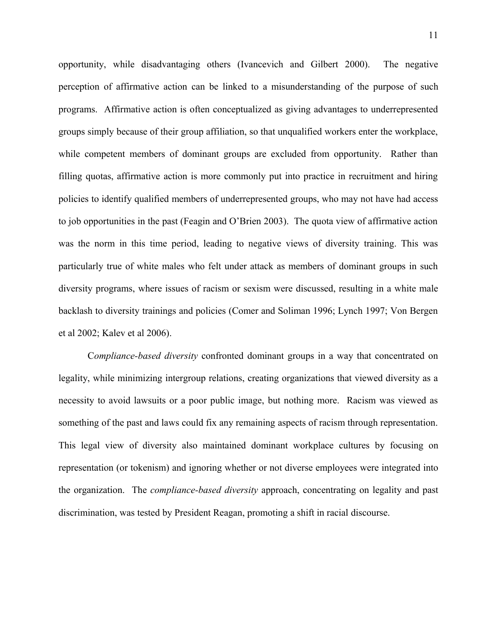opportunity, while disadvantaging others (Ivancevich and Gilbert 2000). The negative perception of affirmative action can be linked to a misunderstanding of the purpose of such programs. Affirmative action is often conceptualized as giving advantages to underrepresented groups simply because of their group affiliation, so that unqualified workers enter the workplace, while competent members of dominant groups are excluded from opportunity. Rather than filling quotas, affirmative action is more commonly put into practice in recruitment and hiring policies to identify qualified members of underrepresented groups, who may not have had access to job opportunities in the past (Feagin and O'Brien 2003). The quota view of affirmative action was the norm in this time period, leading to negative views of diversity training. This was particularly true of white males who felt under attack as members of dominant groups in such diversity programs, where issues of racism or sexism were discussed, resulting in a white male backlash to diversity trainings and policies (Comer and Soliman 1996; Lynch 1997; Von Bergen et al 2002; Kalev et al 2006).

C*ompliance-based diversity* confronted dominant groups in a way that concentrated on legality, while minimizing intergroup relations, creating organizations that viewed diversity as a necessity to avoid lawsuits or a poor public image, but nothing more. Racism was viewed as something of the past and laws could fix any remaining aspects of racism through representation. This legal view of diversity also maintained dominant workplace cultures by focusing on representation (or tokenism) and ignoring whether or not diverse employees were integrated into the organization. The *compliance-based diversity* approach, concentrating on legality and past discrimination, was tested by President Reagan, promoting a shift in racial discourse.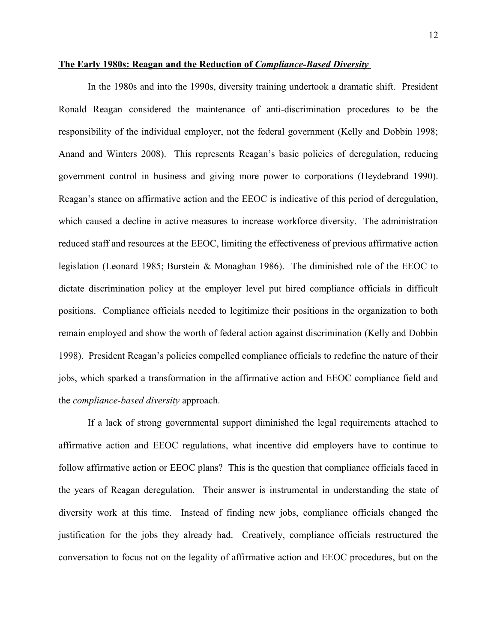#### **The Early 1980s: Reagan and the Reduction of** *Compliance-Based Diversity*

In the 1980s and into the 1990s, diversity training undertook a dramatic shift. President Ronald Reagan considered the maintenance of anti-discrimination procedures to be the responsibility of the individual employer, not the federal government (Kelly and Dobbin 1998; Anand and Winters 2008). This represents Reagan's basic policies of deregulation, reducing government control in business and giving more power to corporations (Heydebrand 1990). Reagan's stance on affirmative action and the EEOC is indicative of this period of deregulation, which caused a decline in active measures to increase workforce diversity. The administration reduced staff and resources at the EEOC, limiting the effectiveness of previous affirmative action legislation (Leonard 1985; Burstein & Monaghan 1986). The diminished role of the EEOC to dictate discrimination policy at the employer level put hired compliance officials in difficult positions. Compliance officials needed to legitimize their positions in the organization to both remain employed and show the worth of federal action against discrimination (Kelly and Dobbin 1998). President Reagan's policies compelled compliance officials to redefine the nature of their jobs, which sparked a transformation in the affirmative action and EEOC compliance field and the *compliance-based diversity* approach.

If a lack of strong governmental support diminished the legal requirements attached to affirmative action and EEOC regulations, what incentive did employers have to continue to follow affirmative action or EEOC plans? This is the question that compliance officials faced in the years of Reagan deregulation. Their answer is instrumental in understanding the state of diversity work at this time. Instead of finding new jobs, compliance officials changed the justification for the jobs they already had. Creatively, compliance officials restructured the conversation to focus not on the legality of affirmative action and EEOC procedures, but on the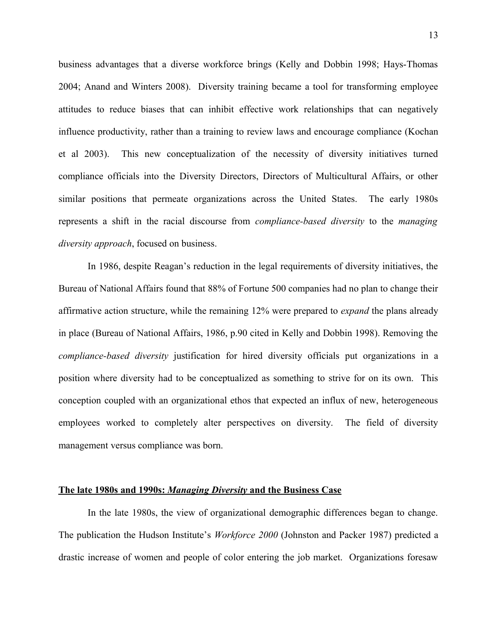business advantages that a diverse workforce brings (Kelly and Dobbin 1998; Hays-Thomas 2004; Anand and Winters 2008). Diversity training became a tool for transforming employee attitudes to reduce biases that can inhibit effective work relationships that can negatively influence productivity, rather than a training to review laws and encourage compliance (Kochan et al 2003). This new conceptualization of the necessity of diversity initiatives turned compliance officials into the Diversity Directors, Directors of Multicultural Affairs, or other similar positions that permeate organizations across the United States. The early 1980s represents a shift in the racial discourse from *compliance-based diversity* to the *managing diversity approach*, focused on business.

In 1986, despite Reagan's reduction in the legal requirements of diversity initiatives, the Bureau of National Affairs found that 88% of Fortune 500 companies had no plan to change their affirmative action structure, while the remaining 12% were prepared to *expand* the plans already in place (Bureau of National Affairs, 1986, p.90 cited in Kelly and Dobbin 1998). Removing the *compliance-based diversity* justification for hired diversity officials put organizations in a position where diversity had to be conceptualized as something to strive for on its own. This conception coupled with an organizational ethos that expected an influx of new, heterogeneous employees worked to completely alter perspectives on diversity. The field of diversity management versus compliance was born.

#### **The late 1980s and 1990s:** *Managing Diversity* **and the Business Case**

In the late 1980s, the view of organizational demographic differences began to change. The publication the Hudson Institute's *Workforce 2000* (Johnston and Packer 1987) predicted a drastic increase of women and people of color entering the job market. Organizations foresaw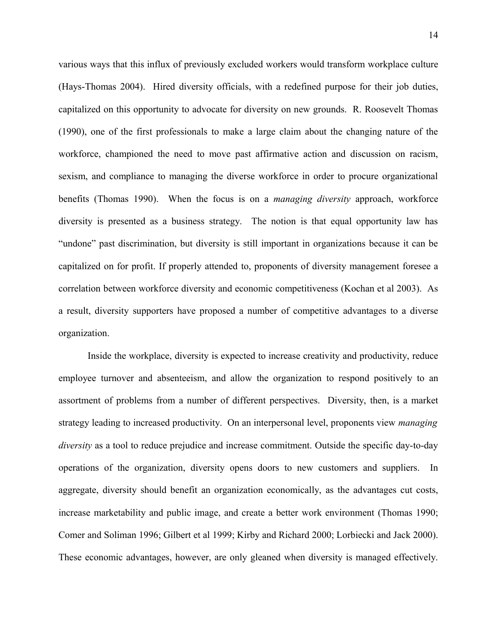various ways that this influx of previously excluded workers would transform workplace culture (Hays-Thomas 2004). Hired diversity officials, with a redefined purpose for their job duties, capitalized on this opportunity to advocate for diversity on new grounds. R. Roosevelt Thomas (1990), one of the first professionals to make a large claim about the changing nature of the workforce, championed the need to move past affirmative action and discussion on racism, sexism, and compliance to managing the diverse workforce in order to procure organizational benefits (Thomas 1990). When the focus is on a *managing diversity* approach, workforce diversity is presented as a business strategy. The notion is that equal opportunity law has "undone" past discrimination, but diversity is still important in organizations because it can be capitalized on for profit. If properly attended to, proponents of diversity management foresee a correlation between workforce diversity and economic competitiveness (Kochan et al 2003). As a result, diversity supporters have proposed a number of competitive advantages to a diverse organization.

Inside the workplace, diversity is expected to increase creativity and productivity, reduce employee turnover and absenteeism, and allow the organization to respond positively to an assortment of problems from a number of different perspectives. Diversity, then, is a market strategy leading to increased productivity. On an interpersonal level, proponents view *managing diversity* as a tool to reduce prejudice and increase commitment. Outside the specific day-to-day operations of the organization, diversity opens doors to new customers and suppliers. In aggregate, diversity should benefit an organization economically, as the advantages cut costs, increase marketability and public image, and create a better work environment (Thomas 1990; Comer and Soliman 1996; Gilbert et al 1999; Kirby and Richard 2000; Lorbiecki and Jack 2000). These economic advantages, however, are only gleaned when diversity is managed effectively.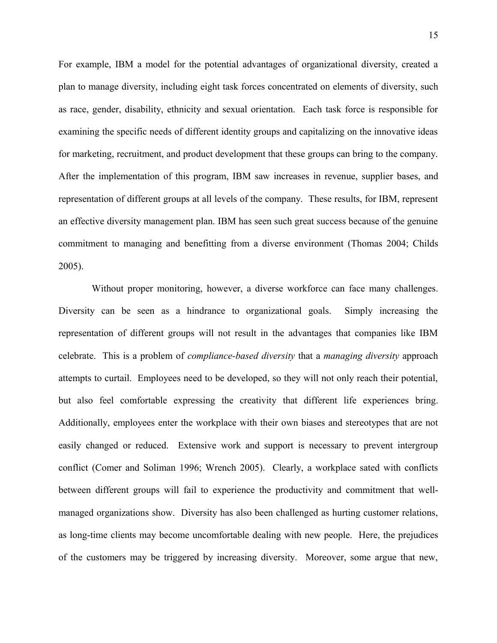For example, IBM a model for the potential advantages of organizational diversity, created a plan to manage diversity, including eight task forces concentrated on elements of diversity, such as race, gender, disability, ethnicity and sexual orientation. Each task force is responsible for examining the specific needs of different identity groups and capitalizing on the innovative ideas for marketing, recruitment, and product development that these groups can bring to the company. After the implementation of this program, IBM saw increases in revenue, supplier bases, and representation of different groups at all levels of the company. These results, for IBM, represent an effective diversity management plan. IBM has seen such great success because of the genuine commitment to managing and benefitting from a diverse environment (Thomas 2004; Childs 2005).

 Without proper monitoring, however, a diverse workforce can face many challenges. Diversity can be seen as a hindrance to organizational goals. Simply increasing the representation of different groups will not result in the advantages that companies like IBM celebrate. This is a problem of *compliance-based diversity* that a *managing diversity* approach attempts to curtail. Employees need to be developed, so they will not only reach their potential, but also feel comfortable expressing the creativity that different life experiences bring. Additionally, employees enter the workplace with their own biases and stereotypes that are not easily changed or reduced. Extensive work and support is necessary to prevent intergroup conflict (Comer and Soliman 1996; Wrench 2005). Clearly, a workplace sated with conflicts between different groups will fail to experience the productivity and commitment that wellmanaged organizations show. Diversity has also been challenged as hurting customer relations, as long-time clients may become uncomfortable dealing with new people. Here, the prejudices of the customers may be triggered by increasing diversity. Moreover, some argue that new,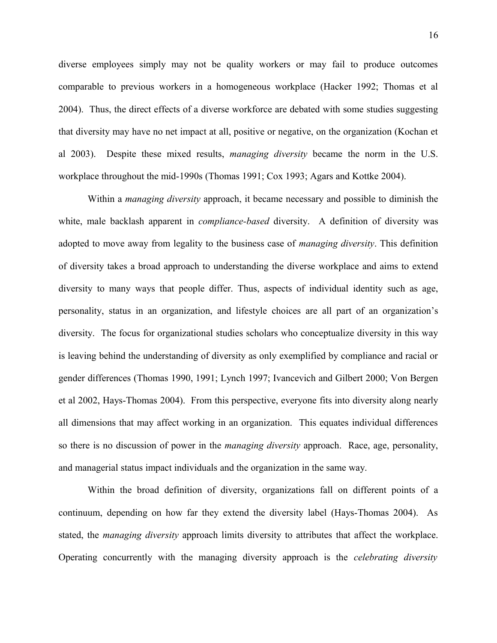diverse employees simply may not be quality workers or may fail to produce outcomes comparable to previous workers in a homogeneous workplace (Hacker 1992; Thomas et al 2004). Thus, the direct effects of a diverse workforce are debated with some studies suggesting that diversity may have no net impact at all, positive or negative, on the organization (Kochan et al 2003). Despite these mixed results, *managing diversity* became the norm in the U.S. workplace throughout the mid-1990s (Thomas 1991; Cox 1993; Agars and Kottke 2004).

Within a *managing diversity* approach, it became necessary and possible to diminish the white, male backlash apparent in *compliance-based* diversity. A definition of diversity was adopted to move away from legality to the business case of *managing diversity*. This definition of diversity takes a broad approach to understanding the diverse workplace and aims to extend diversity to many ways that people differ. Thus, aspects of individual identity such as age, personality, status in an organization, and lifestyle choices are all part of an organization's diversity. The focus for organizational studies scholars who conceptualize diversity in this way is leaving behind the understanding of diversity as only exemplified by compliance and racial or gender differences (Thomas 1990, 1991; Lynch 1997; Ivancevich and Gilbert 2000; Von Bergen et al 2002, Hays-Thomas 2004). From this perspective, everyone fits into diversity along nearly all dimensions that may affect working in an organization. This equates individual differences so there is no discussion of power in the *managing diversity* approach. Race, age, personality, and managerial status impact individuals and the organization in the same way.

Within the broad definition of diversity, organizations fall on different points of a continuum, depending on how far they extend the diversity label (Hays-Thomas 2004). As stated, the *managing diversity* approach limits diversity to attributes that affect the workplace. Operating concurrently with the managing diversity approach is the *celebrating diversity*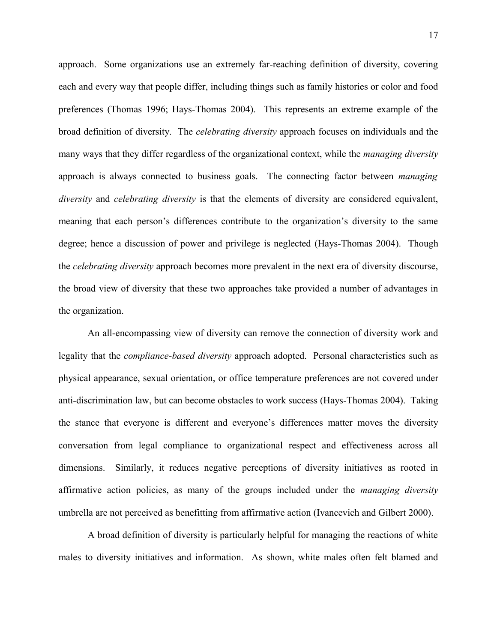approach. Some organizations use an extremely far-reaching definition of diversity, covering each and every way that people differ, including things such as family histories or color and food preferences (Thomas 1996; Hays-Thomas 2004). This represents an extreme example of the broad definition of diversity. The *celebrating diversity* approach focuses on individuals and the many ways that they differ regardless of the organizational context, while the *managing diversity* approach is always connected to business goals. The connecting factor between *managing diversity* and *celebrating diversity* is that the elements of diversity are considered equivalent, meaning that each person's differences contribute to the organization's diversity to the same degree; hence a discussion of power and privilege is neglected (Hays-Thomas 2004). Though the *celebrating diversity* approach becomes more prevalent in the next era of diversity discourse, the broad view of diversity that these two approaches take provided a number of advantages in the organization.

An all-encompassing view of diversity can remove the connection of diversity work and legality that the *compliance-based diversity* approach adopted. Personal characteristics such as physical appearance, sexual orientation, or office temperature preferences are not covered under anti-discrimination law, but can become obstacles to work success (Hays-Thomas 2004). Taking the stance that everyone is different and everyone's differences matter moves the diversity conversation from legal compliance to organizational respect and effectiveness across all dimensions. Similarly, it reduces negative perceptions of diversity initiatives as rooted in affirmative action policies, as many of the groups included under the *managing diversity* umbrella are not perceived as benefitting from affirmative action (Ivancevich and Gilbert 2000).

A broad definition of diversity is particularly helpful for managing the reactions of white males to diversity initiatives and information. As shown, white males often felt blamed and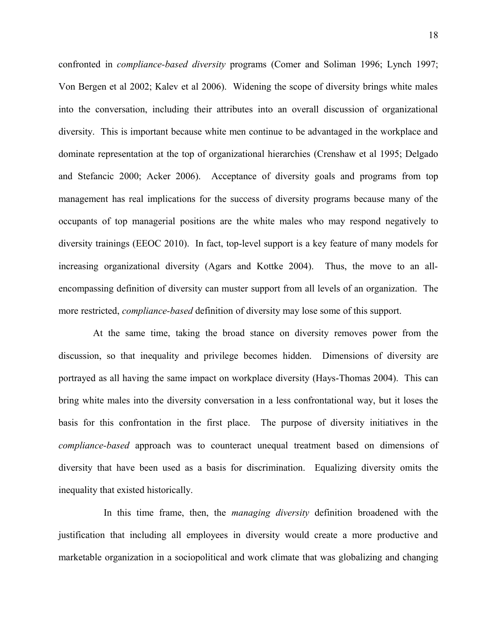confronted in *compliance-based diversity* programs (Comer and Soliman 1996; Lynch 1997; Von Bergen et al 2002; Kalev et al 2006). Widening the scope of diversity brings white males into the conversation, including their attributes into an overall discussion of organizational diversity. This is important because white men continue to be advantaged in the workplace and dominate representation at the top of organizational hierarchies (Crenshaw et al 1995; Delgado and Stefancic 2000; Acker 2006). Acceptance of diversity goals and programs from top management has real implications for the success of diversity programs because many of the occupants of top managerial positions are the white males who may respond negatively to diversity trainings (EEOC 2010). In fact, top-level support is a key feature of many models for increasing organizational diversity (Agars and Kottke 2004). Thus, the move to an allencompassing definition of diversity can muster support from all levels of an organization. The more restricted, *compliance-based* definition of diversity may lose some of this support.

 At the same time, taking the broad stance on diversity removes power from the discussion, so that inequality and privilege becomes hidden. Dimensions of diversity are portrayed as all having the same impact on workplace diversity (Hays-Thomas 2004). This can bring white males into the diversity conversation in a less confrontational way, but it loses the basis for this confrontation in the first place. The purpose of diversity initiatives in the *compliance-based* approach was to counteract unequal treatment based on dimensions of diversity that have been used as a basis for discrimination. Equalizing diversity omits the inequality that existed historically.

 In this time frame, then, the *managing diversity* definition broadened with the justification that including all employees in diversity would create a more productive and marketable organization in a sociopolitical and work climate that was globalizing and changing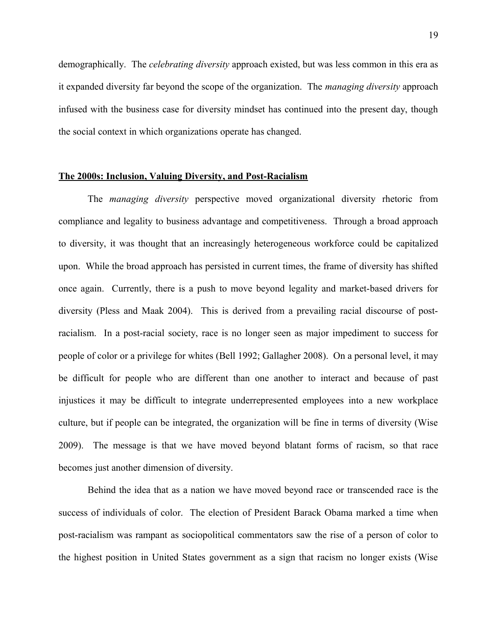demographically. The *celebrating diversity* approach existed, but was less common in this era as it expanded diversity far beyond the scope of the organization. The *managing diversity* approach infused with the business case for diversity mindset has continued into the present day, though the social context in which organizations operate has changed.

#### **The 2000s: Inclusion, Valuing Diversity, and Post-Racialism**

The *managing diversity* perspective moved organizational diversity rhetoric from compliance and legality to business advantage and competitiveness. Through a broad approach to diversity, it was thought that an increasingly heterogeneous workforce could be capitalized upon. While the broad approach has persisted in current times, the frame of diversity has shifted once again. Currently, there is a push to move beyond legality and market-based drivers for diversity (Pless and Maak 2004). This is derived from a prevailing racial discourse of postracialism. In a post-racial society, race is no longer seen as major impediment to success for people of color or a privilege for whites (Bell 1992; Gallagher 2008). On a personal level, it may be difficult for people who are different than one another to interact and because of past injustices it may be difficult to integrate underrepresented employees into a new workplace culture, but if people can be integrated, the organization will be fine in terms of diversity (Wise 2009). The message is that we have moved beyond blatant forms of racism, so that race becomes just another dimension of diversity.

Behind the idea that as a nation we have moved beyond race or transcended race is the success of individuals of color. The election of President Barack Obama marked a time when post-racialism was rampant as sociopolitical commentators saw the rise of a person of color to the highest position in United States government as a sign that racism no longer exists (Wise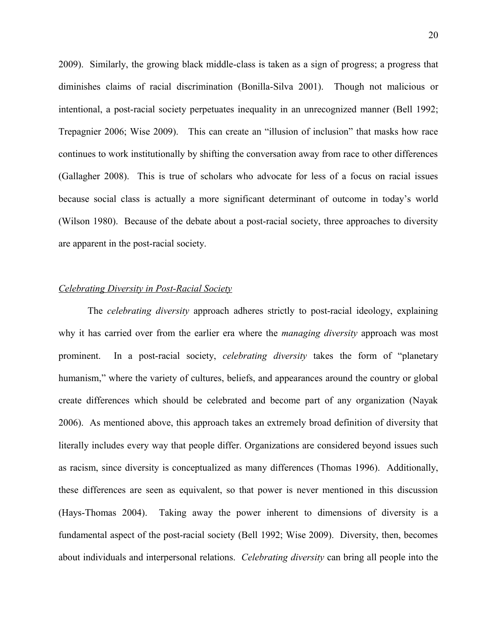2009). Similarly, the growing black middle-class is taken as a sign of progress; a progress that diminishes claims of racial discrimination (Bonilla-Silva 2001). Though not malicious or intentional, a post-racial society perpetuates inequality in an unrecognized manner (Bell 1992; Trepagnier 2006; Wise 2009). This can create an "illusion of inclusion" that masks how race continues to work institutionally by shifting the conversation away from race to other differences (Gallagher 2008). This is true of scholars who advocate for less of a focus on racial issues because social class is actually a more significant determinant of outcome in today's world (Wilson 1980). Because of the debate about a post-racial society, three approaches to diversity are apparent in the post-racial society.

#### *Celebrating Diversity in Post-Racial Society*

The *celebrating diversity* approach adheres strictly to post-racial ideology, explaining why it has carried over from the earlier era where the *managing diversity* approach was most prominent. In a post-racial society, *celebrating diversity* takes the form of "planetary humanism," where the variety of cultures, beliefs, and appearances around the country or global create differences which should be celebrated and become part of any organization (Nayak 2006). As mentioned above, this approach takes an extremely broad definition of diversity that literally includes every way that people differ. Organizations are considered beyond issues such as racism, since diversity is conceptualized as many differences (Thomas 1996). Additionally, these differences are seen as equivalent, so that power is never mentioned in this discussion (Hays-Thomas 2004). Taking away the power inherent to dimensions of diversity is a fundamental aspect of the post-racial society (Bell 1992; Wise 2009). Diversity, then, becomes about individuals and interpersonal relations. *Celebrating diversity* can bring all people into the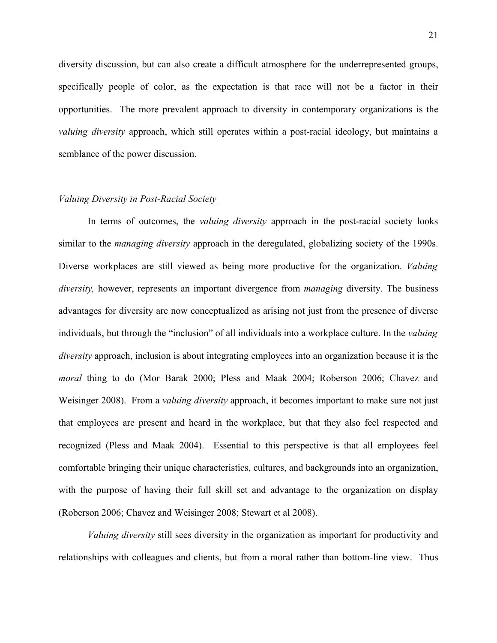diversity discussion, but can also create a difficult atmosphere for the underrepresented groups, specifically people of color, as the expectation is that race will not be a factor in their opportunities. The more prevalent approach to diversity in contemporary organizations is the *valuing diversity* approach, which still operates within a post-racial ideology, but maintains a semblance of the power discussion.

#### *Valuing Diversity in Post-Racial Society*

In terms of outcomes, the *valuing diversity* approach in the post-racial society looks similar to the *managing diversity* approach in the deregulated, globalizing society of the 1990s. Diverse workplaces are still viewed as being more productive for the organization. *Valuing diversity,* however, represents an important divergence from *managing* diversity. The business advantages for diversity are now conceptualized as arising not just from the presence of diverse individuals, but through the "inclusion" of all individuals into a workplace culture. In the *valuing diversity* approach, inclusion is about integrating employees into an organization because it is the *moral* thing to do (Mor Barak 2000; Pless and Maak 2004; Roberson 2006; Chavez and Weisinger 2008). From a *valuing diversity* approach, it becomes important to make sure not just that employees are present and heard in the workplace, but that they also feel respected and recognized (Pless and Maak 2004). Essential to this perspective is that all employees feel comfortable bringing their unique characteristics, cultures, and backgrounds into an organization, with the purpose of having their full skill set and advantage to the organization on display (Roberson 2006; Chavez and Weisinger 2008; Stewart et al 2008).

*Valuing diversity* still sees diversity in the organization as important for productivity and relationships with colleagues and clients, but from a moral rather than bottom-line view. Thus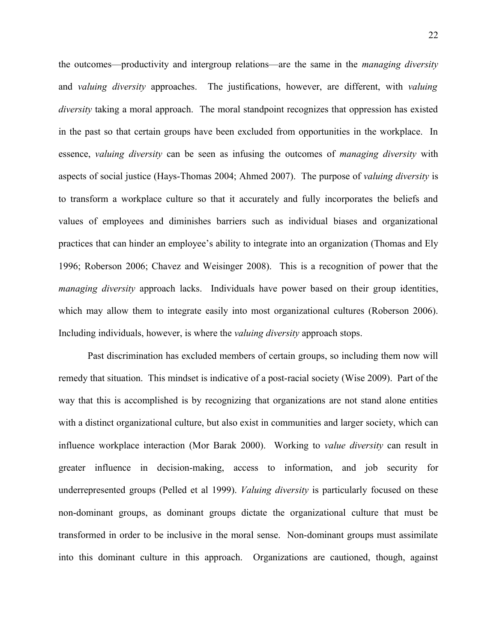the outcomes—productivity and intergroup relations—are the same in the *managing diversity* and *valuing diversity* approaches. The justifications, however, are different, with *valuing diversity* taking a moral approach. The moral standpoint recognizes that oppression has existed in the past so that certain groups have been excluded from opportunities in the workplace. In essence, *valuing diversity* can be seen as infusing the outcomes of *managing diversity* with aspects of social justice (Hays-Thomas 2004; Ahmed 2007). The purpose of *valuing diversity* is to transform a workplace culture so that it accurately and fully incorporates the beliefs and values of employees and diminishes barriers such as individual biases and organizational practices that can hinder an employee's ability to integrate into an organization (Thomas and Ely 1996; Roberson 2006; Chavez and Weisinger 2008). This is a recognition of power that the *managing diversity* approach lacks. Individuals have power based on their group identities, which may allow them to integrate easily into most organizational cultures (Roberson 2006). Including individuals, however, is where the *valuing diversity* approach stops.

Past discrimination has excluded members of certain groups, so including them now will remedy that situation. This mindset is indicative of a post-racial society (Wise 2009). Part of the way that this is accomplished is by recognizing that organizations are not stand alone entities with a distinct organizational culture, but also exist in communities and larger society, which can influence workplace interaction (Mor Barak 2000). Working to *value diversity* can result in greater influence in decision-making, access to information, and job security for underrepresented groups (Pelled et al 1999). *Valuing diversity* is particularly focused on these non-dominant groups, as dominant groups dictate the organizational culture that must be transformed in order to be inclusive in the moral sense. Non-dominant groups must assimilate into this dominant culture in this approach. Organizations are cautioned, though, against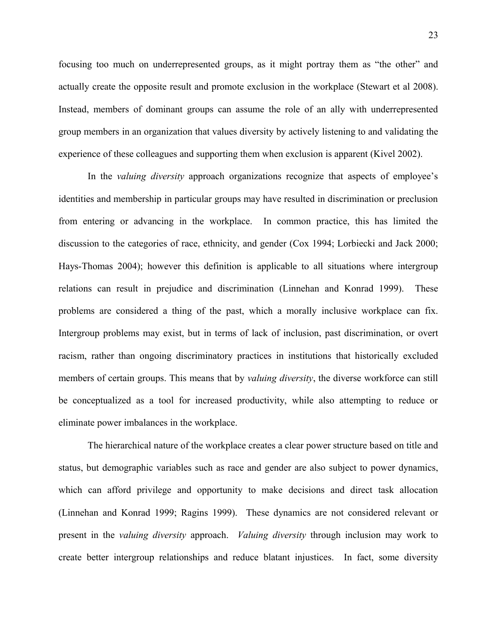focusing too much on underrepresented groups, as it might portray them as "the other" and actually create the opposite result and promote exclusion in the workplace (Stewart et al 2008). Instead, members of dominant groups can assume the role of an ally with underrepresented group members in an organization that values diversity by actively listening to and validating the experience of these colleagues and supporting them when exclusion is apparent (Kivel 2002).

In the *valuing diversity* approach organizations recognize that aspects of employee's identities and membership in particular groups may have resulted in discrimination or preclusion from entering or advancing in the workplace. In common practice, this has limited the discussion to the categories of race, ethnicity, and gender (Cox 1994; Lorbiecki and Jack 2000; Hays-Thomas 2004); however this definition is applicable to all situations where intergroup relations can result in prejudice and discrimination (Linnehan and Konrad 1999). These problems are considered a thing of the past, which a morally inclusive workplace can fix. Intergroup problems may exist, but in terms of lack of inclusion, past discrimination, or overt racism, rather than ongoing discriminatory practices in institutions that historically excluded members of certain groups. This means that by *valuing diversity*, the diverse workforce can still be conceptualized as a tool for increased productivity, while also attempting to reduce or eliminate power imbalances in the workplace.

The hierarchical nature of the workplace creates a clear power structure based on title and status, but demographic variables such as race and gender are also subject to power dynamics, which can afford privilege and opportunity to make decisions and direct task allocation (Linnehan and Konrad 1999; Ragins 1999). These dynamics are not considered relevant or present in the *valuing diversity* approach. *Valuing diversity* through inclusion may work to create better intergroup relationships and reduce blatant injustices. In fact, some diversity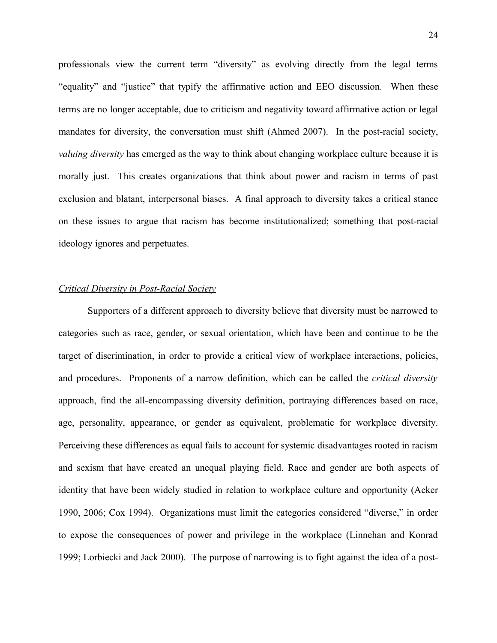professionals view the current term "diversity" as evolving directly from the legal terms "equality" and "justice" that typify the affirmative action and EEO discussion. When these terms are no longer acceptable, due to criticism and negativity toward affirmative action or legal mandates for diversity, the conversation must shift (Ahmed 2007). In the post-racial society, *valuing diversity* has emerged as the way to think about changing workplace culture because it is morally just. This creates organizations that think about power and racism in terms of past exclusion and blatant, interpersonal biases. A final approach to diversity takes a critical stance on these issues to argue that racism has become institutionalized; something that post-racial ideology ignores and perpetuates.

#### *Critical Diversity in Post-Racial Society*

Supporters of a different approach to diversity believe that diversity must be narrowed to categories such as race, gender, or sexual orientation, which have been and continue to be the target of discrimination, in order to provide a critical view of workplace interactions, policies, and procedures. Proponents of a narrow definition, which can be called the *critical diversity* approach, find the all-encompassing diversity definition, portraying differences based on race, age, personality, appearance, or gender as equivalent, problematic for workplace diversity. Perceiving these differences as equal fails to account for systemic disadvantages rooted in racism and sexism that have created an unequal playing field. Race and gender are both aspects of identity that have been widely studied in relation to workplace culture and opportunity (Acker 1990, 2006; Cox 1994). Organizations must limit the categories considered "diverse," in order to expose the consequences of power and privilege in the workplace (Linnehan and Konrad 1999; Lorbiecki and Jack 2000). The purpose of narrowing is to fight against the idea of a post-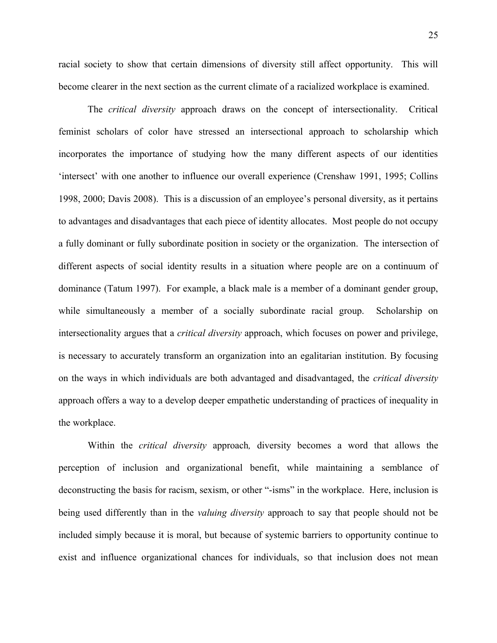25

racial society to show that certain dimensions of diversity still affect opportunity. This will become clearer in the next section as the current climate of a racialized workplace is examined.

The *critical diversity* approach draws on the concept of intersectionality. Critical feminist scholars of color have stressed an intersectional approach to scholarship which incorporates the importance of studying how the many different aspects of our identities 'intersect' with one another to influence our overall experience (Crenshaw 1991, 1995; Collins 1998, 2000; Davis 2008). This is a discussion of an employee's personal diversity, as it pertains to advantages and disadvantages that each piece of identity allocates. Most people do not occupy a fully dominant or fully subordinate position in society or the organization. The intersection of different aspects of social identity results in a situation where people are on a continuum of dominance (Tatum 1997). For example, a black male is a member of a dominant gender group, while simultaneously a member of a socially subordinate racial group. Scholarship on intersectionality argues that a *critical diversity* approach, which focuses on power and privilege, is necessary to accurately transform an organization into an egalitarian institution. By focusing on the ways in which individuals are both advantaged and disadvantaged, the *critical diversity* approach offers a way to a develop deeper empathetic understanding of practices of inequality in the workplace.

Within the *critical diversity* approach*,* diversity becomes a word that allows the perception of inclusion and organizational benefit, while maintaining a semblance of deconstructing the basis for racism, sexism, or other "-isms" in the workplace. Here, inclusion is being used differently than in the *valuing diversity* approach to say that people should not be included simply because it is moral, but because of systemic barriers to opportunity continue to exist and influence organizational chances for individuals, so that inclusion does not mean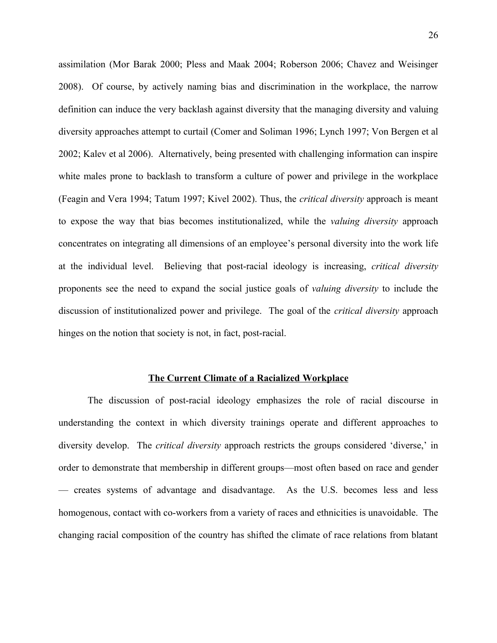assimilation (Mor Barak 2000; Pless and Maak 2004; Roberson 2006; Chavez and Weisinger 2008). Of course, by actively naming bias and discrimination in the workplace, the narrow definition can induce the very backlash against diversity that the managing diversity and valuing diversity approaches attempt to curtail (Comer and Soliman 1996; Lynch 1997; Von Bergen et al 2002; Kalev et al 2006). Alternatively, being presented with challenging information can inspire white males prone to backlash to transform a culture of power and privilege in the workplace (Feagin and Vera 1994; Tatum 1997; Kivel 2002). Thus, the *critical diversity* approach is meant to expose the way that bias becomes institutionalized, while the *valuing diversity* approach concentrates on integrating all dimensions of an employee's personal diversity into the work life at the individual level. Believing that post-racial ideology is increasing, *critical diversity* proponents see the need to expand the social justice goals of *valuing diversity* to include the discussion of institutionalized power and privilege. The goal of the *critical diversity* approach hinges on the notion that society is not, in fact, post-racial.

#### **The Current Climate of a Racialized Workplace**

The discussion of post-racial ideology emphasizes the role of racial discourse in understanding the context in which diversity trainings operate and different approaches to diversity develop. The *critical diversity* approach restricts the groups considered 'diverse,' in order to demonstrate that membership in different groups—most often based on race and gender — creates systems of advantage and disadvantage. As the U.S. becomes less and less homogenous, contact with co-workers from a variety of races and ethnicities is unavoidable. The changing racial composition of the country has shifted the climate of race relations from blatant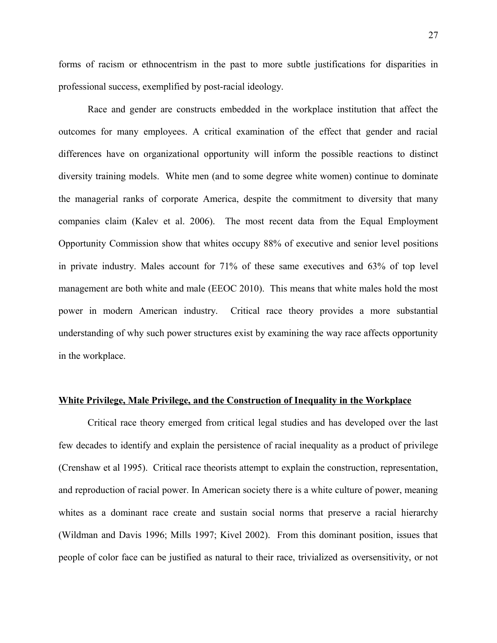forms of racism or ethnocentrism in the past to more subtle justifications for disparities in professional success, exemplified by post-racial ideology.

Race and gender are constructs embedded in the workplace institution that affect the outcomes for many employees. A critical examination of the effect that gender and racial differences have on organizational opportunity will inform the possible reactions to distinct diversity training models. White men (and to some degree white women) continue to dominate the managerial ranks of corporate America, despite the commitment to diversity that many companies claim (Kalev et al. 2006). The most recent data from the Equal Employment Opportunity Commission show that whites occupy 88% of executive and senior level positions in private industry. Males account for 71% of these same executives and 63% of top level management are both white and male (EEOC 2010). This means that white males hold the most power in modern American industry. Critical race theory provides a more substantial understanding of why such power structures exist by examining the way race affects opportunity in the workplace.

#### **White Privilege, Male Privilege, and the Construction of Inequality in the Workplace**

Critical race theory emerged from critical legal studies and has developed over the last few decades to identify and explain the persistence of racial inequality as a product of privilege (Crenshaw et al 1995). Critical race theorists attempt to explain the construction, representation, and reproduction of racial power. In American society there is a white culture of power, meaning whites as a dominant race create and sustain social norms that preserve a racial hierarchy (Wildman and Davis 1996; Mills 1997; Kivel 2002). From this dominant position, issues that people of color face can be justified as natural to their race, trivialized as oversensitivity, or not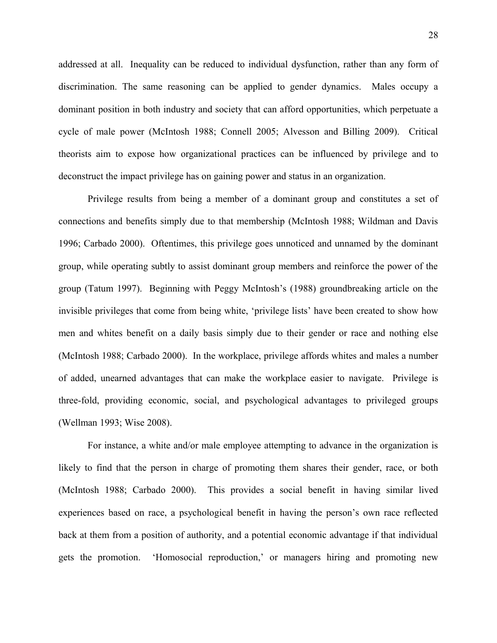addressed at all. Inequality can be reduced to individual dysfunction, rather than any form of discrimination. The same reasoning can be applied to gender dynamics. Males occupy a dominant position in both industry and society that can afford opportunities, which perpetuate a cycle of male power (McIntosh 1988; Connell 2005; Alvesson and Billing 2009). Critical theorists aim to expose how organizational practices can be influenced by privilege and to deconstruct the impact privilege has on gaining power and status in an organization.

Privilege results from being a member of a dominant group and constitutes a set of connections and benefits simply due to that membership (McIntosh 1988; Wildman and Davis 1996; Carbado 2000). Oftentimes, this privilege goes unnoticed and unnamed by the dominant group, while operating subtly to assist dominant group members and reinforce the power of the group (Tatum 1997). Beginning with Peggy McIntosh's (1988) groundbreaking article on the invisible privileges that come from being white, 'privilege lists' have been created to show how men and whites benefit on a daily basis simply due to their gender or race and nothing else (McIntosh 1988; Carbado 2000). In the workplace, privilege affords whites and males a number of added, unearned advantages that can make the workplace easier to navigate. Privilege is three-fold, providing economic, social, and psychological advantages to privileged groups (Wellman 1993; Wise 2008).

For instance, a white and/or male employee attempting to advance in the organization is likely to find that the person in charge of promoting them shares their gender, race, or both (McIntosh 1988; Carbado 2000). This provides a social benefit in having similar lived experiences based on race, a psychological benefit in having the person's own race reflected back at them from a position of authority, and a potential economic advantage if that individual gets the promotion. 'Homosocial reproduction,' or managers hiring and promoting new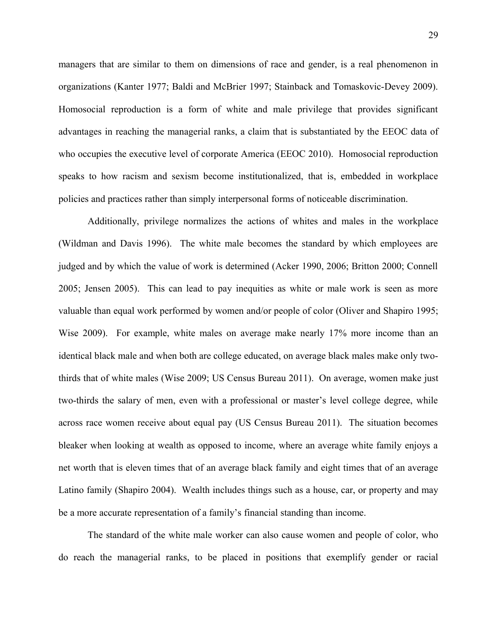managers that are similar to them on dimensions of race and gender, is a real phenomenon in organizations (Kanter 1977; Baldi and McBrier 1997; Stainback and Tomaskovic-Devey 2009). Homosocial reproduction is a form of white and male privilege that provides significant advantages in reaching the managerial ranks, a claim that is substantiated by the EEOC data of who occupies the executive level of corporate America (EEOC 2010). Homosocial reproduction speaks to how racism and sexism become institutionalized, that is, embedded in workplace policies and practices rather than simply interpersonal forms of noticeable discrimination.

Additionally, privilege normalizes the actions of whites and males in the workplace (Wildman and Davis 1996). The white male becomes the standard by which employees are judged and by which the value of work is determined (Acker 1990, 2006; Britton 2000; Connell 2005; Jensen 2005). This can lead to pay inequities as white or male work is seen as more valuable than equal work performed by women and/or people of color (Oliver and Shapiro 1995; Wise 2009). For example, white males on average make nearly 17% more income than an identical black male and when both are college educated, on average black males make only twothirds that of white males (Wise 2009; US Census Bureau 2011). On average, women make just two-thirds the salary of men, even with a professional or master's level college degree, while across race women receive about equal pay (US Census Bureau 2011). The situation becomes bleaker when looking at wealth as opposed to income, where an average white family enjoys a net worth that is eleven times that of an average black family and eight times that of an average Latino family (Shapiro 2004). Wealth includes things such as a house, car, or property and may be a more accurate representation of a family's financial standing than income.

The standard of the white male worker can also cause women and people of color, who do reach the managerial ranks, to be placed in positions that exemplify gender or racial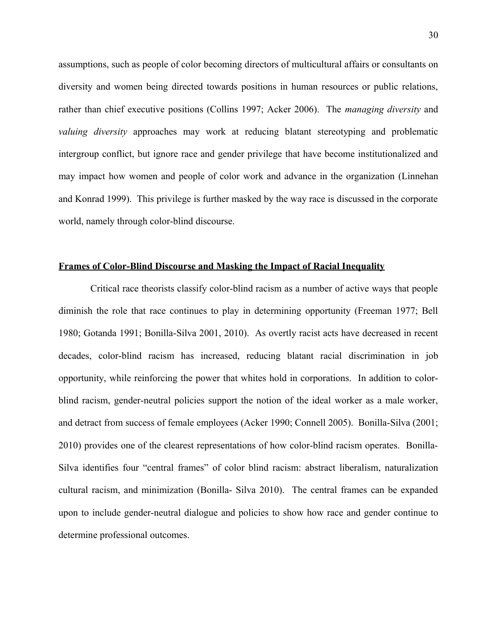assumptions, such as people of color becoming directors of multicultural affairs or consultants on diversity and women being directed towards positions in human resources or public relations, rather than chief executive positions (Collins 1997; Acker 2006). The *managing diversity* and *valuing diversity* approaches may work at reducing blatant stereotyping and problematic intergroup conflict, but ignore race and gender privilege that have become institutionalized and may impact how women and people of color work and advance in the organization (Linnehan and Konrad 1999). This privilege is further masked by the way race is discussed in the corporate world, namely through color-blind discourse.

#### **Frames of Color-Blind Discourse and Masking the Impact of Racial Inequality**

 Critical race theorists classify color-blind racism as a number of active ways that people diminish the role that race continues to play in determining opportunity (Freeman 1977; Bell 1980; Gotanda 1991; Bonilla-Silva 2001, 2010). As overtly racist acts have decreased in recent decades, color-blind racism has increased, reducing blatant racial discrimination in job opportunity, while reinforcing the power that whites hold in corporations. In addition to colorblind racism, gender-neutral policies support the notion of the ideal worker as a male worker, and detract from success of female employees (Acker 1990; Connell 2005). Bonilla-Silva (2001; 2010) provides one of the clearest representations of how color-blind racism operates. Bonilla-Silva identifies four "central frames" of color blind racism: abstract liberalism, naturalization cultural racism, and minimization (Bonilla- Silva 2010). The central frames can be expanded upon to include gender-neutral dialogue and policies to show how race and gender continue to determine professional outcomes.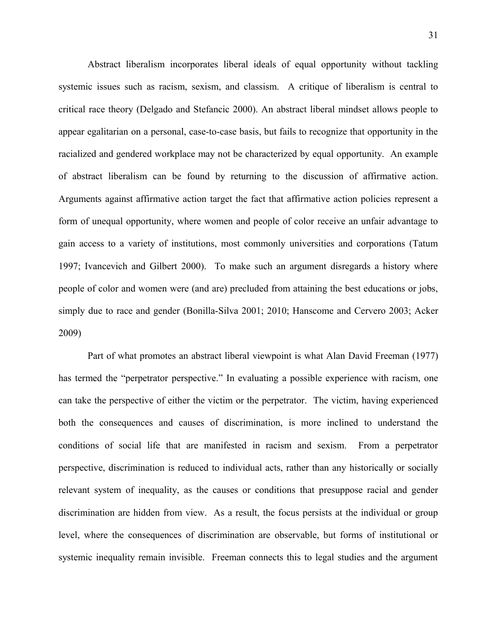Abstract liberalism incorporates liberal ideals of equal opportunity without tackling systemic issues such as racism, sexism, and classism. A critique of liberalism is central to critical race theory (Delgado and Stefancic 2000). An abstract liberal mindset allows people to appear egalitarian on a personal, case-to-case basis, but fails to recognize that opportunity in the racialized and gendered workplace may not be characterized by equal opportunity. An example of abstract liberalism can be found by returning to the discussion of affirmative action. Arguments against affirmative action target the fact that affirmative action policies represent a form of unequal opportunity, where women and people of color receive an unfair advantage to gain access to a variety of institutions, most commonly universities and corporations (Tatum 1997; Ivancevich and Gilbert 2000). To make such an argument disregards a history where people of color and women were (and are) precluded from attaining the best educations or jobs, simply due to race and gender (Bonilla-Silva 2001; 2010; Hanscome and Cervero 2003; Acker 2009)

Part of what promotes an abstract liberal viewpoint is what Alan David Freeman (1977) has termed the "perpetrator perspective." In evaluating a possible experience with racism, one can take the perspective of either the victim or the perpetrator. The victim, having experienced both the consequences and causes of discrimination, is more inclined to understand the conditions of social life that are manifested in racism and sexism. From a perpetrator perspective, discrimination is reduced to individual acts, rather than any historically or socially relevant system of inequality, as the causes or conditions that presuppose racial and gender discrimination are hidden from view. As a result, the focus persists at the individual or group level, where the consequences of discrimination are observable, but forms of institutional or systemic inequality remain invisible. Freeman connects this to legal studies and the argument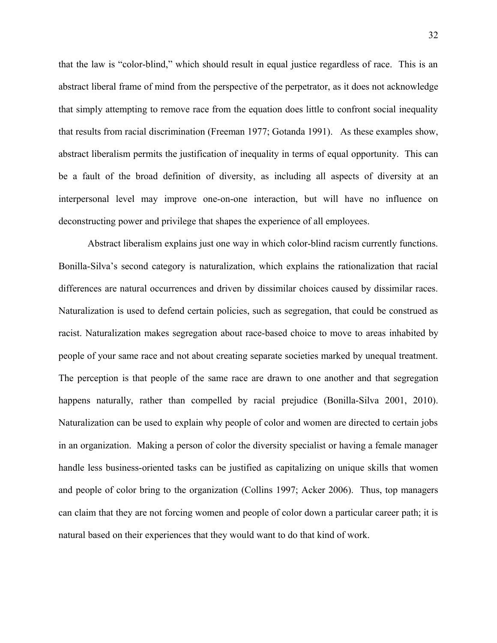that the law is "color-blind," which should result in equal justice regardless of race. This is an abstract liberal frame of mind from the perspective of the perpetrator, as it does not acknowledge that simply attempting to remove race from the equation does little to confront social inequality that results from racial discrimination (Freeman 1977; Gotanda 1991). As these examples show, abstract liberalism permits the justification of inequality in terms of equal opportunity. This can be a fault of the broad definition of diversity, as including all aspects of diversity at an interpersonal level may improve one-on-one interaction, but will have no influence on deconstructing power and privilege that shapes the experience of all employees.

Abstract liberalism explains just one way in which color-blind racism currently functions. Bonilla-Silva's second category is naturalization, which explains the rationalization that racial differences are natural occurrences and driven by dissimilar choices caused by dissimilar races. Naturalization is used to defend certain policies, such as segregation, that could be construed as racist. Naturalization makes segregation about race-based choice to move to areas inhabited by people of your same race and not about creating separate societies marked by unequal treatment. The perception is that people of the same race are drawn to one another and that segregation happens naturally, rather than compelled by racial prejudice (Bonilla-Silva 2001, 2010). Naturalization can be used to explain why people of color and women are directed to certain jobs in an organization. Making a person of color the diversity specialist or having a female manager handle less business-oriented tasks can be justified as capitalizing on unique skills that women and people of color bring to the organization (Collins 1997; Acker 2006). Thus, top managers can claim that they are not forcing women and people of color down a particular career path; it is natural based on their experiences that they would want to do that kind of work.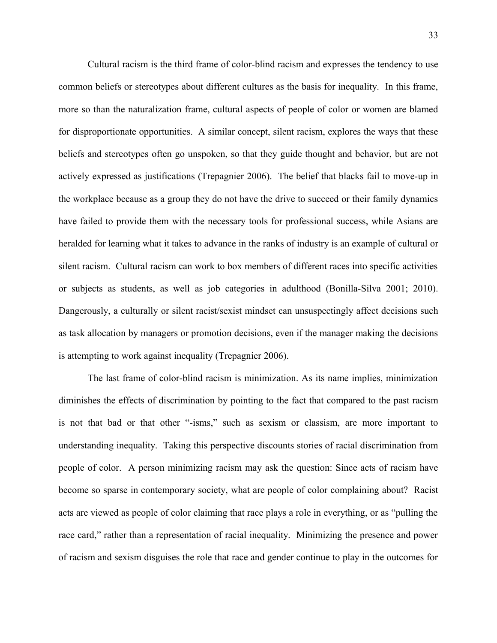Cultural racism is the third frame of color-blind racism and expresses the tendency to use common beliefs or stereotypes about different cultures as the basis for inequality. In this frame, more so than the naturalization frame, cultural aspects of people of color or women are blamed for disproportionate opportunities. A similar concept, silent racism, explores the ways that these beliefs and stereotypes often go unspoken, so that they guide thought and behavior, but are not actively expressed as justifications (Trepagnier 2006). The belief that blacks fail to move-up in the workplace because as a group they do not have the drive to succeed or their family dynamics have failed to provide them with the necessary tools for professional success, while Asians are heralded for learning what it takes to advance in the ranks of industry is an example of cultural or silent racism. Cultural racism can work to box members of different races into specific activities or subjects as students, as well as job categories in adulthood (Bonilla-Silva 2001; 2010). Dangerously, a culturally or silent racist/sexist mindset can unsuspectingly affect decisions such as task allocation by managers or promotion decisions, even if the manager making the decisions is attempting to work against inequality (Trepagnier 2006).

The last frame of color-blind racism is minimization. As its name implies, minimization diminishes the effects of discrimination by pointing to the fact that compared to the past racism is not that bad or that other "-isms," such as sexism or classism, are more important to understanding inequality. Taking this perspective discounts stories of racial discrimination from people of color. A person minimizing racism may ask the question: Since acts of racism have become so sparse in contemporary society, what are people of color complaining about? Racist acts are viewed as people of color claiming that race plays a role in everything, or as "pulling the race card," rather than a representation of racial inequality. Minimizing the presence and power of racism and sexism disguises the role that race and gender continue to play in the outcomes for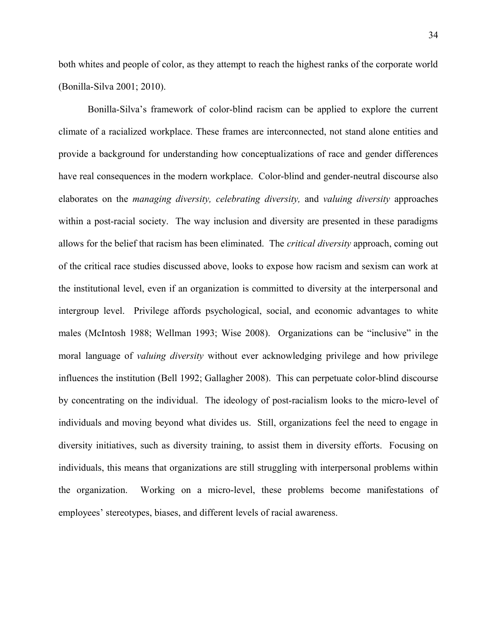both whites and people of color, as they attempt to reach the highest ranks of the corporate world (Bonilla-Silva 2001; 2010).

Bonilla-Silva's framework of color-blind racism can be applied to explore the current climate of a racialized workplace. These frames are interconnected, not stand alone entities and provide a background for understanding how conceptualizations of race and gender differences have real consequences in the modern workplace. Color-blind and gender-neutral discourse also elaborates on the *managing diversity, celebrating diversity,* and *valuing diversity* approaches within a post-racial society. The way inclusion and diversity are presented in these paradigms allows for the belief that racism has been eliminated. The *critical diversity* approach, coming out of the critical race studies discussed above, looks to expose how racism and sexism can work at the institutional level, even if an organization is committed to diversity at the interpersonal and intergroup level. Privilege affords psychological, social, and economic advantages to white males (McIntosh 1988; Wellman 1993; Wise 2008). Organizations can be "inclusive" in the moral language of *valuing diversity* without ever acknowledging privilege and how privilege influences the institution (Bell 1992; Gallagher 2008). This can perpetuate color-blind discourse by concentrating on the individual. The ideology of post-racialism looks to the micro-level of individuals and moving beyond what divides us. Still, organizations feel the need to engage in diversity initiatives, such as diversity training, to assist them in diversity efforts. Focusing on individuals, this means that organizations are still struggling with interpersonal problems within the organization. Working on a micro-level, these problems become manifestations of employees' stereotypes, biases, and different levels of racial awareness.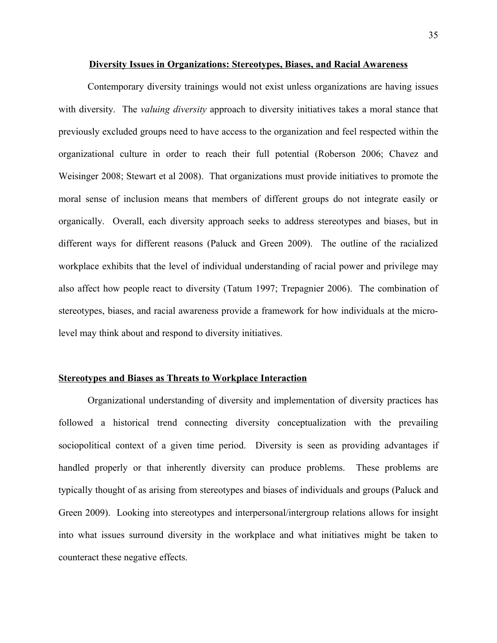#### **Diversity Issues in Organizations: Stereotypes, Biases, and Racial Awareness**

Contemporary diversity trainings would not exist unless organizations are having issues with diversity. The *valuing diversity* approach to diversity initiatives takes a moral stance that previously excluded groups need to have access to the organization and feel respected within the organizational culture in order to reach their full potential (Roberson 2006; Chavez and Weisinger 2008; Stewart et al 2008). That organizations must provide initiatives to promote the moral sense of inclusion means that members of different groups do not integrate easily or organically. Overall, each diversity approach seeks to address stereotypes and biases, but in different ways for different reasons (Paluck and Green 2009). The outline of the racialized workplace exhibits that the level of individual understanding of racial power and privilege may also affect how people react to diversity (Tatum 1997; Trepagnier 2006). The combination of stereotypes, biases, and racial awareness provide a framework for how individuals at the microlevel may think about and respond to diversity initiatives.

#### **Stereotypes and Biases as Threats to Workplace Interaction**

Organizational understanding of diversity and implementation of diversity practices has followed a historical trend connecting diversity conceptualization with the prevailing sociopolitical context of a given time period. Diversity is seen as providing advantages if handled properly or that inherently diversity can produce problems. These problems are typically thought of as arising from stereotypes and biases of individuals and groups (Paluck and Green 2009). Looking into stereotypes and interpersonal/intergroup relations allows for insight into what issues surround diversity in the workplace and what initiatives might be taken to counteract these negative effects.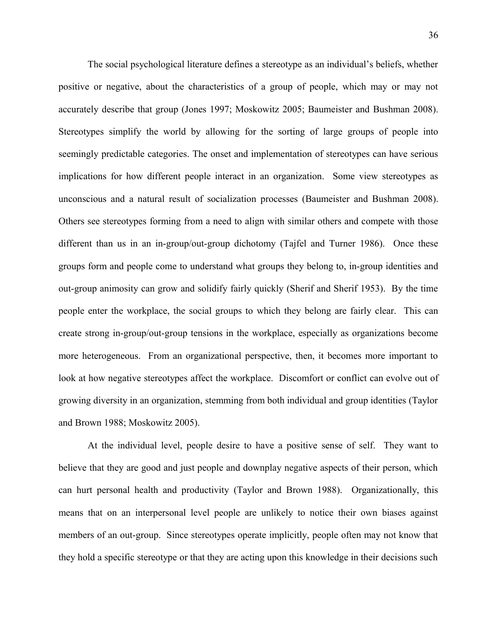The social psychological literature defines a stereotype as an individual's beliefs, whether positive or negative, about the characteristics of a group of people, which may or may not accurately describe that group (Jones 1997; Moskowitz 2005; Baumeister and Bushman 2008). Stereotypes simplify the world by allowing for the sorting of large groups of people into seemingly predictable categories. The onset and implementation of stereotypes can have serious implications for how different people interact in an organization. Some view stereotypes as unconscious and a natural result of socialization processes (Baumeister and Bushman 2008). Others see stereotypes forming from a need to align with similar others and compete with those different than us in an in-group/out-group dichotomy (Tajfel and Turner 1986). Once these groups form and people come to understand what groups they belong to, in-group identities and out-group animosity can grow and solidify fairly quickly (Sherif and Sherif 1953). By the time people enter the workplace, the social groups to which they belong are fairly clear. This can create strong in-group/out-group tensions in the workplace, especially as organizations become more heterogeneous. From an organizational perspective, then, it becomes more important to look at how negative stereotypes affect the workplace. Discomfort or conflict can evolve out of growing diversity in an organization, stemming from both individual and group identities (Taylor and Brown 1988; Moskowitz 2005).

At the individual level, people desire to have a positive sense of self. They want to believe that they are good and just people and downplay negative aspects of their person, which can hurt personal health and productivity (Taylor and Brown 1988). Organizationally, this means that on an interpersonal level people are unlikely to notice their own biases against members of an out-group. Since stereotypes operate implicitly, people often may not know that they hold a specific stereotype or that they are acting upon this knowledge in their decisions such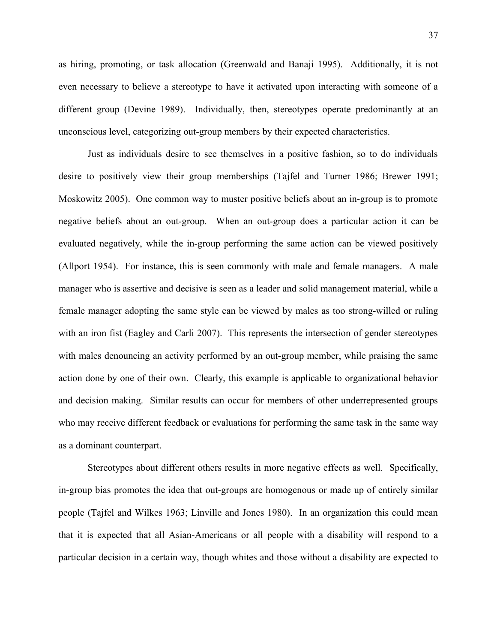as hiring, promoting, or task allocation (Greenwald and Banaji 1995). Additionally, it is not even necessary to believe a stereotype to have it activated upon interacting with someone of a different group (Devine 1989). Individually, then, stereotypes operate predominantly at an unconscious level, categorizing out-group members by their expected characteristics.

Just as individuals desire to see themselves in a positive fashion, so to do individuals desire to positively view their group memberships (Tajfel and Turner 1986; Brewer 1991; Moskowitz 2005). One common way to muster positive beliefs about an in-group is to promote negative beliefs about an out-group. When an out-group does a particular action it can be evaluated negatively, while the in-group performing the same action can be viewed positively (Allport 1954). For instance, this is seen commonly with male and female managers. A male manager who is assertive and decisive is seen as a leader and solid management material, while a female manager adopting the same style can be viewed by males as too strong-willed or ruling with an iron fist (Eagley and Carli 2007). This represents the intersection of gender stereotypes with males denouncing an activity performed by an out-group member, while praising the same action done by one of their own. Clearly, this example is applicable to organizational behavior and decision making. Similar results can occur for members of other underrepresented groups who may receive different feedback or evaluations for performing the same task in the same way as a dominant counterpart.

Stereotypes about different others results in more negative effects as well. Specifically, in-group bias promotes the idea that out-groups are homogenous or made up of entirely similar people (Tajfel and Wilkes 1963; Linville and Jones 1980). In an organization this could mean that it is expected that all Asian-Americans or all people with a disability will respond to a particular decision in a certain way, though whites and those without a disability are expected to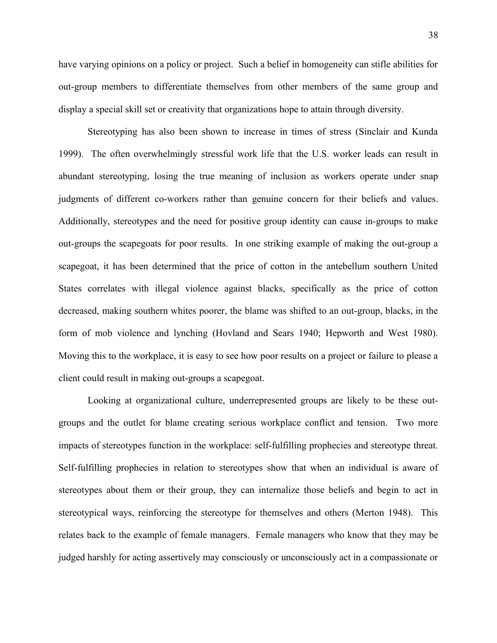have varying opinions on a policy or project. Such a belief in homogeneity can stifle abilities for out-group members to differentiate themselves from other members of the same group and display a special skill set or creativity that organizations hope to attain through diversity.

Stereotyping has also been shown to increase in times of stress (Sinclair and Kunda 1999). The often overwhelmingly stressful work life that the U.S. worker leads can result in abundant stereotyping, losing the true meaning of inclusion as workers operate under snap judgments of different co-workers rather than genuine concern for their beliefs and values. Additionally, stereotypes and the need for positive group identity can cause in-groups to make out-groups the scapegoats for poor results. In one striking example of making the out-group a scapegoat, it has been determined that the price of cotton in the antebellum southern United States correlates with illegal violence against blacks, specifically as the price of cotton decreased, making southern whites poorer, the blame was shifted to an out-group, blacks, in the form of mob violence and lynching (Hovland and Sears 1940; Hepworth and West 1980). Moving this to the workplace, it is easy to see how poor results on a project or failure to please a client could result in making out-groups a scapegoat.

Looking at organizational culture, underrepresented groups are likely to be these outgroups and the outlet for blame creating serious workplace conflict and tension. Two more impacts of stereotypes function in the workplace: self-fulfilling prophecies and stereotype threat. Self-fulfilling prophecies in relation to stereotypes show that when an individual is aware of stereotypes about them or their group, they can internalize those beliefs and begin to act in stereotypical ways, reinforcing the stereotype for themselves and others (Merton 1948). This relates back to the example of female managers. Female managers who know that they may be judged harshly for acting assertively may consciously or unconsciously act in a compassionate or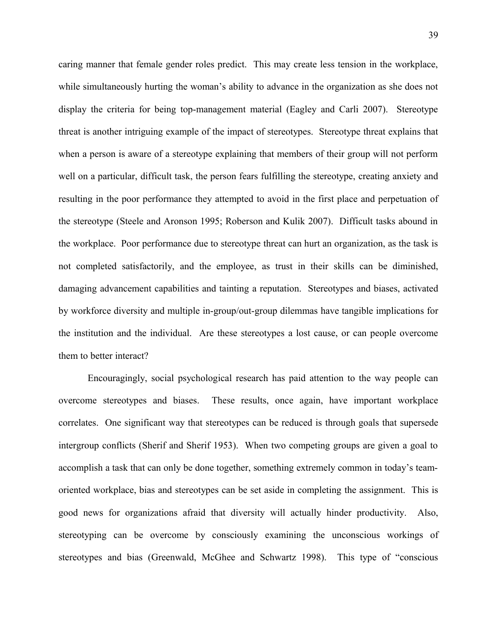caring manner that female gender roles predict. This may create less tension in the workplace, while simultaneously hurting the woman's ability to advance in the organization as she does not display the criteria for being top-management material (Eagley and Carli 2007). Stereotype threat is another intriguing example of the impact of stereotypes. Stereotype threat explains that when a person is aware of a stereotype explaining that members of their group will not perform well on a particular, difficult task, the person fears fulfilling the stereotype, creating anxiety and resulting in the poor performance they attempted to avoid in the first place and perpetuation of the stereotype (Steele and Aronson 1995; Roberson and Kulik 2007). Difficult tasks abound in the workplace. Poor performance due to stereotype threat can hurt an organization, as the task is not completed satisfactorily, and the employee, as trust in their skills can be diminished, damaging advancement capabilities and tainting a reputation. Stereotypes and biases, activated by workforce diversity and multiple in-group/out-group dilemmas have tangible implications for the institution and the individual. Are these stereotypes a lost cause, or can people overcome them to better interact?

Encouragingly, social psychological research has paid attention to the way people can overcome stereotypes and biases. These results, once again, have important workplace correlates. One significant way that stereotypes can be reduced is through goals that supersede intergroup conflicts (Sherif and Sherif 1953). When two competing groups are given a goal to accomplish a task that can only be done together, something extremely common in today's teamoriented workplace, bias and stereotypes can be set aside in completing the assignment. This is good news for organizations afraid that diversity will actually hinder productivity. Also, stereotyping can be overcome by consciously examining the unconscious workings of stereotypes and bias (Greenwald, McGhee and Schwartz 1998). This type of "conscious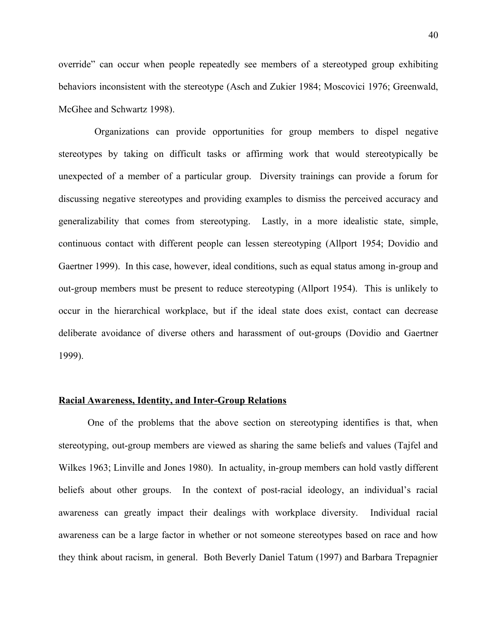override" can occur when people repeatedly see members of a stereotyped group exhibiting behaviors inconsistent with the stereotype (Asch and Zukier 1984; Moscovici 1976; Greenwald, McGhee and Schwartz 1998).

 Organizations can provide opportunities for group members to dispel negative stereotypes by taking on difficult tasks or affirming work that would stereotypically be unexpected of a member of a particular group. Diversity trainings can provide a forum for discussing negative stereotypes and providing examples to dismiss the perceived accuracy and generalizability that comes from stereotyping. Lastly, in a more idealistic state, simple, continuous contact with different people can lessen stereotyping (Allport 1954; Dovidio and Gaertner 1999). In this case, however, ideal conditions, such as equal status among in-group and out-group members must be present to reduce stereotyping (Allport 1954). This is unlikely to occur in the hierarchical workplace, but if the ideal state does exist, contact can decrease deliberate avoidance of diverse others and harassment of out-groups (Dovidio and Gaertner 1999).

# **Racial Awareness, Identity, and Inter-Group Relations**

One of the problems that the above section on stereotyping identifies is that, when stereotyping, out-group members are viewed as sharing the same beliefs and values (Tajfel and Wilkes 1963; Linville and Jones 1980). In actuality, in-group members can hold vastly different beliefs about other groups. In the context of post-racial ideology, an individual's racial awareness can greatly impact their dealings with workplace diversity. Individual racial awareness can be a large factor in whether or not someone stereotypes based on race and how they think about racism, in general. Both Beverly Daniel Tatum (1997) and Barbara Trepagnier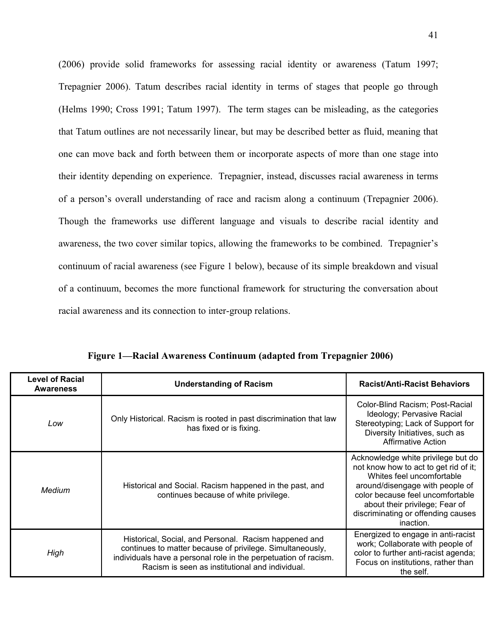(2006) provide solid frameworks for assessing racial identity or awareness (Tatum 1997; Trepagnier 2006). Tatum describes racial identity in terms of stages that people go through (Helms 1990; Cross 1991; Tatum 1997). The term stages can be misleading, as the categories that Tatum outlines are not necessarily linear, but may be described better as fluid, meaning that one can move back and forth between them or incorporate aspects of more than one stage into their identity depending on experience. Trepagnier, instead, discusses racial awareness in terms of a person's overall understanding of race and racism along a continuum (Trepagnier 2006). Though the frameworks use different language and visuals to describe racial identity and awareness, the two cover similar topics, allowing the frameworks to be combined. Trepagnier's continuum of racial awareness (see Figure 1 below), because of its simple breakdown and visual of a continuum, becomes the more functional framework for structuring the conversation about racial awareness and its connection to inter-group relations.

| <b>Level of Racial</b><br><b>Awareness</b> | <b>Understanding of Racism</b>                                                                                                                                                                                                           | <b>Racist/Anti-Racist Behaviors</b>                                                                                                                                                                                                                                  |  |  |
|--------------------------------------------|------------------------------------------------------------------------------------------------------------------------------------------------------------------------------------------------------------------------------------------|----------------------------------------------------------------------------------------------------------------------------------------------------------------------------------------------------------------------------------------------------------------------|--|--|
| Low                                        | Only Historical. Racism is rooted in past discrimination that law<br>has fixed or is fixing.                                                                                                                                             | Color-Blind Racism; Post-Racial<br>Ideology; Pervasive Racial<br>Stereotyping; Lack of Support for<br>Diversity Initiatives, such as<br><b>Affirmative Action</b>                                                                                                    |  |  |
| Medium                                     | Historical and Social. Racism happened in the past, and<br>continues because of white privilege.                                                                                                                                         | Acknowledge white privilege but do<br>not know how to act to get rid of it;<br>Whites feel uncomfortable<br>around/disengage with people of<br>color because feel uncomfortable<br>about their privilege; Fear of<br>discriminating or offending causes<br>inaction. |  |  |
| High                                       | Historical, Social, and Personal. Racism happened and<br>continues to matter because of privilege. Simultaneously,<br>individuals have a personal role in the perpetuation of racism.<br>Racism is seen as institutional and individual. | Energized to engage in anti-racist<br>work; Collaborate with people of<br>color to further anti-racist agenda;<br>Focus on institutions, rather than<br>the self.                                                                                                    |  |  |

**Figure 1—Racial Awareness Continuum (adapted from Trepagnier 2006)**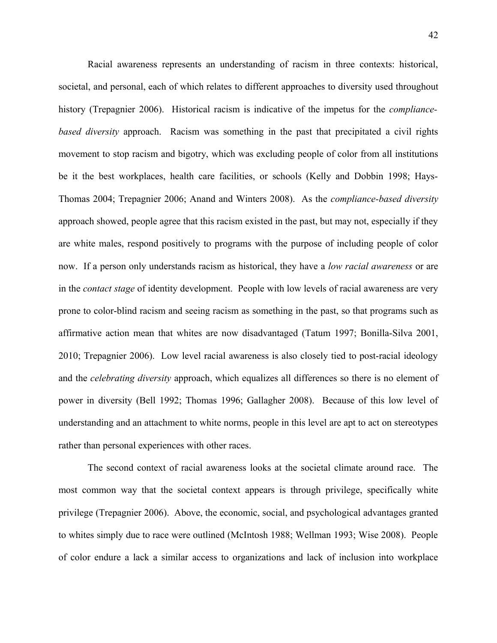Racial awareness represents an understanding of racism in three contexts: historical, societal, and personal, each of which relates to different approaches to diversity used throughout history (Trepagnier 2006). Historical racism is indicative of the impetus for the *compliancebased diversity* approach. Racism was something in the past that precipitated a civil rights movement to stop racism and bigotry, which was excluding people of color from all institutions be it the best workplaces, health care facilities, or schools (Kelly and Dobbin 1998; Hays-Thomas 2004; Trepagnier 2006; Anand and Winters 2008). As the *compliance-based diversity* approach showed, people agree that this racism existed in the past, but may not, especially if they are white males, respond positively to programs with the purpose of including people of color now. If a person only understands racism as historical, they have a *low racial awareness* or are in the *contact stage* of identity development. People with low levels of racial awareness are very prone to color-blind racism and seeing racism as something in the past, so that programs such as affirmative action mean that whites are now disadvantaged (Tatum 1997; Bonilla-Silva 2001, 2010; Trepagnier 2006). Low level racial awareness is also closely tied to post-racial ideology and the *celebrating diversity* approach, which equalizes all differences so there is no element of power in diversity (Bell 1992; Thomas 1996; Gallagher 2008). Because of this low level of understanding and an attachment to white norms, people in this level are apt to act on stereotypes rather than personal experiences with other races.

The second context of racial awareness looks at the societal climate around race. The most common way that the societal context appears is through privilege, specifically white privilege (Trepagnier 2006). Above, the economic, social, and psychological advantages granted to whites simply due to race were outlined (McIntosh 1988; Wellman 1993; Wise 2008). People of color endure a lack a similar access to organizations and lack of inclusion into workplace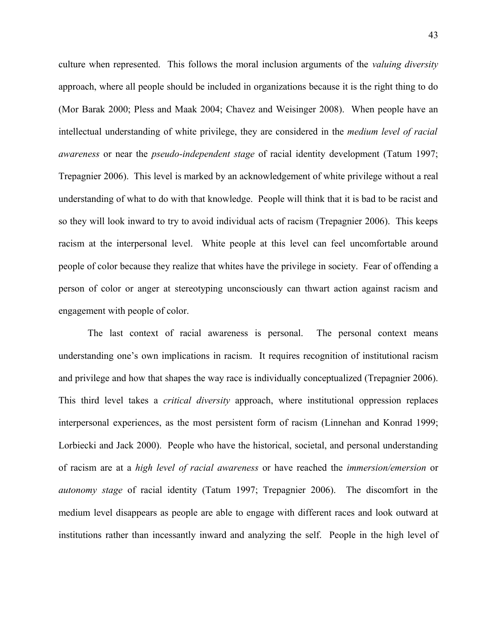culture when represented. This follows the moral inclusion arguments of the *valuing diversity* approach, where all people should be included in organizations because it is the right thing to do (Mor Barak 2000; Pless and Maak 2004; Chavez and Weisinger 2008). When people have an intellectual understanding of white privilege, they are considered in the *medium level of racial awareness* or near the *pseudo-independent stage* of racial identity development (Tatum 1997; Trepagnier 2006). This level is marked by an acknowledgement of white privilege without a real understanding of what to do with that knowledge. People will think that it is bad to be racist and so they will look inward to try to avoid individual acts of racism (Trepagnier 2006). This keeps racism at the interpersonal level. White people at this level can feel uncomfortable around people of color because they realize that whites have the privilege in society. Fear of offending a person of color or anger at stereotyping unconsciously can thwart action against racism and engagement with people of color.

The last context of racial awareness is personal. The personal context means understanding one's own implications in racism. It requires recognition of institutional racism and privilege and how that shapes the way race is individually conceptualized (Trepagnier 2006). This third level takes a *critical diversity* approach, where institutional oppression replaces interpersonal experiences, as the most persistent form of racism (Linnehan and Konrad 1999; Lorbiecki and Jack 2000). People who have the historical, societal, and personal understanding of racism are at a *high level of racial awareness* or have reached the *immersion/emersion* or *autonomy stage* of racial identity (Tatum 1997; Trepagnier 2006). The discomfort in the medium level disappears as people are able to engage with different races and look outward at institutions rather than incessantly inward and analyzing the self. People in the high level of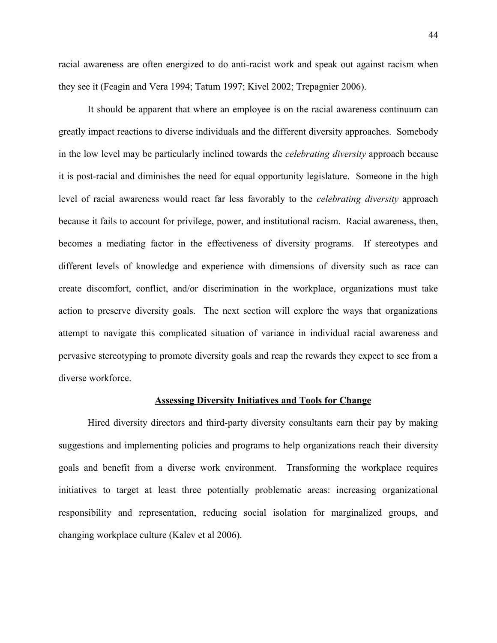racial awareness are often energized to do anti-racist work and speak out against racism when they see it (Feagin and Vera 1994; Tatum 1997; Kivel 2002; Trepagnier 2006).

It should be apparent that where an employee is on the racial awareness continuum can greatly impact reactions to diverse individuals and the different diversity approaches. Somebody in the low level may be particularly inclined towards the *celebrating diversity* approach because it is post-racial and diminishes the need for equal opportunity legislature. Someone in the high level of racial awareness would react far less favorably to the *celebrating diversity* approach because it fails to account for privilege, power, and institutional racism. Racial awareness, then, becomes a mediating factor in the effectiveness of diversity programs. If stereotypes and different levels of knowledge and experience with dimensions of diversity such as race can create discomfort, conflict, and/or discrimination in the workplace, organizations must take action to preserve diversity goals. The next section will explore the ways that organizations attempt to navigate this complicated situation of variance in individual racial awareness and pervasive stereotyping to promote diversity goals and reap the rewards they expect to see from a diverse workforce.

#### **Assessing Diversity Initiatives and Tools for Change**

Hired diversity directors and third-party diversity consultants earn their pay by making suggestions and implementing policies and programs to help organizations reach their diversity goals and benefit from a diverse work environment. Transforming the workplace requires initiatives to target at least three potentially problematic areas: increasing organizational responsibility and representation, reducing social isolation for marginalized groups, and changing workplace culture (Kalev et al 2006).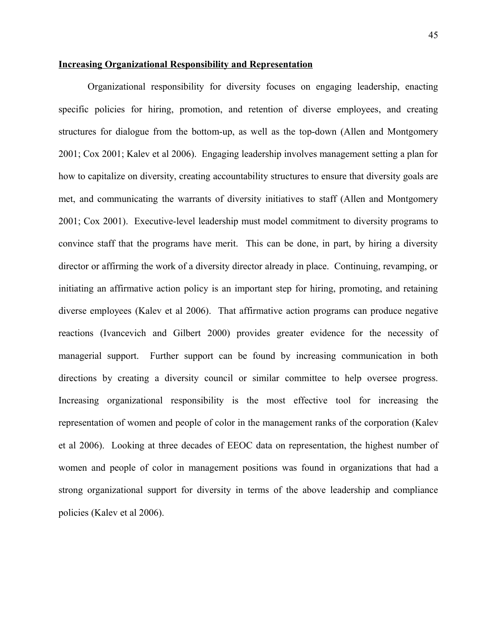### **Increasing Organizational Responsibility and Representation**

Organizational responsibility for diversity focuses on engaging leadership, enacting specific policies for hiring, promotion, and retention of diverse employees, and creating structures for dialogue from the bottom-up, as well as the top-down (Allen and Montgomery 2001; Cox 2001; Kalev et al 2006). Engaging leadership involves management setting a plan for how to capitalize on diversity, creating accountability structures to ensure that diversity goals are met, and communicating the warrants of diversity initiatives to staff (Allen and Montgomery 2001; Cox 2001). Executive-level leadership must model commitment to diversity programs to convince staff that the programs have merit. This can be done, in part, by hiring a diversity director or affirming the work of a diversity director already in place. Continuing, revamping, or initiating an affirmative action policy is an important step for hiring, promoting, and retaining diverse employees (Kalev et al 2006). That affirmative action programs can produce negative reactions (Ivancevich and Gilbert 2000) provides greater evidence for the necessity of managerial support. Further support can be found by increasing communication in both directions by creating a diversity council or similar committee to help oversee progress. Increasing organizational responsibility is the most effective tool for increasing the representation of women and people of color in the management ranks of the corporation (Kalev et al 2006). Looking at three decades of EEOC data on representation, the highest number of women and people of color in management positions was found in organizations that had a strong organizational support for diversity in terms of the above leadership and compliance policies (Kalev et al 2006).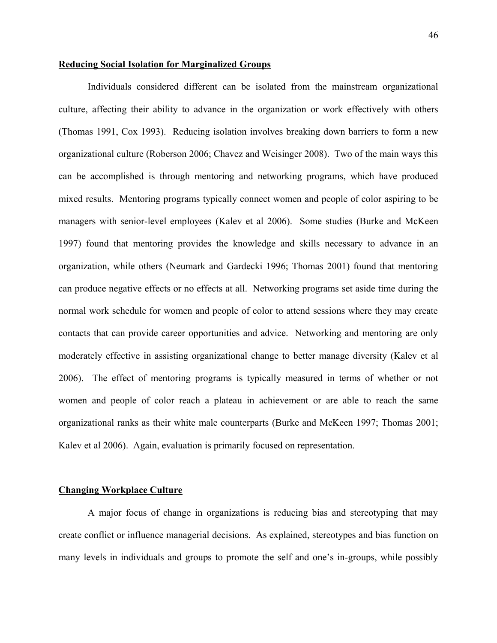### **Reducing Social Isolation for Marginalized Groups**

Individuals considered different can be isolated from the mainstream organizational culture, affecting their ability to advance in the organization or work effectively with others (Thomas 1991, Cox 1993). Reducing isolation involves breaking down barriers to form a new organizational culture (Roberson 2006; Chavez and Weisinger 2008). Two of the main ways this can be accomplished is through mentoring and networking programs, which have produced mixed results. Mentoring programs typically connect women and people of color aspiring to be managers with senior-level employees (Kalev et al 2006). Some studies (Burke and McKeen 1997) found that mentoring provides the knowledge and skills necessary to advance in an organization, while others (Neumark and Gardecki 1996; Thomas 2001) found that mentoring can produce negative effects or no effects at all. Networking programs set aside time during the normal work schedule for women and people of color to attend sessions where they may create contacts that can provide career opportunities and advice. Networking and mentoring are only moderately effective in assisting organizational change to better manage diversity (Kalev et al 2006). The effect of mentoring programs is typically measured in terms of whether or not women and people of color reach a plateau in achievement or are able to reach the same organizational ranks as their white male counterparts (Burke and McKeen 1997; Thomas 2001; Kalev et al 2006). Again, evaluation is primarily focused on representation.

### **Changing Workplace Culture**

A major focus of change in organizations is reducing bias and stereotyping that may create conflict or influence managerial decisions. As explained, stereotypes and bias function on many levels in individuals and groups to promote the self and one's in-groups, while possibly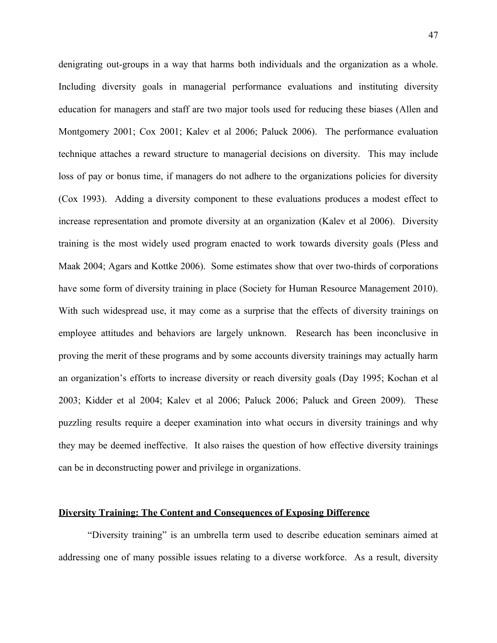denigrating out-groups in a way that harms both individuals and the organization as a whole. Including diversity goals in managerial performance evaluations and instituting diversity education for managers and staff are two major tools used for reducing these biases (Allen and Montgomery 2001; Cox 2001; Kalev et al 2006; Paluck 2006). The performance evaluation technique attaches a reward structure to managerial decisions on diversity. This may include loss of pay or bonus time, if managers do not adhere to the organizations policies for diversity (Cox 1993). Adding a diversity component to these evaluations produces a modest effect to increase representation and promote diversity at an organization (Kalev et al 2006). Diversity training is the most widely used program enacted to work towards diversity goals (Pless and Maak 2004; Agars and Kottke 2006). Some estimates show that over two-thirds of corporations have some form of diversity training in place (Society for Human Resource Management 2010). With such widespread use, it may come as a surprise that the effects of diversity trainings on employee attitudes and behaviors are largely unknown. Research has been inconclusive in proving the merit of these programs and by some accounts diversity trainings may actually harm an organization's efforts to increase diversity or reach diversity goals (Day 1995; Kochan et al 2003; Kidder et al 2004; Kalev et al 2006; Paluck 2006; Paluck and Green 2009). These puzzling results require a deeper examination into what occurs in diversity trainings and why they may be deemed ineffective. It also raises the question of how effective diversity trainings can be in deconstructing power and privilege in organizations.

### **Diversity Training: The Content and Consequences of Exposing Difference**

"Diversity training" is an umbrella term used to describe education seminars aimed at addressing one of many possible issues relating to a diverse workforce. As a result, diversity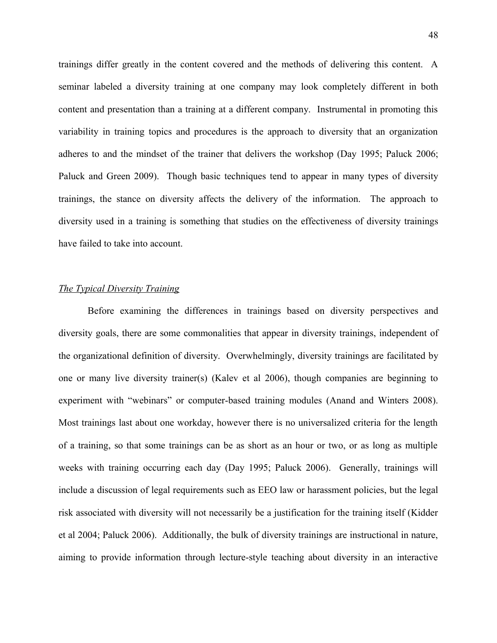trainings differ greatly in the content covered and the methods of delivering this content. A seminar labeled a diversity training at one company may look completely different in both content and presentation than a training at a different company. Instrumental in promoting this variability in training topics and procedures is the approach to diversity that an organization adheres to and the mindset of the trainer that delivers the workshop (Day 1995; Paluck 2006; Paluck and Green 2009). Though basic techniques tend to appear in many types of diversity trainings, the stance on diversity affects the delivery of the information. The approach to diversity used in a training is something that studies on the effectiveness of diversity trainings have failed to take into account.

### *The Typical Diversity Training*

Before examining the differences in trainings based on diversity perspectives and diversity goals, there are some commonalities that appear in diversity trainings, independent of the organizational definition of diversity. Overwhelmingly, diversity trainings are facilitated by one or many live diversity trainer(s) (Kalev et al 2006), though companies are beginning to experiment with "webinars" or computer-based training modules (Anand and Winters 2008). Most trainings last about one workday, however there is no universalized criteria for the length of a training, so that some trainings can be as short as an hour or two, or as long as multiple weeks with training occurring each day (Day 1995; Paluck 2006). Generally, trainings will include a discussion of legal requirements such as EEO law or harassment policies, but the legal risk associated with diversity will not necessarily be a justification for the training itself (Kidder et al 2004; Paluck 2006). Additionally, the bulk of diversity trainings are instructional in nature, aiming to provide information through lecture-style teaching about diversity in an interactive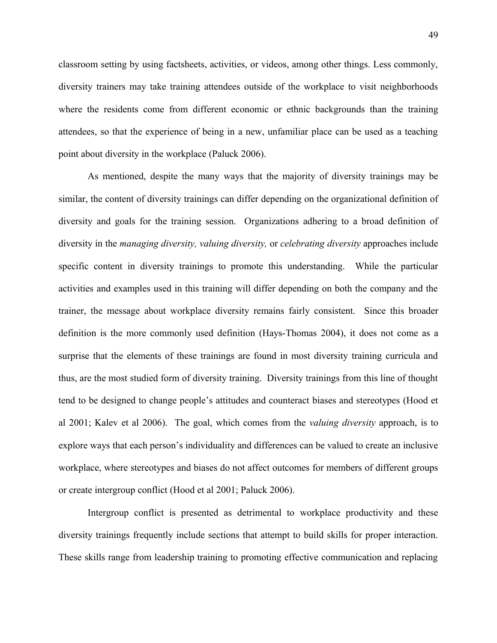classroom setting by using factsheets, activities, or videos, among other things. Less commonly, diversity trainers may take training attendees outside of the workplace to visit neighborhoods where the residents come from different economic or ethnic backgrounds than the training attendees, so that the experience of being in a new, unfamiliar place can be used as a teaching point about diversity in the workplace (Paluck 2006).

As mentioned, despite the many ways that the majority of diversity trainings may be similar, the content of diversity trainings can differ depending on the organizational definition of diversity and goals for the training session. Organizations adhering to a broad definition of diversity in the *managing diversity, valuing diversity,* or *celebrating diversity* approaches include specific content in diversity trainings to promote this understanding. While the particular activities and examples used in this training will differ depending on both the company and the trainer, the message about workplace diversity remains fairly consistent. Since this broader definition is the more commonly used definition (Hays-Thomas 2004), it does not come as a surprise that the elements of these trainings are found in most diversity training curricula and thus, are the most studied form of diversity training. Diversity trainings from this line of thought tend to be designed to change people's attitudes and counteract biases and stereotypes (Hood et al 2001; Kalev et al 2006). The goal, which comes from the *valuing diversity* approach, is to explore ways that each person's individuality and differences can be valued to create an inclusive workplace, where stereotypes and biases do not affect outcomes for members of different groups or create intergroup conflict (Hood et al 2001; Paluck 2006).

Intergroup conflict is presented as detrimental to workplace productivity and these diversity trainings frequently include sections that attempt to build skills for proper interaction. These skills range from leadership training to promoting effective communication and replacing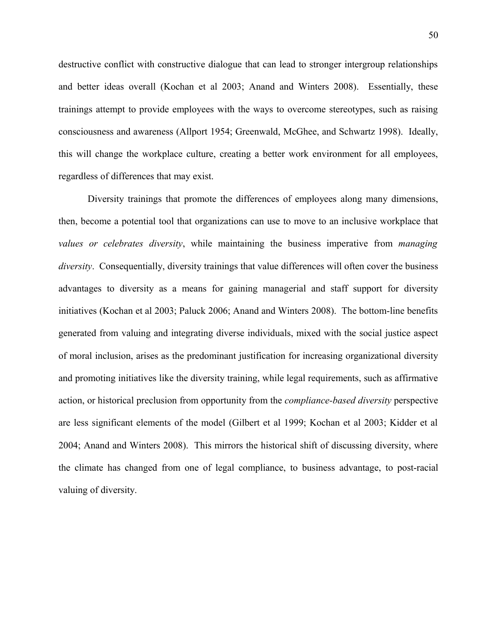destructive conflict with constructive dialogue that can lead to stronger intergroup relationships and better ideas overall (Kochan et al 2003; Anand and Winters 2008). Essentially, these trainings attempt to provide employees with the ways to overcome stereotypes, such as raising consciousness and awareness (Allport 1954; Greenwald, McGhee, and Schwartz 1998). Ideally, this will change the workplace culture, creating a better work environment for all employees, regardless of differences that may exist.

Diversity trainings that promote the differences of employees along many dimensions, then, become a potential tool that organizations can use to move to an inclusive workplace that *values or celebrates diversity*, while maintaining the business imperative from *managing diversity*. Consequentially, diversity trainings that value differences will often cover the business advantages to diversity as a means for gaining managerial and staff support for diversity initiatives (Kochan et al 2003; Paluck 2006; Anand and Winters 2008). The bottom-line benefits generated from valuing and integrating diverse individuals, mixed with the social justice aspect of moral inclusion, arises as the predominant justification for increasing organizational diversity and promoting initiatives like the diversity training, while legal requirements, such as affirmative action, or historical preclusion from opportunity from the *compliance-based diversity* perspective are less significant elements of the model (Gilbert et al 1999; Kochan et al 2003; Kidder et al 2004; Anand and Winters 2008). This mirrors the historical shift of discussing diversity, where the climate has changed from one of legal compliance, to business advantage, to post-racial valuing of diversity.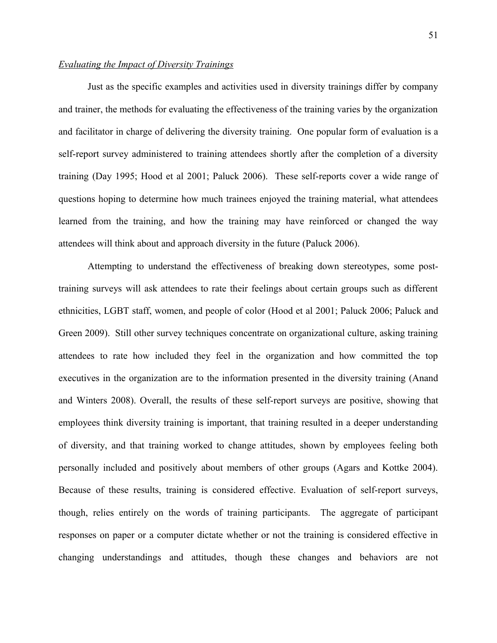# *Evaluating the Impact of Diversity Trainings*

Just as the specific examples and activities used in diversity trainings differ by company and trainer, the methods for evaluating the effectiveness of the training varies by the organization and facilitator in charge of delivering the diversity training. One popular form of evaluation is a self-report survey administered to training attendees shortly after the completion of a diversity training (Day 1995; Hood et al 2001; Paluck 2006). These self-reports cover a wide range of questions hoping to determine how much trainees enjoyed the training material, what attendees learned from the training, and how the training may have reinforced or changed the way attendees will think about and approach diversity in the future (Paluck 2006).

Attempting to understand the effectiveness of breaking down stereotypes, some posttraining surveys will ask attendees to rate their feelings about certain groups such as different ethnicities, LGBT staff, women, and people of color (Hood et al 2001; Paluck 2006; Paluck and Green 2009). Still other survey techniques concentrate on organizational culture, asking training attendees to rate how included they feel in the organization and how committed the top executives in the organization are to the information presented in the diversity training (Anand and Winters 2008). Overall, the results of these self-report surveys are positive, showing that employees think diversity training is important, that training resulted in a deeper understanding of diversity, and that training worked to change attitudes, shown by employees feeling both personally included and positively about members of other groups (Agars and Kottke 2004). Because of these results, training is considered effective. Evaluation of self-report surveys, though, relies entirely on the words of training participants. The aggregate of participant responses on paper or a computer dictate whether or not the training is considered effective in changing understandings and attitudes, though these changes and behaviors are not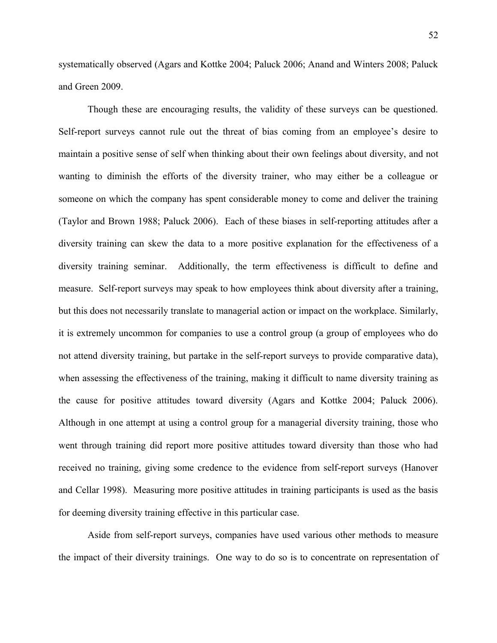systematically observed (Agars and Kottke 2004; Paluck 2006; Anand and Winters 2008; Paluck and Green 2009.

Though these are encouraging results, the validity of these surveys can be questioned. Self-report surveys cannot rule out the threat of bias coming from an employee's desire to maintain a positive sense of self when thinking about their own feelings about diversity, and not wanting to diminish the efforts of the diversity trainer, who may either be a colleague or someone on which the company has spent considerable money to come and deliver the training (Taylor and Brown 1988; Paluck 2006). Each of these biases in self-reporting attitudes after a diversity training can skew the data to a more positive explanation for the effectiveness of a diversity training seminar. Additionally, the term effectiveness is difficult to define and measure. Self-report surveys may speak to how employees think about diversity after a training, but this does not necessarily translate to managerial action or impact on the workplace. Similarly, it is extremely uncommon for companies to use a control group (a group of employees who do not attend diversity training, but partake in the self-report surveys to provide comparative data), when assessing the effectiveness of the training, making it difficult to name diversity training as the cause for positive attitudes toward diversity (Agars and Kottke 2004; Paluck 2006). Although in one attempt at using a control group for a managerial diversity training, those who went through training did report more positive attitudes toward diversity than those who had received no training, giving some credence to the evidence from self-report surveys (Hanover and Cellar 1998). Measuring more positive attitudes in training participants is used as the basis for deeming diversity training effective in this particular case.

Aside from self-report surveys, companies have used various other methods to measure the impact of their diversity trainings. One way to do so is to concentrate on representation of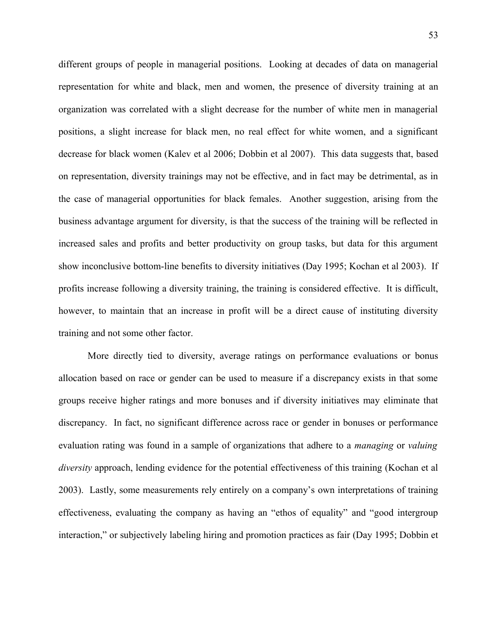different groups of people in managerial positions. Looking at decades of data on managerial representation for white and black, men and women, the presence of diversity training at an organization was correlated with a slight decrease for the number of white men in managerial positions, a slight increase for black men, no real effect for white women, and a significant decrease for black women (Kalev et al 2006; Dobbin et al 2007). This data suggests that, based on representation, diversity trainings may not be effective, and in fact may be detrimental, as in the case of managerial opportunities for black females. Another suggestion, arising from the business advantage argument for diversity, is that the success of the training will be reflected in increased sales and profits and better productivity on group tasks, but data for this argument show inconclusive bottom-line benefits to diversity initiatives (Day 1995; Kochan et al 2003). If profits increase following a diversity training, the training is considered effective. It is difficult, however, to maintain that an increase in profit will be a direct cause of instituting diversity training and not some other factor.

More directly tied to diversity, average ratings on performance evaluations or bonus allocation based on race or gender can be used to measure if a discrepancy exists in that some groups receive higher ratings and more bonuses and if diversity initiatives may eliminate that discrepancy. In fact, no significant difference across race or gender in bonuses or performance evaluation rating was found in a sample of organizations that adhere to a *managing* or *valuing diversity* approach, lending evidence for the potential effectiveness of this training (Kochan et al 2003). Lastly, some measurements rely entirely on a company's own interpretations of training effectiveness, evaluating the company as having an "ethos of equality" and "good intergroup interaction," or subjectively labeling hiring and promotion practices as fair (Day 1995; Dobbin et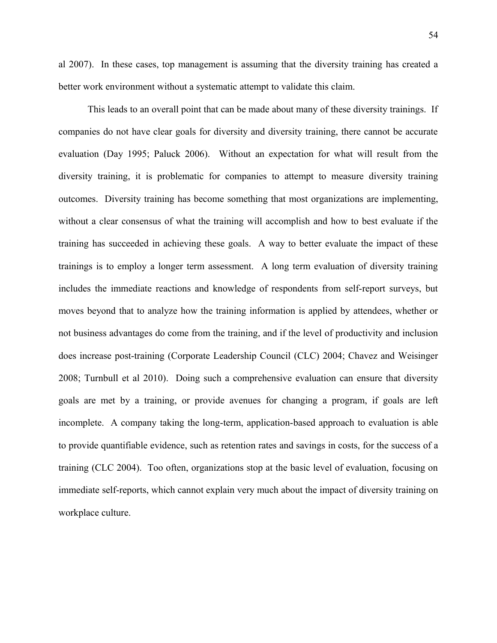al 2007). In these cases, top management is assuming that the diversity training has created a better work environment without a systematic attempt to validate this claim.

This leads to an overall point that can be made about many of these diversity trainings. If companies do not have clear goals for diversity and diversity training, there cannot be accurate evaluation (Day 1995; Paluck 2006). Without an expectation for what will result from the diversity training, it is problematic for companies to attempt to measure diversity training outcomes. Diversity training has become something that most organizations are implementing, without a clear consensus of what the training will accomplish and how to best evaluate if the training has succeeded in achieving these goals. A way to better evaluate the impact of these trainings is to employ a longer term assessment. A long term evaluation of diversity training includes the immediate reactions and knowledge of respondents from self-report surveys, but moves beyond that to analyze how the training information is applied by attendees, whether or not business advantages do come from the training, and if the level of productivity and inclusion does increase post-training (Corporate Leadership Council (CLC) 2004; Chavez and Weisinger 2008; Turnbull et al 2010). Doing such a comprehensive evaluation can ensure that diversity goals are met by a training, or provide avenues for changing a program, if goals are left incomplete. A company taking the long-term, application-based approach to evaluation is able to provide quantifiable evidence, such as retention rates and savings in costs, for the success of a training (CLC 2004). Too often, organizations stop at the basic level of evaluation, focusing on immediate self-reports, which cannot explain very much about the impact of diversity training on workplace culture.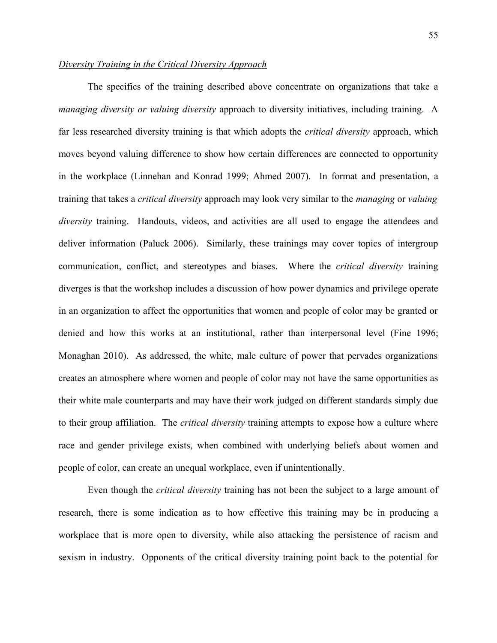# *Diversity Training in the Critical Diversity Approach*

The specifics of the training described above concentrate on organizations that take a *managing diversity or valuing diversity* approach to diversity initiatives, including training. A far less researched diversity training is that which adopts the *critical diversity* approach, which moves beyond valuing difference to show how certain differences are connected to opportunity in the workplace (Linnehan and Konrad 1999; Ahmed 2007). In format and presentation, a training that takes a *critical diversity* approach may look very similar to the *managing* or *valuing diversity* training. Handouts, videos, and activities are all used to engage the attendees and deliver information (Paluck 2006). Similarly, these trainings may cover topics of intergroup communication, conflict, and stereotypes and biases. Where the *critical diversity* training diverges is that the workshop includes a discussion of how power dynamics and privilege operate in an organization to affect the opportunities that women and people of color may be granted or denied and how this works at an institutional, rather than interpersonal level (Fine 1996; Monaghan 2010). As addressed, the white, male culture of power that pervades organizations creates an atmosphere where women and people of color may not have the same opportunities as their white male counterparts and may have their work judged on different standards simply due to their group affiliation. The *critical diversity* training attempts to expose how a culture where race and gender privilege exists, when combined with underlying beliefs about women and people of color, can create an unequal workplace, even if unintentionally.

Even though the *critical diversity* training has not been the subject to a large amount of research, there is some indication as to how effective this training may be in producing a workplace that is more open to diversity, while also attacking the persistence of racism and sexism in industry. Opponents of the critical diversity training point back to the potential for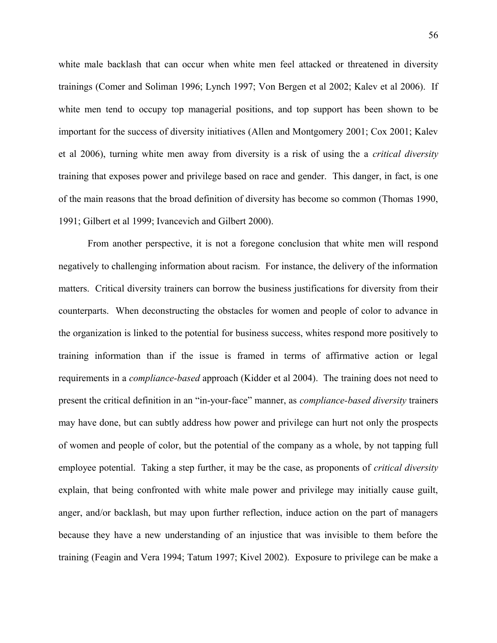white male backlash that can occur when white men feel attacked or threatened in diversity trainings (Comer and Soliman 1996; Lynch 1997; Von Bergen et al 2002; Kalev et al 2006). If white men tend to occupy top managerial positions, and top support has been shown to be important for the success of diversity initiatives (Allen and Montgomery 2001; Cox 2001; Kalev et al 2006), turning white men away from diversity is a risk of using the a *critical diversity* training that exposes power and privilege based on race and gender. This danger, in fact, is one of the main reasons that the broad definition of diversity has become so common (Thomas 1990, 1991; Gilbert et al 1999; Ivancevich and Gilbert 2000).

From another perspective, it is not a foregone conclusion that white men will respond negatively to challenging information about racism. For instance, the delivery of the information matters. Critical diversity trainers can borrow the business justifications for diversity from their counterparts. When deconstructing the obstacles for women and people of color to advance in the organization is linked to the potential for business success, whites respond more positively to training information than if the issue is framed in terms of affirmative action or legal requirements in a *compliance-based* approach (Kidder et al 2004). The training does not need to present the critical definition in an "in-your-face" manner, as *compliance-based diversity* trainers may have done, but can subtly address how power and privilege can hurt not only the prospects of women and people of color, but the potential of the company as a whole, by not tapping full employee potential. Taking a step further, it may be the case, as proponents of *critical diversity* explain, that being confronted with white male power and privilege may initially cause guilt, anger, and/or backlash, but may upon further reflection, induce action on the part of managers because they have a new understanding of an injustice that was invisible to them before the training (Feagin and Vera 1994; Tatum 1997; Kivel 2002). Exposure to privilege can be make a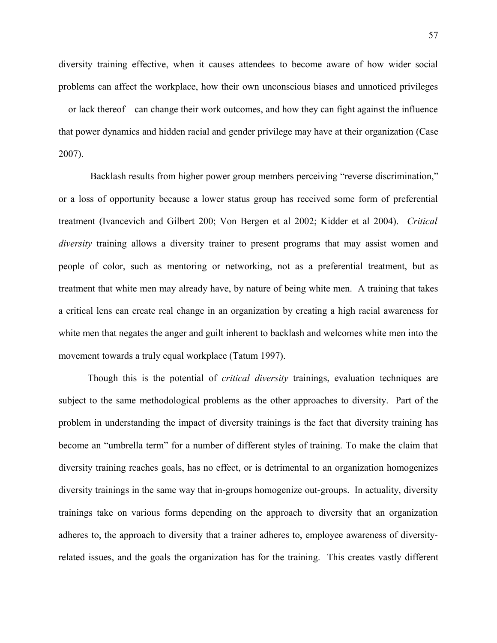diversity training effective, when it causes attendees to become aware of how wider social problems can affect the workplace, how their own unconscious biases and unnoticed privileges —or lack thereof—can change their work outcomes, and how they can fight against the influence that power dynamics and hidden racial and gender privilege may have at their organization (Case 2007).

 Backlash results from higher power group members perceiving "reverse discrimination," or a loss of opportunity because a lower status group has received some form of preferential treatment (Ivancevich and Gilbert 200; Von Bergen et al 2002; Kidder et al 2004). *Critical diversity* training allows a diversity trainer to present programs that may assist women and people of color, such as mentoring or networking, not as a preferential treatment, but as treatment that white men may already have, by nature of being white men. A training that takes a critical lens can create real change in an organization by creating a high racial awareness for white men that negates the anger and guilt inherent to backlash and welcomes white men into the movement towards a truly equal workplace (Tatum 1997).

Though this is the potential of *critical diversity* trainings, evaluation techniques are subject to the same methodological problems as the other approaches to diversity. Part of the problem in understanding the impact of diversity trainings is the fact that diversity training has become an "umbrella term" for a number of different styles of training. To make the claim that diversity training reaches goals, has no effect, or is detrimental to an organization homogenizes diversity trainings in the same way that in-groups homogenize out-groups. In actuality, diversity trainings take on various forms depending on the approach to diversity that an organization adheres to, the approach to diversity that a trainer adheres to, employee awareness of diversityrelated issues, and the goals the organization has for the training. This creates vastly different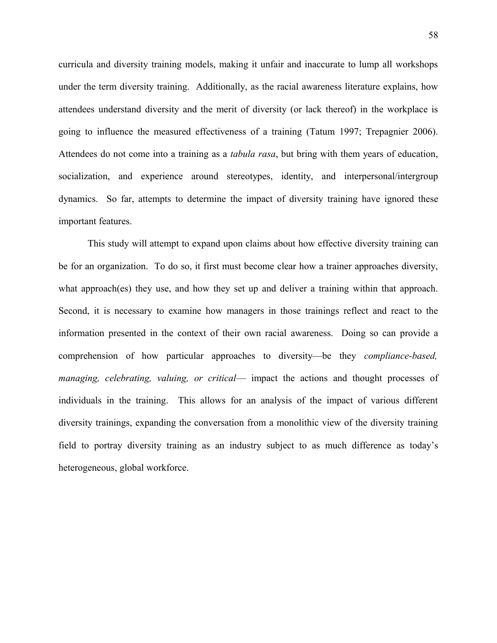curricula and diversity training models, making it unfair and inaccurate to lump all workshops under the term diversity training. Additionally, as the racial awareness literature explains, how attendees understand diversity and the merit of diversity (or lack thereof) in the workplace is going to influence the measured effectiveness of a training (Tatum 1997; Trepagnier 2006). Attendees do not come into a training as a *tabula rasa*, but bring with them years of education, socialization, and experience around stereotypes, identity, and interpersonal/intergroup dynamics. So far, attempts to determine the impact of diversity training have ignored these important features.

This study will attempt to expand upon claims about how effective diversity training can be for an organization. To do so, it first must become clear how a trainer approaches diversity, what approach(es) they use, and how they set up and deliver a training within that approach. Second, it is necessary to examine how managers in those trainings reflect and react to the information presented in the context of their own racial awareness. Doing so can provide a comprehension of how particular approaches to diversity—be they *compliance-based, managing, celebrating, valuing, or critical*— impact the actions and thought processes of individuals in the training. This allows for an analysis of the impact of various different diversity trainings, expanding the conversation from a monolithic view of the diversity training field to portray diversity training as an industry subject to as much difference as today's heterogeneous, global workforce.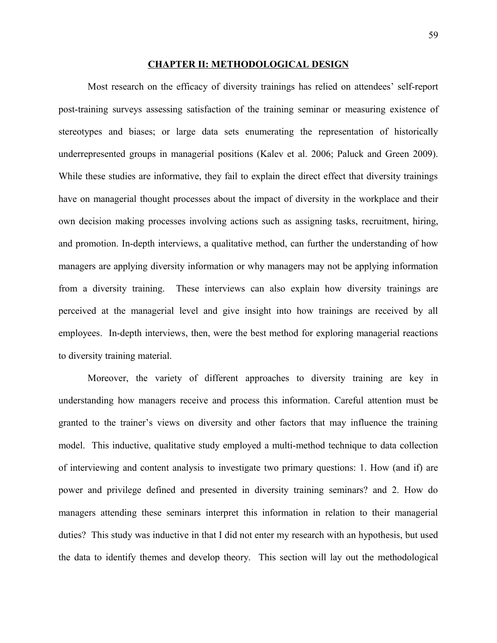#### **CHAPTER II: METHODOLOGICAL DESIGN**

Most research on the efficacy of diversity trainings has relied on attendees' self-report post-training surveys assessing satisfaction of the training seminar or measuring existence of stereotypes and biases; or large data sets enumerating the representation of historically underrepresented groups in managerial positions (Kalev et al. 2006; Paluck and Green 2009). While these studies are informative, they fail to explain the direct effect that diversity trainings have on managerial thought processes about the impact of diversity in the workplace and their own decision making processes involving actions such as assigning tasks, recruitment, hiring, and promotion. In-depth interviews, a qualitative method, can further the understanding of how managers are applying diversity information or why managers may not be applying information from a diversity training. These interviews can also explain how diversity trainings are perceived at the managerial level and give insight into how trainings are received by all employees. In-depth interviews, then, were the best method for exploring managerial reactions to diversity training material.

Moreover, the variety of different approaches to diversity training are key in understanding how managers receive and process this information. Careful attention must be granted to the trainer's views on diversity and other factors that may influence the training model. This inductive, qualitative study employed a multi-method technique to data collection of interviewing and content analysis to investigate two primary questions: 1. How (and if) are power and privilege defined and presented in diversity training seminars? and 2. How do managers attending these seminars interpret this information in relation to their managerial duties? This study was inductive in that I did not enter my research with an hypothesis, but used the data to identify themes and develop theory. This section will lay out the methodological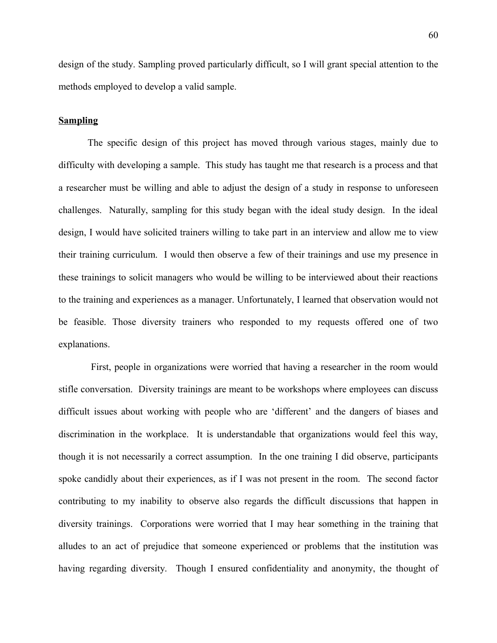design of the study. Sampling proved particularly difficult, so I will grant special attention to the methods employed to develop a valid sample.

### **Sampling**

The specific design of this project has moved through various stages, mainly due to difficulty with developing a sample. This study has taught me that research is a process and that a researcher must be willing and able to adjust the design of a study in response to unforeseen challenges. Naturally, sampling for this study began with the ideal study design. In the ideal design, I would have solicited trainers willing to take part in an interview and allow me to view their training curriculum. I would then observe a few of their trainings and use my presence in these trainings to solicit managers who would be willing to be interviewed about their reactions to the training and experiences as a manager. Unfortunately, I learned that observation would not be feasible. Those diversity trainers who responded to my requests offered one of two explanations.

 First, people in organizations were worried that having a researcher in the room would stifle conversation. Diversity trainings are meant to be workshops where employees can discuss difficult issues about working with people who are 'different' and the dangers of biases and discrimination in the workplace. It is understandable that organizations would feel this way, though it is not necessarily a correct assumption. In the one training I did observe, participants spoke candidly about their experiences, as if I was not present in the room. The second factor contributing to my inability to observe also regards the difficult discussions that happen in diversity trainings. Corporations were worried that I may hear something in the training that alludes to an act of prejudice that someone experienced or problems that the institution was having regarding diversity. Though I ensured confidentiality and anonymity, the thought of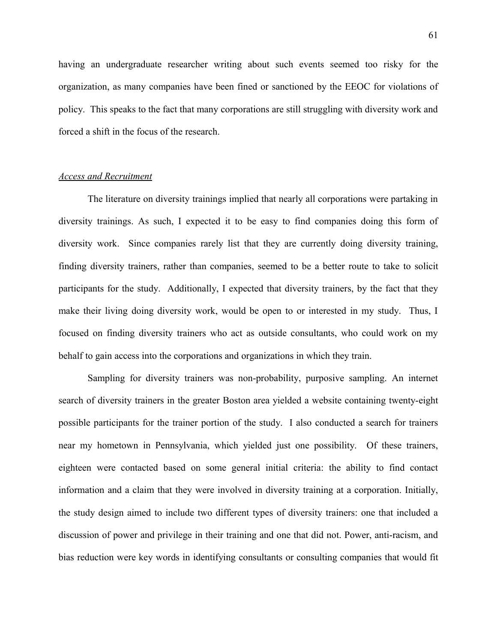having an undergraduate researcher writing about such events seemed too risky for the organization, as many companies have been fined or sanctioned by the EEOC for violations of policy. This speaks to the fact that many corporations are still struggling with diversity work and forced a shift in the focus of the research.

### *Access and Recruitment*

The literature on diversity trainings implied that nearly all corporations were partaking in diversity trainings. As such, I expected it to be easy to find companies doing this form of diversity work. Since companies rarely list that they are currently doing diversity training, finding diversity trainers, rather than companies, seemed to be a better route to take to solicit participants for the study. Additionally, I expected that diversity trainers, by the fact that they make their living doing diversity work, would be open to or interested in my study. Thus, I focused on finding diversity trainers who act as outside consultants, who could work on my behalf to gain access into the corporations and organizations in which they train.

Sampling for diversity trainers was non-probability, purposive sampling. An internet search of diversity trainers in the greater Boston area yielded a website containing twenty-eight possible participants for the trainer portion of the study. I also conducted a search for trainers near my hometown in Pennsylvania, which yielded just one possibility. Of these trainers, eighteen were contacted based on some general initial criteria: the ability to find contact information and a claim that they were involved in diversity training at a corporation. Initially, the study design aimed to include two different types of diversity trainers: one that included a discussion of power and privilege in their training and one that did not. Power, anti-racism, and bias reduction were key words in identifying consultants or consulting companies that would fit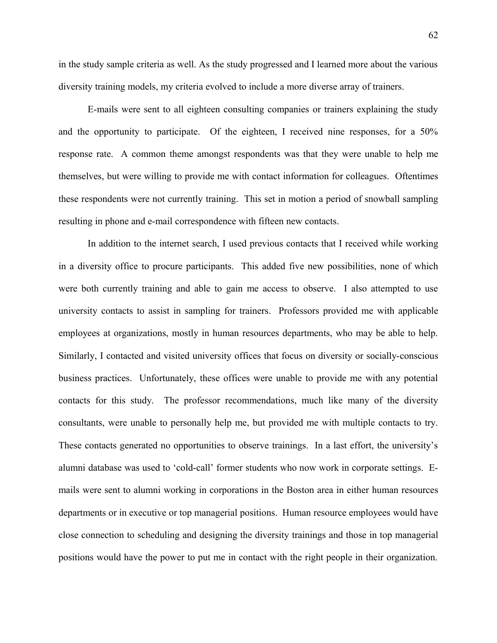62

in the study sample criteria as well. As the study progressed and I learned more about the various diversity training models, my criteria evolved to include a more diverse array of trainers.

E-mails were sent to all eighteen consulting companies or trainers explaining the study and the opportunity to participate. Of the eighteen, I received nine responses, for a 50% response rate. A common theme amongst respondents was that they were unable to help me themselves, but were willing to provide me with contact information for colleagues. Oftentimes these respondents were not currently training. This set in motion a period of snowball sampling resulting in phone and e-mail correspondence with fifteen new contacts.

In addition to the internet search, I used previous contacts that I received while working in a diversity office to procure participants. This added five new possibilities, none of which were both currently training and able to gain me access to observe. I also attempted to use university contacts to assist in sampling for trainers. Professors provided me with applicable employees at organizations, mostly in human resources departments, who may be able to help. Similarly, I contacted and visited university offices that focus on diversity or socially-conscious business practices. Unfortunately, these offices were unable to provide me with any potential contacts for this study. The professor recommendations, much like many of the diversity consultants, were unable to personally help me, but provided me with multiple contacts to try. These contacts generated no opportunities to observe trainings. In a last effort, the university's alumni database was used to 'cold-call' former students who now work in corporate settings. Emails were sent to alumni working in corporations in the Boston area in either human resources departments or in executive or top managerial positions. Human resource employees would have close connection to scheduling and designing the diversity trainings and those in top managerial positions would have the power to put me in contact with the right people in their organization.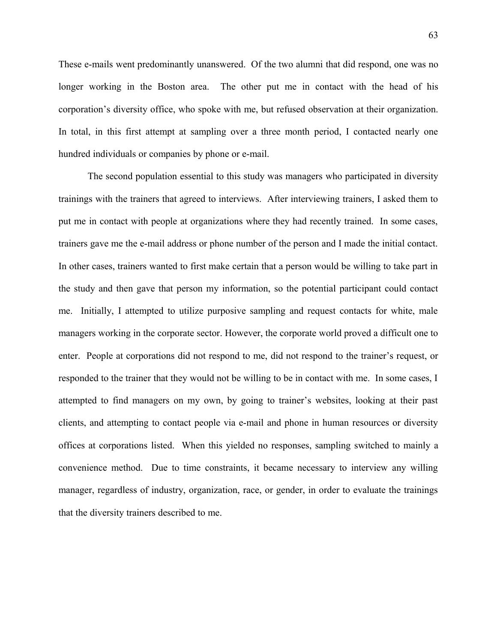These e-mails went predominantly unanswered. Of the two alumni that did respond, one was no longer working in the Boston area. The other put me in contact with the head of his corporation's diversity office, who spoke with me, but refused observation at their organization. In total, in this first attempt at sampling over a three month period, I contacted nearly one hundred individuals or companies by phone or e-mail.

The second population essential to this study was managers who participated in diversity trainings with the trainers that agreed to interviews. After interviewing trainers, I asked them to put me in contact with people at organizations where they had recently trained. In some cases, trainers gave me the e-mail address or phone number of the person and I made the initial contact. In other cases, trainers wanted to first make certain that a person would be willing to take part in the study and then gave that person my information, so the potential participant could contact me. Initially, I attempted to utilize purposive sampling and request contacts for white, male managers working in the corporate sector. However, the corporate world proved a difficult one to enter. People at corporations did not respond to me, did not respond to the trainer's request, or responded to the trainer that they would not be willing to be in contact with me. In some cases, I attempted to find managers on my own, by going to trainer's websites, looking at their past clients, and attempting to contact people via e-mail and phone in human resources or diversity offices at corporations listed. When this yielded no responses, sampling switched to mainly a convenience method. Due to time constraints, it became necessary to interview any willing manager, regardless of industry, organization, race, or gender, in order to evaluate the trainings that the diversity trainers described to me.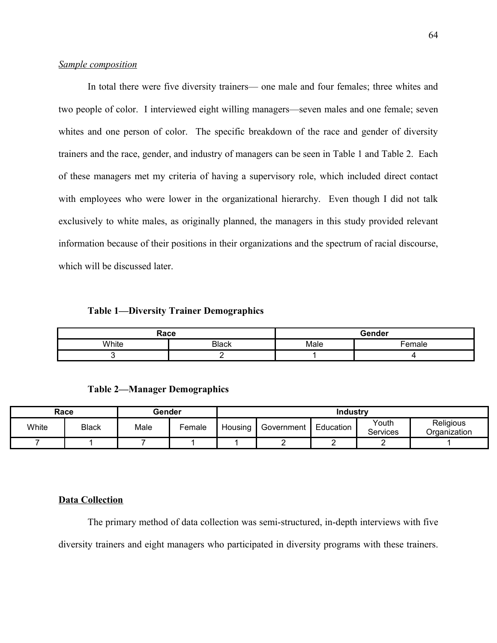# *Sample composition*

In total there were five diversity trainers— one male and four females; three whites and two people of color. I interviewed eight willing managers—seven males and one female; seven whites and one person of color. The specific breakdown of the race and gender of diversity trainers and the race, gender, and industry of managers can be seen in Table 1 and Table 2. Each of these managers met my criteria of having a supervisory role, which included direct contact with employees who were lower in the organizational hierarchy. Even though I did not talk exclusively to white males, as originally planned, the managers in this study provided relevant information because of their positions in their organizations and the spectrum of racial discourse, which will be discussed later.

### **Table 1—Diversity Trainer Demographics**

| Race  |              | Gender |       |  |
|-------|--------------|--------|-------|--|
| White | <b>Black</b> | Male   | emale |  |
|       |              |        |       |  |

**Table 2—Manager Demographics**

| Race  |              | Gender |        | <b>Industry</b> |            |           |                          |                           |
|-------|--------------|--------|--------|-----------------|------------|-----------|--------------------------|---------------------------|
| White | <b>Black</b> | Male   | Female | Housing         | Government | Education | Youth<br><b>Services</b> | Religious<br>Organization |
|       |              |        |        |                 |            |           |                          |                           |

#### **Data Collection**

The primary method of data collection was semi-structured, in-depth interviews with five diversity trainers and eight managers who participated in diversity programs with these trainers.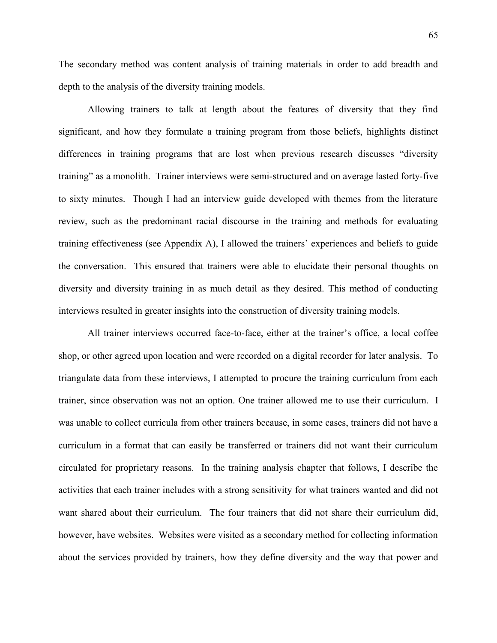The secondary method was content analysis of training materials in order to add breadth and depth to the analysis of the diversity training models.

Allowing trainers to talk at length about the features of diversity that they find significant, and how they formulate a training program from those beliefs, highlights distinct differences in training programs that are lost when previous research discusses "diversity training" as a monolith. Trainer interviews were semi-structured and on average lasted forty-five to sixty minutes. Though I had an interview guide developed with themes from the literature review, such as the predominant racial discourse in the training and methods for evaluating training effectiveness (see Appendix A), I allowed the trainers' experiences and beliefs to guide the conversation. This ensured that trainers were able to elucidate their personal thoughts on diversity and diversity training in as much detail as they desired. This method of conducting interviews resulted in greater insights into the construction of diversity training models.

All trainer interviews occurred face-to-face, either at the trainer's office, a local coffee shop, or other agreed upon location and were recorded on a digital recorder for later analysis. To triangulate data from these interviews, I attempted to procure the training curriculum from each trainer, since observation was not an option. One trainer allowed me to use their curriculum. I was unable to collect curricula from other trainers because, in some cases, trainers did not have a curriculum in a format that can easily be transferred or trainers did not want their curriculum circulated for proprietary reasons. In the training analysis chapter that follows, I describe the activities that each trainer includes with a strong sensitivity for what trainers wanted and did not want shared about their curriculum. The four trainers that did not share their curriculum did, however, have websites. Websites were visited as a secondary method for collecting information about the services provided by trainers, how they define diversity and the way that power and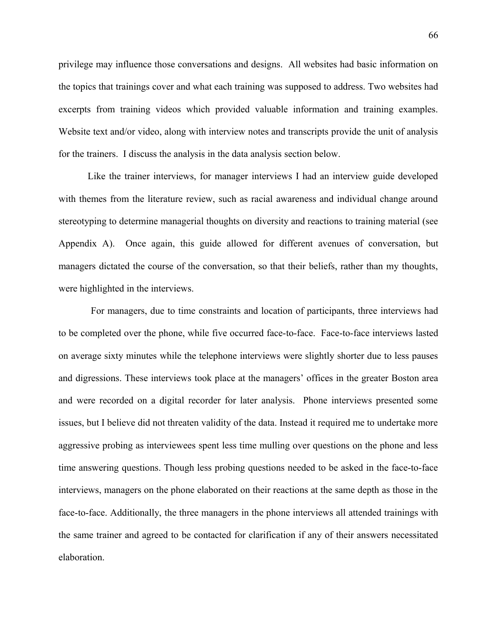privilege may influence those conversations and designs. All websites had basic information on the topics that trainings cover and what each training was supposed to address. Two websites had excerpts from training videos which provided valuable information and training examples. Website text and/or video, along with interview notes and transcripts provide the unit of analysis for the trainers. I discuss the analysis in the data analysis section below.

Like the trainer interviews, for manager interviews I had an interview guide developed with themes from the literature review, such as racial awareness and individual change around stereotyping to determine managerial thoughts on diversity and reactions to training material (see Appendix A). Once again, this guide allowed for different avenues of conversation, but managers dictated the course of the conversation, so that their beliefs, rather than my thoughts, were highlighted in the interviews.

 For managers, due to time constraints and location of participants, three interviews had to be completed over the phone, while five occurred face-to-face. Face-to-face interviews lasted on average sixty minutes while the telephone interviews were slightly shorter due to less pauses and digressions. These interviews took place at the managers' offices in the greater Boston area and were recorded on a digital recorder for later analysis. Phone interviews presented some issues, but I believe did not threaten validity of the data. Instead it required me to undertake more aggressive probing as interviewees spent less time mulling over questions on the phone and less time answering questions. Though less probing questions needed to be asked in the face-to-face interviews, managers on the phone elaborated on their reactions at the same depth as those in the face-to-face. Additionally, the three managers in the phone interviews all attended trainings with the same trainer and agreed to be contacted for clarification if any of their answers necessitated elaboration.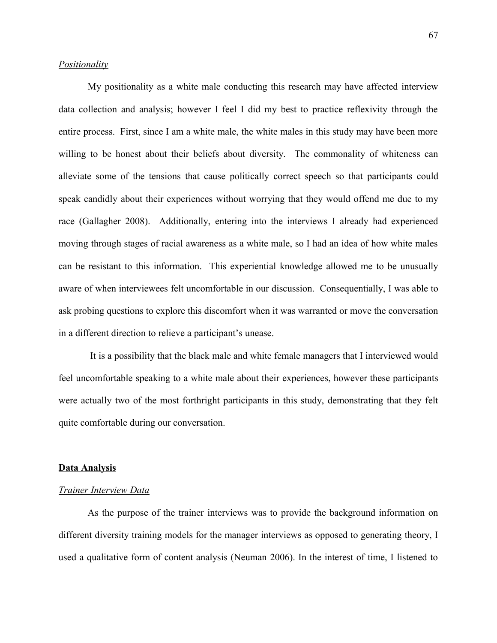# *Positionality*

My positionality as a white male conducting this research may have affected interview data collection and analysis; however I feel I did my best to practice reflexivity through the entire process. First, since I am a white male, the white males in this study may have been more willing to be honest about their beliefs about diversity. The commonality of whiteness can alleviate some of the tensions that cause politically correct speech so that participants could speak candidly about their experiences without worrying that they would offend me due to my race (Gallagher 2008). Additionally, entering into the interviews I already had experienced moving through stages of racial awareness as a white male, so I had an idea of how white males can be resistant to this information. This experiential knowledge allowed me to be unusually aware of when interviewees felt uncomfortable in our discussion. Consequentially, I was able to ask probing questions to explore this discomfort when it was warranted or move the conversation in a different direction to relieve a participant's unease.

 It is a possibility that the black male and white female managers that I interviewed would feel uncomfortable speaking to a white male about their experiences, however these participants were actually two of the most forthright participants in this study, demonstrating that they felt quite comfortable during our conversation.

#### **Data Analysis**

#### *Trainer Interview Data*

As the purpose of the trainer interviews was to provide the background information on different diversity training models for the manager interviews as opposed to generating theory, I used a qualitative form of content analysis (Neuman 2006). In the interest of time, I listened to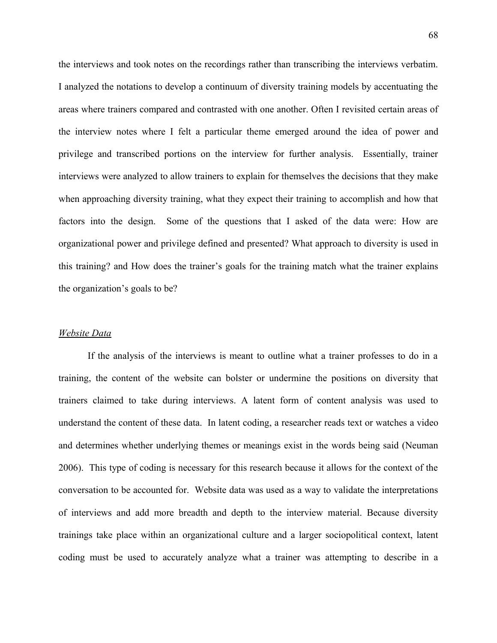the interviews and took notes on the recordings rather than transcribing the interviews verbatim. I analyzed the notations to develop a continuum of diversity training models by accentuating the areas where trainers compared and contrasted with one another. Often I revisited certain areas of the interview notes where I felt a particular theme emerged around the idea of power and privilege and transcribed portions on the interview for further analysis. Essentially, trainer interviews were analyzed to allow trainers to explain for themselves the decisions that they make when approaching diversity training, what they expect their training to accomplish and how that factors into the design. Some of the questions that I asked of the data were: How are organizational power and privilege defined and presented? What approach to diversity is used in this training? and How does the trainer's goals for the training match what the trainer explains the organization's goals to be?

### *Website Data*

If the analysis of the interviews is meant to outline what a trainer professes to do in a training, the content of the website can bolster or undermine the positions on diversity that trainers claimed to take during interviews. A latent form of content analysis was used to understand the content of these data. In latent coding, a researcher reads text or watches a video and determines whether underlying themes or meanings exist in the words being said (Neuman 2006). This type of coding is necessary for this research because it allows for the context of the conversation to be accounted for. Website data was used as a way to validate the interpretations of interviews and add more breadth and depth to the interview material. Because diversity trainings take place within an organizational culture and a larger sociopolitical context, latent coding must be used to accurately analyze what a trainer was attempting to describe in a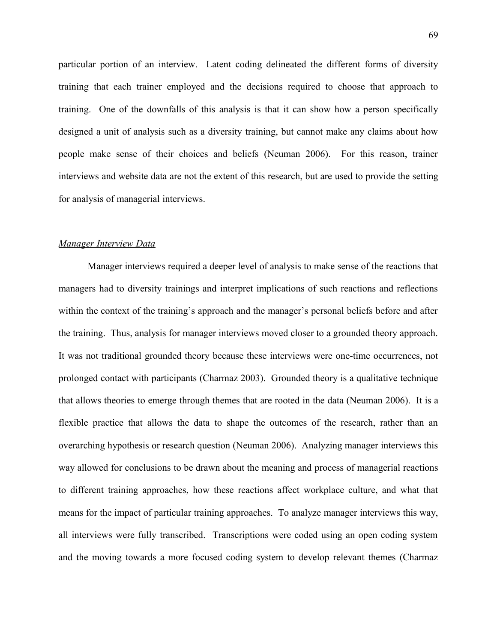particular portion of an interview. Latent coding delineated the different forms of diversity training that each trainer employed and the decisions required to choose that approach to training. One of the downfalls of this analysis is that it can show how a person specifically designed a unit of analysis such as a diversity training, but cannot make any claims about how people make sense of their choices and beliefs (Neuman 2006). For this reason, trainer interviews and website data are not the extent of this research, but are used to provide the setting for analysis of managerial interviews.

### *Manager Interview Data*

Manager interviews required a deeper level of analysis to make sense of the reactions that managers had to diversity trainings and interpret implications of such reactions and reflections within the context of the training's approach and the manager's personal beliefs before and after the training. Thus, analysis for manager interviews moved closer to a grounded theory approach. It was not traditional grounded theory because these interviews were one-time occurrences, not prolonged contact with participants (Charmaz 2003). Grounded theory is a qualitative technique that allows theories to emerge through themes that are rooted in the data (Neuman 2006). It is a flexible practice that allows the data to shape the outcomes of the research, rather than an overarching hypothesis or research question (Neuman 2006). Analyzing manager interviews this way allowed for conclusions to be drawn about the meaning and process of managerial reactions to different training approaches, how these reactions affect workplace culture, and what that means for the impact of particular training approaches. To analyze manager interviews this way, all interviews were fully transcribed. Transcriptions were coded using an open coding system and the moving towards a more focused coding system to develop relevant themes (Charmaz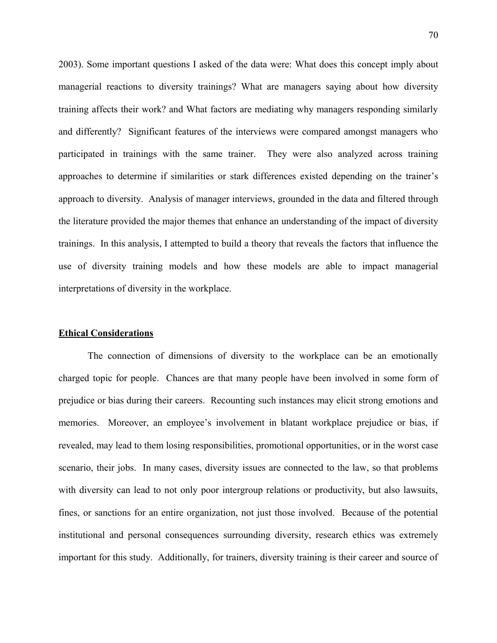2003). Some important questions I asked of the data were: What does this concept imply about managerial reactions to diversity trainings? What are managers saying about how diversity training affects their work? and What factors are mediating why managers responding similarly and differently? Significant features of the interviews were compared amongst managers who participated in trainings with the same trainer. They were also analyzed across training approaches to determine if similarities or stark differences existed depending on the trainer's approach to diversity. Analysis of manager interviews, grounded in the data and filtered through the literature provided the major themes that enhance an understanding of the impact of diversity trainings. In this analysis, I attempted to build a theory that reveals the factors that influence the use of diversity training models and how these models are able to impact managerial interpretations of diversity in the workplace.

### **Ethical Considerations**

The connection of dimensions of diversity to the workplace can be an emotionally charged topic for people. Chances are that many people have been involved in some form of prejudice or bias during their careers. Recounting such instances may elicit strong emotions and memories. Moreover, an employee's involvement in blatant workplace prejudice or bias, if revealed, may lead to them losing responsibilities, promotional opportunities, or in the worst case scenario, their jobs. In many cases, diversity issues are connected to the law, so that problems with diversity can lead to not only poor intergroup relations or productivity, but also lawsuits, fines, or sanctions for an entire organization, not just those involved. Because of the potential institutional and personal consequences surrounding diversity, research ethics was extremely important for this study. Additionally, for trainers, diversity training is their career and source of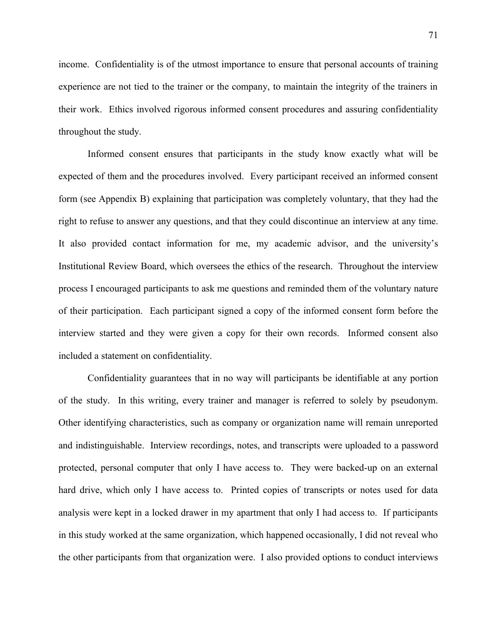income. Confidentiality is of the utmost importance to ensure that personal accounts of training experience are not tied to the trainer or the company, to maintain the integrity of the trainers in their work. Ethics involved rigorous informed consent procedures and assuring confidentiality throughout the study.

Informed consent ensures that participants in the study know exactly what will be expected of them and the procedures involved. Every participant received an informed consent form (see Appendix B) explaining that participation was completely voluntary, that they had the right to refuse to answer any questions, and that they could discontinue an interview at any time. It also provided contact information for me, my academic advisor, and the university's Institutional Review Board, which oversees the ethics of the research. Throughout the interview process I encouraged participants to ask me questions and reminded them of the voluntary nature of their participation. Each participant signed a copy of the informed consent form before the interview started and they were given a copy for their own records. Informed consent also included a statement on confidentiality.

Confidentiality guarantees that in no way will participants be identifiable at any portion of the study. In this writing, every trainer and manager is referred to solely by pseudonym. Other identifying characteristics, such as company or organization name will remain unreported and indistinguishable. Interview recordings, notes, and transcripts were uploaded to a password protected, personal computer that only I have access to. They were backed-up on an external hard drive, which only I have access to. Printed copies of transcripts or notes used for data analysis were kept in a locked drawer in my apartment that only I had access to. If participants in this study worked at the same organization, which happened occasionally, I did not reveal who the other participants from that organization were. I also provided options to conduct interviews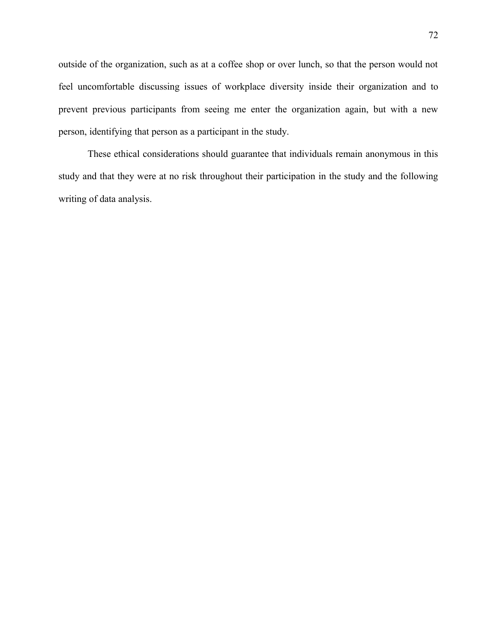outside of the organization, such as at a coffee shop or over lunch, so that the person would not feel uncomfortable discussing issues of workplace diversity inside their organization and to prevent previous participants from seeing me enter the organization again, but with a new person, identifying that person as a participant in the study.

These ethical considerations should guarantee that individuals remain anonymous in this study and that they were at no risk throughout their participation in the study and the following writing of data analysis.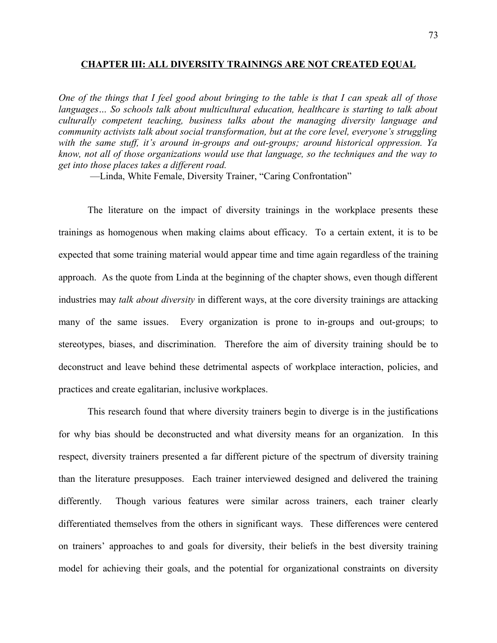#### **CHAPTER III: ALL DIVERSITY TRAININGS ARE NOT CREATED EQUAL**

*One of the things that I feel good about bringing to the table is that I can speak all of those languages… So schools talk about multicultural education, healthcare is starting to talk about culturally competent teaching, business talks about the managing diversity language and community activists talk about social transformation, but at the core level, everyone's struggling with the same stuff, it's around in-groups and out-groups; around historical oppression. Ya know, not all of those organizations would use that language, so the techniques and the way to get into those places takes a different road.*

—Linda, White Female, Diversity Trainer, "Caring Confrontation"

The literature on the impact of diversity trainings in the workplace presents these trainings as homogenous when making claims about efficacy. To a certain extent, it is to be expected that some training material would appear time and time again regardless of the training approach. As the quote from Linda at the beginning of the chapter shows, even though different industries may *talk about diversity* in different ways, at the core diversity trainings are attacking many of the same issues. Every organization is prone to in-groups and out-groups; to stereotypes, biases, and discrimination. Therefore the aim of diversity training should be to deconstruct and leave behind these detrimental aspects of workplace interaction, policies, and practices and create egalitarian, inclusive workplaces.

This research found that where diversity trainers begin to diverge is in the justifications for why bias should be deconstructed and what diversity means for an organization. In this respect, diversity trainers presented a far different picture of the spectrum of diversity training than the literature presupposes. Each trainer interviewed designed and delivered the training differently. Though various features were similar across trainers, each trainer clearly differentiated themselves from the others in significant ways. These differences were centered on trainers' approaches to and goals for diversity, their beliefs in the best diversity training model for achieving their goals, and the potential for organizational constraints on diversity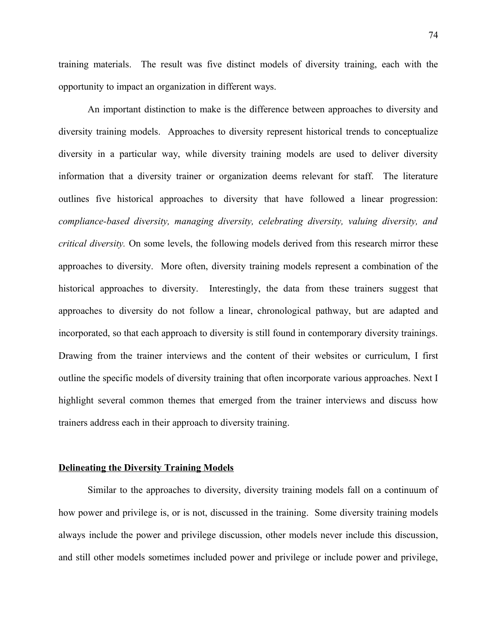training materials. The result was five distinct models of diversity training, each with the opportunity to impact an organization in different ways.

An important distinction to make is the difference between approaches to diversity and diversity training models. Approaches to diversity represent historical trends to conceptualize diversity in a particular way, while diversity training models are used to deliver diversity information that a diversity trainer or organization deems relevant for staff. The literature outlines five historical approaches to diversity that have followed a linear progression: *compliance-based diversity, managing diversity, celebrating diversity, valuing diversity, and critical diversity.* On some levels, the following models derived from this research mirror these approaches to diversity.More often, diversity training models represent a combination of the historical approaches to diversity. Interestingly, the data from these trainers suggest that approaches to diversity do not follow a linear, chronological pathway, but are adapted and incorporated, so that each approach to diversity is still found in contemporary diversity trainings. Drawing from the trainer interviews and the content of their websites or curriculum, I first outline the specific models of diversity training that often incorporate various approaches. Next I highlight several common themes that emerged from the trainer interviews and discuss how trainers address each in their approach to diversity training.

#### **Delineating the Diversity Training Models**

Similar to the approaches to diversity, diversity training models fall on a continuum of how power and privilege is, or is not, discussed in the training. Some diversity training models always include the power and privilege discussion, other models never include this discussion, and still other models sometimes included power and privilege or include power and privilege,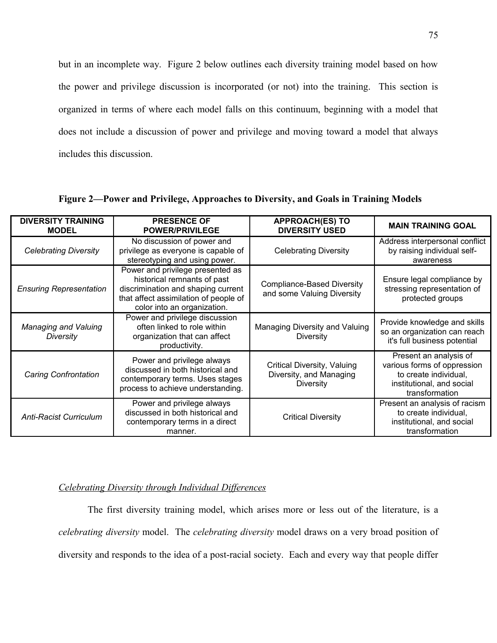but in an incomplete way. Figure 2 below outlines each diversity training model based on how the power and privilege discussion is incorporated (or not) into the training. This section is organized in terms of where each model falls on this continuum, beginning with a model that does not include a discussion of power and privilege and moving toward a model that always includes this discussion.

| <b>DIVERSITY TRAINING</b><br><b>MODEL</b> | <b>PRESENCE OF</b><br><b>POWER/PRIVILEGE</b>                                                                                                                                  | <b>APPROACH(ES) TO</b><br><b>DIVERSITY USED</b>                            | <b>MAIN TRAINING GOAL</b>                                                                                                     |
|-------------------------------------------|-------------------------------------------------------------------------------------------------------------------------------------------------------------------------------|----------------------------------------------------------------------------|-------------------------------------------------------------------------------------------------------------------------------|
| <b>Celebrating Diversity</b>              | No discussion of power and<br>privilege as everyone is capable of<br>stereotyping and using power.                                                                            | <b>Celebrating Diversity</b>                                               | Address interpersonal conflict<br>by raising individual self-<br>awareness                                                    |
| <b>Ensuring Representation</b>            | Power and privilege presented as<br>historical remnants of past<br>discrimination and shaping current<br>that affect assimilation of people of<br>color into an organization. | <b>Compliance-Based Diversity</b><br>and some Valuing Diversity            | Ensure legal compliance by<br>stressing representation of<br>protected groups                                                 |
| Managing and Valuing<br>Diversity         | Power and privilege discussion<br>often linked to role within<br>organization that can affect<br>productivity.                                                                | Managing Diversity and Valuing<br><b>Diversity</b>                         | Provide knowledge and skills<br>so an organization can reach<br>it's full business potential                                  |
| <b>Caring Confrontation</b>               | Power and privilege always<br>discussed in both historical and<br>contemporary terms. Uses stages<br>process to achieve understanding.                                        | Critical Diversity, Valuing<br>Diversity, and Managing<br><b>Diversity</b> | Present an analysis of<br>various forms of oppression<br>to create individual,<br>institutional, and social<br>transformation |
| <b>Anti-Racist Curriculum</b>             | Power and privilege always<br>discussed in both historical and<br>contemporary terms in a direct<br>manner.                                                                   | <b>Critical Diversity</b>                                                  | Present an analysis of racism<br>to create individual,<br>institutional, and social<br>transformation                         |

**Figure 2—Power and Privilege, Approaches to Diversity, and Goals in Training Models**

# *Celebrating Diversity through Individual Differences*

The first diversity training model, which arises more or less out of the literature, is a *celebrating diversity* model. The *celebrating diversity* model draws on a very broad position of diversity and responds to the idea of a post-racial society. Each and every way that people differ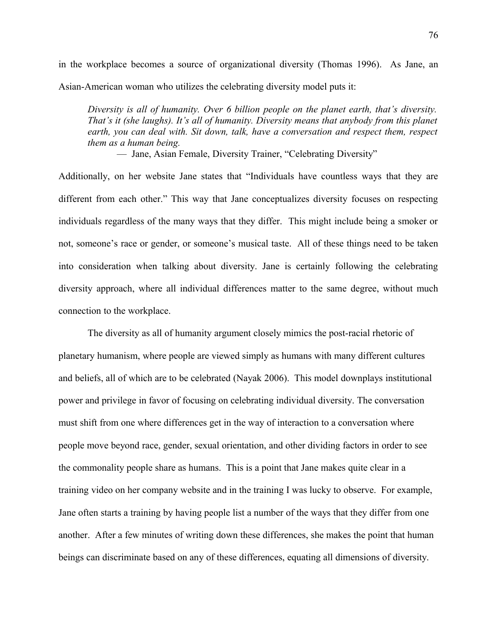in the workplace becomes a source of organizational diversity (Thomas 1996). As Jane, an Asian-American woman who utilizes the celebrating diversity model puts it:

*Diversity is all of humanity. Over 6 billion people on the planet earth, that's diversity. That's it (she laughs). It's all of humanity. Diversity means that anybody from this planet earth, you can deal with. Sit down, talk, have a conversation and respect them, respect them as a human being.*

— Jane, Asian Female, Diversity Trainer, "Celebrating Diversity"

Additionally, on her website Jane states that "Individuals have countless ways that they are different from each other." This way that Jane conceptualizes diversity focuses on respecting individuals regardless of the many ways that they differ. This might include being a smoker or not, someone's race or gender, or someone's musical taste. All of these things need to be taken into consideration when talking about diversity. Jane is certainly following the celebrating diversity approach, where all individual differences matter to the same degree, without much connection to the workplace.

The diversity as all of humanity argument closely mimics the post-racial rhetoric of planetary humanism, where people are viewed simply as humans with many different cultures and beliefs, all of which are to be celebrated (Nayak 2006). This model downplays institutional power and privilege in favor of focusing on celebrating individual diversity. The conversation must shift from one where differences get in the way of interaction to a conversation where people move beyond race, gender, sexual orientation, and other dividing factors in order to see the commonality people share as humans. This is a point that Jane makes quite clear in a training video on her company website and in the training I was lucky to observe. For example, Jane often starts a training by having people list a number of the ways that they differ from one another. After a few minutes of writing down these differences, she makes the point that human beings can discriminate based on any of these differences, equating all dimensions of diversity.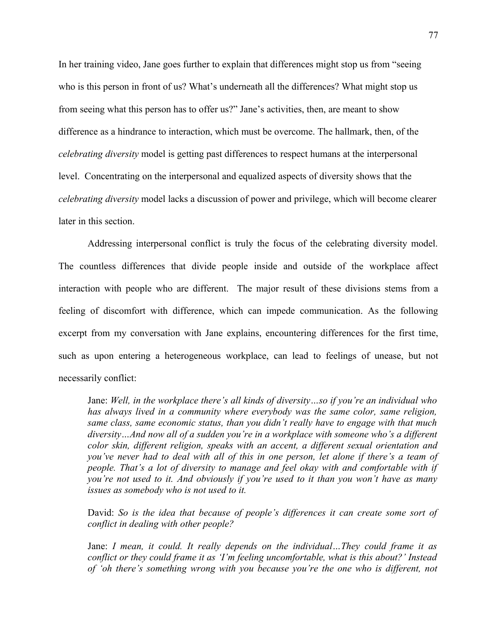In her training video, Jane goes further to explain that differences might stop us from "seeing who is this person in front of us? What's underneath all the differences? What might stop us from seeing what this person has to offer us?" Jane's activities, then, are meant to show difference as a hindrance to interaction, which must be overcome. The hallmark, then, of the *celebrating diversity* model is getting past differences to respect humans at the interpersonal level. Concentrating on the interpersonal and equalized aspects of diversity shows that the *celebrating diversity* model lacks a discussion of power and privilege, which will become clearer later in this section.

Addressing interpersonal conflict is truly the focus of the celebrating diversity model. The countless differences that divide people inside and outside of the workplace affect interaction with people who are different. The major result of these divisions stems from a feeling of discomfort with difference, which can impede communication. As the following excerpt from my conversation with Jane explains, encountering differences for the first time, such as upon entering a heterogeneous workplace, can lead to feelings of unease, but not necessarily conflict:

Jane: *Well, in the workplace there's all kinds of diversity…so if you're an individual who has always lived in a community where everybody was the same color, same religion, same class, same economic status, than you didn't really have to engage with that much diversity…And now all of a sudden you're in a workplace with someone who's a different color skin, different religion, speaks with an accent, a different sexual orientation and you've never had to deal with all of this in one person, let alone if there's a team of people. That's a lot of diversity to manage and feel okay with and comfortable with if you're not used to it. And obviously if you're used to it than you won't have as many issues as somebody who is not used to it.*

David: *So is the idea that because of people's differences it can create some sort of conflict in dealing with other people?*

Jane: *I mean, it could. It really depends on the individual…They could frame it as conflict or they could frame it as 'I'm feeling uncomfortable, what is this about?' Instead of 'oh there's something wrong with you because you're the one who is different, not*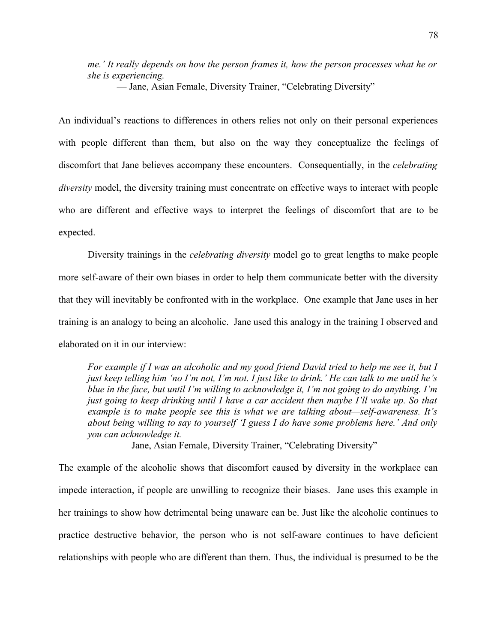*me.' It really depends on how the person frames it, how the person processes what he or she is experiencing.*

— Jane, Asian Female, Diversity Trainer, "Celebrating Diversity"

An individual's reactions to differences in others relies not only on their personal experiences with people different than them, but also on the way they conceptualize the feelings of discomfort that Jane believes accompany these encounters. Consequentially, in the *celebrating diversity* model, the diversity training must concentrate on effective ways to interact with people who are different and effective ways to interpret the feelings of discomfort that are to be expected.

Diversity trainings in the *celebrating diversity* model go to great lengths to make people more self-aware of their own biases in order to help them communicate better with the diversity that they will inevitably be confronted with in the workplace. One example that Jane uses in her training is an analogy to being an alcoholic. Jane used this analogy in the training I observed and elaborated on it in our interview:

*For example if I was an alcoholic and my good friend David tried to help me see it, but I just keep telling him 'no I'm not, I'm not. I just like to drink.' He can talk to me until he's blue in the face, but until I'm willing to acknowledge it, I'm not going to do anything. I'm just going to keep drinking until I have a car accident then maybe I'll wake up. So that example is to make people see this is what we are talking about—self-awareness. It's about being willing to say to yourself 'I guess I do have some problems here.' And only you can acknowledge it.*

— Jane, Asian Female, Diversity Trainer, "Celebrating Diversity"

The example of the alcoholic shows that discomfort caused by diversity in the workplace can impede interaction, if people are unwilling to recognize their biases. Jane uses this example in her trainings to show how detrimental being unaware can be. Just like the alcoholic continues to practice destructive behavior, the person who is not self-aware continues to have deficient relationships with people who are different than them. Thus, the individual is presumed to be the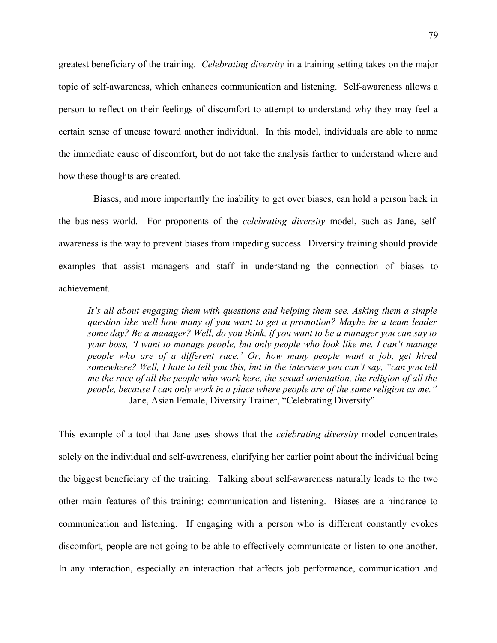greatest beneficiary of the training. *Celebrating diversity* in a training setting takes on the major topic of self-awareness, which enhances communication and listening. Self-awareness allows a person to reflect on their feelings of discomfort to attempt to understand why they may feel a certain sense of unease toward another individual. In this model, individuals are able to name the immediate cause of discomfort, but do not take the analysis farther to understand where and how these thoughts are created.

 Biases, and more importantly the inability to get over biases, can hold a person back in the business world. For proponents of the *celebrating diversity* model, such as Jane, selfawareness is the way to prevent biases from impeding success. Diversity training should provide examples that assist managers and staff in understanding the connection of biases to achievement.

*It's all about engaging them with questions and helping them see. Asking them a simple question like well how many of you want to get a promotion? Maybe be a team leader some day? Be a manager? Well, do you think, if you want to be a manager you can say to your boss, 'I want to manage people, but only people who look like me. I can't manage people who are of a different race.' Or, how many people want a job, get hired somewhere? Well, I hate to tell you this, but in the interview you can't say, "can you tell me the race of all the people who work here, the sexual orientation, the religion of all the people, because I can only work in a place where people are of the same religion as me."* — Jane, Asian Female, Diversity Trainer, "Celebrating Diversity"

This example of a tool that Jane uses shows that the *celebrating diversity* model concentrates solely on the individual and self-awareness, clarifying her earlier point about the individual being the biggest beneficiary of the training. Talking about self-awareness naturally leads to the two other main features of this training: communication and listening. Biases are a hindrance to communication and listening. If engaging with a person who is different constantly evokes discomfort, people are not going to be able to effectively communicate or listen to one another. In any interaction, especially an interaction that affects job performance, communication and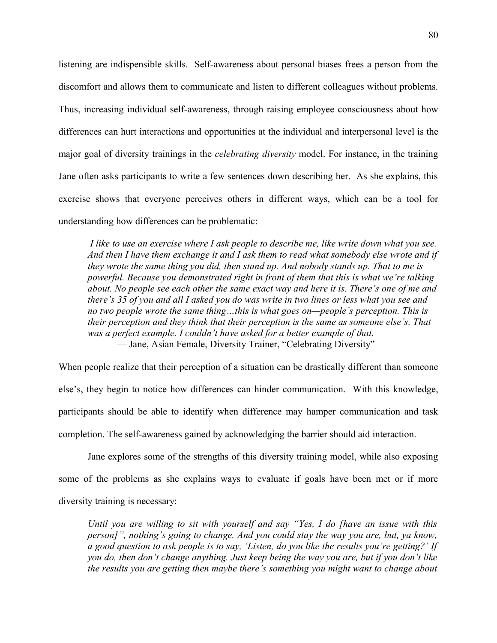listening are indispensible skills. Self-awareness about personal biases frees a person from the discomfort and allows them to communicate and listen to different colleagues without problems. Thus, increasing individual self-awareness, through raising employee consciousness about how differences can hurt interactions and opportunities at the individual and interpersonal level is the major goal of diversity trainings in the *celebrating diversity* model. For instance, in the training Jane often asks participants to write a few sentences down describing her. As she explains, this exercise shows that everyone perceives others in different ways, which can be a tool for understanding how differences can be problematic:

 *I like to use an exercise where I ask people to describe me, like write down what you see. And then I have them exchange it and I ask them to read what somebody else wrote and if they wrote the same thing you did, then stand up. And nobody stands up. That to me is powerful. Because you demonstrated right in front of them that this is what we're talking about. No people see each other the same exact way and here it is. There's one of me and there's 35 of you and all I asked you do was write in two lines or less what you see and no two people wrote the same thing…this is what goes on—people's perception. This is their perception and they think that their perception is the same as someone else's. That was a perfect example. I couldn't have asked for a better example of that.* — Jane, Asian Female, Diversity Trainer, "Celebrating Diversity"

When people realize that their perception of a situation can be drastically different than someone else's, they begin to notice how differences can hinder communication. With this knowledge, participants should be able to identify when difference may hamper communication and task completion. The self-awareness gained by acknowledging the barrier should aid interaction.

Jane explores some of the strengths of this diversity training model, while also exposing some of the problems as she explains ways to evaluate if goals have been met or if more diversity training is necessary:

*Until you are willing to sit with yourself and say "Yes, I do [have an issue with this person]", nothing's going to change. And you could stay the way you are, but, ya know, a good question to ask people is to say, 'Listen, do you like the results you're getting?' If you do, then don't change anything. Just keep being the way you are, but if you don't like the results you are getting then maybe there's something you might want to change about*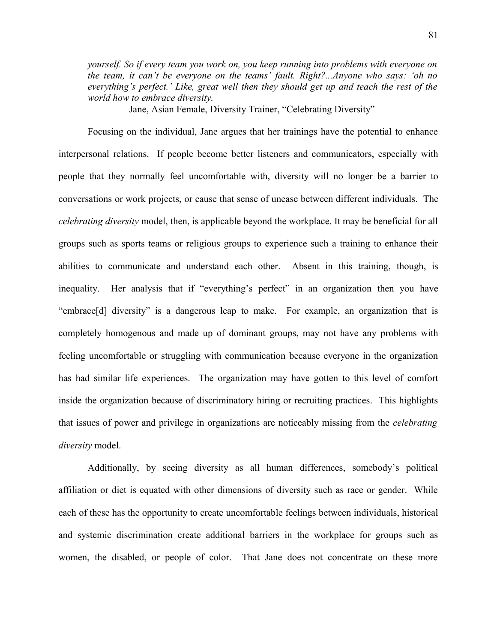*yourself. So if every team you work on, you keep running into problems with everyone on the team, it can't be everyone on the teams' fault. Right?...Anyone who says: 'oh no everything's perfect.' Like, great well then they should get up and teach the rest of the world how to embrace diversity.*

— Jane, Asian Female, Diversity Trainer, "Celebrating Diversity"

Focusing on the individual, Jane argues that her trainings have the potential to enhance interpersonal relations. If people become better listeners and communicators, especially with people that they normally feel uncomfortable with, diversity will no longer be a barrier to conversations or work projects, or cause that sense of unease between different individuals. The *celebrating diversity* model, then, is applicable beyond the workplace. It may be beneficial for all groups such as sports teams or religious groups to experience such a training to enhance their abilities to communicate and understand each other. Absent in this training, though, is inequality. Her analysis that if "everything's perfect" in an organization then you have "embrace[d] diversity" is a dangerous leap to make. For example, an organization that is completely homogenous and made up of dominant groups, may not have any problems with feeling uncomfortable or struggling with communication because everyone in the organization has had similar life experiences. The organization may have gotten to this level of comfort inside the organization because of discriminatory hiring or recruiting practices. This highlights that issues of power and privilege in organizations are noticeably missing from the *celebrating diversity* model.

Additionally, by seeing diversity as all human differences, somebody's political affiliation or diet is equated with other dimensions of diversity such as race or gender. While each of these has the opportunity to create uncomfortable feelings between individuals, historical and systemic discrimination create additional barriers in the workplace for groups such as women, the disabled, or people of color. That Jane does not concentrate on these more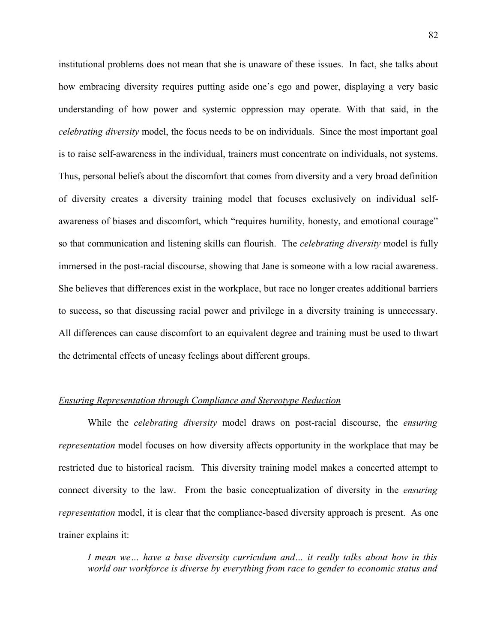institutional problems does not mean that she is unaware of these issues. In fact, she talks about how embracing diversity requires putting aside one's ego and power, displaying a very basic understanding of how power and systemic oppression may operate. With that said, in the *celebrating diversity* model, the focus needs to be on individuals. Since the most important goal is to raise self-awareness in the individual, trainers must concentrate on individuals, not systems. Thus, personal beliefs about the discomfort that comes from diversity and a very broad definition of diversity creates a diversity training model that focuses exclusively on individual selfawareness of biases and discomfort, which "requires humility, honesty, and emotional courage" so that communication and listening skills can flourish. The *celebrating diversity* model is fully immersed in the post-racial discourse, showing that Jane is someone with a low racial awareness. She believes that differences exist in the workplace, but race no longer creates additional barriers to success, so that discussing racial power and privilege in a diversity training is unnecessary. All differences can cause discomfort to an equivalent degree and training must be used to thwart the detrimental effects of uneasy feelings about different groups.

#### *Ensuring Representation through Compliance and Stereotype Reduction*

While the *celebrating diversity* model draws on post-racial discourse, the *ensuring representation* model focuses on how diversity affects opportunity in the workplace that may be restricted due to historical racism. This diversity training model makes a concerted attempt to connect diversity to the law. From the basic conceptualization of diversity in the *ensuring representation* model, it is clear that the compliance-based diversity approach is present. As one trainer explains it:

*I mean we… have a base diversity curriculum and… it really talks about how in this world our workforce is diverse by everything from race to gender to economic status and*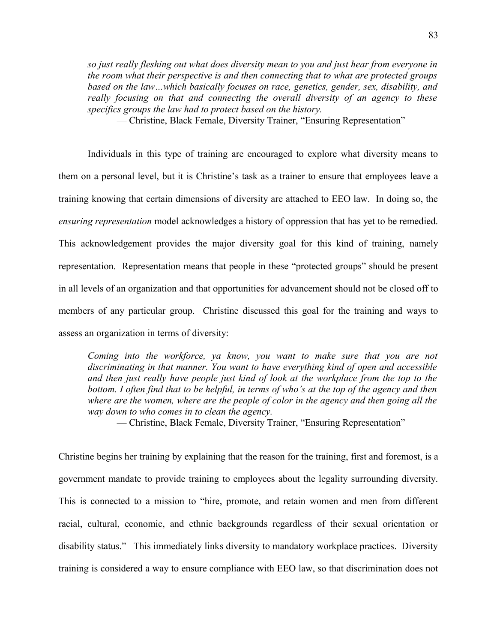*so just really fleshing out what does diversity mean to you and just hear from everyone in the room what their perspective is and then connecting that to what are protected groups based on the law…which basically focuses on race, genetics, gender, sex, disability, and really focusing on that and connecting the overall diversity of an agency to these specifics groups the law had to protect based on the history.*

— Christine, Black Female, Diversity Trainer, "Ensuring Representation"

Individuals in this type of training are encouraged to explore what diversity means to them on a personal level, but it is Christine's task as a trainer to ensure that employees leave a training knowing that certain dimensions of diversity are attached to EEO law. In doing so, the *ensuring representation* model acknowledges a history of oppression that has yet to be remedied. This acknowledgement provides the major diversity goal for this kind of training, namely representation. Representation means that people in these "protected groups" should be present in all levels of an organization and that opportunities for advancement should not be closed off to members of any particular group. Christine discussed this goal for the training and ways to assess an organization in terms of diversity:

*Coming into the workforce, ya know, you want to make sure that you are not discriminating in that manner. You want to have everything kind of open and accessible and then just really have people just kind of look at the workplace from the top to the bottom. I often find that to be helpful, in terms of who's at the top of the agency and then where are the women, where are the people of color in the agency and then going all the way down to who comes in to clean the agency.*

— Christine, Black Female, Diversity Trainer, "Ensuring Representation"

Christine begins her training by explaining that the reason for the training, first and foremost, is a government mandate to provide training to employees about the legality surrounding diversity. This is connected to a mission to "hire, promote, and retain women and men from different racial, cultural, economic, and ethnic backgrounds regardless of their sexual orientation or disability status." This immediately links diversity to mandatory workplace practices. Diversity training is considered a way to ensure compliance with EEO law, so that discrimination does not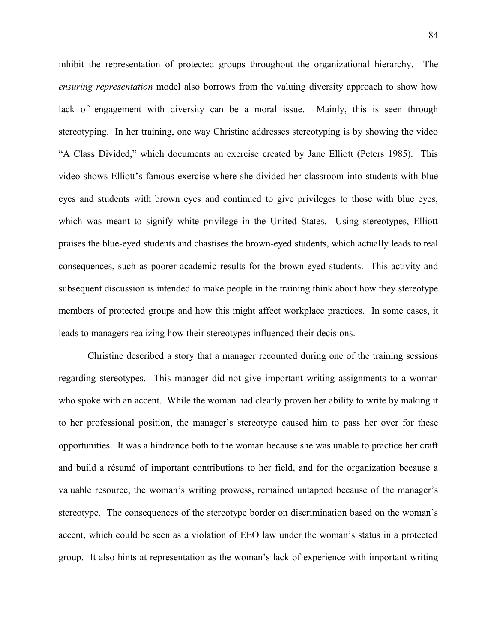inhibit the representation of protected groups throughout the organizational hierarchy. The *ensuring representation* model also borrows from the valuing diversity approach to show how lack of engagement with diversity can be a moral issue. Mainly, this is seen through stereotyping. In her training, one way Christine addresses stereotyping is by showing the video "A Class Divided," which documents an exercise created by Jane Elliott (Peters 1985). This video shows Elliott's famous exercise where she divided her classroom into students with blue eyes and students with brown eyes and continued to give privileges to those with blue eyes, which was meant to signify white privilege in the United States. Using stereotypes, Elliott praises the blue-eyed students and chastises the brown-eyed students, which actually leads to real consequences, such as poorer academic results for the brown-eyed students. This activity and subsequent discussion is intended to make people in the training think about how they stereotype members of protected groups and how this might affect workplace practices. In some cases, it leads to managers realizing how their stereotypes influenced their decisions.

Christine described a story that a manager recounted during one of the training sessions regarding stereotypes. This manager did not give important writing assignments to a woman who spoke with an accent. While the woman had clearly proven her ability to write by making it to her professional position, the manager's stereotype caused him to pass her over for these opportunities. It was a hindrance both to the woman because she was unable to practice her craft and build a résumé of important contributions to her field, and for the organization because a valuable resource, the woman's writing prowess, remained untapped because of the manager's stereotype. The consequences of the stereotype border on discrimination based on the woman's accent, which could be seen as a violation of EEO law under the woman's status in a protected group. It also hints at representation as the woman's lack of experience with important writing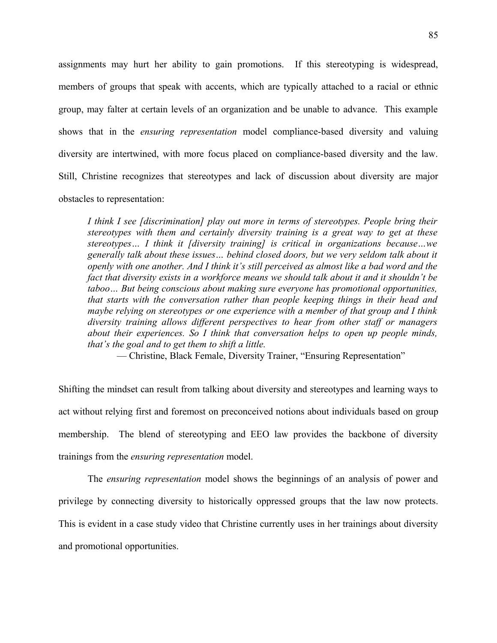assignments may hurt her ability to gain promotions. If this stereotyping is widespread, members of groups that speak with accents, which are typically attached to a racial or ethnic group, may falter at certain levels of an organization and be unable to advance. This example shows that in the *ensuring representation* model compliance-based diversity and valuing diversity are intertwined, with more focus placed on compliance-based diversity and the law. Still, Christine recognizes that stereotypes and lack of discussion about diversity are major obstacles to representation:

*I think I see [discrimination] play out more in terms of stereotypes. People bring their stereotypes with them and certainly diversity training is a great way to get at these stereotypes… I think it [diversity training] is critical in organizations because…we generally talk about these issues… behind closed doors, but we very seldom talk about it openly with one another. And I think it's still perceived as almost like a bad word and the fact that diversity exists in a workforce means we should talk about it and it shouldn't be taboo… But being conscious about making sure everyone has promotional opportunities, that starts with the conversation rather than people keeping things in their head and maybe relying on stereotypes or one experience with a member of that group and I think diversity training allows different perspectives to hear from other staff or managers about their experiences. So I think that conversation helps to open up people minds, that's the goal and to get them to shift a little.*

— Christine, Black Female, Diversity Trainer, "Ensuring Representation"

Shifting the mindset can result from talking about diversity and stereotypes and learning ways to act without relying first and foremost on preconceived notions about individuals based on group membership. The blend of stereotyping and EEO law provides the backbone of diversity trainings from the *ensuring representation* model.

The *ensuring representation* model shows the beginnings of an analysis of power and privilege by connecting diversity to historically oppressed groups that the law now protects. This is evident in a case study video that Christine currently uses in her trainings about diversity and promotional opportunities.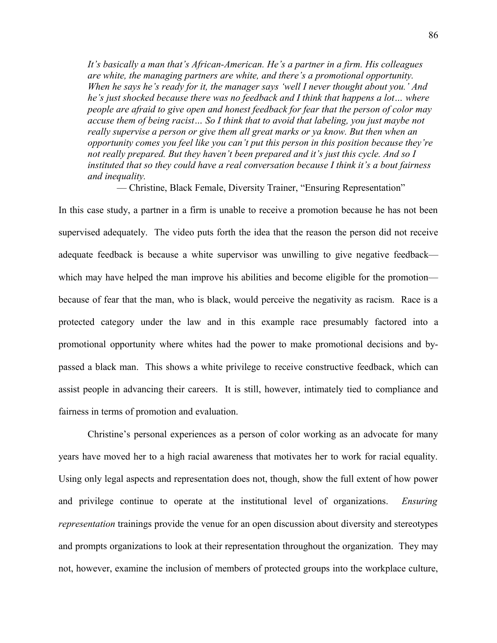*It's basically a man that's African-American. He's a partner in a firm. His colleagues are white, the managing partners are white, and there's a promotional opportunity. When he says he's ready for it, the manager says 'well I never thought about you.' And he's just shocked because there was no feedback and I think that happens a lot… where people are afraid to give open and honest feedback for fear that the person of color may accuse them of being racist… So I think that to avoid that labeling, you just maybe not really supervise a person or give them all great marks or ya know. But then when an opportunity comes you feel like you can't put this person in this position because they're not really prepared. But they haven't been prepared and it's just this cycle. And so I instituted that so they could have a real conversation because I think it's a bout fairness and inequality.*

— Christine, Black Female, Diversity Trainer, "Ensuring Representation"

In this case study, a partner in a firm is unable to receive a promotion because he has not been supervised adequately. The video puts forth the idea that the reason the person did not receive adequate feedback is because a white supervisor was unwilling to give negative feedback which may have helped the man improve his abilities and become eligible for the promotion because of fear that the man, who is black, would perceive the negativity as racism. Race is a protected category under the law and in this example race presumably factored into a promotional opportunity where whites had the power to make promotional decisions and bypassed a black man. This shows a white privilege to receive constructive feedback, which can assist people in advancing their careers. It is still, however, intimately tied to compliance and fairness in terms of promotion and evaluation.

Christine's personal experiences as a person of color working as an advocate for many years have moved her to a high racial awareness that motivates her to work for racial equality. Using only legal aspects and representation does not, though, show the full extent of how power and privilege continue to operate at the institutional level of organizations. *Ensuring representation* trainings provide the venue for an open discussion about diversity and stereotypes and prompts organizations to look at their representation throughout the organization. They may not, however, examine the inclusion of members of protected groups into the workplace culture,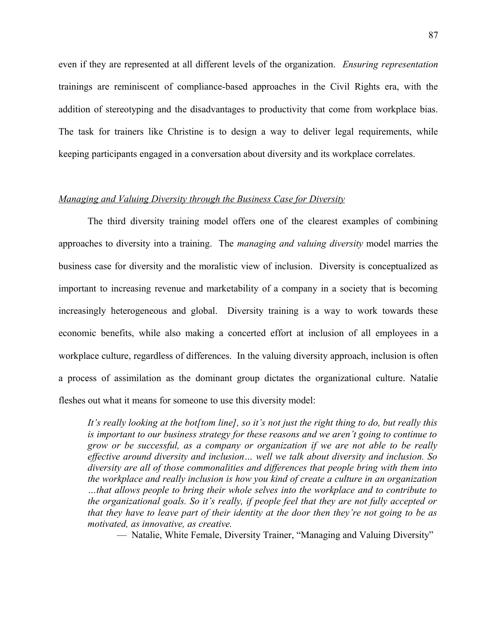even if they are represented at all different levels of the organization. *Ensuring representation* trainings are reminiscent of compliance-based approaches in the Civil Rights era, with the addition of stereotyping and the disadvantages to productivity that come from workplace bias. The task for trainers like Christine is to design a way to deliver legal requirements, while keeping participants engaged in a conversation about diversity and its workplace correlates.

# *Managing and Valuing Diversity through the Business Case for Diversity*

The third diversity training model offers one of the clearest examples of combining approaches to diversity into a training. The *managing and valuing diversity* model marries the business case for diversity and the moralistic view of inclusion. Diversity is conceptualized as important to increasing revenue and marketability of a company in a society that is becoming increasingly heterogeneous and global. Diversity training is a way to work towards these economic benefits, while also making a concerted effort at inclusion of all employees in a workplace culture, regardless of differences. In the valuing diversity approach, inclusion is often a process of assimilation as the dominant group dictates the organizational culture. Natalie fleshes out what it means for someone to use this diversity model:

*It's really looking at the bot[tom line], so it's not just the right thing to do, but really this is important to our business strategy for these reasons and we aren't going to continue to grow or be successful, as a company or organization if we are not able to be really effective around diversity and inclusion… well we talk about diversity and inclusion. So diversity are all of those commonalities and differences that people bring with them into the workplace and really inclusion is how you kind of create a culture in an organization …that allows people to bring their whole selves into the workplace and to contribute to the organizational goals. So it's really, if people feel that they are not fully accepted or that they have to leave part of their identity at the door then they're not going to be as motivated, as innovative, as creative.*

— Natalie, White Female, Diversity Trainer, "Managing and Valuing Diversity"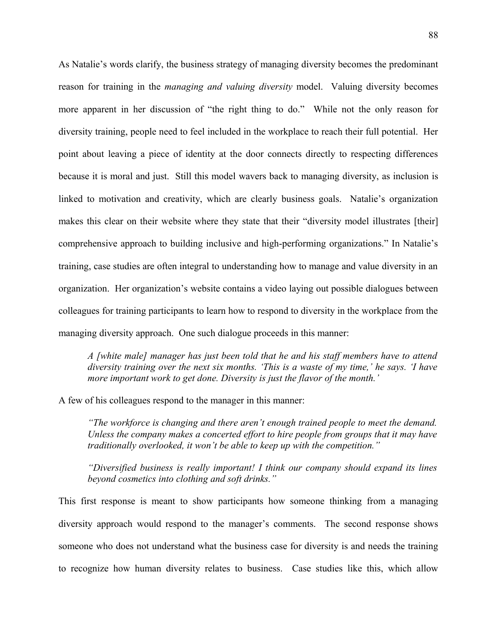As Natalie's words clarify, the business strategy of managing diversity becomes the predominant reason for training in the *managing and valuing diversity* model. Valuing diversity becomes more apparent in her discussion of "the right thing to do." While not the only reason for diversity training, people need to feel included in the workplace to reach their full potential. Her point about leaving a piece of identity at the door connects directly to respecting differences because it is moral and just. Still this model wavers back to managing diversity, as inclusion is linked to motivation and creativity, which are clearly business goals. Natalie's organization makes this clear on their website where they state that their "diversity model illustrates [their] comprehensive approach to building inclusive and high-performing organizations." In Natalie's training, case studies are often integral to understanding how to manage and value diversity in an organization. Her organization's website contains a video laying out possible dialogues between colleagues for training participants to learn how to respond to diversity in the workplace from the managing diversity approach. One such dialogue proceeds in this manner:

*A [white male] manager has just been told that he and his staff members have to attend diversity training over the next six months. 'This is a waste of my time,' he says. 'I have more important work to get done. Diversity is just the flavor of the month.'*

A few of his colleagues respond to the manager in this manner:

*"The workforce is changing and there aren't enough trained people to meet the demand. Unless the company makes a concerted effort to hire people from groups that it may have traditionally overlooked, it won't be able to keep up with the competition."*

*"Diversified business is really important! I think our company should expand its lines beyond cosmetics into clothing and soft drinks."*

This first response is meant to show participants how someone thinking from a managing diversity approach would respond to the manager's comments. The second response shows someone who does not understand what the business case for diversity is and needs the training to recognize how human diversity relates to business. Case studies like this, which allow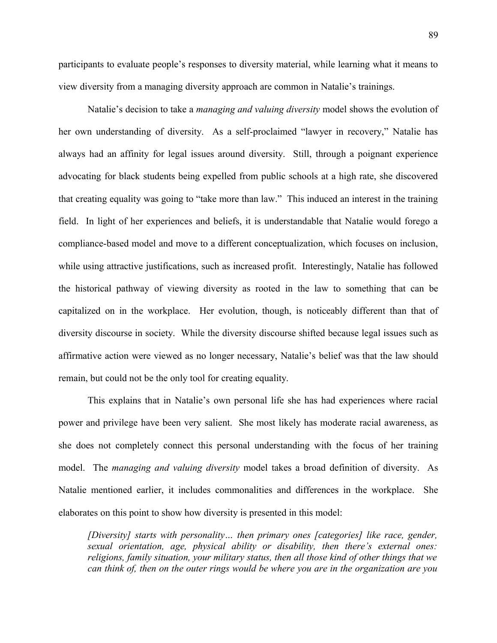89

participants to evaluate people's responses to diversity material, while learning what it means to view diversity from a managing diversity approach are common in Natalie's trainings.

Natalie's decision to take a *managing and valuing diversity* model shows the evolution of her own understanding of diversity. As a self-proclaimed "lawyer in recovery," Natalie has always had an affinity for legal issues around diversity. Still, through a poignant experience advocating for black students being expelled from public schools at a high rate, she discovered that creating equality was going to "take more than law." This induced an interest in the training field. In light of her experiences and beliefs, it is understandable that Natalie would forego a compliance-based model and move to a different conceptualization, which focuses on inclusion, while using attractive justifications, such as increased profit. Interestingly, Natalie has followed the historical pathway of viewing diversity as rooted in the law to something that can be capitalized on in the workplace. Her evolution, though, is noticeably different than that of diversity discourse in society. While the diversity discourse shifted because legal issues such as affirmative action were viewed as no longer necessary, Natalie's belief was that the law should remain, but could not be the only tool for creating equality.

This explains that in Natalie's own personal life she has had experiences where racial power and privilege have been very salient. She most likely has moderate racial awareness, as she does not completely connect this personal understanding with the focus of her training model. The *managing and valuing diversity* model takes a broad definition of diversity. As Natalie mentioned earlier, it includes commonalities and differences in the workplace. She elaborates on this point to show how diversity is presented in this model:

*[Diversity] starts with personality… then primary ones [categories] like race, gender, sexual orientation, age, physical ability or disability, then there's external ones: religions, family situation, your military status, then all those kind of other things that we can think of, then on the outer rings would be where you are in the organization are you*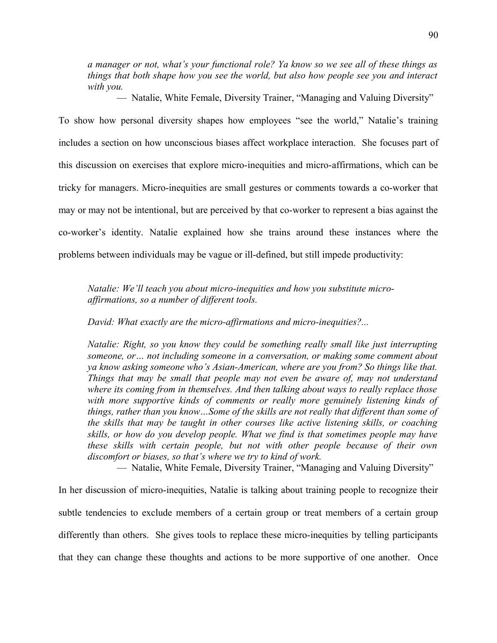*a manager or not, what's your functional role? Ya know so we see all of these things as things that both shape how you see the world, but also how people see you and interact with you.*

— Natalie, White Female, Diversity Trainer, "Managing and Valuing Diversity"

To show how personal diversity shapes how employees "see the world," Natalie's training includes a section on how unconscious biases affect workplace interaction. She focuses part of this discussion on exercises that explore micro-inequities and micro-affirmations, which can be tricky for managers. Micro-inequities are small gestures or comments towards a co-worker that may or may not be intentional, but are perceived by that co-worker to represent a bias against the co-worker's identity. Natalie explained how she trains around these instances where the problems between individuals may be vague or ill-defined, but still impede productivity:

*Natalie: We'll teach you about micro-inequities and how you substitute microaffirmations, so a number of different tools.*

*David: What exactly are the micro-affirmations and micro-inequities?...*

*Natalie: Right, so you know they could be something really small like just interrupting someone, or… not including someone in a conversation, or making some comment about ya know asking someone who's Asian-American, where are you from? So things like that. Things that may be small that people may not even be aware of, may not understand where its coming from in themselves. And then talking about ways to really replace those with more supportive kinds of comments or really more genuinely listening kinds of things, rather than you know…Some of the skills are not really that different than some of the skills that may be taught in other courses like active listening skills, or coaching skills, or how do you develop people. What we find is that sometimes people may have these skills with certain people, but not with other people because of their own discomfort or biases, so that's where we try to kind of work.*

— Natalie, White Female, Diversity Trainer, "Managing and Valuing Diversity"

In her discussion of micro-inequities, Natalie is talking about training people to recognize their subtle tendencies to exclude members of a certain group or treat members of a certain group differently than others. She gives tools to replace these micro-inequities by telling participants that they can change these thoughts and actions to be more supportive of one another. Once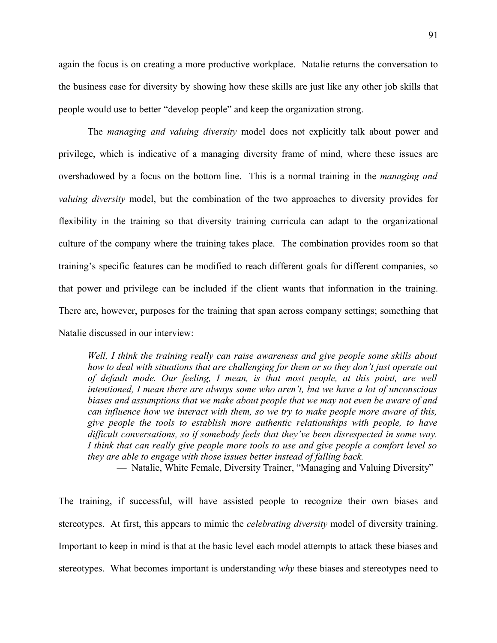again the focus is on creating a more productive workplace. Natalie returns the conversation to the business case for diversity by showing how these skills are just like any other job skills that people would use to better "develop people" and keep the organization strong.

The *managing and valuing diversity* model does not explicitly talk about power and privilege, which is indicative of a managing diversity frame of mind, where these issues are overshadowed by a focus on the bottom line. This is a normal training in the *managing and valuing diversity* model, but the combination of the two approaches to diversity provides for flexibility in the training so that diversity training curricula can adapt to the organizational culture of the company where the training takes place. The combination provides room so that training's specific features can be modified to reach different goals for different companies, so that power and privilege can be included if the client wants that information in the training. There are, however, purposes for the training that span across company settings; something that Natalie discussed in our interview:

*Well, I think the training really can raise awareness and give people some skills about how to deal with situations that are challenging for them or so they don't just operate out of default mode. Our feeling, I mean, is that most people, at this point, are well intentioned, I mean there are always some who aren't, but we have a lot of unconscious biases and assumptions that we make about people that we may not even be aware of and can influence how we interact with them, so we try to make people more aware of this, give people the tools to establish more authentic relationships with people, to have difficult conversations, so if somebody feels that they've been disrespected in some way. I think that can really give people more tools to use and give people a comfort level so they are able to engage with those issues better instead of falling back.*

— Natalie, White Female, Diversity Trainer, "Managing and Valuing Diversity"

The training, if successful, will have assisted people to recognize their own biases and stereotypes. At first, this appears to mimic the *celebrating diversity* model of diversity training. Important to keep in mind is that at the basic level each model attempts to attack these biases and stereotypes. What becomes important is understanding *why* these biases and stereotypes need to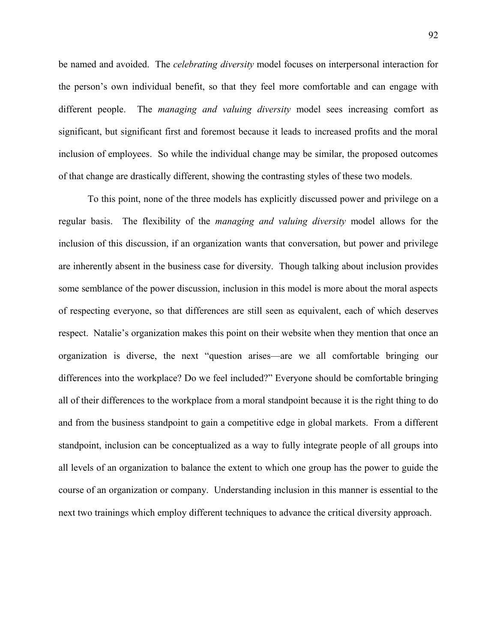be named and avoided. The *celebrating diversity* model focuses on interpersonal interaction for the person's own individual benefit, so that they feel more comfortable and can engage with different people. The *managing and valuing diversity* model sees increasing comfort as significant, but significant first and foremost because it leads to increased profits and the moral inclusion of employees. So while the individual change may be similar, the proposed outcomes of that change are drastically different, showing the contrasting styles of these two models.

To this point, none of the three models has explicitly discussed power and privilege on a regular basis. The flexibility of the *managing and valuing diversity* model allows for the inclusion of this discussion, if an organization wants that conversation, but power and privilege are inherently absent in the business case for diversity. Though talking about inclusion provides some semblance of the power discussion, inclusion in this model is more about the moral aspects of respecting everyone, so that differences are still seen as equivalent, each of which deserves respect. Natalie's organization makes this point on their website when they mention that once an organization is diverse, the next "question arises—are we all comfortable bringing our differences into the workplace? Do we feel included?" Everyone should be comfortable bringing all of their differences to the workplace from a moral standpoint because it is the right thing to do and from the business standpoint to gain a competitive edge in global markets. From a different standpoint, inclusion can be conceptualized as a way to fully integrate people of all groups into all levels of an organization to balance the extent to which one group has the power to guide the course of an organization or company. Understanding inclusion in this manner is essential to the next two trainings which employ different techniques to advance the critical diversity approach.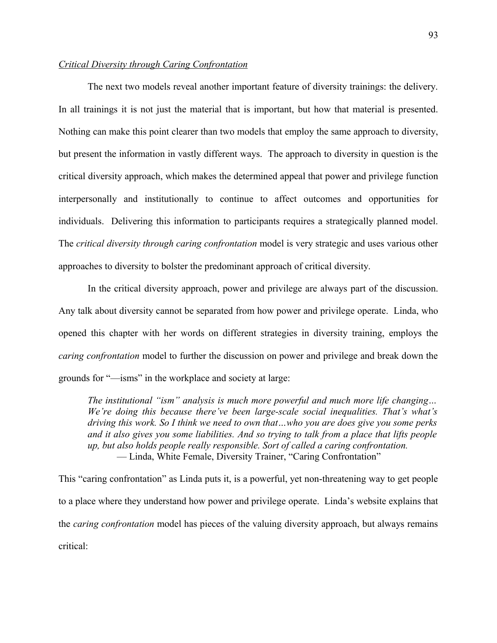# *Critical Diversity through Caring Confrontation*

The next two models reveal another important feature of diversity trainings: the delivery. In all trainings it is not just the material that is important, but how that material is presented. Nothing can make this point clearer than two models that employ the same approach to diversity, but present the information in vastly different ways. The approach to diversity in question is the critical diversity approach, which makes the determined appeal that power and privilege function interpersonally and institutionally to continue to affect outcomes and opportunities for individuals. Delivering this information to participants requires a strategically planned model. The *critical diversity through caring confrontation* model is very strategic and uses various other approaches to diversity to bolster the predominant approach of critical diversity.

In the critical diversity approach, power and privilege are always part of the discussion. Any talk about diversity cannot be separated from how power and privilege operate. Linda, who opened this chapter with her words on different strategies in diversity training, employs the *caring confrontation* model to further the discussion on power and privilege and break down the grounds for "—isms" in the workplace and society at large:

*The institutional "ism" analysis is much more powerful and much more life changing… We're doing this because there've been large-scale social inequalities. That's what's driving this work. So I think we need to own that…who you are does give you some perks and it also gives you some liabilities. And so trying to talk from a place that lifts people up, but also holds people really responsible. Sort of called a caring confrontation.* — Linda, White Female, Diversity Trainer, "Caring Confrontation"

This "caring confrontation" as Linda puts it, is a powerful, yet non-threatening way to get people to a place where they understand how power and privilege operate. Linda's website explains that the *caring confrontation* model has pieces of the valuing diversity approach, but always remains critical: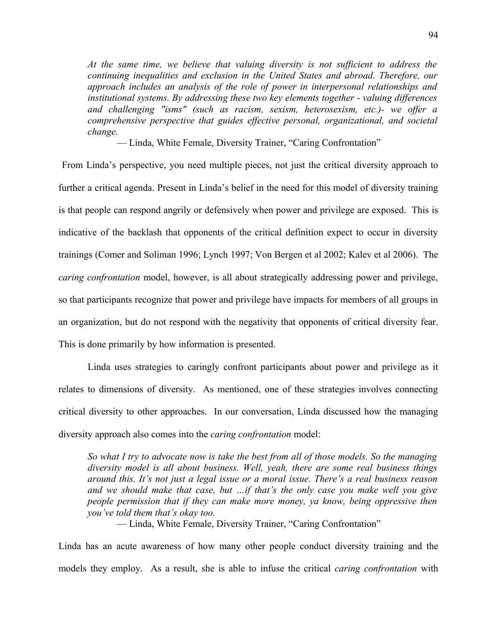*At the same time, we believe that valuing diversity is not sufficient to address the continuing inequalities and exclusion in the United States and abroad. Therefore, our approach includes an analysis of the role of power in interpersonal relationships and institutional systems. By addressing these two key elements together - valuing differences and challenging "isms" (such as racism, sexism, heterosexism, etc.)- we offer a comprehensive perspective that guides effective personal, organizational, and societal change.*

— Linda, White Female, Diversity Trainer, "Caring Confrontation"

 From Linda's perspective, you need multiple pieces, not just the critical diversity approach to further a critical agenda. Present in Linda's belief in the need for this model of diversity training is that people can respond angrily or defensively when power and privilege are exposed. This is indicative of the backlash that opponents of the critical definition expect to occur in diversity trainings (Comer and Soliman 1996; Lynch 1997; Von Bergen et al 2002; Kalev et al 2006). The *caring confrontation* model, however, is all about strategically addressing power and privilege, so that participants recognize that power and privilege have impacts for members of all groups in an organization, but do not respond with the negativity that opponents of critical diversity fear. This is done primarily by how information is presented.

Linda uses strategies to caringly confront participants about power and privilege as it relates to dimensions of diversity. As mentioned, one of these strategies involves connecting critical diversity to other approaches. In our conversation, Linda discussed how the managing diversity approach also comes into the *caring confrontation* model:

*So what I try to advocate now is take the best from all of those models. So the managing diversity model is all about business. Well, yeah, there are some real business things around this. It's not just a legal issue or a moral issue. There's a real business reason and we should make that case, but …if that's the only case you make well you give people permission that if they can make more money, ya know, being oppressive then you've told them that's okay too.*

— Linda, White Female, Diversity Trainer, "Caring Confrontation"

Linda has an acute awareness of how many other people conduct diversity training and the models they employ. As a result, she is able to infuse the critical *caring confrontation* with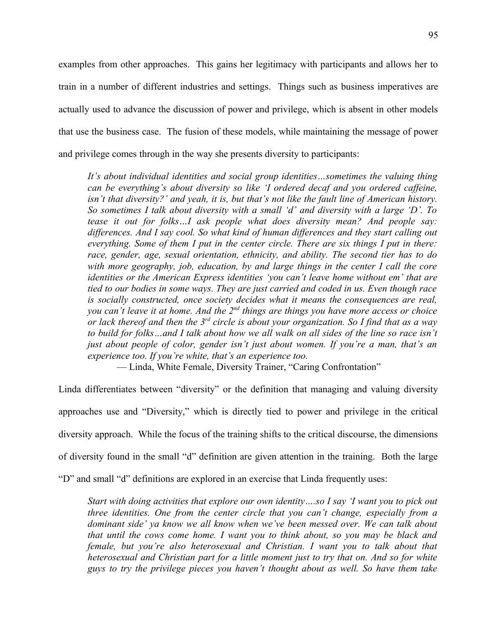examples from other approaches. This gains her legitimacy with participants and allows her to train in a number of different industries and settings. Things such as business imperatives are actually used to advance the discussion of power and privilege, which is absent in other models that use the business case. The fusion of these models, while maintaining the message of power and privilege comes through in the way she presents diversity to participants:

*It's about individual identities and social group identities…sometimes the valuing thing can be everything's about diversity so like 'I ordered decaf and you ordered caffeine, isn't that diversity?' and yeah, it is, but that's not like the fault line of American history. So sometimes I talk about diversity with a small 'd' and diversity with a large 'D'. To tease it out for folks…I ask people what does diversity mean? And people say: differences. And I say cool. So what kind of human differences and they start calling out everything. Some of them I put in the center circle. There are six things I put in there: race, gender, age, sexual orientation, ethnicity, and ability. The second tier has to do with more geography, job, education, by and large things in the center I call the core identities or the American Express identities 'you can't leave home without em' that are tied to our bodies in some ways. They are just carried and coded in us. Even though race is socially constructed, once society decides what it means the consequences are real, you can't leave it at home. And the 2nd things are things you have more access or choice or lack thereof and then the 3rd circle is about your organization. So I find that as a way to build for folks…and I talk about how we all walk on all sides of the line so race isn't just about people of color, gender isn't just about women. If you're a man, that's an experience too. If you're white, that's an experience too.*

— Linda, White Female, Diversity Trainer, "Caring Confrontation"

Linda differentiates between "diversity" or the definition that managing and valuing diversity approaches use and "Diversity," which is directly tied to power and privilege in the critical diversity approach. While the focus of the training shifts to the critical discourse, the dimensions of diversity found in the small "d" definition are given attention in the training. Both the large

"D" and small "d" definitions are explored in an exercise that Linda frequently uses:

*Start with doing activities that explore our own identity….so I say 'I want you to pick out three identities. One from the center circle that you can't change, especially from a dominant side' ya know we all know when we've been messed over. We can talk about that until the cows come home. I want you to think about, so you may be black and female, but you're also heterosexual and Christian. I want you to talk about that heterosexual and Christian part for a little moment just to try that on. And so for white guys to try the privilege pieces you haven't thought about as well. So have them take*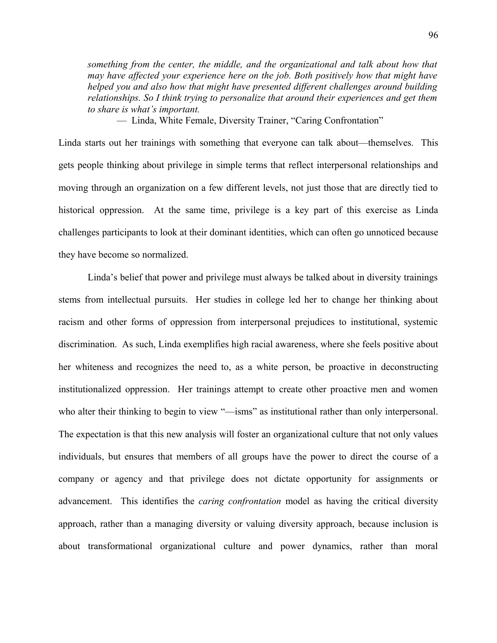*something from the center, the middle, and the organizational and talk about how that may have affected your experience here on the job. Both positively how that might have helped you and also how that might have presented different challenges around building relationships. So I think trying to personalize that around their experiences and get them to share is what's important.*

— Linda, White Female, Diversity Trainer, "Caring Confrontation"

Linda starts out her trainings with something that everyone can talk about—themselves. This gets people thinking about privilege in simple terms that reflect interpersonal relationships and moving through an organization on a few different levels, not just those that are directly tied to historical oppression. At the same time, privilege is a key part of this exercise as Linda challenges participants to look at their dominant identities, which can often go unnoticed because they have become so normalized.

Linda's belief that power and privilege must always be talked about in diversity trainings stems from intellectual pursuits. Her studies in college led her to change her thinking about racism and other forms of oppression from interpersonal prejudices to institutional, systemic discrimination. As such, Linda exemplifies high racial awareness, where she feels positive about her whiteness and recognizes the need to, as a white person, be proactive in deconstructing institutionalized oppression. Her trainings attempt to create other proactive men and women who alter their thinking to begin to view "—isms" as institutional rather than only interpersonal. The expectation is that this new analysis will foster an organizational culture that not only values individuals, but ensures that members of all groups have the power to direct the course of a company or agency and that privilege does not dictate opportunity for assignments or advancement. This identifies the *caring confrontation* model as having the critical diversity approach, rather than a managing diversity or valuing diversity approach, because inclusion is about transformational organizational culture and power dynamics, rather than moral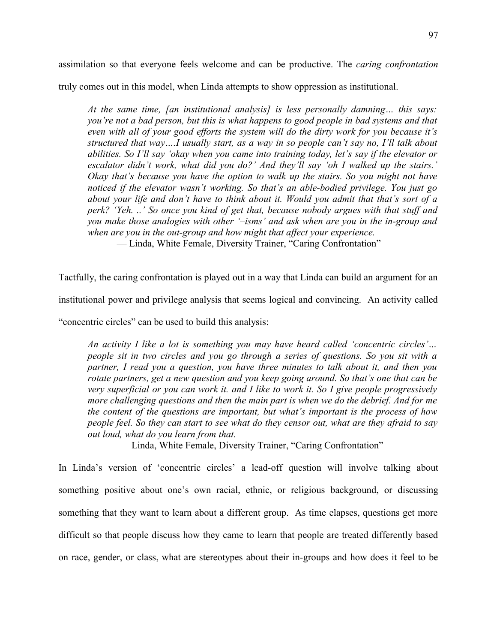assimilation so that everyone feels welcome and can be productive. The *caring confrontation*

truly comes out in this model, when Linda attempts to show oppression as institutional.

*At the same time, [an institutional analysis] is less personally damning… this says: you're not a bad person, but this is what happens to good people in bad systems and that even with all of your good efforts the system will do the dirty work for you because it's structured that way….I usually start, as a way in so people can't say no, I'll talk about abilities. So I'll say 'okay when you came into training today, let's say if the elevator or escalator didn't work, what did you do?' And they'll say 'oh I walked up the stairs.' Okay that's because you have the option to walk up the stairs. So you might not have noticed if the elevator wasn't working. So that's an able-bodied privilege. You just go about your life and don't have to think about it. Would you admit that that's sort of a perk? 'Yeh. ..' So once you kind of get that, because nobody argues with that stuff and you make those analogies with other '–isms' and ask when are you in the in-group and when are you in the out-group and how might that affect your experience.*

— Linda, White Female, Diversity Trainer, "Caring Confrontation"

Tactfully, the caring confrontation is played out in a way that Linda can build an argument for an

institutional power and privilege analysis that seems logical and convincing. An activity called

"concentric circles" can be used to build this analysis:

*An activity I like a lot is something you may have heard called 'concentric circles'… people sit in two circles and you go through a series of questions. So you sit with a partner, I read you a question, you have three minutes to talk about it, and then you rotate partners, get a new question and you keep going around. So that's one that can be very superficial or you can work it. and I like to work it. So I give people progressively more challenging questions and then the main part is when we do the debrief. And for me the content of the questions are important, but what's important is the process of how people feel. So they can start to see what do they censor out, what are they afraid to say out loud, what do you learn from that.*

— Linda, White Female, Diversity Trainer, "Caring Confrontation"

In Linda's version of 'concentric circles' a lead-off question will involve talking about something positive about one's own racial, ethnic, or religious background, or discussing something that they want to learn about a different group. As time elapses, questions get more difficult so that people discuss how they came to learn that people are treated differently based on race, gender, or class, what are stereotypes about their in-groups and how does it feel to be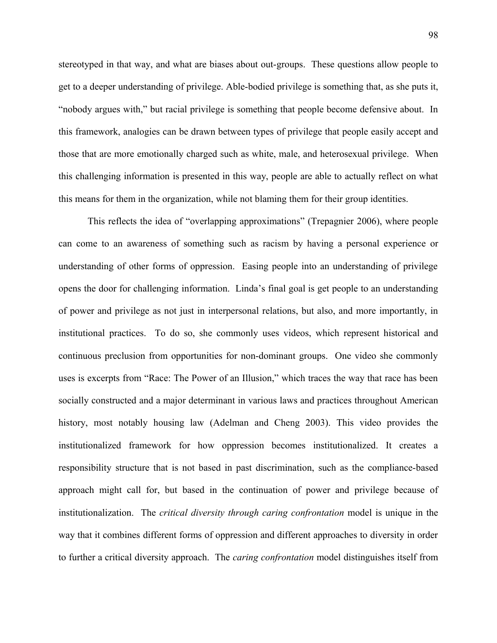stereotyped in that way, and what are biases about out-groups. These questions allow people to get to a deeper understanding of privilege. Able-bodied privilege is something that, as she puts it, "nobody argues with," but racial privilege is something that people become defensive about. In this framework, analogies can be drawn between types of privilege that people easily accept and those that are more emotionally charged such as white, male, and heterosexual privilege. When this challenging information is presented in this way, people are able to actually reflect on what this means for them in the organization, while not blaming them for their group identities.

This reflects the idea of "overlapping approximations" (Trepagnier 2006), where people can come to an awareness of something such as racism by having a personal experience or understanding of other forms of oppression. Easing people into an understanding of privilege opens the door for challenging information. Linda's final goal is get people to an understanding of power and privilege as not just in interpersonal relations, but also, and more importantly, in institutional practices. To do so, she commonly uses videos, which represent historical and continuous preclusion from opportunities for non-dominant groups. One video she commonly uses is excerpts from "Race: The Power of an Illusion," which traces the way that race has been socially constructed and a major determinant in various laws and practices throughout American history, most notably housing law (Adelman and Cheng 2003). This video provides the institutionalized framework for how oppression becomes institutionalized. It creates a responsibility structure that is not based in past discrimination, such as the compliance-based approach might call for, but based in the continuation of power and privilege because of institutionalization. The *critical diversity through caring confrontation* model is unique in the way that it combines different forms of oppression and different approaches to diversity in order to further a critical diversity approach. The *caring confrontation* model distinguishes itself from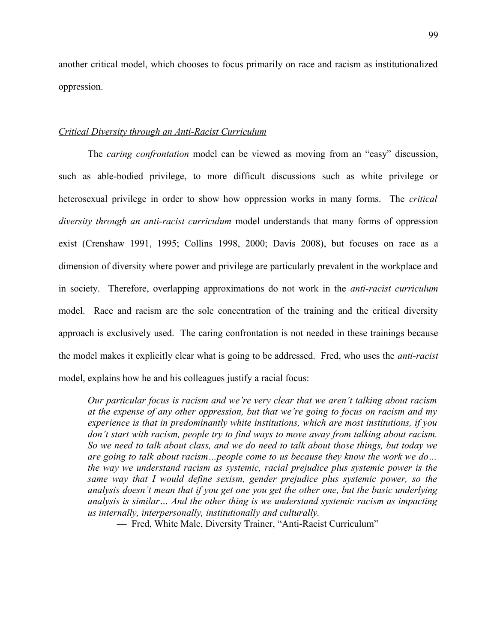another critical model, which chooses to focus primarily on race and racism as institutionalized oppression.

# *Critical Diversity through an Anti-Racist Curriculum*

The *caring confrontation* model can be viewed as moving from an "easy" discussion, such as able-bodied privilege, to more difficult discussions such as white privilege or heterosexual privilege in order to show how oppression works in many forms. The *critical diversity through an anti-racist curriculum* model understands that many forms of oppression exist (Crenshaw 1991, 1995; Collins 1998, 2000; Davis 2008), but focuses on race as a dimension of diversity where power and privilege are particularly prevalent in the workplace and in society. Therefore, overlapping approximations do not work in the *anti-racist curriculum* model. Race and racism are the sole concentration of the training and the critical diversity approach is exclusively used. The caring confrontation is not needed in these trainings because the model makes it explicitly clear what is going to be addressed. Fred, who uses the *anti-racist* model, explains how he and his colleagues justify a racial focus:

*Our particular focus is racism and we're very clear that we aren't talking about racism at the expense of any other oppression, but that we're going to focus on racism and my experience is that in predominantly white institutions, which are most institutions, if you don't start with racism, people try to find ways to move away from talking about racism. So we need to talk about class, and we do need to talk about those things, but today we are going to talk about racism…people come to us because they know the work we do… the way we understand racism as systemic, racial prejudice plus systemic power is the same way that I would define sexism, gender prejudice plus systemic power, so the analysis doesn't mean that if you get one you get the other one, but the basic underlying analysis is similar… And the other thing is we understand systemic racism as impacting us internally, interpersonally, institutionally and culturally.*

— Fred, White Male, Diversity Trainer, "Anti-Racist Curriculum"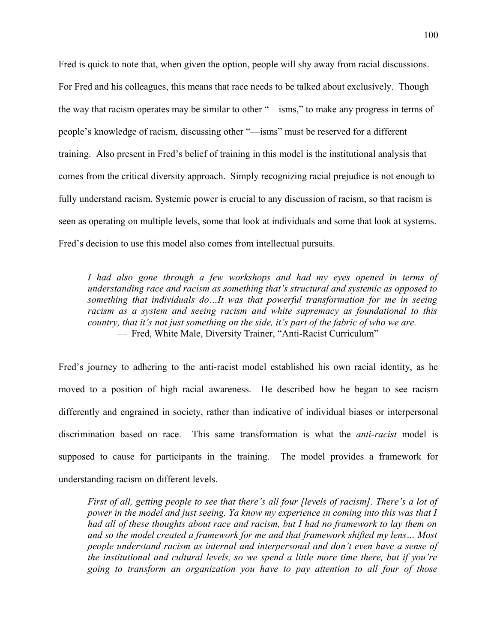Fred is quick to note that, when given the option, people will shy away from racial discussions. For Fred and his colleagues, this means that race needs to be talked about exclusively. Though the way that racism operates may be similar to other "—isms," to make any progress in terms of people's knowledge of racism, discussing other "—isms" must be reserved for a different training. Also present in Fred's belief of training in this model is the institutional analysis that comes from the critical diversity approach. Simply recognizing racial prejudice is not enough to fully understand racism. Systemic power is crucial to any discussion of racism, so that racism is seen as operating on multiple levels, some that look at individuals and some that look at systems. Fred's decision to use this model also comes from intellectual pursuits.

*I had also gone through a few workshops and had my eyes opened in terms of understanding race and racism as something that's structural and systemic as opposed to something that individuals do…It was that powerful transformation for me in seeing racism as a system and seeing racism and white supremacy as foundational to this country, that it's not just something on the side, it's part of the fabric of who we are.* — Fred, White Male, Diversity Trainer, "Anti-Racist Curriculum"

Fred's journey to adhering to the anti-racist model established his own racial identity, as he moved to a position of high racial awareness. He described how he began to see racism differently and engrained in society, rather than indicative of individual biases or interpersonal discrimination based on race. This same transformation is what the *anti-racist* model is supposed to cause for participants in the training. The model provides a framework for understanding racism on different levels.

*First of all, getting people to see that there's all four [levels of racism]. There's a lot of power in the model and just seeing. Ya know my experience in coming into this was that I had all of these thoughts about race and racism, but I had no framework to lay them on and so the model created a framework for me and that framework shifted my lens… Most people understand racism as internal and interpersonal and don't even have a sense of the institutional and cultural levels, so we spend a little more time there, but if you're going to transform an organization you have to pay attention to all four of those*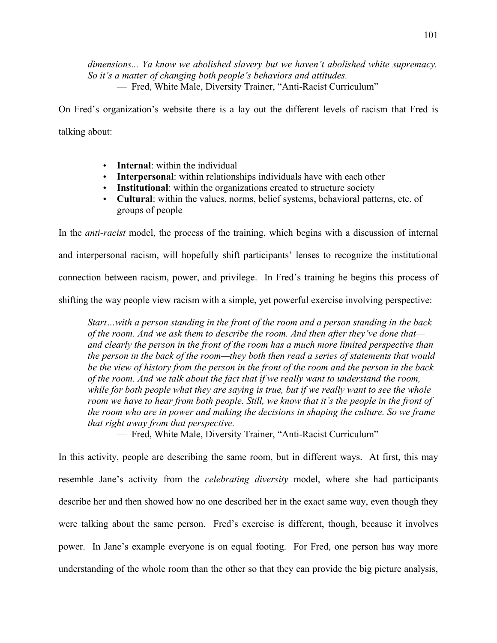*dimensions... Ya know we abolished slavery but we haven't abolished white supremacy. So it's a matter of changing both people's behaviors and attitudes.* — Fred, White Male, Diversity Trainer, "Anti-Racist Curriculum"

On Fred's organization's website there is a lay out the different levels of racism that Fred is talking about:

- **Internal**: within the individual
- **Interpersonal**: within relationships individuals have with each other
- **Institutional**: within the organizations created to structure society
- **Cultural**: within the values, norms, belief systems, behavioral patterns, etc. of groups of people

In the *anti-racist* model, the process of the training, which begins with a discussion of internal and interpersonal racism, will hopefully shift participants' lenses to recognize the institutional connection between racism, power, and privilege. In Fred's training he begins this process of shifting the way people view racism with a simple, yet powerful exercise involving perspective:

*Start…with a person standing in the front of the room and a person standing in the back of the room. And we ask them to describe the room. And then after they've done that and clearly the person in the front of the room has a much more limited perspective than the person in the back of the room—they both then read a series of statements that would be the view of history from the person in the front of the room and the person in the back of the room. And we talk about the fact that if we really want to understand the room, while for both people what they are saying is true, but if we really want to see the whole room we have to hear from both people. Still, we know that it's the people in the front of the room who are in power and making the decisions in shaping the culture. So we frame that right away from that perspective.*

— Fred, White Male, Diversity Trainer, "Anti-Racist Curriculum"

In this activity, people are describing the same room, but in different ways. At first, this may resemble Jane's activity from the *celebrating diversity* model, where she had participants describe her and then showed how no one described her in the exact same way, even though they were talking about the same person. Fred's exercise is different, though, because it involves power. In Jane's example everyone is on equal footing. For Fred, one person has way more understanding of the whole room than the other so that they can provide the big picture analysis,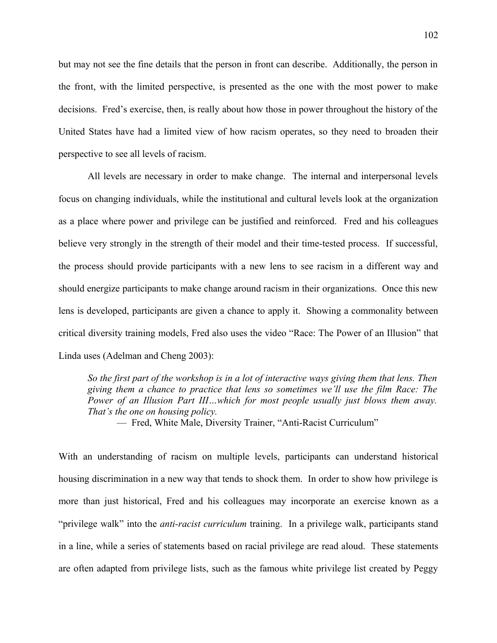but may not see the fine details that the person in front can describe. Additionally, the person in the front, with the limited perspective, is presented as the one with the most power to make decisions. Fred's exercise, then, is really about how those in power throughout the history of the United States have had a limited view of how racism operates, so they need to broaden their perspective to see all levels of racism.

All levels are necessary in order to make change. The internal and interpersonal levels focus on changing individuals, while the institutional and cultural levels look at the organization as a place where power and privilege can be justified and reinforced. Fred and his colleagues believe very strongly in the strength of their model and their time-tested process. If successful, the process should provide participants with a new lens to see racism in a different way and should energize participants to make change around racism in their organizations. Once this new lens is developed, participants are given a chance to apply it. Showing a commonality between critical diversity training models, Fred also uses the video "Race: The Power of an Illusion" that Linda uses (Adelman and Cheng 2003):

*So the first part of the workshop is in a lot of interactive ways giving them that lens. Then giving them a chance to practice that lens so sometimes we'll use the film Race: The Power of an Illusion Part III…which for most people usually just blows them away. That's the one on housing policy.*

— Fred, White Male, Diversity Trainer, "Anti-Racist Curriculum"

With an understanding of racism on multiple levels, participants can understand historical housing discrimination in a new way that tends to shock them. In order to show how privilege is more than just historical, Fred and his colleagues may incorporate an exercise known as a "privilege walk" into the *anti-racist curriculum* training. In a privilege walk, participants stand in a line, while a series of statements based on racial privilege are read aloud. These statements are often adapted from privilege lists, such as the famous white privilege list created by Peggy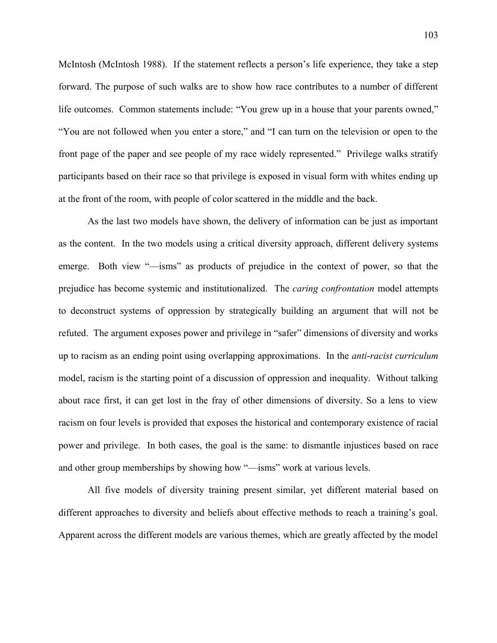McIntosh (McIntosh 1988). If the statement reflects a person's life experience, they take a step forward. The purpose of such walks are to show how race contributes to a number of different life outcomes. Common statements include: "You grew up in a house that your parents owned," "You are not followed when you enter a store," and "I can turn on the television or open to the front page of the paper and see people of my race widely represented." Privilege walks stratify participants based on their race so that privilege is exposed in visual form with whites ending up at the front of the room, with people of color scattered in the middle and the back.

As the last two models have shown, the delivery of information can be just as important as the content. In the two models using a critical diversity approach, different delivery systems emerge. Both view "—isms" as products of prejudice in the context of power, so that the prejudice has become systemic and institutionalized. The *caring confrontation* model attempts to deconstruct systems of oppression by strategically building an argument that will not be refuted. The argument exposes power and privilege in "safer" dimensions of diversity and works up to racism as an ending point using overlapping approximations. In the *anti-racist curriculum* model, racism is the starting point of a discussion of oppression and inequality. Without talking about race first, it can get lost in the fray of other dimensions of diversity. So a lens to view racism on four levels is provided that exposes the historical and contemporary existence of racial power and privilege. In both cases, the goal is the same: to dismantle injustices based on race and other group memberships by showing how "—isms" work at various levels.

All five models of diversity training present similar, yet different material based on different approaches to diversity and beliefs about effective methods to reach a training's goal. Apparent across the different models are various themes, which are greatly affected by the model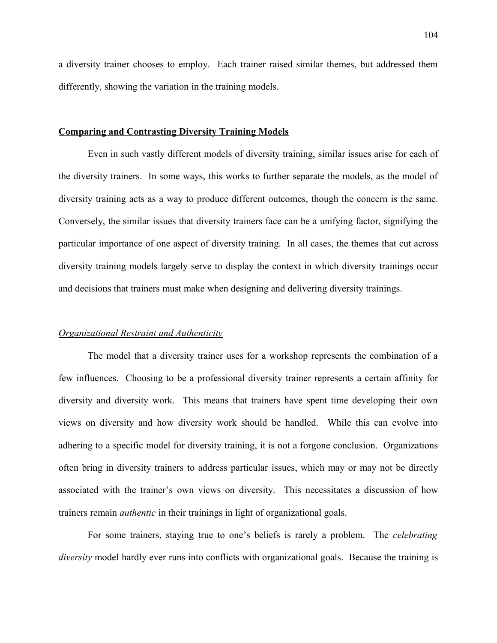a diversity trainer chooses to employ. Each trainer raised similar themes, but addressed them differently, showing the variation in the training models.

### **Comparing and Contrasting Diversity Training Models**

Even in such vastly different models of diversity training, similar issues arise for each of the diversity trainers. In some ways, this works to further separate the models, as the model of diversity training acts as a way to produce different outcomes, though the concern is the same. Conversely, the similar issues that diversity trainers face can be a unifying factor, signifying the particular importance of one aspect of diversity training. In all cases, the themes that cut across diversity training models largely serve to display the context in which diversity trainings occur and decisions that trainers must make when designing and delivering diversity trainings.

### *Organizational Restraint and Authenticity*

The model that a diversity trainer uses for a workshop represents the combination of a few influences. Choosing to be a professional diversity trainer represents a certain affinity for diversity and diversity work. This means that trainers have spent time developing their own views on diversity and how diversity work should be handled. While this can evolve into adhering to a specific model for diversity training, it is not a forgone conclusion. Organizations often bring in diversity trainers to address particular issues, which may or may not be directly associated with the trainer's own views on diversity. This necessitates a discussion of how trainers remain *authentic* in their trainings in light of organizational goals.

For some trainers, staying true to one's beliefs is rarely a problem. The *celebrating diversity* model hardly ever runs into conflicts with organizational goals. Because the training is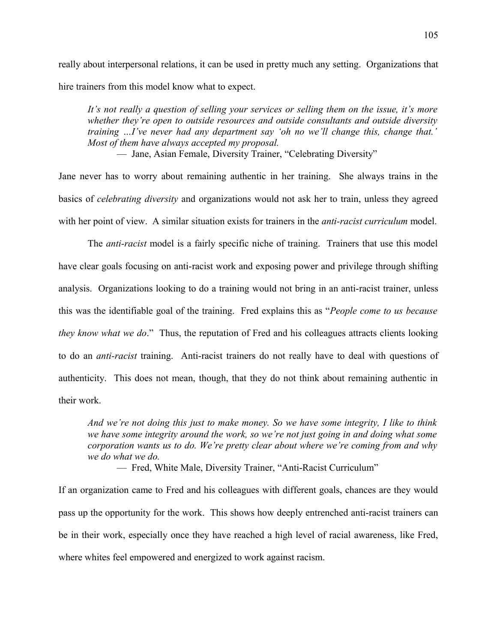really about interpersonal relations, it can be used in pretty much any setting. Organizations that hire trainers from this model know what to expect.

*It's not really a question of selling your services or selling them on the issue, it's more whether they're open to outside resources and outside consultants and outside diversity training …I've never had any department say 'oh no we'll change this, change that.' Most of them have always accepted my proposal.*

— Jane, Asian Female, Diversity Trainer, "Celebrating Diversity"

Jane never has to worry about remaining authentic in her training. She always trains in the basics of *celebrating diversity* and organizations would not ask her to train, unless they agreed with her point of view. A similar situation exists for trainers in the *anti-racist curriculum* model.

The *anti-racist* model is a fairly specific niche of training. Trainers that use this model have clear goals focusing on anti-racist work and exposing power and privilege through shifting analysis. Organizations looking to do a training would not bring in an anti-racist trainer, unless this was the identifiable goal of the training. Fred explains this as "*People come to us because they know what we do*." Thus, the reputation of Fred and his colleagues attracts clients looking to do an *anti-racist* training. Anti-racist trainers do not really have to deal with questions of authenticity. This does not mean, though, that they do not think about remaining authentic in their work.

*And we're not doing this just to make money. So we have some integrity, I like to think we have some integrity around the work, so we're not just going in and doing what some corporation wants us to do. We're pretty clear about where we're coming from and why we do what we do.*

— Fred, White Male, Diversity Trainer, "Anti-Racist Curriculum"

If an organization came to Fred and his colleagues with different goals, chances are they would pass up the opportunity for the work. This shows how deeply entrenched anti-racist trainers can be in their work, especially once they have reached a high level of racial awareness, like Fred, where whites feel empowered and energized to work against racism.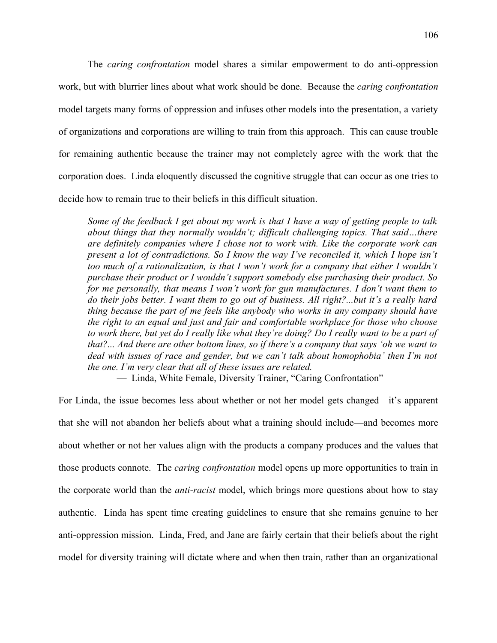The *caring confrontation* model shares a similar empowerment to do anti-oppression work, but with blurrier lines about what work should be done. Because the *caring confrontation* model targets many forms of oppression and infuses other models into the presentation, a variety of organizations and corporations are willing to train from this approach. This can cause trouble for remaining authentic because the trainer may not completely agree with the work that the corporation does. Linda eloquently discussed the cognitive struggle that can occur as one tries to decide how to remain true to their beliefs in this difficult situation.

*Some of the feedback I get about my work is that I have a way of getting people to talk about things that they normally wouldn't; difficult challenging topics. That said…there are definitely companies where I chose not to work with. Like the corporate work can present a lot of contradictions. So I know the way I've reconciled it, which I hope isn't too much of a rationalization, is that I won't work for a company that either I wouldn't purchase their product or I wouldn't support somebody else purchasing their product. So for me personally, that means I won't work for gun manufactures. I don't want them to do their jobs better. I want them to go out of business. All right?...but it's a really hard thing because the part of me feels like anybody who works in any company should have the right to an equal and just and fair and comfortable workplace for those who choose to work there, but yet do I really like what they're doing? Do I really want to be a part of that?... And there are other bottom lines, so if there's a company that says 'oh we want to deal with issues of race and gender, but we can't talk about homophobia' then I'm not the one. I'm very clear that all of these issues are related.*

— Linda, White Female, Diversity Trainer, "Caring Confrontation"

For Linda, the issue becomes less about whether or not her model gets changed—it's apparent that she will not abandon her beliefs about what a training should include—and becomes more about whether or not her values align with the products a company produces and the values that those products connote. The *caring confrontation* model opens up more opportunities to train in the corporate world than the *anti-racist* model, which brings more questions about how to stay authentic. Linda has spent time creating guidelines to ensure that she remains genuine to her anti-oppression mission. Linda, Fred, and Jane are fairly certain that their beliefs about the right model for diversity training will dictate where and when then train, rather than an organizational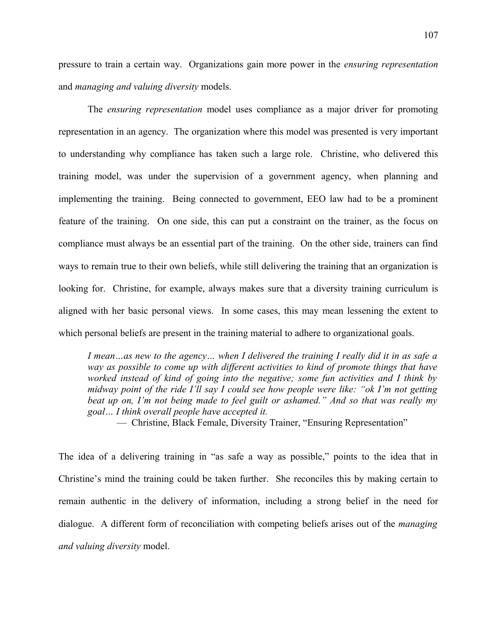pressure to train a certain way. Organizations gain more power in the *ensuring representation* and *managing and valuing diversity* models.

The *ensuring representation* model uses compliance as a major driver for promoting representation in an agency. The organization where this model was presented is very important to understanding why compliance has taken such a large role. Christine, who delivered this training model, was under the supervision of a government agency, when planning and implementing the training. Being connected to government, EEO law had to be a prominent feature of the training. On one side, this can put a constraint on the trainer, as the focus on compliance must always be an essential part of the training. On the other side, trainers can find ways to remain true to their own beliefs, while still delivering the training that an organization is looking for. Christine, for example, always makes sure that a diversity training curriculum is aligned with her basic personal views. In some cases, this may mean lessening the extent to which personal beliefs are present in the training material to adhere to organizational goals.

*I mean…as new to the agency… when I delivered the training I really did it in as safe a way as possible to come up with different activities to kind of promote things that have worked instead of kind of going into the negative; some fun activities and I think by midway point of the ride I'll say I could see how people were like: "ok I'm not getting beat up on, I'm not being made to feel guilt or ashamed." And so that was really my goal… I think overall people have accepted it.*

— Christine, Black Female, Diversity Trainer, "Ensuring Representation"

The idea of a delivering training in "as safe a way as possible," points to the idea that in Christine's mind the training could be taken further. She reconciles this by making certain to remain authentic in the delivery of information, including a strong belief in the need for dialogue. A different form of reconciliation with competing beliefs arises out of the *managing and valuing diversity* model.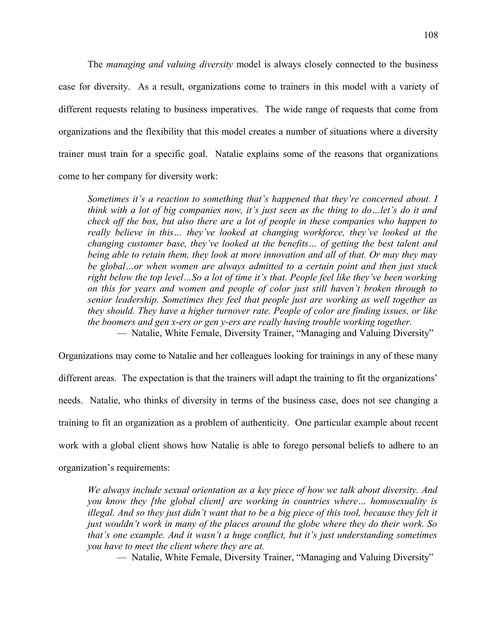The *managing and valuing diversity* model is always closely connected to the business case for diversity. As a result, organizations come to trainers in this model with a variety of different requests relating to business imperatives. The wide range of requests that come from organizations and the flexibility that this model creates a number of situations where a diversity trainer must train for a specific goal. Natalie explains some of the reasons that organizations come to her company for diversity work:

*Sometimes it's a reaction to something that's happened that they're concerned about. I think with a lot of big companies now, it's just seen as the thing to do…let's do it and check off the box, but also there are a lot of people in these companies who happen to really believe in this… they've looked at changing workforce, they've looked at the changing customer base, they've looked at the benefits… of getting the best talent and being able to retain them, they look at more innovation and all of that. Or may they may be global…or when women are always admitted to a certain point and then just stuck right below the top level…So a lot of time it's that. People feel like they've been working on this for years and women and people of color just still haven't broken through to senior leadership. Sometimes they feel that people just are working as well together as they should. They have a higher turnover rate. People of color are finding issues, or like the boomers and gen x-ers or gen y-ers are really having trouble working together.* — Natalie, White Female, Diversity Trainer, "Managing and Valuing Diversity"

Organizations may come to Natalie and her colleagues looking for trainings in any of these many

different areas. The expectation is that the trainers will adapt the training to fit the organizations' needs. Natalie, who thinks of diversity in terms of the business case, does not see changing a training to fit an organization as a problem of authenticity. One particular example about recent work with a global client shows how Natalie is able to forego personal beliefs to adhere to an organization's requirements:

*We always include sexual orientation as a key piece of how we talk about diversity. And you know they [the global client] are working in countries where… homosexuality is illegal. And so they just didn't want that to be a big piece of this tool, because they felt it just wouldn't work in many of the places around the globe where they do their work. So that's one example. And it wasn't a huge conflict, but it's just understanding sometimes you have to meet the client where they are at.*

— Natalie, White Female, Diversity Trainer, "Managing and Valuing Diversity"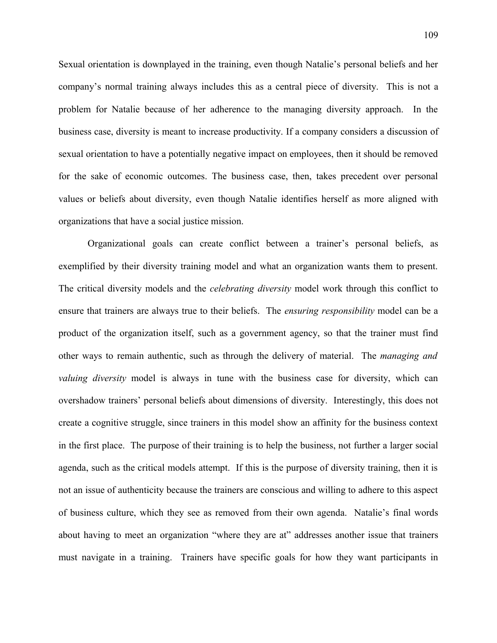Sexual orientation is downplayed in the training, even though Natalie's personal beliefs and her company's normal training always includes this as a central piece of diversity. This is not a problem for Natalie because of her adherence to the managing diversity approach. In the business case, diversity is meant to increase productivity. If a company considers a discussion of sexual orientation to have a potentially negative impact on employees, then it should be removed for the sake of economic outcomes. The business case, then, takes precedent over personal values or beliefs about diversity, even though Natalie identifies herself as more aligned with organizations that have a social justice mission.

Organizational goals can create conflict between a trainer's personal beliefs, as exemplified by their diversity training model and what an organization wants them to present. The critical diversity models and the *celebrating diversity* model work through this conflict to ensure that trainers are always true to their beliefs. The *ensuring responsibility* model can be a product of the organization itself, such as a government agency, so that the trainer must find other ways to remain authentic, such as through the delivery of material. The *managing and valuing diversity* model is always in tune with the business case for diversity, which can overshadow trainers' personal beliefs about dimensions of diversity. Interestingly, this does not create a cognitive struggle, since trainers in this model show an affinity for the business context in the first place. The purpose of their training is to help the business, not further a larger social agenda, such as the critical models attempt. If this is the purpose of diversity training, then it is not an issue of authenticity because the trainers are conscious and willing to adhere to this aspect of business culture, which they see as removed from their own agenda. Natalie's final words about having to meet an organization "where they are at" addresses another issue that trainers must navigate in a training. Trainers have specific goals for how they want participants in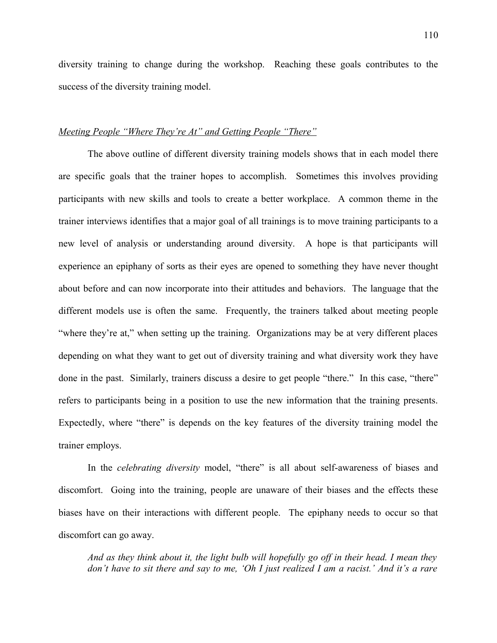diversity training to change during the workshop. Reaching these goals contributes to the success of the diversity training model.

# *Meeting People "Where They're At" and Getting People "There"*

The above outline of different diversity training models shows that in each model there are specific goals that the trainer hopes to accomplish. Sometimes this involves providing participants with new skills and tools to create a better workplace. A common theme in the trainer interviews identifies that a major goal of all trainings is to move training participants to a new level of analysis or understanding around diversity. A hope is that participants will experience an epiphany of sorts as their eyes are opened to something they have never thought about before and can now incorporate into their attitudes and behaviors. The language that the different models use is often the same. Frequently, the trainers talked about meeting people "where they're at," when setting up the training. Organizations may be at very different places depending on what they want to get out of diversity training and what diversity work they have done in the past. Similarly, trainers discuss a desire to get people "there." In this case, "there" refers to participants being in a position to use the new information that the training presents. Expectedly, where "there" is depends on the key features of the diversity training model the trainer employs.

In the *celebrating diversity* model, "there" is all about self-awareness of biases and discomfort. Going into the training, people are unaware of their biases and the effects these biases have on their interactions with different people. The epiphany needs to occur so that discomfort can go away.

*And as they think about it, the light bulb will hopefully go off in their head. I mean they don't have to sit there and say to me, 'Oh I just realized I am a racist.' And it's a rare*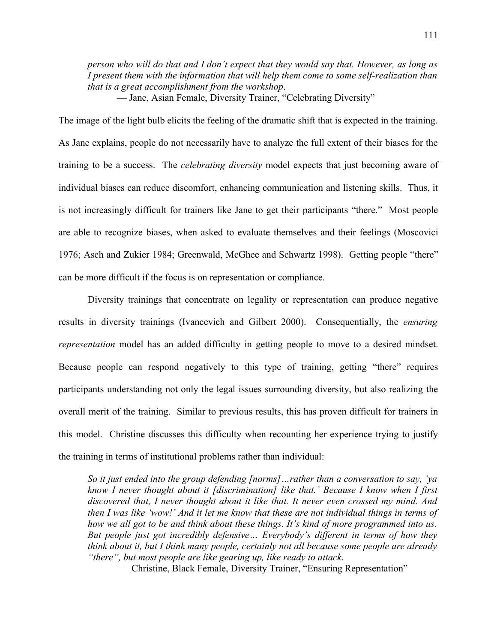*person who will do that and I don't expect that they would say that. However, as long as I present them with the information that will help them come to some self-realization than that is a great accomplishment from the workshop*.

— Jane, Asian Female, Diversity Trainer, "Celebrating Diversity"

The image of the light bulb elicits the feeling of the dramatic shift that is expected in the training. As Jane explains, people do not necessarily have to analyze the full extent of their biases for the training to be a success. The *celebrating diversity* model expects that just becoming aware of individual biases can reduce discomfort, enhancing communication and listening skills. Thus, it is not increasingly difficult for trainers like Jane to get their participants "there." Most people are able to recognize biases, when asked to evaluate themselves and their feelings (Moscovici 1976; Asch and Zukier 1984; Greenwald, McGhee and Schwartz 1998). Getting people "there" can be more difficult if the focus is on representation or compliance.

Diversity trainings that concentrate on legality or representation can produce negative results in diversity trainings (Ivancevich and Gilbert 2000). Consequentially, the *ensuring representation* model has an added difficulty in getting people to move to a desired mindset. Because people can respond negatively to this type of training, getting "there" requires participants understanding not only the legal issues surrounding diversity, but also realizing the overall merit of the training. Similar to previous results, this has proven difficult for trainers in this model. Christine discusses this difficulty when recounting her experience trying to justify the training in terms of institutional problems rather than individual:

*So it just ended into the group defending [norms]…rather than a conversation to say, 'ya know I never thought about it [discrimination] like that.' Because I know when I first discovered that, I never thought about it like that. It never even crossed my mind. And then I was like 'wow!' And it let me know that these are not individual things in terms of how we all got to be and think about these things. It's kind of more programmed into us. But people just got incredibly defensive… Everybody's different in terms of how they think about it, but I think many people, certainly not all because some people are already "there", but most people are like gearing up, like ready to attack.*

— Christine, Black Female, Diversity Trainer, "Ensuring Representation"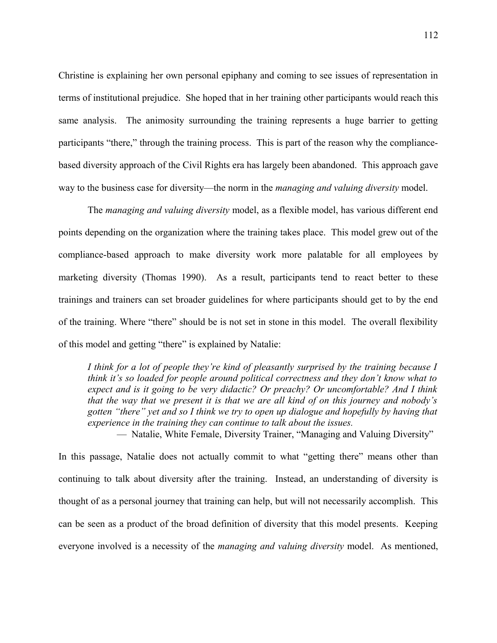Christine is explaining her own personal epiphany and coming to see issues of representation in terms of institutional prejudice. She hoped that in her training other participants would reach this same analysis. The animosity surrounding the training represents a huge barrier to getting participants "there," through the training process. This is part of the reason why the compliancebased diversity approach of the Civil Rights era has largely been abandoned. This approach gave way to the business case for diversity—the norm in the *managing and valuing diversity* model.

The *managing and valuing diversity* model, as a flexible model, has various different end points depending on the organization where the training takes place. This model grew out of the compliance-based approach to make diversity work more palatable for all employees by marketing diversity (Thomas 1990). As a result, participants tend to react better to these trainings and trainers can set broader guidelines for where participants should get to by the end of the training. Where "there" should be is not set in stone in this model. The overall flexibility of this model and getting "there" is explained by Natalie:

*I think for a lot of people they're kind of pleasantly surprised by the training because I think it's so loaded for people around political correctness and they don't know what to expect and is it going to be very didactic? Or preachy? Or uncomfortable? And I think that the way that we present it is that we are all kind of on this journey and nobody's gotten "there" yet and so I think we try to open up dialogue and hopefully by having that experience in the training they can continue to talk about the issues.*

— Natalie, White Female, Diversity Trainer, "Managing and Valuing Diversity"

In this passage, Natalie does not actually commit to what "getting there" means other than continuing to talk about diversity after the training. Instead, an understanding of diversity is thought of as a personal journey that training can help, but will not necessarily accomplish. This can be seen as a product of the broad definition of diversity that this model presents. Keeping everyone involved is a necessity of the *managing and valuing diversity* model. As mentioned,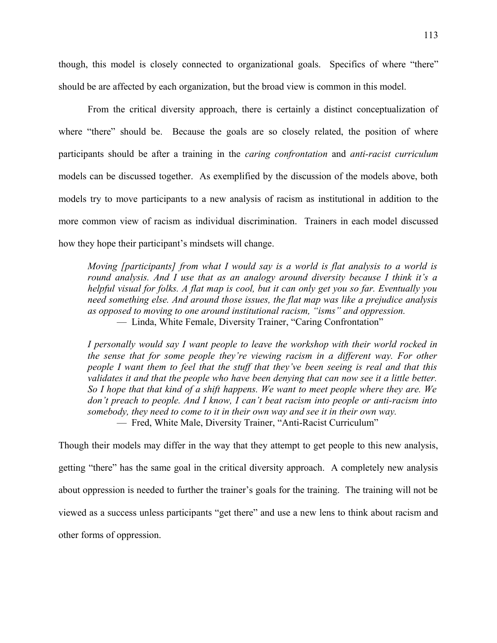though, this model is closely connected to organizational goals. Specifics of where "there" should be are affected by each organization, but the broad view is common in this model.

From the critical diversity approach, there is certainly a distinct conceptualization of where "there" should be. Because the goals are so closely related, the position of where participants should be after a training in the *caring confrontation* and *anti-racist curriculum* models can be discussed together. As exemplified by the discussion of the models above, both models try to move participants to a new analysis of racism as institutional in addition to the more common view of racism as individual discrimination. Trainers in each model discussed how they hope their participant's mindsets will change.

*Moving [participants] from what I would say is a world is flat analysis to a world is round analysis. And I use that as an analogy around diversity because I think it's a helpful visual for folks. A flat map is cool, but it can only get you so far. Eventually you need something else. And around those issues, the flat map was like a prejudice analysis as opposed to moving to one around institutional racism, "isms" and oppression.* — Linda, White Female, Diversity Trainer, "Caring Confrontation"

*I personally would say I want people to leave the workshop with their world rocked in the sense that for some people they're viewing racism in a different way. For other people I want them to feel that the stuff that they've been seeing is real and that this validates it and that the people who have been denying that can now see it a little better. So I hope that that kind of a shift happens. We want to meet people where they are. We don't preach to people. And I know, I can't beat racism into people or anti-racism into somebody, they need to come to it in their own way and see it in their own way.* — Fred, White Male, Diversity Trainer, "Anti-Racist Curriculum"

Though their models may differ in the way that they attempt to get people to this new analysis, getting "there" has the same goal in the critical diversity approach. A completely new analysis about oppression is needed to further the trainer's goals for the training. The training will not be viewed as a success unless participants "get there" and use a new lens to think about racism and other forms of oppression.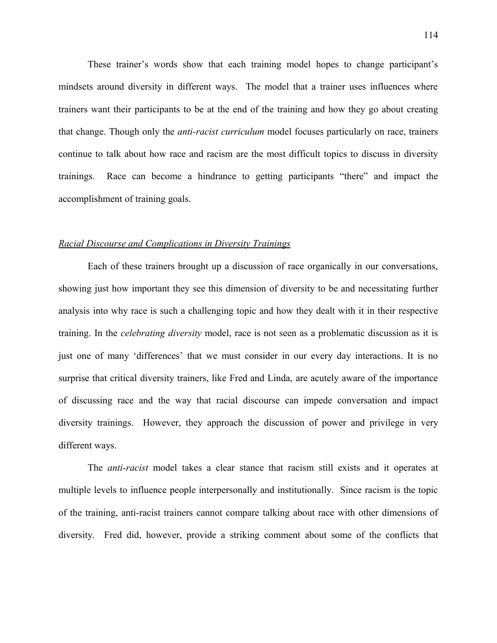These trainer's words show that each training model hopes to change participant's mindsets around diversity in different ways. The model that a trainer uses influences where trainers want their participants to be at the end of the training and how they go about creating that change. Though only the *anti-racist curriculum* model focuses particularly on race, trainers continue to talk about how race and racism are the most difficult topics to discuss in diversity trainings. Race can become a hindrance to getting participants "there" and impact the accomplishment of training goals.

### *Racial Discourse and Complications in Diversity Trainings*

Each of these trainers brought up a discussion of race organically in our conversations, showing just how important they see this dimension of diversity to be and necessitating further analysis into why race is such a challenging topic and how they dealt with it in their respective training. In the *celebrating diversity* model, race is not seen as a problematic discussion as it is just one of many 'differences' that we must consider in our every day interactions. It is no surprise that critical diversity trainers, like Fred and Linda, are acutely aware of the importance of discussing race and the way that racial discourse can impede conversation and impact diversity trainings. However, they approach the discussion of power and privilege in very different ways.

The *anti-racist* model takes a clear stance that racism still exists and it operates at multiple levels to influence people interpersonally and institutionally. Since racism is the topic of the training, anti-racist trainers cannot compare talking about race with other dimensions of diversity. Fred did, however, provide a striking comment about some of the conflicts that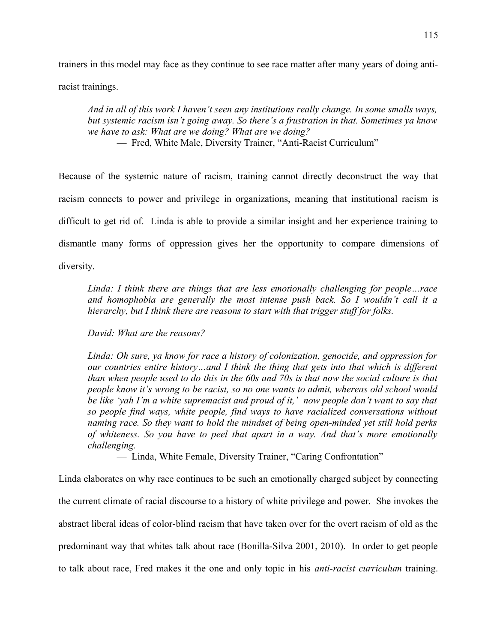trainers in this model may face as they continue to see race matter after many years of doing anti-

racist trainings.

*And in all of this work I haven't seen any institutions really change. In some smalls ways, but systemic racism isn't going away. So there's a frustration in that. Sometimes ya know we have to ask: What are we doing? What are we doing?*

— Fred, White Male, Diversity Trainer, "Anti-Racist Curriculum"

Because of the systemic nature of racism, training cannot directly deconstruct the way that racism connects to power and privilege in organizations, meaning that institutional racism is difficult to get rid of. Linda is able to provide a similar insight and her experience training to dismantle many forms of oppression gives her the opportunity to compare dimensions of diversity.

*Linda: I think there are things that are less emotionally challenging for people…race and homophobia are generally the most intense push back. So I wouldn't call it a hierarchy, but I think there are reasons to start with that trigger stuff for folks.*

*David: What are the reasons?*

*Linda: Oh sure, ya know for race a history of colonization, genocide, and oppression for our countries entire history…and I think the thing that gets into that which is different than when people used to do this in the 60s and 70s is that now the social culture is that people know it's wrong to be racist, so no one wants to admit, whereas old school would be like 'yah I'm a white supremacist and proud of it,' now people don't want to say that so people find ways, white people, find ways to have racialized conversations without naming race. So they want to hold the mindset of being open-minded yet still hold perks of whiteness. So you have to peel that apart in a way. And that's more emotionally challenging.*

— Linda, White Female, Diversity Trainer, "Caring Confrontation"

Linda elaborates on why race continues to be such an emotionally charged subject by connecting the current climate of racial discourse to a history of white privilege and power. She invokes the abstract liberal ideas of color-blind racism that have taken over for the overt racism of old as the predominant way that whites talk about race (Bonilla-Silva 2001, 2010). In order to get people to talk about race, Fred makes it the one and only topic in his *anti-racist curriculum* training.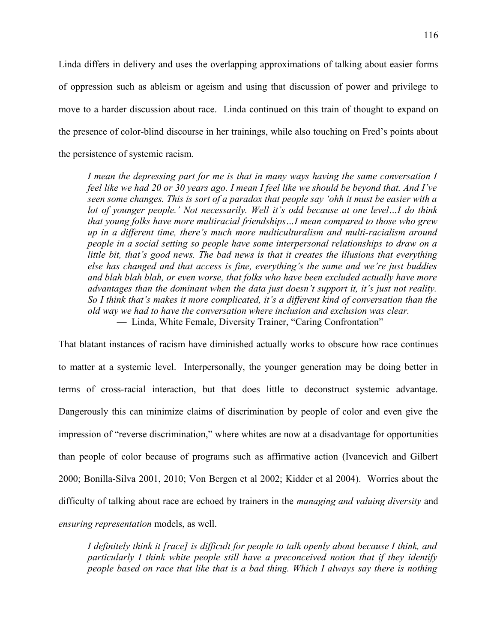Linda differs in delivery and uses the overlapping approximations of talking about easier forms of oppression such as ableism or ageism and using that discussion of power and privilege to move to a harder discussion about race. Linda continued on this train of thought to expand on the presence of color-blind discourse in her trainings, while also touching on Fred's points about the persistence of systemic racism.

*I mean the depressing part for me is that in many ways having the same conversation I feel like we had 20 or 30 years ago. I mean I feel like we should be beyond that. And I've seen some changes. This is sort of a paradox that people say 'ohh it must be easier with a lot of younger people.' Not necessarily. Well it's odd because at one level…I do think that young folks have more multiracial friendships…I mean compared to those who grew up in a different time, there's much more multiculturalism and multi-racialism around people in a social setting so people have some interpersonal relationships to draw on a little bit, that's good news. The bad news is that it creates the illusions that everything else has changed and that access is fine, everything's the same and we're just buddies and blah blah blah, or even worse, that folks who have been excluded actually have more advantages than the dominant when the data just doesn't support it, it's just not reality. So I think that's makes it more complicated, it's a different kind of conversation than the old way we had to have the conversation where inclusion and exclusion was clear.* — Linda, White Female, Diversity Trainer, "Caring Confrontation"

That blatant instances of racism have diminished actually works to obscure how race continues to matter at a systemic level. Interpersonally, the younger generation may be doing better in terms of cross-racial interaction, but that does little to deconstruct systemic advantage. Dangerously this can minimize claims of discrimination by people of color and even give the impression of "reverse discrimination," where whites are now at a disadvantage for opportunities than people of color because of programs such as affirmative action (Ivancevich and Gilbert 2000; Bonilla-Silva 2001, 2010; Von Bergen et al 2002; Kidder et al 2004). Worries about the difficulty of talking about race are echoed by trainers in the *managing and valuing diversity* and *ensuring representation* models, as well.

*I definitely think it [race] is difficult for people to talk openly about because I think, and particularly I think white people still have a preconceived notion that if they identify people based on race that like that is a bad thing. Which I always say there is nothing*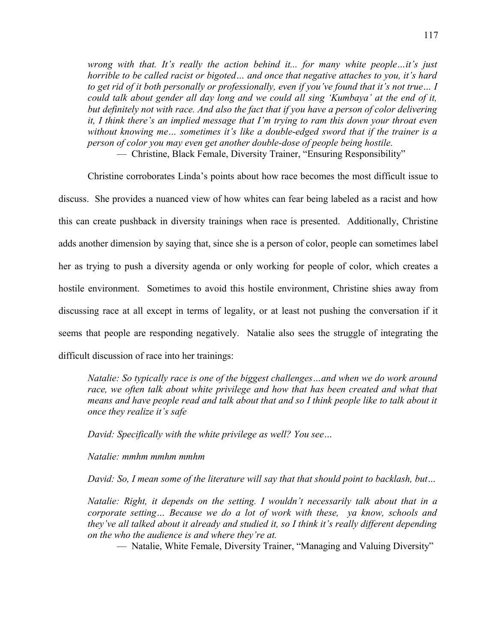*wrong with that. It's really the action behind it... for many white people…it's just horrible to be called racist or bigoted… and once that negative attaches to you, it's hard to get rid of it both personally or professionally, even if you've found that it's not true… I could talk about gender all day long and we could all sing 'Kumbaya' at the end of it, but definitely not with race. And also the fact that if you have a person of color delivering it, I think there's an implied message that I'm trying to ram this down your throat even without knowing me… sometimes it's like a double-edged sword that if the trainer is a person of color you may even get another double-dose of people being hostile.*

— Christine, Black Female, Diversity Trainer, "Ensuring Responsibility"

Christine corroborates Linda's points about how race becomes the most difficult issue to discuss. She provides a nuanced view of how whites can fear being labeled as a racist and how this can create pushback in diversity trainings when race is presented. Additionally, Christine adds another dimension by saying that, since she is a person of color, people can sometimes label her as trying to push a diversity agenda or only working for people of color, which creates a hostile environment. Sometimes to avoid this hostile environment, Christine shies away from discussing race at all except in terms of legality, or at least not pushing the conversation if it seems that people are responding negatively. Natalie also sees the struggle of integrating the difficult discussion of race into her trainings:

*Natalie: So typically race is one of the biggest challenges…and when we do work around race, we often talk about white privilege and how that has been created and what that means and have people read and talk about that and so I think people like to talk about it once they realize it's safe*

*David: Specifically with the white privilege as well? You see…*

*Natalie: mmhm mmhm mmhm*

*David: So, I mean some of the literature will say that that should point to backlash, but…*

*Natalie: Right, it depends on the setting. I wouldn't necessarily talk about that in a corporate setting… Because we do a lot of work with these, ya know, schools and they've all talked about it already and studied it, so I think it's really different depending on the who the audience is and where they're at.*

— Natalie, White Female, Diversity Trainer, "Managing and Valuing Diversity"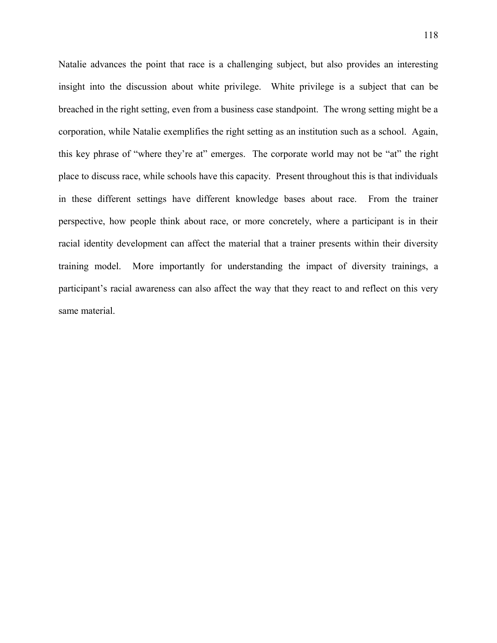Natalie advances the point that race is a challenging subject, but also provides an interesting insight into the discussion about white privilege. White privilege is a subject that can be breached in the right setting, even from a business case standpoint. The wrong setting might be a corporation, while Natalie exemplifies the right setting as an institution such as a school. Again, this key phrase of "where they're at" emerges. The corporate world may not be "at" the right place to discuss race, while schools have this capacity. Present throughout this is that individuals in these different settings have different knowledge bases about race. From the trainer perspective, how people think about race, or more concretely, where a participant is in their racial identity development can affect the material that a trainer presents within their diversity training model. More importantly for understanding the impact of diversity trainings, a participant's racial awareness can also affect the way that they react to and reflect on this very same material.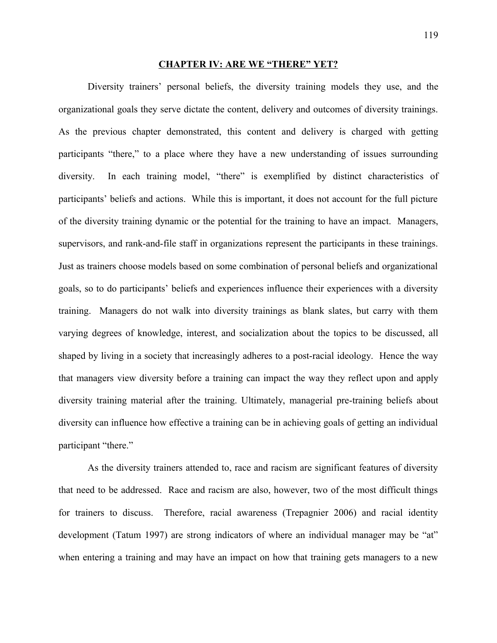#### **CHAPTER IV: ARE WE "THERE" YET?**

Diversity trainers' personal beliefs, the diversity training models they use, and the organizational goals they serve dictate the content, delivery and outcomes of diversity trainings. As the previous chapter demonstrated, this content and delivery is charged with getting participants "there," to a place where they have a new understanding of issues surrounding diversity. In each training model, "there" is exemplified by distinct characteristics of participants' beliefs and actions. While this is important, it does not account for the full picture of the diversity training dynamic or the potential for the training to have an impact. Managers, supervisors, and rank-and-file staff in organizations represent the participants in these trainings. Just as trainers choose models based on some combination of personal beliefs and organizational goals, so to do participants' beliefs and experiences influence their experiences with a diversity training. Managers do not walk into diversity trainings as blank slates, but carry with them varying degrees of knowledge, interest, and socialization about the topics to be discussed, all shaped by living in a society that increasingly adheres to a post-racial ideology. Hence the way that managers view diversity before a training can impact the way they reflect upon and apply diversity training material after the training. Ultimately, managerial pre-training beliefs about diversity can influence how effective a training can be in achieving goals of getting an individual participant "there."

As the diversity trainers attended to, race and racism are significant features of diversity that need to be addressed. Race and racism are also, however, two of the most difficult things for trainers to discuss. Therefore, racial awareness (Trepagnier 2006) and racial identity development (Tatum 1997) are strong indicators of where an individual manager may be "at" when entering a training and may have an impact on how that training gets managers to a new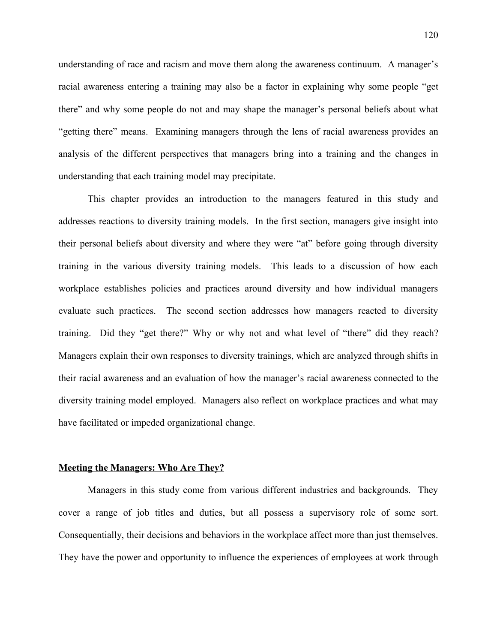understanding of race and racism and move them along the awareness continuum. A manager's racial awareness entering a training may also be a factor in explaining why some people "get there" and why some people do not and may shape the manager's personal beliefs about what "getting there" means. Examining managers through the lens of racial awareness provides an analysis of the different perspectives that managers bring into a training and the changes in understanding that each training model may precipitate.

This chapter provides an introduction to the managers featured in this study and addresses reactions to diversity training models. In the first section, managers give insight into their personal beliefs about diversity and where they were "at" before going through diversity training in the various diversity training models. This leads to a discussion of how each workplace establishes policies and practices around diversity and how individual managers evaluate such practices. The second section addresses how managers reacted to diversity training. Did they "get there?" Why or why not and what level of "there" did they reach? Managers explain their own responses to diversity trainings, which are analyzed through shifts in their racial awareness and an evaluation of how the manager's racial awareness connected to the diversity training model employed. Managers also reflect on workplace practices and what may have facilitated or impeded organizational change.

### **Meeting the Managers: Who Are They?**

Managers in this study come from various different industries and backgrounds. They cover a range of job titles and duties, but all possess a supervisory role of some sort. Consequentially, their decisions and behaviors in the workplace affect more than just themselves. They have the power and opportunity to influence the experiences of employees at work through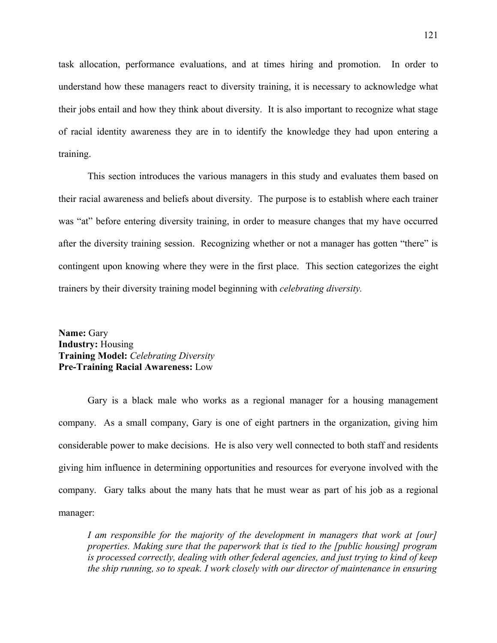task allocation, performance evaluations, and at times hiring and promotion. In order to understand how these managers react to diversity training, it is necessary to acknowledge what their jobs entail and how they think about diversity. It is also important to recognize what stage of racial identity awareness they are in to identify the knowledge they had upon entering a training.

This section introduces the various managers in this study and evaluates them based on their racial awareness and beliefs about diversity. The purpose is to establish where each trainer was "at" before entering diversity training, in order to measure changes that my have occurred after the diversity training session. Recognizing whether or not a manager has gotten "there" is contingent upon knowing where they were in the first place. This section categorizes the eight trainers by their diversity training model beginning with *celebrating diversity.*

**Name:** Gary **Industry:** Housing **Training Model:** *Celebrating Diversity* **Pre-Training Racial Awareness:** Low

Gary is a black male who works as a regional manager for a housing management company. As a small company, Gary is one of eight partners in the organization, giving him considerable power to make decisions. He is also very well connected to both staff and residents giving him influence in determining opportunities and resources for everyone involved with the company. Gary talks about the many hats that he must wear as part of his job as a regional manager:

*I am responsible for the majority of the development in managers that work at [our] properties. Making sure that the paperwork that is tied to the [public housing] program is processed correctly, dealing with other federal agencies, and just trying to kind of keep the ship running, so to speak. I work closely with our director of maintenance in ensuring*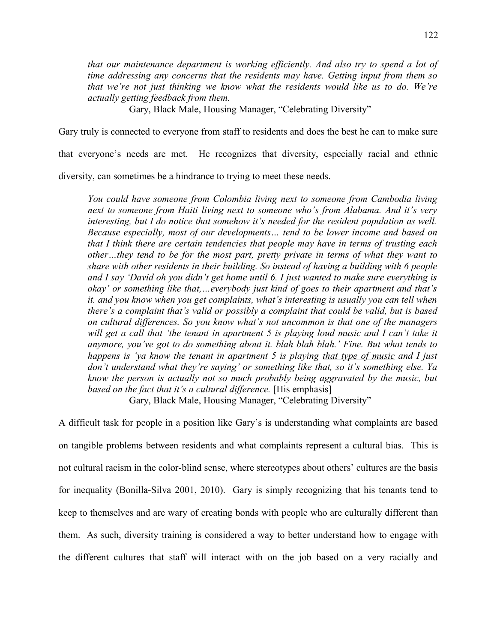*that our maintenance department is working efficiently. And also try to spend a lot of time addressing any concerns that the residents may have. Getting input from them so that we're not just thinking we know what the residents would like us to do. We're actually getting feedback from them.*

— Gary, Black Male, Housing Manager, "Celebrating Diversity"

Gary truly is connected to everyone from staff to residents and does the best he can to make sure

that everyone's needs are met. He recognizes that diversity, especially racial and ethnic

diversity, can sometimes be a hindrance to trying to meet these needs.

*You could have someone from Colombia living next to someone from Cambodia living next to someone from Haiti living next to someone who's from Alabama. And it's very interesting, but I do notice that somehow it's needed for the resident population as well. Because especially, most of our developments… tend to be lower income and based on that I think there are certain tendencies that people may have in terms of trusting each other…they tend to be for the most part, pretty private in terms of what they want to share with other residents in their building. So instead of having a building with 6 people and I say 'David oh you didn't get home until 6. I just wanted to make sure everything is okay' or something like that,…everybody just kind of goes to their apartment and that's it. and you know when you get complaints, what's interesting is usually you can tell when there's a complaint that's valid or possibly a complaint that could be valid, but is based on cultural differences. So you know what's not uncommon is that one of the managers will get a call that 'the tenant in apartment 5 is playing loud music and I can't take it anymore, you've got to do something about it. blah blah blah.' Fine. But what tends to happens is 'ya know the tenant in apartment 5 is playing that type of music and I just don't understand what they're saying' or something like that, so it's something else. Ya know the person is actually not so much probably being aggravated by the music, but based on the fact that it's a cultural difference.* [His emphasis]

— Gary, Black Male, Housing Manager, "Celebrating Diversity"

A difficult task for people in a position like Gary's is understanding what complaints are based on tangible problems between residents and what complaints represent a cultural bias. This is not cultural racism in the color-blind sense, where stereotypes about others' cultures are the basis for inequality (Bonilla-Silva 2001, 2010). Gary is simply recognizing that his tenants tend to keep to themselves and are wary of creating bonds with people who are culturally different than them. As such, diversity training is considered a way to better understand how to engage with the different cultures that staff will interact with on the job based on a very racially and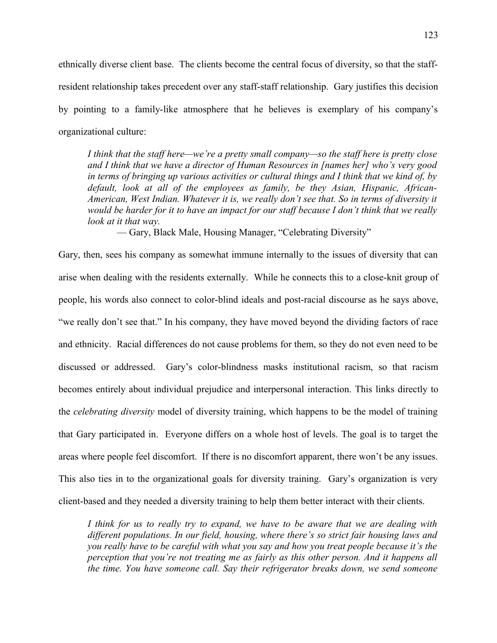ethnically diverse client base. The clients become the central focus of diversity, so that the staffresident relationship takes precedent over any staff-staff relationship. Gary justifies this decision by pointing to a family-like atmosphere that he believes is exemplary of his company's organizational culture:

*I think that the staff here—we're a pretty small company—so the staff here is pretty close and I think that we have a director of Human Resources in [names her] who's very good in terms of bringing up various activities or cultural things and I think that we kind of, by default, look at all of the employees as family, be they Asian, Hispanic, African-American, West Indian. Whatever it is, we really don't see that. So in terms of diversity it would be harder for it to have an impact for our staff because I don't think that we really look at it that way.*

— Gary, Black Male, Housing Manager, "Celebrating Diversity"

Gary, then, sees his company as somewhat immune internally to the issues of diversity that can arise when dealing with the residents externally. While he connects this to a close-knit group of people, his words also connect to color-blind ideals and post-racial discourse as he says above, "we really don't see that." In his company, they have moved beyond the dividing factors of race and ethnicity. Racial differences do not cause problems for them, so they do not even need to be discussed or addressed. Gary's color-blindness masks institutional racism, so that racism becomes entirely about individual prejudice and interpersonal interaction. This links directly to the *celebrating diversity* model of diversity training, which happens to be the model of training that Gary participated in. Everyone differs on a whole host of levels. The goal is to target the areas where people feel discomfort. If there is no discomfort apparent, there won't be any issues. This also ties in to the organizational goals for diversity training. Gary's organization is very client-based and they needed a diversity training to help them better interact with their clients.

*I think for us to really try to expand, we have to be aware that we are dealing with different populations. In our field, housing, where there's so strict fair housing laws and you really have to be careful with what you say and how you treat people because it's the perception that you're not treating me as fairly as this other person. And it happens all the time. You have someone call. Say their refrigerator breaks down, we send someone*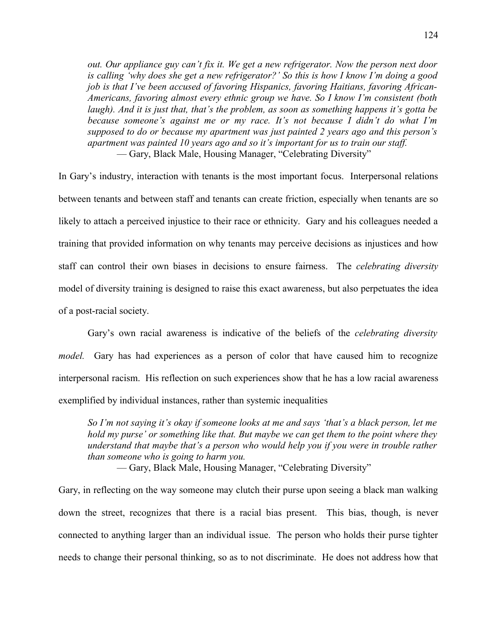*out. Our appliance guy can't fix it. We get a new refrigerator. Now the person next door is calling 'why does she get a new refrigerator?' So this is how I know I'm doing a good job is that I've been accused of favoring Hispanics, favoring Haitians, favoring African-Americans, favoring almost every ethnic group we have. So I know I'm consistent (both laugh). And it is just that, that's the problem, as soon as something happens it's gotta be because someone's against me or my race. It's not because I didn't do what I'm supposed to do or because my apartment was just painted 2 years ago and this person's apartment was painted 10 years ago and so it's important for us to train our staff.* — Gary, Black Male, Housing Manager, "Celebrating Diversity"

In Gary's industry, interaction with tenants is the most important focus. Interpersonal relations between tenants and between staff and tenants can create friction, especially when tenants are so likely to attach a perceived injustice to their race or ethnicity. Gary and his colleagues needed a training that provided information on why tenants may perceive decisions as injustices and how staff can control their own biases in decisions to ensure fairness. The *celebrating diversity* model of diversity training is designed to raise this exact awareness, but also perpetuates the idea of a post-racial society.

Gary's own racial awareness is indicative of the beliefs of the *celebrating diversity model.* Gary has had experiences as a person of color that have caused him to recognize interpersonal racism. His reflection on such experiences show that he has a low racial awareness exemplified by individual instances, rather than systemic inequalities

*So I'm not saying it's okay if someone looks at me and says 'that's a black person, let me hold my purse' or something like that. But maybe we can get them to the point where they understand that maybe that's a person who would help you if you were in trouble rather than someone who is going to harm you.*

— Gary, Black Male, Housing Manager, "Celebrating Diversity"

Gary, in reflecting on the way someone may clutch their purse upon seeing a black man walking down the street, recognizes that there is a racial bias present. This bias, though, is never connected to anything larger than an individual issue. The person who holds their purse tighter needs to change their personal thinking, so as to not discriminate. He does not address how that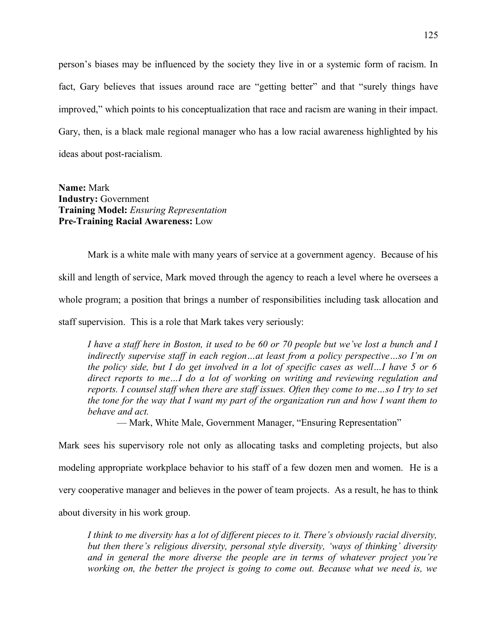person's biases may be influenced by the society they live in or a systemic form of racism. In fact, Gary believes that issues around race are "getting better" and that "surely things have improved," which points to his conceptualization that race and racism are waning in their impact. Gary, then, is a black male regional manager who has a low racial awareness highlighted by his ideas about post-racialism.

**Name:** Mark **Industry:** Government **Training Model:** *Ensuring Representation* **Pre-Training Racial Awareness:** Low

Mark is a white male with many years of service at a government agency. Because of his skill and length of service, Mark moved through the agency to reach a level where he oversees a whole program; a position that brings a number of responsibilities including task allocation and staff supervision. This is a role that Mark takes very seriously:

*I have a staff here in Boston, it used to be 60 or 70 people but we've lost a bunch and I indirectly supervise staff in each region…at least from a policy perspective…so I'm on the policy side, but I do get involved in a lot of specific cases as well…I have 5 or 6 direct reports to me…I do a lot of working on writing and reviewing regulation and reports. I counsel staff when there are staff issues. Often they come to me…so I try to set the tone for the way that I want my part of the organization run and how I want them to behave and act.*

— Mark, White Male, Government Manager, "Ensuring Representation"

Mark sees his supervisory role not only as allocating tasks and completing projects, but also modeling appropriate workplace behavior to his staff of a few dozen men and women. He is a very cooperative manager and believes in the power of team projects. As a result, he has to think about diversity in his work group.

*I think to me diversity has a lot of different pieces to it. There's obviously racial diversity, but then there's religious diversity, personal style diversity, 'ways of thinking' diversity and in general the more diverse the people are in terms of whatever project you're working on, the better the project is going to come out. Because what we need is, we*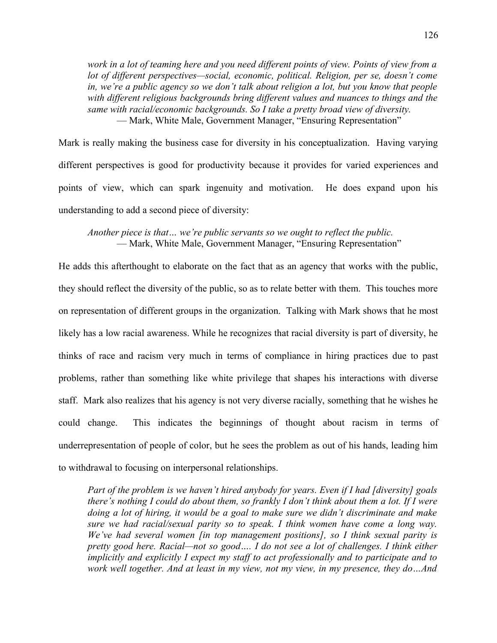*work in a lot of teaming here and you need different points of view. Points of view from a lot of different perspectives—social, economic, political. Religion, per se, doesn't come in, we're a public agency so we don't talk about religion a lot, but you know that people with different religious backgrounds bring different values and nuances to things and the same with racial/economic backgrounds. So I take a pretty broad view of diversity.* — Mark, White Male, Government Manager, "Ensuring Representation"

Mark is really making the business case for diversity in his conceptualization. Having varying different perspectives is good for productivity because it provides for varied experiences and points of view, which can spark ingenuity and motivation. He does expand upon his understanding to add a second piece of diversity:

*Another piece is that… we're public servants so we ought to reflect the public.* — Mark, White Male, Government Manager, "Ensuring Representation"

He adds this afterthought to elaborate on the fact that as an agency that works with the public, they should reflect the diversity of the public, so as to relate better with them. This touches more on representation of different groups in the organization. Talking with Mark shows that he most likely has a low racial awareness. While he recognizes that racial diversity is part of diversity, he thinks of race and racism very much in terms of compliance in hiring practices due to past problems, rather than something like white privilege that shapes his interactions with diverse staff. Mark also realizes that his agency is not very diverse racially, something that he wishes he could change. This indicates the beginnings of thought about racism in terms of underrepresentation of people of color, but he sees the problem as out of his hands, leading him to withdrawal to focusing on interpersonal relationships.

*Part of the problem is we haven't hired anybody for years. Even if I had [diversity] goals there's nothing I could do about them, so frankly I don't think about them a lot. If I were doing a lot of hiring, it would be a goal to make sure we didn't discriminate and make sure we had racial/sexual parity so to speak. I think women have come a long way. We've had several women [in top management positions], so I think sexual parity is pretty good here. Racial—not so good…. I do not see a lot of challenges. I think either implicitly and explicitly I expect my staff to act professionally and to participate and to work well together. And at least in my view, not my view, in my presence, they do…And*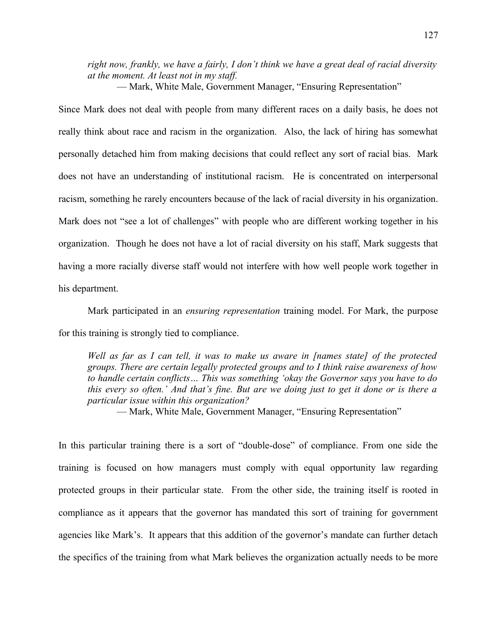*right now, frankly, we have a fairly, I don't think we have a great deal of racial diversity at the moment. At least not in my staff.*

— Mark, White Male, Government Manager, "Ensuring Representation"

Since Mark does not deal with people from many different races on a daily basis, he does not really think about race and racism in the organization. Also, the lack of hiring has somewhat personally detached him from making decisions that could reflect any sort of racial bias. Mark does not have an understanding of institutional racism. He is concentrated on interpersonal racism, something he rarely encounters because of the lack of racial diversity in his organization. Mark does not "see a lot of challenges" with people who are different working together in his organization. Though he does not have a lot of racial diversity on his staff, Mark suggests that having a more racially diverse staff would not interfere with how well people work together in his department.

Mark participated in an *ensuring representation* training model. For Mark, the purpose for this training is strongly tied to compliance.

*Well as far as I can tell, it was to make us aware in [names state] of the protected groups. There are certain legally protected groups and to I think raise awareness of how to handle certain conflicts… This was something 'okay the Governor says you have to do this every so often.' And that's fine. But are we doing just to get it done or is there a particular issue within this organization?* 

— Mark, White Male, Government Manager, "Ensuring Representation"

In this particular training there is a sort of "double-dose" of compliance. From one side the training is focused on how managers must comply with equal opportunity law regarding protected groups in their particular state. From the other side, the training itself is rooted in compliance as it appears that the governor has mandated this sort of training for government agencies like Mark's. It appears that this addition of the governor's mandate can further detach the specifics of the training from what Mark believes the organization actually needs to be more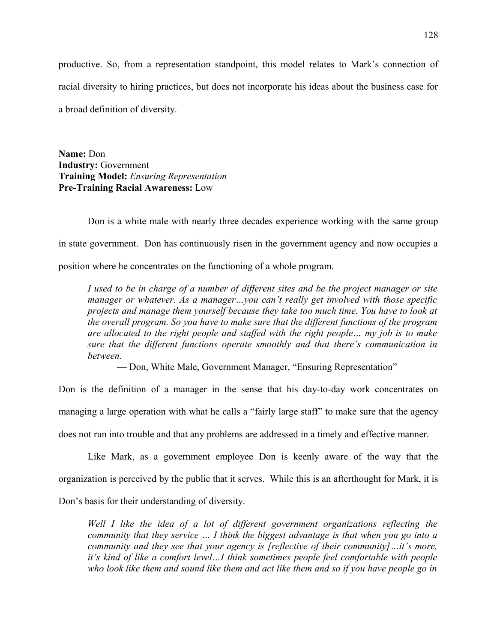productive. So, from a representation standpoint, this model relates to Mark's connection of racial diversity to hiring practices, but does not incorporate his ideas about the business case for a broad definition of diversity.

**Name:** Don **Industry:** Government **Training Model:** *Ensuring Representation* **Pre-Training Racial Awareness:** Low

Don is a white male with nearly three decades experience working with the same group in state government. Don has continuously risen in the government agency and now occupies a position where he concentrates on the functioning of a whole program.

*I used to be in charge of a number of different sites and be the project manager or site manager or whatever. As a manager…you can't really get involved with those specific projects and manage them yourself because they take too much time. You have to look at the overall program. So you have to make sure that the different functions of the program are allocated to the right people and staffed with the right people… my job is to make sure that the different functions operate smoothly and that there's communication in between.*

— Don, White Male, Government Manager, "Ensuring Representation"

Don is the definition of a manager in the sense that his day-to-day work concentrates on managing a large operation with what he calls a "fairly large staff" to make sure that the agency does not run into trouble and that any problems are addressed in a timely and effective manner.

Like Mark, as a government employee Don is keenly aware of the way that the organization is perceived by the public that it serves. While this is an afterthought for Mark, it is Don's basis for their understanding of diversity.

*Well I like the idea of a lot of different government organizations reflecting the community that they service … I think the biggest advantage is that when you go into a community and they see that your agency is [reflective of their community]…it's more, it's kind of like a comfort level…I think sometimes people feel comfortable with people who look like them and sound like them and act like them and so if you have people go in*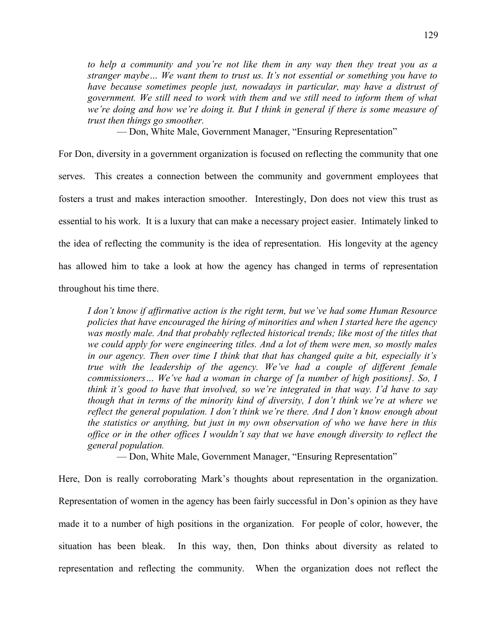*to help a community and you're not like them in any way then they treat you as a stranger maybe… We want them to trust us. It's not essential or something you have to have because sometimes people just, nowadays in particular, may have a distrust of government. We still need to work with them and we still need to inform them of what we're doing and how we're doing it. But I think in general if there is some measure of trust then things go smoother.*

— Don, White Male, Government Manager, "Ensuring Representation"

For Don, diversity in a government organization is focused on reflecting the community that one serves. This creates a connection between the community and government employees that fosters a trust and makes interaction smoother. Interestingly, Don does not view this trust as essential to his work. It is a luxury that can make a necessary project easier. Intimately linked to the idea of reflecting the community is the idea of representation. His longevity at the agency has allowed him to take a look at how the agency has changed in terms of representation throughout his time there.

*I don't know if affirmative action is the right term, but we've had some Human Resource policies that have encouraged the hiring of minorities and when I started here the agency was mostly male. And that probably reflected historical trends; like most of the titles that we could apply for were engineering titles. And a lot of them were men, so mostly males in our agency. Then over time I think that that has changed quite a bit, especially it's true with the leadership of the agency. We've had a couple of different female commissioners… We've had a woman in charge of [a number of high positions]. So, I think it's good to have that involved, so we're integrated in that way. I'd have to say though that in terms of the minority kind of diversity, I don't think we're at where we reflect the general population. I don't think we're there. And I don't know enough about the statistics or anything, but just in my own observation of who we have here in this office or in the other offices I wouldn't say that we have enough diversity to reflect the general population.*

— Don, White Male, Government Manager, "Ensuring Representation"

Here, Don is really corroborating Mark's thoughts about representation in the organization. Representation of women in the agency has been fairly successful in Don's opinion as they have made it to a number of high positions in the organization. For people of color, however, the situation has been bleak. In this way, then, Don thinks about diversity as related to representation and reflecting the community. When the organization does not reflect the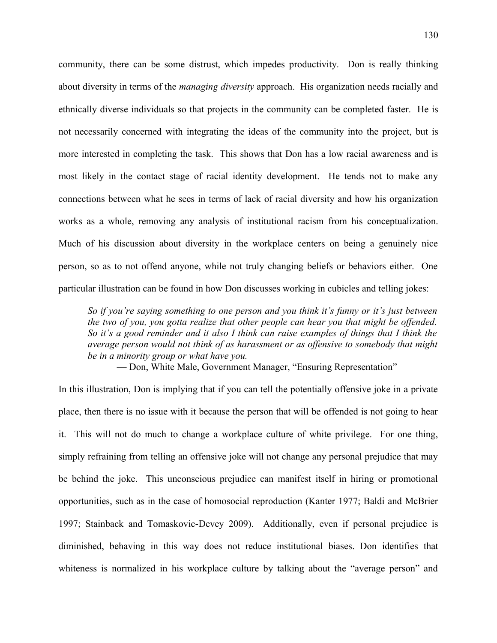community, there can be some distrust, which impedes productivity. Don is really thinking about diversity in terms of the *managing diversity* approach. His organization needs racially and ethnically diverse individuals so that projects in the community can be completed faster. He is not necessarily concerned with integrating the ideas of the community into the project, but is more interested in completing the task. This shows that Don has a low racial awareness and is most likely in the contact stage of racial identity development. He tends not to make any connections between what he sees in terms of lack of racial diversity and how his organization works as a whole, removing any analysis of institutional racism from his conceptualization. Much of his discussion about diversity in the workplace centers on being a genuinely nice person, so as to not offend anyone, while not truly changing beliefs or behaviors either. One particular illustration can be found in how Don discusses working in cubicles and telling jokes:

*So if you're saying something to one person and you think it's funny or it's just between the two of you, you gotta realize that other people can hear you that might be offended. So it's a good reminder and it also I think can raise examples of things that I think the average person would not think of as harassment or as offensive to somebody that might be in a minority group or what have you.*

— Don, White Male, Government Manager, "Ensuring Representation"

In this illustration, Don is implying that if you can tell the potentially offensive joke in a private place, then there is no issue with it because the person that will be offended is not going to hear it. This will not do much to change a workplace culture of white privilege. For one thing, simply refraining from telling an offensive joke will not change any personal prejudice that may be behind the joke. This unconscious prejudice can manifest itself in hiring or promotional opportunities, such as in the case of homosocial reproduction (Kanter 1977; Baldi and McBrier 1997; Stainback and Tomaskovic-Devey 2009). Additionally, even if personal prejudice is diminished, behaving in this way does not reduce institutional biases. Don identifies that whiteness is normalized in his workplace culture by talking about the "average person" and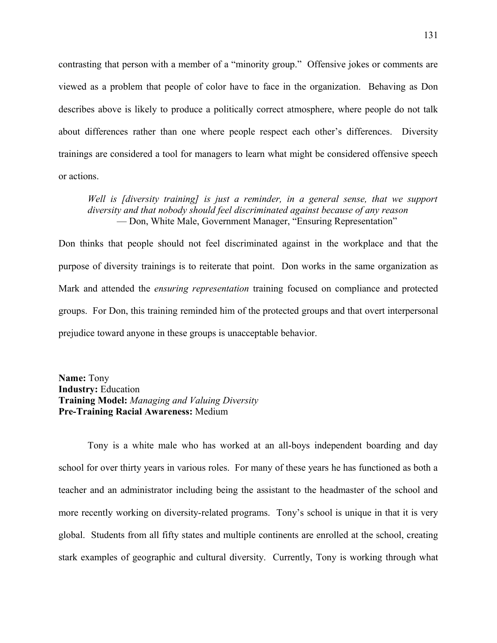contrasting that person with a member of a "minority group." Offensive jokes or comments are viewed as a problem that people of color have to face in the organization. Behaving as Don describes above is likely to produce a politically correct atmosphere, where people do not talk about differences rather than one where people respect each other's differences. Diversity trainings are considered a tool for managers to learn what might be considered offensive speech or actions.

# *Well is [diversity training] is just a reminder, in a general sense, that we support diversity and that nobody should feel discriminated against because of any reason* — Don, White Male, Government Manager, "Ensuring Representation"

Don thinks that people should not feel discriminated against in the workplace and that the purpose of diversity trainings is to reiterate that point. Don works in the same organization as Mark and attended the *ensuring representation* training focused on compliance and protected groups. For Don, this training reminded him of the protected groups and that overt interpersonal prejudice toward anyone in these groups is unacceptable behavior.

**Name:** Tony **Industry:** Education **Training Model:** *Managing and Valuing Diversity* **Pre-Training Racial Awareness:** Medium

Tony is a white male who has worked at an all-boys independent boarding and day school for over thirty years in various roles. For many of these years he has functioned as both a teacher and an administrator including being the assistant to the headmaster of the school and more recently working on diversity-related programs. Tony's school is unique in that it is very global. Students from all fifty states and multiple continents are enrolled at the school, creating stark examples of geographic and cultural diversity. Currently, Tony is working through what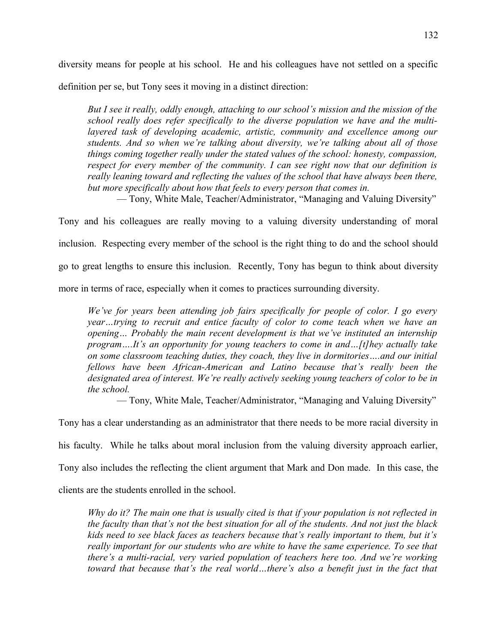diversity means for people at his school. He and his colleagues have not settled on a specific definition per se, but Tony sees it moving in a distinct direction:

*But I see it really, oddly enough, attaching to our school's mission and the mission of the school really does refer specifically to the diverse population we have and the multilayered task of developing academic, artistic, community and excellence among our students. And so when we're talking about diversity, we're talking about all of those things coming together really under the stated values of the school: honesty, compassion, respect for every member of the community. I can see right now that our definition is really leaning toward and reflecting the values of the school that have always been there, but more specifically about how that feels to every person that comes in.*

— Tony, White Male, Teacher/Administrator, "Managing and Valuing Diversity"

Tony and his colleagues are really moving to a valuing diversity understanding of moral inclusion. Respecting every member of the school is the right thing to do and the school should go to great lengths to ensure this inclusion. Recently, Tony has begun to think about diversity more in terms of race, especially when it comes to practices surrounding diversity.

*We've for years been attending job fairs specifically for people of color. I go every year…trying to recruit and entice faculty of color to come teach when we have an opening… Probably the main recent development is that we've instituted an internship program….It's an opportunity for young teachers to come in and…[t]hey actually take on some classroom teaching duties, they coach, they live in dormitories….and our initial fellows have been African-American and Latino because that's really been the designated area of interest. We're really actively seeking young teachers of color to be in the school.*

— Tony, White Male, Teacher/Administrator, "Managing and Valuing Diversity"

Tony has a clear understanding as an administrator that there needs to be more racial diversity in his faculty. While he talks about moral inclusion from the valuing diversity approach earlier, Tony also includes the reflecting the client argument that Mark and Don made. In this case, the clients are the students enrolled in the school.

*Why do it? The main one that is usually cited is that if your population is not reflected in the faculty than that's not the best situation for all of the students. And not just the black kids need to see black faces as teachers because that's really important to them, but it's really important for our students who are white to have the same experience. To see that there's a multi-racial, very varied population of teachers here too. And we're working toward that because that's the real world…there's also a benefit just in the fact that*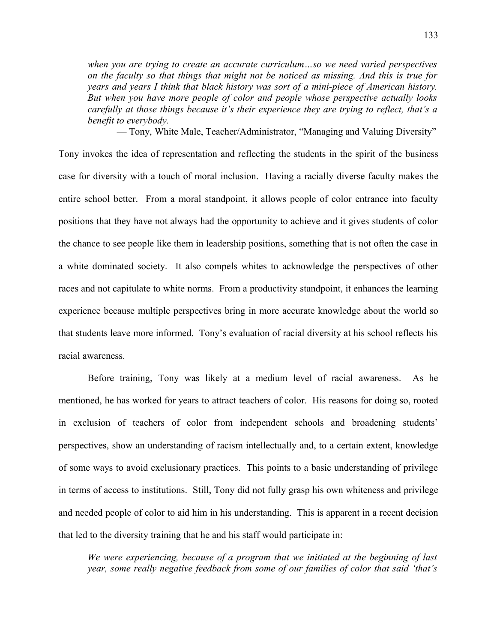*when you are trying to create an accurate curriculum…so we need varied perspectives on the faculty so that things that might not be noticed as missing. And this is true for years and years I think that black history was sort of a mini-piece of American history. But when you have more people of color and people whose perspective actually looks carefully at those things because it's their experience they are trying to reflect, that's a benefit to everybody.*

— Tony, White Male, Teacher/Administrator, "Managing and Valuing Diversity"

Tony invokes the idea of representation and reflecting the students in the spirit of the business case for diversity with a touch of moral inclusion. Having a racially diverse faculty makes the entire school better. From a moral standpoint, it allows people of color entrance into faculty positions that they have not always had the opportunity to achieve and it gives students of color the chance to see people like them in leadership positions, something that is not often the case in a white dominated society. It also compels whites to acknowledge the perspectives of other races and not capitulate to white norms. From a productivity standpoint, it enhances the learning experience because multiple perspectives bring in more accurate knowledge about the world so that students leave more informed. Tony's evaluation of racial diversity at his school reflects his racial awareness.

Before training, Tony was likely at a medium level of racial awareness. As he mentioned, he has worked for years to attract teachers of color. His reasons for doing so, rooted in exclusion of teachers of color from independent schools and broadening students' perspectives, show an understanding of racism intellectually and, to a certain extent, knowledge of some ways to avoid exclusionary practices. This points to a basic understanding of privilege in terms of access to institutions. Still, Tony did not fully grasp his own whiteness and privilege and needed people of color to aid him in his understanding. This is apparent in a recent decision that led to the diversity training that he and his staff would participate in:

*We were experiencing, because of a program that we initiated at the beginning of last year, some really negative feedback from some of our families of color that said 'that's*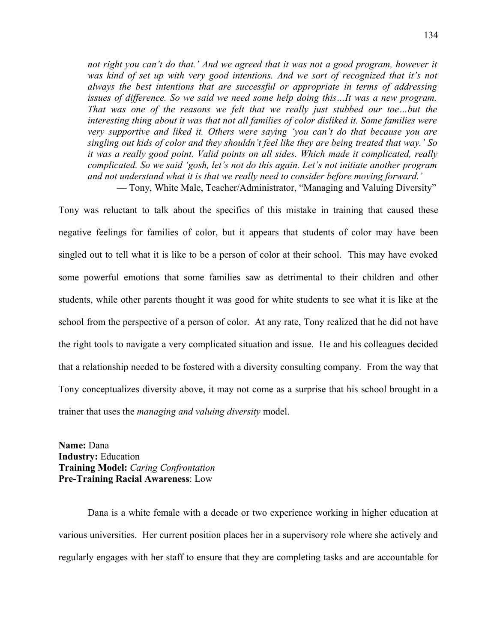*not right you can't do that.' And we agreed that it was not a good program, however it was kind of set up with very good intentions. And we sort of recognized that it's not always the best intentions that are successful or appropriate in terms of addressing issues of difference. So we said we need some help doing this…It was a new program. That was one of the reasons we felt that we really just stubbed our toe…but the interesting thing about it was that not all families of color disliked it. Some families were very supportive and liked it. Others were saying 'you can't do that because you are singling out kids of color and they shouldn't feel like they are being treated that way.' So it was a really good point. Valid points on all sides. Which made it complicated, really complicated. So we said 'gosh, let's not do this again. Let's not initiate another program and not understand what it is that we really need to consider before moving forward.'*

— Tony, White Male, Teacher/Administrator, "Managing and Valuing Diversity"

Tony was reluctant to talk about the specifics of this mistake in training that caused these negative feelings for families of color, but it appears that students of color may have been singled out to tell what it is like to be a person of color at their school. This may have evoked some powerful emotions that some families saw as detrimental to their children and other students, while other parents thought it was good for white students to see what it is like at the school from the perspective of a person of color. At any rate, Tony realized that he did not have the right tools to navigate a very complicated situation and issue. He and his colleagues decided that a relationship needed to be fostered with a diversity consulting company. From the way that Tony conceptualizes diversity above, it may not come as a surprise that his school brought in a trainer that uses the *managing and valuing diversity* model.

**Name:** Dana **Industry:** Education **Training Model:** *Caring Confrontation* **Pre-Training Racial Awareness**: Low

Dana is a white female with a decade or two experience working in higher education at various universities. Her current position places her in a supervisory role where she actively and regularly engages with her staff to ensure that they are completing tasks and are accountable for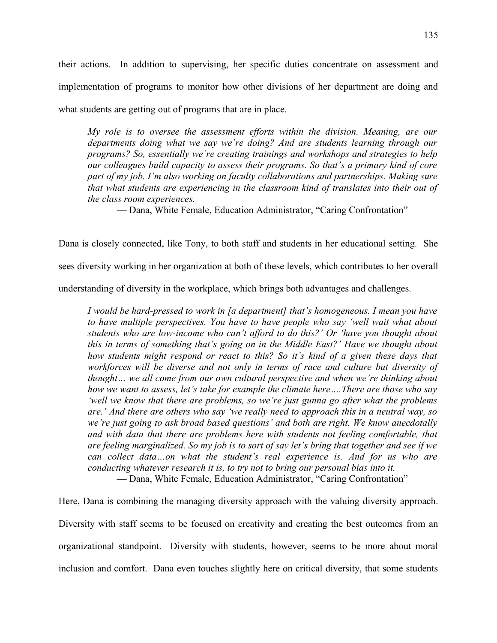their actions. In addition to supervising, her specific duties concentrate on assessment and implementation of programs to monitor how other divisions of her department are doing and what students are getting out of programs that are in place.

*My role is to oversee the assessment efforts within the division. Meaning, are our departments doing what we say we're doing? And are students learning through our programs? So, essentially we're creating trainings and workshops and strategies to help our colleagues build capacity to assess their programs. So that's a primary kind of core part of my job. I'm also working on faculty collaborations and partnerships. Making sure that what students are experiencing in the classroom kind of translates into their out of the class room experiences.*

— Dana, White Female, Education Administrator, "Caring Confrontation"

Dana is closely connected, like Tony, to both staff and students in her educational setting. She sees diversity working in her organization at both of these levels, which contributes to her overall

understanding of diversity in the workplace, which brings both advantages and challenges.

*I would be hard-pressed to work in [a department] that's homogeneous. I mean you have to have multiple perspectives. You have to have people who say 'well wait what about students who are low-income who can't afford to do this?' Or 'have you thought about this in terms of something that's going on in the Middle East?' Have we thought about how students might respond or react to this? So it's kind of a given these days that workforces will be diverse and not only in terms of race and culture but diversity of thought… we all come from our own cultural perspective and when we're thinking about how we want to assess, let's take for example the climate here….There are those who say 'well we know that there are problems, so we're just gunna go after what the problems are.' And there are others who say 'we really need to approach this in a neutral way, so we're just going to ask broad based questions' and both are right. We know anecdotally and with data that there are problems here with students not feeling comfortable, that are feeling marginalized. So my job is to sort of say let's bring that together and see if we can collect data…on what the student's real experience is. And for us who are conducting whatever research it is, to try not to bring our personal bias into it.*

— Dana, White Female, Education Administrator, "Caring Confrontation"

Here, Dana is combining the managing diversity approach with the valuing diversity approach. Diversity with staff seems to be focused on creativity and creating the best outcomes from an organizational standpoint. Diversity with students, however, seems to be more about moral inclusion and comfort. Dana even touches slightly here on critical diversity, that some students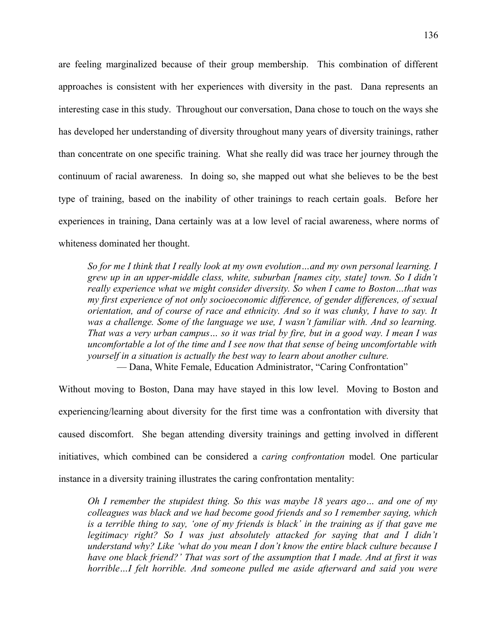are feeling marginalized because of their group membership. This combination of different approaches is consistent with her experiences with diversity in the past. Dana represents an interesting case in this study. Throughout our conversation, Dana chose to touch on the ways she has developed her understanding of diversity throughout many years of diversity trainings, rather than concentrate on one specific training. What she really did was trace her journey through the continuum of racial awareness. In doing so, she mapped out what she believes to be the best type of training, based on the inability of other trainings to reach certain goals. Before her experiences in training, Dana certainly was at a low level of racial awareness, where norms of whiteness dominated her thought.

*So for me I think that I really look at my own evolution…and my own personal learning. I grew up in an upper-middle class, white, suburban [names city, state] town. So I didn't really experience what we might consider diversity. So when I came to Boston…that was my first experience of not only socioeconomic difference, of gender differences, of sexual orientation, and of course of race and ethnicity. And so it was clunky, I have to say. It was a challenge. Some of the language we use, I wasn't familiar with. And so learning. That was a very urban campus… so it was trial by fire, but in a good way. I mean I was uncomfortable a lot of the time and I see now that that sense of being uncomfortable with yourself in a situation is actually the best way to learn about another culture.*

— Dana, White Female, Education Administrator, "Caring Confrontation"

Without moving to Boston, Dana may have stayed in this low level. Moving to Boston and experiencing/learning about diversity for the first time was a confrontation with diversity that caused discomfort. She began attending diversity trainings and getting involved in different initiatives, which combined can be considered a *caring confrontation* model*.* One particular instance in a diversity training illustrates the caring confrontation mentality:

*Oh I remember the stupidest thing. So this was maybe 18 years ago… and one of my colleagues was black and we had become good friends and so I remember saying, which is a terrible thing to say, 'one of my friends is black' in the training as if that gave me legitimacy right? So I was just absolutely attacked for saying that and I didn't understand why? Like 'what do you mean I don't know the entire black culture because I have one black friend?' That was sort of the assumption that I made. And at first it was horrible…I felt horrible. And someone pulled me aside afterward and said you were*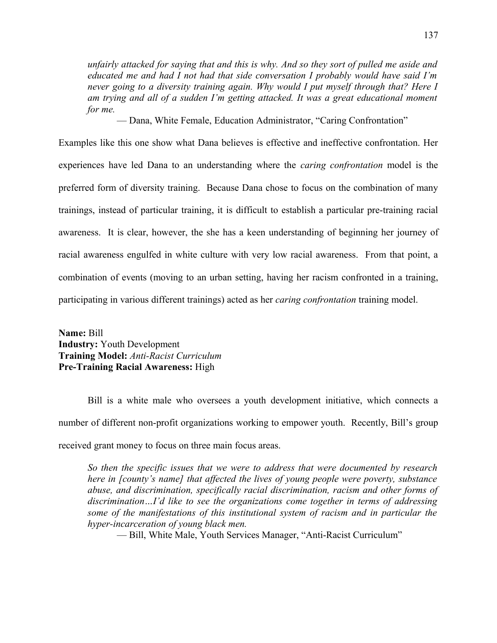*unfairly attacked for saying that and this is why. And so they sort of pulled me aside and educated me and had I not had that side conversation I probably would have said I'm never going to a diversity training again. Why would I put myself through that? Here I am trying and all of a sudden I'm getting attacked. It was a great educational moment for me.*

— Dana, White Female, Education Administrator, "Caring Confrontation"

Examples like this one show what Dana believes is effective and ineffective confrontation. Her experiences have led Dana to an understanding where the *caring confrontation* model is the preferred form of diversity training. Because Dana chose to focus on the combination of many trainings, instead of particular training, it is difficult to establish a particular pre-training racial awareness. It is clear, however, the she has a keen understanding of beginning her journey of racial awareness engulfed in white culture with very low racial awareness. From that point, a combination of events (moving to an urban setting, having her racism confronted in a training, participating in various different trainings) acted as her *caring confrontation* training model.

**Name:** Bill **Industry:** Youth Development **Training Model:** *Anti-Racist Curriculum* **Pre-Training Racial Awareness:** High

Bill is a white male who oversees a youth development initiative, which connects a number of different non-profit organizations working to empower youth. Recently, Bill's group received grant money to focus on three main focus areas.

*So then the specific issues that we were to address that were documented by research here in [county's name] that affected the lives of young people were poverty, substance abuse, and discrimination, specifically racial discrimination, racism and other forms of discrimination…I'd like to see the organizations come together in terms of addressing some of the manifestations of this institutional system of racism and in particular the hyper-incarceration of young black men.*

— Bill, White Male, Youth Services Manager, "Anti-Racist Curriculum"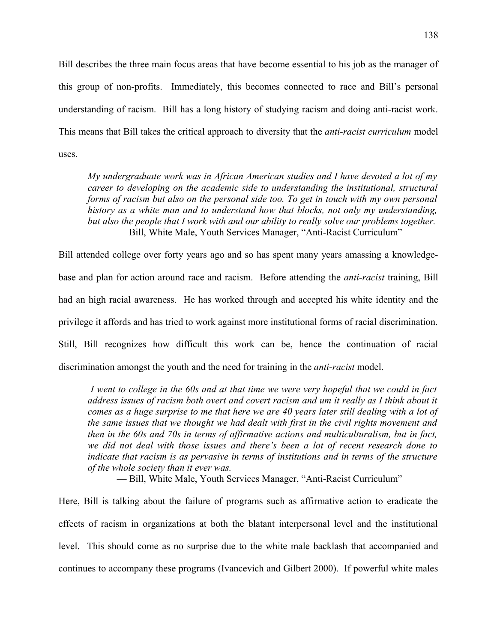Bill describes the three main focus areas that have become essential to his job as the manager of this group of non-profits. Immediately, this becomes connected to race and Bill's personal understanding of racism. Bill has a long history of studying racism and doing anti-racist work. This means that Bill takes the critical approach to diversity that the *anti-racist curriculum* model uses.

*My undergraduate work was in African American studies and I have devoted a lot of my career to developing on the academic side to understanding the institutional, structural forms of racism but also on the personal side too. To get in touch with my own personal history as a white man and to understand how that blocks, not only my understanding, but also the people that I work with and our ability to really solve our problems together.* — Bill, White Male, Youth Services Manager, "Anti-Racist Curriculum"

Bill attended college over forty years ago and so has spent many years amassing a knowledgebase and plan for action around race and racism. Before attending the *anti-racist* training, Bill had an high racial awareness. He has worked through and accepted his white identity and the privilege it affords and has tried to work against more institutional forms of racial discrimination. Still, Bill recognizes how difficult this work can be, hence the continuation of racial discrimination amongst the youth and the need for training in the *anti-racist* model.

 *I went to college in the 60s and at that time we were very hopeful that we could in fact address issues of racism both overt and covert racism and um it really as I think about it comes as a huge surprise to me that here we are 40 years later still dealing with a lot of the same issues that we thought we had dealt with first in the civil rights movement and then in the 60s and 70s in terms of affirmative actions and multiculturalism, but in fact, we did not deal with those issues and there's been a lot of recent research done to indicate that racism is as pervasive in terms of institutions and in terms of the structure of the whole society than it ever was.*

— Bill, White Male, Youth Services Manager, "Anti-Racist Curriculum"

Here, Bill is talking about the failure of programs such as affirmative action to eradicate the effects of racism in organizations at both the blatant interpersonal level and the institutional level. This should come as no surprise due to the white male backlash that accompanied and continues to accompany these programs (Ivancevich and Gilbert 2000). If powerful white males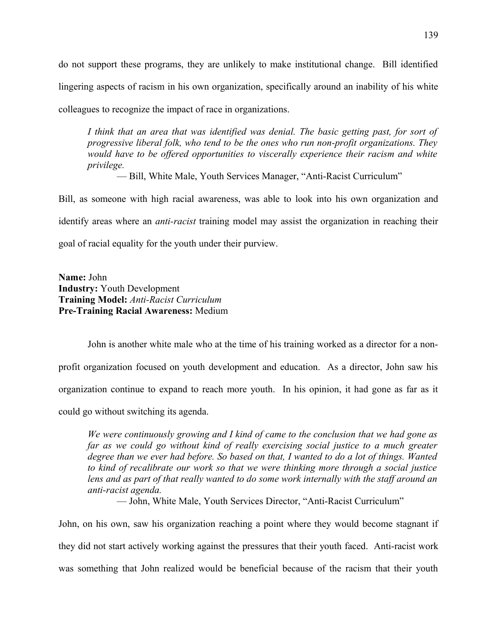do not support these programs, they are unlikely to make institutional change. Bill identified lingering aspects of racism in his own organization, specifically around an inability of his white colleagues to recognize the impact of race in organizations.

*I think that an area that was identified was denial. The basic getting past, for sort of progressive liberal folk, who tend to be the ones who run non-profit organizations. They would have to be offered opportunities to viscerally experience their racism and white privilege.*

— Bill, White Male, Youth Services Manager, "Anti-Racist Curriculum"

Bill, as someone with high racial awareness, was able to look into his own organization and identify areas where an *anti-racist* training model may assist the organization in reaching their goal of racial equality for the youth under their purview.

**Name:** John **Industry:** Youth Development **Training Model:** *Anti-Racist Curriculum* **Pre-Training Racial Awareness:** Medium

John is another white male who at the time of his training worked as a director for a nonprofit organization focused on youth development and education. As a director, John saw his organization continue to expand to reach more youth. In his opinion, it had gone as far as it could go without switching its agenda.

*We were continuously growing and I kind of came to the conclusion that we had gone as far as we could go without kind of really exercising social justice to a much greater degree than we ever had before. So based on that, I wanted to do a lot of things. Wanted to kind of recalibrate our work so that we were thinking more through a social justice lens and as part of that really wanted to do some work internally with the staff around an anti-racist agenda.*

— John, White Male, Youth Services Director, "Anti-Racist Curriculum"

John, on his own, saw his organization reaching a point where they would become stagnant if they did not start actively working against the pressures that their youth faced. Anti-racist work was something that John realized would be beneficial because of the racism that their youth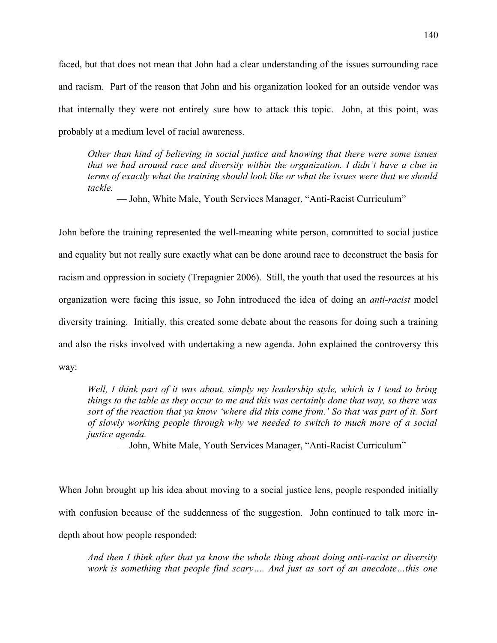faced, but that does not mean that John had a clear understanding of the issues surrounding race and racism. Part of the reason that John and his organization looked for an outside vendor was that internally they were not entirely sure how to attack this topic. John, at this point, was probably at a medium level of racial awareness.

*Other than kind of believing in social justice and knowing that there were some issues that we had around race and diversity within the organization. I didn't have a clue in terms of exactly what the training should look like or what the issues were that we should tackle.*

— John, White Male, Youth Services Manager, "Anti-Racist Curriculum"

John before the training represented the well-meaning white person, committed to social justice and equality but not really sure exactly what can be done around race to deconstruct the basis for racism and oppression in society (Trepagnier 2006). Still, the youth that used the resources at his organization were facing this issue, so John introduced the idea of doing an *anti-racist* model diversity training. Initially, this created some debate about the reasons for doing such a training and also the risks involved with undertaking a new agenda. John explained the controversy this way:

*Well, I think part of it was about, simply my leadership style, which is I tend to bring things to the table as they occur to me and this was certainly done that way, so there was sort of the reaction that ya know 'where did this come from.' So that was part of it. Sort of slowly working people through why we needed to switch to much more of a social justice agenda.*

— John, White Male, Youth Services Manager, "Anti-Racist Curriculum"

When John brought up his idea about moving to a social justice lens, people responded initially with confusion because of the suddenness of the suggestion. John continued to talk more indepth about how people responded:

*And then I think after that ya know the whole thing about doing anti-racist or diversity work is something that people find scary…. And just as sort of an anecdote…this one*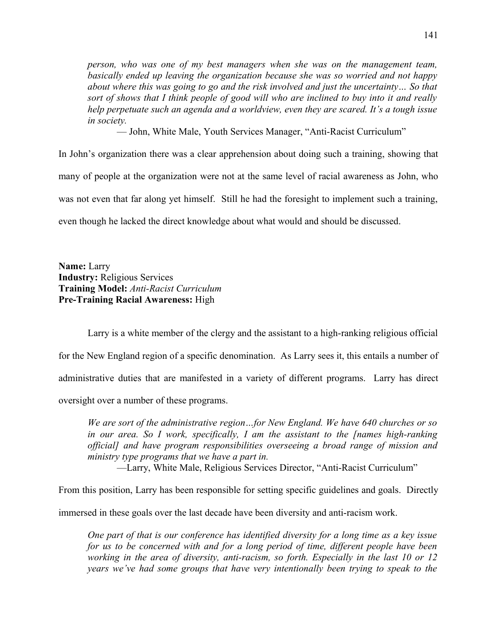*person, who was one of my best managers when she was on the management team, basically ended up leaving the organization because she was so worried and not happy about where this was going to go and the risk involved and just the uncertainty… So that sort of shows that I think people of good will who are inclined to buy into it and really help perpetuate such an agenda and a worldview, even they are scared. It's a tough issue in society.*

— John, White Male, Youth Services Manager, "Anti-Racist Curriculum"

In John's organization there was a clear apprehension about doing such a training, showing that many of people at the organization were not at the same level of racial awareness as John, who was not even that far along yet himself. Still he had the foresight to implement such a training, even though he lacked the direct knowledge about what would and should be discussed.

**Name:** Larry **Industry:** Religious Services **Training Model:** *Anti-Racist Curriculum* **Pre-Training Racial Awareness:** High

Larry is a white member of the clergy and the assistant to a high-ranking religious official for the New England region of a specific denomination. As Larry sees it, this entails a number of administrative duties that are manifested in a variety of different programs. Larry has direct oversight over a number of these programs.

*We are sort of the administrative region…for New England. We have 640 churches or so in our area. So I work, specifically, I am the assistant to the [names high-ranking official] and have program responsibilities overseeing a broad range of mission and ministry type programs that we have a part in.* —Larry, White Male, Religious Services Director, "Anti-Racist Curriculum"

From this position, Larry has been responsible for setting specific guidelines and goals. Directly

immersed in these goals over the last decade have been diversity and anti-racism work.

*One part of that is our conference has identified diversity for a long time as a key issue for us to be concerned with and for a long period of time, different people have been working in the area of diversity, anti-racism, so forth. Especially in the last 10 or 12 years we've had some groups that have very intentionally been trying to speak to the*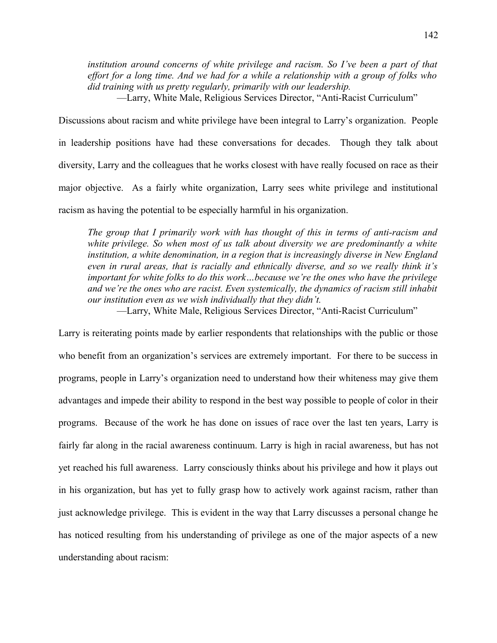*institution around concerns of white privilege and racism. So I've been a part of that effort for a long time. And we had for a while a relationship with a group of folks who did training with us pretty regularly, primarily with our leadership.*

—Larry, White Male, Religious Services Director, "Anti-Racist Curriculum"

Discussions about racism and white privilege have been integral to Larry's organization. People in leadership positions have had these conversations for decades. Though they talk about diversity, Larry and the colleagues that he works closest with have really focused on race as their major objective. As a fairly white organization, Larry sees white privilege and institutional racism as having the potential to be especially harmful in his organization.

*The group that I primarily work with has thought of this in terms of anti-racism and white privilege. So when most of us talk about diversity we are predominantly a white institution, a white denomination, in a region that is increasingly diverse in New England even in rural areas, that is racially and ethnically diverse, and so we really think it's important for white folks to do this work…because we're the ones who have the privilege and we're the ones who are racist. Even systemically, the dynamics of racism still inhabit our institution even as we wish individually that they didn't.*

—Larry, White Male, Religious Services Director, "Anti-Racist Curriculum"

Larry is reiterating points made by earlier respondents that relationships with the public or those who benefit from an organization's services are extremely important. For there to be success in programs, people in Larry's organization need to understand how their whiteness may give them advantages and impede their ability to respond in the best way possible to people of color in their programs. Because of the work he has done on issues of race over the last ten years, Larry is fairly far along in the racial awareness continuum. Larry is high in racial awareness, but has not yet reached his full awareness. Larry consciously thinks about his privilege and how it plays out in his organization, but has yet to fully grasp how to actively work against racism, rather than just acknowledge privilege. This is evident in the way that Larry discusses a personal change he has noticed resulting from his understanding of privilege as one of the major aspects of a new understanding about racism: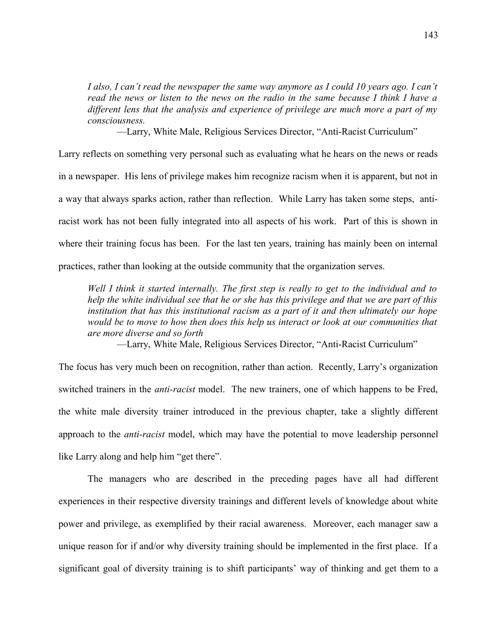*I also, I can't read the newspaper the same way anymore as I could 10 years ago. I can't read the news or listen to the news on the radio in the same because I think I have a different lens that the analysis and experience of privilege are much more a part of my consciousness.*

—Larry, White Male, Religious Services Director, "Anti-Racist Curriculum"

Larry reflects on something very personal such as evaluating what he hears on the news or reads in a newspaper. His lens of privilege makes him recognize racism when it is apparent, but not in a way that always sparks action, rather than reflection. While Larry has taken some steps, antiracist work has not been fully integrated into all aspects of his work. Part of this is shown in where their training focus has been. For the last ten years, training has mainly been on internal practices, rather than looking at the outside community that the organization serves.

*Well I think it started internally. The first step is really to get to the individual and to help the white individual see that he or she has this privilege and that we are part of this institution that has this institutional racism as a part of it and then ultimately our hope would be to move to how then does this help us interact or look at our communities that are more diverse and so forth*

—Larry, White Male, Religious Services Director, "Anti-Racist Curriculum"

The focus has very much been on recognition, rather than action. Recently, Larry's organization switched trainers in the *anti-racist* model. The new trainers, one of which happens to be Fred, the white male diversity trainer introduced in the previous chapter, take a slightly different approach to the *anti-racist* model, which may have the potential to move leadership personnel like Larry along and help him "get there".

The managers who are described in the preceding pages have all had different experiences in their respective diversity trainings and different levels of knowledge about white power and privilege, as exemplified by their racial awareness. Moreover, each manager saw a unique reason for if and/or why diversity training should be implemented in the first place. If a significant goal of diversity training is to shift participants' way of thinking and get them to a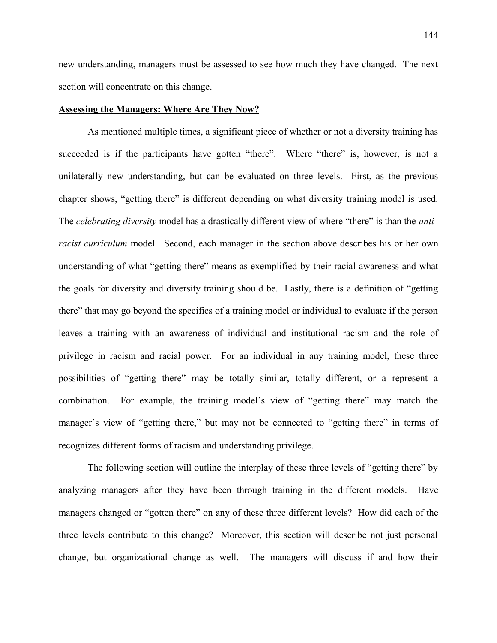new understanding, managers must be assessed to see how much they have changed. The next section will concentrate on this change.

### **Assessing the Managers: Where Are They Now?**

As mentioned multiple times, a significant piece of whether or not a diversity training has succeeded is if the participants have gotten "there". Where "there" is, however, is not a unilaterally new understanding, but can be evaluated on three levels. First, as the previous chapter shows, "getting there" is different depending on what diversity training model is used. The *celebrating diversity* model has a drastically different view of where "there" is than the *antiracist curriculum* model. Second, each manager in the section above describes his or her own understanding of what "getting there" means as exemplified by their racial awareness and what the goals for diversity and diversity training should be. Lastly, there is a definition of "getting there" that may go beyond the specifics of a training model or individual to evaluate if the person leaves a training with an awareness of individual and institutional racism and the role of privilege in racism and racial power. For an individual in any training model, these three possibilities of "getting there" may be totally similar, totally different, or a represent a combination. For example, the training model's view of "getting there" may match the manager's view of "getting there," but may not be connected to "getting there" in terms of recognizes different forms of racism and understanding privilege.

The following section will outline the interplay of these three levels of "getting there" by analyzing managers after they have been through training in the different models. Have managers changed or "gotten there" on any of these three different levels? How did each of the three levels contribute to this change? Moreover, this section will describe not just personal change, but organizational change as well. The managers will discuss if and how their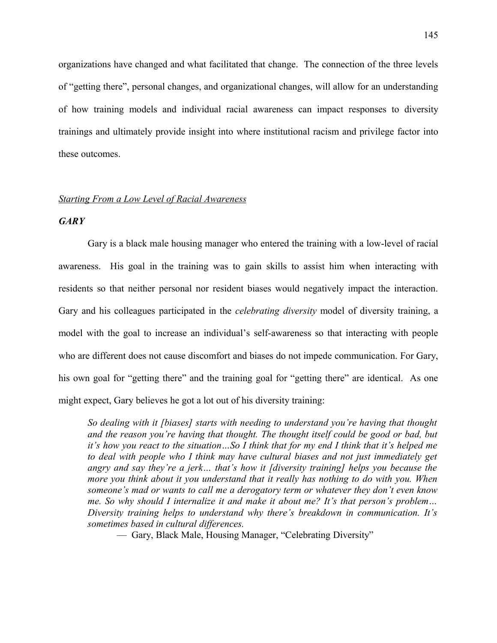organizations have changed and what facilitated that change. The connection of the three levels of "getting there", personal changes, and organizational changes, will allow for an understanding of how training models and individual racial awareness can impact responses to diversity trainings and ultimately provide insight into where institutional racism and privilege factor into these outcomes.

# *Starting From a Low Level of Racial Awareness*

### *GARY*

Gary is a black male housing manager who entered the training with a low-level of racial awareness. His goal in the training was to gain skills to assist him when interacting with residents so that neither personal nor resident biases would negatively impact the interaction. Gary and his colleagues participated in the *celebrating diversity* model of diversity training, a model with the goal to increase an individual's self-awareness so that interacting with people who are different does not cause discomfort and biases do not impede communication. For Gary, his own goal for "getting there" and the training goal for "getting there" are identical. As one might expect, Gary believes he got a lot out of his diversity training:

*So dealing with it [biases] starts with needing to understand you're having that thought and the reason you're having that thought. The thought itself could be good or bad, but it's how you react to the situation…So I think that for my end I think that it's helped me to deal with people who I think may have cultural biases and not just immediately get angry and say they're a jerk… that's how it [diversity training] helps you because the more you think about it you understand that it really has nothing to do with you. When someone's mad or wants to call me a derogatory term or whatever they don't even know me. So why should I internalize it and make it about me? It's that person's problem… Diversity training helps to understand why there's breakdown in communication. It's sometimes based in cultural differences.*

— Gary, Black Male, Housing Manager, "Celebrating Diversity"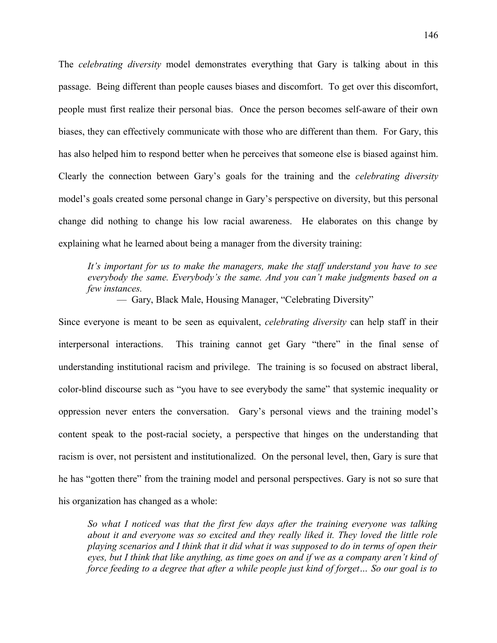The *celebrating diversity* model demonstrates everything that Gary is talking about in this passage. Being different than people causes biases and discomfort. To get over this discomfort, people must first realize their personal bias. Once the person becomes self-aware of their own biases, they can effectively communicate with those who are different than them. For Gary, this has also helped him to respond better when he perceives that someone else is biased against him. Clearly the connection between Gary's goals for the training and the *celebrating diversity* model's goals created some personal change in Gary's perspective on diversity, but this personal change did nothing to change his low racial awareness. He elaborates on this change by explaining what he learned about being a manager from the diversity training:

*It's important for us to make the managers, make the staff understand you have to see everybody the same. Everybody's the same. And you can't make judgments based on a few instances.*

— Gary, Black Male, Housing Manager, "Celebrating Diversity"

Since everyone is meant to be seen as equivalent, *celebrating diversity* can help staff in their interpersonal interactions. This training cannot get Gary "there" in the final sense of understanding institutional racism and privilege. The training is so focused on abstract liberal, color-blind discourse such as "you have to see everybody the same" that systemic inequality or oppression never enters the conversation. Gary's personal views and the training model's content speak to the post-racial society, a perspective that hinges on the understanding that racism is over, not persistent and institutionalized. On the personal level, then, Gary is sure that he has "gotten there" from the training model and personal perspectives. Gary is not so sure that his organization has changed as a whole:

*So what I noticed was that the first few days after the training everyone was talking about it and everyone was so excited and they really liked it. They loved the little role playing scenarios and I think that it did what it was supposed to do in terms of open their eyes, but I think that like anything, as time goes on and if we as a company aren't kind of force feeding to a degree that after a while people just kind of forget… So our goal is to*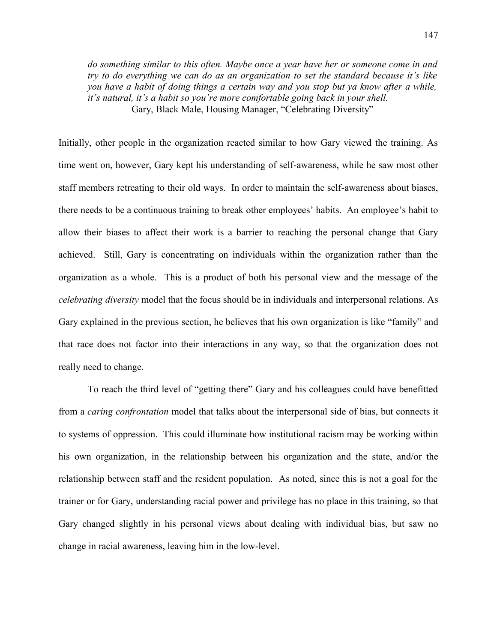*do something similar to this often. Maybe once a year have her or someone come in and try to do everything we can do as an organization to set the standard because it's like you have a habit of doing things a certain way and you stop but ya know after a while, it's natural, it's a habit so you're more comfortable going back in your shell.* — Gary, Black Male, Housing Manager, "Celebrating Diversity"

Initially, other people in the organization reacted similar to how Gary viewed the training. As time went on, however, Gary kept his understanding of self-awareness, while he saw most other staff members retreating to their old ways. In order to maintain the self-awareness about biases, there needs to be a continuous training to break other employees' habits. An employee's habit to allow their biases to affect their work is a barrier to reaching the personal change that Gary achieved. Still, Gary is concentrating on individuals within the organization rather than the organization as a whole. This is a product of both his personal view and the message of the *celebrating diversity* model that the focus should be in individuals and interpersonal relations. As Gary explained in the previous section, he believes that his own organization is like "family" and that race does not factor into their interactions in any way, so that the organization does not really need to change.

To reach the third level of "getting there" Gary and his colleagues could have benefitted from a *caring confrontation* model that talks about the interpersonal side of bias, but connects it to systems of oppression. This could illuminate how institutional racism may be working within his own organization, in the relationship between his organization and the state, and/or the relationship between staff and the resident population. As noted, since this is not a goal for the trainer or for Gary, understanding racial power and privilege has no place in this training, so that Gary changed slightly in his personal views about dealing with individual bias, but saw no change in racial awareness, leaving him in the low-level.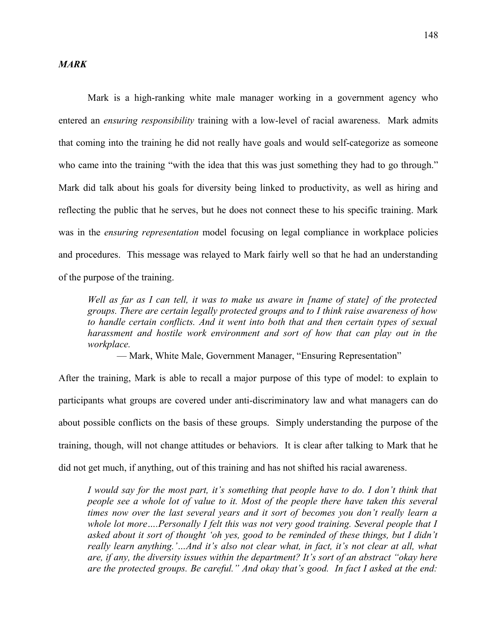### *MARK*

Mark is a high-ranking white male manager working in a government agency who entered an *ensuring responsibility* training with a low-level of racial awareness. Mark admits that coming into the training he did not really have goals and would self-categorize as someone who came into the training "with the idea that this was just something they had to go through." Mark did talk about his goals for diversity being linked to productivity, as well as hiring and reflecting the public that he serves, but he does not connect these to his specific training. Mark was in the *ensuring representation* model focusing on legal compliance in workplace policies and procedures. This message was relayed to Mark fairly well so that he had an understanding of the purpose of the training.

*Well as far as I can tell, it was to make us aware in [name of state] of the protected groups. There are certain legally protected groups and to I think raise awareness of how to handle certain conflicts. And it went into both that and then certain types of sexual harassment and hostile work environment and sort of how that can play out in the workplace.*

— Mark, White Male, Government Manager, "Ensuring Representation"

After the training, Mark is able to recall a major purpose of this type of model: to explain to participants what groups are covered under anti-discriminatory law and what managers can do about possible conflicts on the basis of these groups. Simply understanding the purpose of the training, though, will not change attitudes or behaviors. It is clear after talking to Mark that he did not get much, if anything, out of this training and has not shifted his racial awareness.

*I would say for the most part, it's something that people have to do. I don't think that people see a whole lot of value to it. Most of the people there have taken this several times now over the last several years and it sort of becomes you don't really learn a whole lot more….Personally I felt this was not very good training. Several people that I asked about it sort of thought 'oh yes, good to be reminded of these things, but I didn't really learn anything.'…And it's also not clear what, in fact, it's not clear at all, what are, if any, the diversity issues within the department? It's sort of an abstract "okay here are the protected groups. Be careful." And okay that's good. In fact I asked at the end:*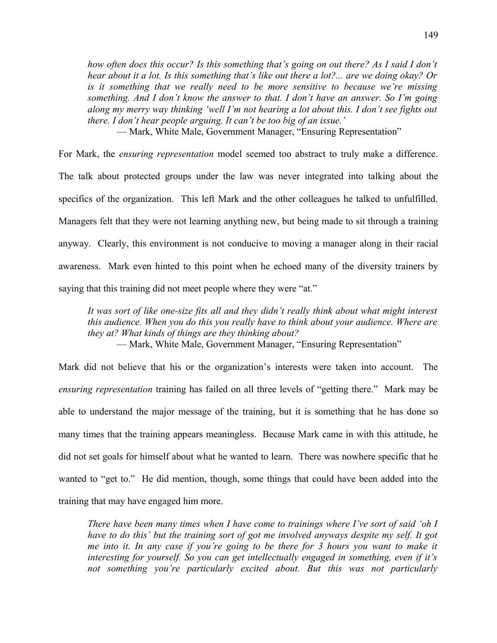*how often does this occur? Is this something that's going on out there? As I said I don't hear about it a lot. Is this something that's like out there a lot?... are we doing okay? Or is it something that we really need to be more sensitive to because we're missing something. And I don't know the answer to that. I don't have an answer. So I'm going along my merry way thinking 'well I'm not hearing a lot about this. I don't see fights out there. I don't hear people arguing. It can't be too big of an issue.'*

— Mark, White Male, Government Manager, "Ensuring Representation"

For Mark, the *ensuring representation* model seemed too abstract to truly make a difference. The talk about protected groups under the law was never integrated into talking about the specifics of the organization. This left Mark and the other colleagues he talked to unfulfilled. Managers felt that they were not learning anything new, but being made to sit through a training anyway. Clearly, this environment is not conducive to moving a manager along in their racial awareness. Mark even hinted to this point when he echoed many of the diversity trainers by saying that this training did not meet people where they were "at."

*It was sort of like one-size fits all and they didn't really think about what might interest this audience. When you do this you really have to think about your audience. Where are they at? What kinds of things are they thinking about?*

— Mark, White Male, Government Manager, "Ensuring Representation"

Mark did not believe that his or the organization's interests were taken into account. The *ensuring representation* training has failed on all three levels of "getting there." Mark may be able to understand the major message of the training, but it is something that he has done so many times that the training appears meaningless. Because Mark came in with this attitude, he did not set goals for himself about what he wanted to learn. There was nowhere specific that he wanted to "get to." He did mention, though, some things that could have been added into the training that may have engaged him more.

*There have been many times when I have come to trainings where I've sort of said 'oh I have to do this' but the training sort of got me involved anyways despite my self. It got me into it. In any case if you're going to be there for 3 hours you want to make it interesting for yourself. So you can get intellectually engaged in something, even if it's not something you're particularly excited about. But this was not particularly*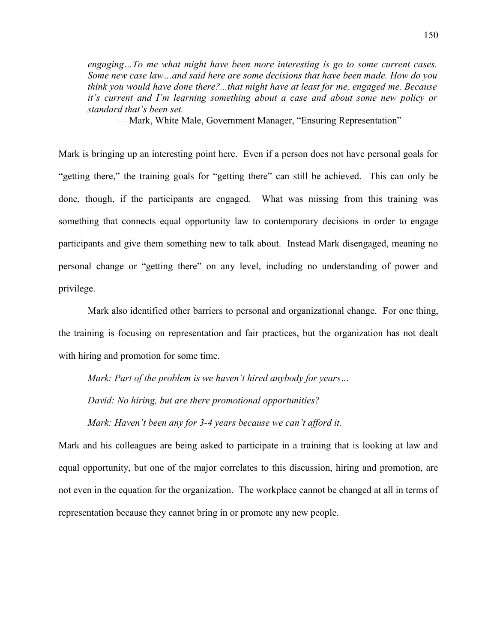*engaging…To me what might have been more interesting is go to some current cases. Some new case law…and said here are some decisions that have been made. How do you think you would have done there?...that might have at least for me, engaged me. Because it's current and I'm learning something about a case and about some new policy or standard that's been set.*

— Mark, White Male, Government Manager, "Ensuring Representation"

Mark is bringing up an interesting point here. Even if a person does not have personal goals for "getting there," the training goals for "getting there" can still be achieved. This can only be done, though, if the participants are engaged. What was missing from this training was something that connects equal opportunity law to contemporary decisions in order to engage participants and give them something new to talk about. Instead Mark disengaged, meaning no personal change or "getting there" on any level, including no understanding of power and privilege.

Mark also identified other barriers to personal and organizational change. For one thing, the training is focusing on representation and fair practices, but the organization has not dealt with hiring and promotion for some time.

*Mark: Part of the problem is we haven't hired anybody for years… David: No hiring, but are there promotional opportunities? Mark: Haven't been any for 3-4 years because we can't afford it.*

Mark and his colleagues are being asked to participate in a training that is looking at law and equal opportunity, but one of the major correlates to this discussion, hiring and promotion, are not even in the equation for the organization. The workplace cannot be changed at all in terms of representation because they cannot bring in or promote any new people.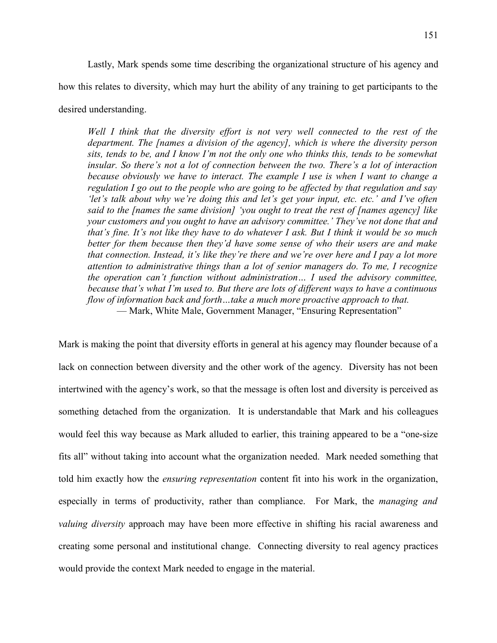Lastly, Mark spends some time describing the organizational structure of his agency and how this relates to diversity, which may hurt the ability of any training to get participants to the

desired understanding.

*Well I think that the diversity effort is not very well connected to the rest of the department. The [names a division of the agency], which is where the diversity person sits, tends to be, and I know I'm not the only one who thinks this, tends to be somewhat insular. So there's not a lot of connection between the two. There's a lot of interaction because obviously we have to interact. The example I use is when I want to change a regulation I go out to the people who are going to be affected by that regulation and say 'let's talk about why we're doing this and let's get your input, etc. etc.' and I've often said to the [names the same division] 'you ought to treat the rest of [names agency] like your customers and you ought to have an advisory committee.' They've not done that and that's fine. It's not like they have to do whatever I ask. But I think it would be so much better for them because then they'd have some sense of who their users are and make that connection. Instead, it's like they're there and we're over here and I pay a lot more attention to administrative things than a lot of senior managers do. To me, I recognize the operation can't function without administration… I used the advisory committee, because that's what I'm used to. But there are lots of different ways to have a continuous flow of information back and forth…take a much more proactive approach to that.* — Mark, White Male, Government Manager, "Ensuring Representation"

Mark is making the point that diversity efforts in general at his agency may flounder because of a lack on connection between diversity and the other work of the agency. Diversity has not been intertwined with the agency's work, so that the message is often lost and diversity is perceived as something detached from the organization. It is understandable that Mark and his colleagues would feel this way because as Mark alluded to earlier, this training appeared to be a "one-size fits all" without taking into account what the organization needed. Mark needed something that told him exactly how the *ensuring representation* content fit into his work in the organization, especially in terms of productivity, rather than compliance. For Mark, the *managing and valuing diversity* approach may have been more effective in shifting his racial awareness and creating some personal and institutional change. Connecting diversity to real agency practices would provide the context Mark needed to engage in the material.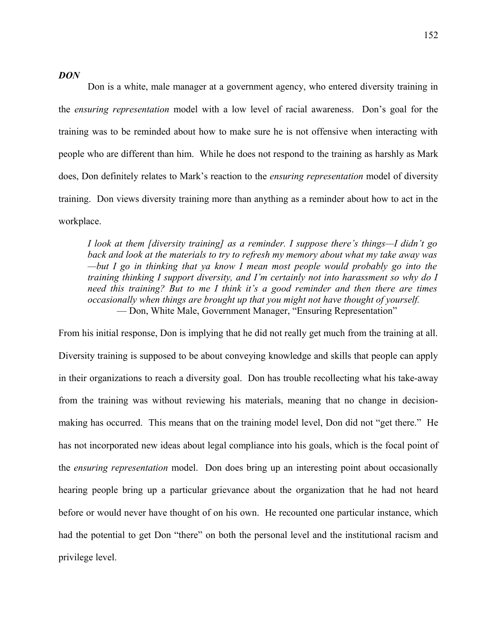### *DON*

Don is a white, male manager at a government agency, who entered diversity training in the *ensuring representation* model with a low level of racial awareness. Don's goal for the training was to be reminded about how to make sure he is not offensive when interacting with people who are different than him. While he does not respond to the training as harshly as Mark does, Don definitely relates to Mark's reaction to the *ensuring representation* model of diversity training. Don views diversity training more than anything as a reminder about how to act in the workplace.

*I look at them [diversity training] as a reminder. I suppose there's things—I didn't go back and look at the materials to try to refresh my memory about what my take away was —but I go in thinking that ya know I mean most people would probably go into the training thinking I support diversity, and I'm certainly not into harassment so why do I need this training? But to me I think it's a good reminder and then there are times occasionally when things are brought up that you might not have thought of yourself.* — Don, White Male, Government Manager, "Ensuring Representation"

From his initial response, Don is implying that he did not really get much from the training at all. Diversity training is supposed to be about conveying knowledge and skills that people can apply in their organizations to reach a diversity goal. Don has trouble recollecting what his take-away from the training was without reviewing his materials, meaning that no change in decisionmaking has occurred. This means that on the training model level, Don did not "get there." He has not incorporated new ideas about legal compliance into his goals, which is the focal point of the *ensuring representation* model. Don does bring up an interesting point about occasionally hearing people bring up a particular grievance about the organization that he had not heard before or would never have thought of on his own. He recounted one particular instance, which had the potential to get Don "there" on both the personal level and the institutional racism and privilege level.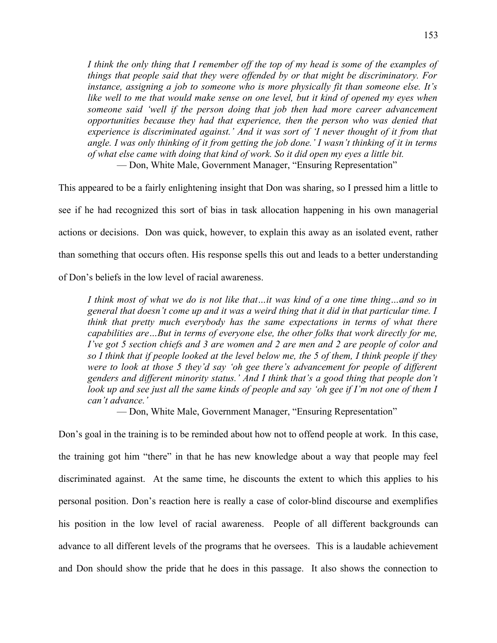*I think the only thing that I remember off the top of my head is some of the examples of things that people said that they were offended by or that might be discriminatory. For instance, assigning a job to someone who is more physically fit than someone else. It's like well to me that would make sense on one level, but it kind of opened my eyes when someone said 'well if the person doing that job then had more career advancement opportunities because they had that experience, then the person who was denied that experience is discriminated against.' And it was sort of 'I never thought of it from that angle. I was only thinking of it from getting the job done.' I wasn't thinking of it in terms of what else came with doing that kind of work. So it did open my eyes a little bit.* — Don, White Male, Government Manager, "Ensuring Representation"

This appeared to be a fairly enlightening insight that Don was sharing, so I pressed him a little to see if he had recognized this sort of bias in task allocation happening in his own managerial actions or decisions. Don was quick, however, to explain this away as an isolated event, rather than something that occurs often. His response spells this out and leads to a better understanding of Don's beliefs in the low level of racial awareness.

*I think most of what we do is not like that…it was kind of a one time thing…and so in general that doesn't come up and it was a weird thing that it did in that particular time. I think that pretty much everybody has the same expectations in terms of what there capabilities are…But in terms of everyone else, the other folks that work directly for me, I've got 5 section chiefs and 3 are women and 2 are men and 2 are people of color and so I think that if people looked at the level below me, the 5 of them, I think people if they were to look at those 5 they'd say 'oh gee there's advancement for people of different genders and different minority status.' And I think that's a good thing that people don't look up and see just all the same kinds of people and say 'oh gee if I'm not one of them I can't advance.'*

— Don, White Male, Government Manager, "Ensuring Representation"

Don's goal in the training is to be reminded about how not to offend people at work. In this case, the training got him "there" in that he has new knowledge about a way that people may feel discriminated against. At the same time, he discounts the extent to which this applies to his personal position. Don's reaction here is really a case of color-blind discourse and exemplifies his position in the low level of racial awareness. People of all different backgrounds can advance to all different levels of the programs that he oversees. This is a laudable achievement and Don should show the pride that he does in this passage. It also shows the connection to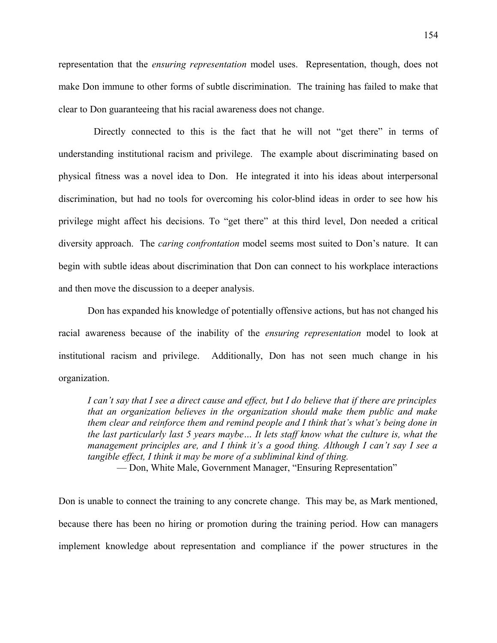representation that the *ensuring representation* model uses. Representation, though, does not make Don immune to other forms of subtle discrimination. The training has failed to make that clear to Don guaranteeing that his racial awareness does not change.

Directly connected to this is the fact that he will not "get there" in terms of understanding institutional racism and privilege. The example about discriminating based on physical fitness was a novel idea to Don. He integrated it into his ideas about interpersonal discrimination, but had no tools for overcoming his color-blind ideas in order to see how his privilege might affect his decisions. To "get there" at this third level, Don needed a critical diversity approach. The *caring confrontation* model seems most suited to Don's nature. It can begin with subtle ideas about discrimination that Don can connect to his workplace interactions and then move the discussion to a deeper analysis.

Don has expanded his knowledge of potentially offensive actions, but has not changed his racial awareness because of the inability of the *ensuring representation* model to look at institutional racism and privilege. Additionally, Don has not seen much change in his organization.

*I can't say that I see a direct cause and effect, but I do believe that if there are principles that an organization believes in the organization should make them public and make them clear and reinforce them and remind people and I think that's what's being done in the last particularly last 5 years maybe… It lets staff know what the culture is, what the management principles are, and I think it's a good thing. Although I can't say I see a tangible effect, I think it may be more of a subliminal kind of thing.*

— Don, White Male, Government Manager, "Ensuring Representation"

Don is unable to connect the training to any concrete change. This may be, as Mark mentioned, because there has been no hiring or promotion during the training period. How can managers implement knowledge about representation and compliance if the power structures in the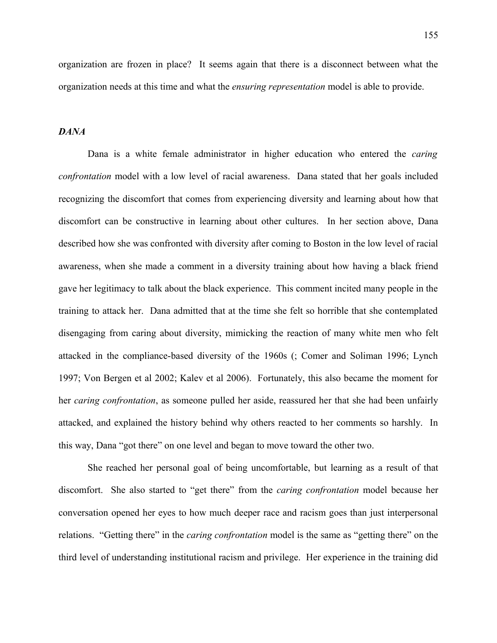organization are frozen in place? It seems again that there is a disconnect between what the organization needs at this time and what the *ensuring representation* model is able to provide.

### *DANA*

Dana is a white female administrator in higher education who entered the *caring confrontation* model with a low level of racial awareness. Dana stated that her goals included recognizing the discomfort that comes from experiencing diversity and learning about how that discomfort can be constructive in learning about other cultures. In her section above, Dana described how she was confronted with diversity after coming to Boston in the low level of racial awareness, when she made a comment in a diversity training about how having a black friend gave her legitimacy to talk about the black experience. This comment incited many people in the training to attack her. Dana admitted that at the time she felt so horrible that she contemplated disengaging from caring about diversity, mimicking the reaction of many white men who felt attacked in the compliance-based diversity of the 1960s (; Comer and Soliman 1996; Lynch 1997; Von Bergen et al 2002; Kalev et al 2006). Fortunately, this also became the moment for her *caring confrontation*, as someone pulled her aside, reassured her that she had been unfairly attacked, and explained the history behind why others reacted to her comments so harshly. In this way, Dana "got there" on one level and began to move toward the other two.

She reached her personal goal of being uncomfortable, but learning as a result of that discomfort. She also started to "get there" from the *caring confrontation* model because her conversation opened her eyes to how much deeper race and racism goes than just interpersonal relations. "Getting there" in the *caring confrontation* model is the same as "getting there" on the third level of understanding institutional racism and privilege. Her experience in the training did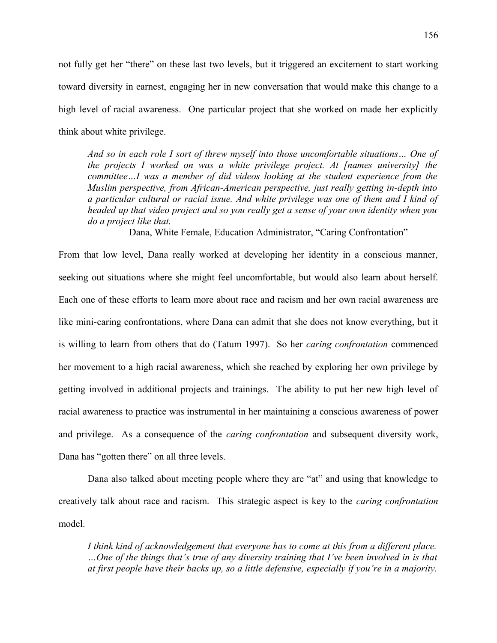not fully get her "there" on these last two levels, but it triggered an excitement to start working toward diversity in earnest, engaging her in new conversation that would make this change to a high level of racial awareness. One particular project that she worked on made her explicitly think about white privilege.

*And so in each role I sort of threw myself into those uncomfortable situations… One of the projects I worked on was a white privilege project. At [names university] the committee…I was a member of did videos looking at the student experience from the Muslim perspective, from African-American perspective, just really getting in-depth into a particular cultural or racial issue. And white privilege was one of them and I kind of headed up that video project and so you really get a sense of your own identity when you do a project like that.*

— Dana, White Female, Education Administrator, "Caring Confrontation"

From that low level, Dana really worked at developing her identity in a conscious manner, seeking out situations where she might feel uncomfortable, but would also learn about herself. Each one of these efforts to learn more about race and racism and her own racial awareness are like mini-caring confrontations, where Dana can admit that she does not know everything, but it is willing to learn from others that do (Tatum 1997). So her *caring confrontation* commenced her movement to a high racial awareness, which she reached by exploring her own privilege by getting involved in additional projects and trainings. The ability to put her new high level of racial awareness to practice was instrumental in her maintaining a conscious awareness of power and privilege. As a consequence of the *caring confrontation* and subsequent diversity work, Dana has "gotten there" on all three levels.

Dana also talked about meeting people where they are "at" and using that knowledge to creatively talk about race and racism. This strategic aspect is key to the *caring confrontation* model.

*I think kind of acknowledgement that everyone has to come at this from a different place. …One of the things that's true of any diversity training that I've been involved in is that at first people have their backs up, so a little defensive, especially if you're in a majority.*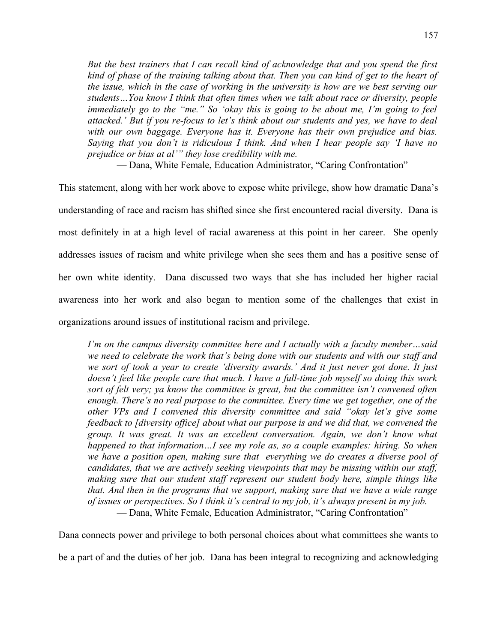*But the best trainers that I can recall kind of acknowledge that and you spend the first kind of phase of the training talking about that. Then you can kind of get to the heart of the issue, which in the case of working in the university is how are we best serving our students…You know I think that often times when we talk about race or diversity, people immediately go to the "me." So 'okay this is going to be about me, I'm going to feel attacked.' But if you re-focus to let's think about our students and yes, we have to deal with our own baggage. Everyone has it. Everyone has their own prejudice and bias. Saying that you don't is ridiculous I think. And when I hear people say 'I have no prejudice or bias at al'" they lose credibility with me.*

— Dana, White Female, Education Administrator, "Caring Confrontation"

This statement, along with her work above to expose white privilege, show how dramatic Dana's understanding of race and racism has shifted since she first encountered racial diversity. Dana is most definitely in at a high level of racial awareness at this point in her career. She openly addresses issues of racism and white privilege when she sees them and has a positive sense of her own white identity. Dana discussed two ways that she has included her higher racial awareness into her work and also began to mention some of the challenges that exist in organizations around issues of institutional racism and privilege.

*I'm on the campus diversity committee here and I actually with a faculty member…said we need to celebrate the work that's being done with our students and with our staff and we sort of took a year to create 'diversity awards.' And it just never got done. It just doesn't feel like people care that much. I have a full-time job myself so doing this work sort of felt very; ya know the committee is great, but the committee isn't convened often enough. There's no real purpose to the committee. Every time we get together, one of the other VPs and I convened this diversity committee and said "okay let's give some feedback to [diversity office] about what our purpose is and we did that, we convened the group. It was great. It was an excellent conversation. Again, we don't know what happened to that information…I see my role as, so a couple examples: hiring. So when we have a position open, making sure that everything we do creates a diverse pool of candidates, that we are actively seeking viewpoints that may be missing within our staff, making sure that our student staff represent our student body here, simple things like that. And then in the programs that we support, making sure that we have a wide range of issues or perspectives. So I think it's central to my job, it's always present in my job.* — Dana, White Female, Education Administrator, "Caring Confrontation"

Dana connects power and privilege to both personal choices about what committees she wants to

be a part of and the duties of her job. Dana has been integral to recognizing and acknowledging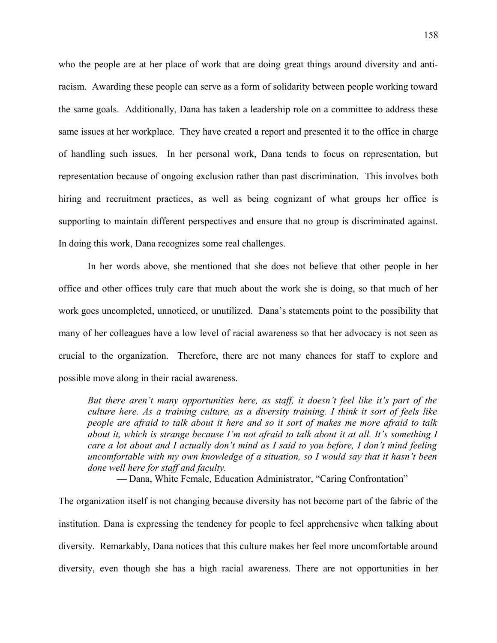who the people are at her place of work that are doing great things around diversity and antiracism. Awarding these people can serve as a form of solidarity between people working toward the same goals. Additionally, Dana has taken a leadership role on a committee to address these same issues at her workplace. They have created a report and presented it to the office in charge of handling such issues. In her personal work, Dana tends to focus on representation, but representation because of ongoing exclusion rather than past discrimination. This involves both hiring and recruitment practices, as well as being cognizant of what groups her office is supporting to maintain different perspectives and ensure that no group is discriminated against. In doing this work, Dana recognizes some real challenges.

In her words above, she mentioned that she does not believe that other people in her office and other offices truly care that much about the work she is doing, so that much of her work goes uncompleted, unnoticed, or unutilized. Dana's statements point to the possibility that many of her colleagues have a low level of racial awareness so that her advocacy is not seen as crucial to the organization. Therefore, there are not many chances for staff to explore and possible move along in their racial awareness.

*But there aren't many opportunities here, as staff, it doesn't feel like it's part of the culture here. As a training culture, as a diversity training. I think it sort of feels like people are afraid to talk about it here and so it sort of makes me more afraid to talk about it, which is strange because I'm not afraid to talk about it at all. It's something I care a lot about and I actually don't mind as I said to you before, I don't mind feeling uncomfortable with my own knowledge of a situation, so I would say that it hasn't been done well here for staff and faculty.*

— Dana, White Female, Education Administrator, "Caring Confrontation"

The organization itself is not changing because diversity has not become part of the fabric of the institution. Dana is expressing the tendency for people to feel apprehensive when talking about diversity. Remarkably, Dana notices that this culture makes her feel more uncomfortable around diversity, even though she has a high racial awareness. There are not opportunities in her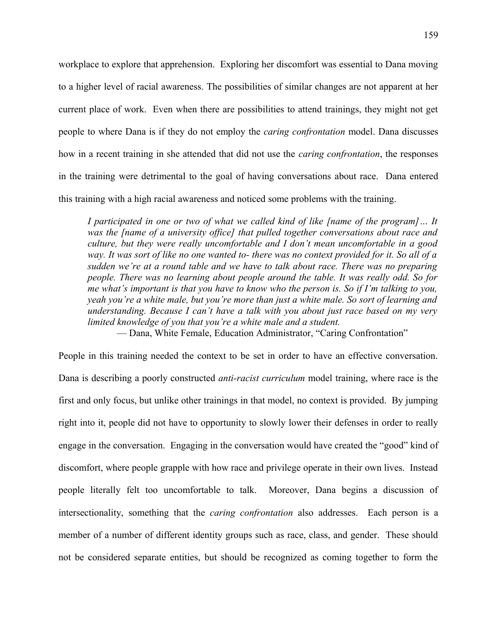workplace to explore that apprehension. Exploring her discomfort was essential to Dana moving to a higher level of racial awareness. The possibilities of similar changes are not apparent at her current place of work. Even when there are possibilities to attend trainings, they might not get people to where Dana is if they do not employ the *caring confrontation* model. Dana discusses how in a recent training in she attended that did not use the *caring confrontation*, the responses in the training were detrimental to the goal of having conversations about race. Dana entered this training with a high racial awareness and noticed some problems with the training.

*I participated in one or two of what we called kind of like [name of the program]… It was the [name of a university office] that pulled together conversations about race and culture, but they were really uncomfortable and I don't mean uncomfortable in a good way. It was sort of like no one wanted to- there was no context provided for it. So all of a sudden we're at a round table and we have to talk about race. There was no preparing people. There was no learning about people around the table. It was really odd. So for me what's important is that you have to know who the person is. So if I'm talking to you, yeah you're a white male, but you're more than just a white male. So sort of learning and understanding. Because I can't have a talk with you about just race based on my very limited knowledge of you that you're a white male and a student.*

— Dana, White Female, Education Administrator, "Caring Confrontation"

People in this training needed the context to be set in order to have an effective conversation. Dana is describing a poorly constructed *anti-racist curriculum* model training, where race is the first and only focus, but unlike other trainings in that model, no context is provided. By jumping right into it, people did not have to opportunity to slowly lower their defenses in order to really engage in the conversation. Engaging in the conversation would have created the "good" kind of discomfort, where people grapple with how race and privilege operate in their own lives. Instead people literally felt too uncomfortable to talk. Moreover, Dana begins a discussion of intersectionality, something that the *caring confrontation* also addresses. Each person is a member of a number of different identity groups such as race, class, and gender. These should not be considered separate entities, but should be recognized as coming together to form the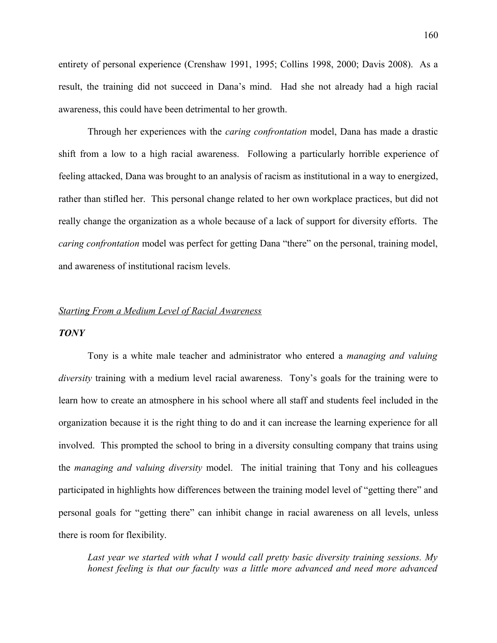entirety of personal experience (Crenshaw 1991, 1995; Collins 1998, 2000; Davis 2008). As a result, the training did not succeed in Dana's mind. Had she not already had a high racial awareness, this could have been detrimental to her growth.

Through her experiences with the *caring confrontation* model, Dana has made a drastic shift from a low to a high racial awareness. Following a particularly horrible experience of feeling attacked, Dana was brought to an analysis of racism as institutional in a way to energized, rather than stifled her. This personal change related to her own workplace practices, but did not really change the organization as a whole because of a lack of support for diversity efforts. The *caring confrontation* model was perfect for getting Dana "there" on the personal, training model, and awareness of institutional racism levels.

### *Starting From a Medium Level of Racial Awareness*

#### *TONY*

Tony is a white male teacher and administrator who entered a *managing and valuing diversity* training with a medium level racial awareness. Tony's goals for the training were to learn how to create an atmosphere in his school where all staff and students feel included in the organization because it is the right thing to do and it can increase the learning experience for all involved. This prompted the school to bring in a diversity consulting company that trains using the *managing and valuing diversity* model. The initial training that Tony and his colleagues participated in highlights how differences between the training model level of "getting there" and personal goals for "getting there" can inhibit change in racial awareness on all levels, unless there is room for flexibility.

*Last year we started with what I would call pretty basic diversity training sessions. My honest feeling is that our faculty was a little more advanced and need more advanced*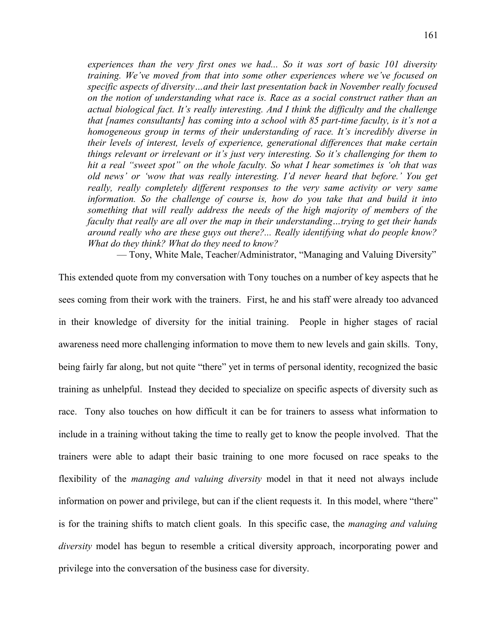*experiences than the very first ones we had... So it was sort of basic 101 diversity training. We've moved from that into some other experiences where we've focused on specific aspects of diversity…and their last presentation back in November really focused on the notion of understanding what race is. Race as a social construct rather than an actual biological fact. It's really interesting. And I think the difficulty and the challenge that [names consultants] has coming into a school with 85 part-time faculty, is it's not a homogeneous group in terms of their understanding of race. It's incredibly diverse in their levels of interest, levels of experience, generational differences that make certain things relevant or irrelevant or it's just very interesting. So it's challenging for them to hit a real "sweet spot" on the whole faculty. So what I hear sometimes is 'oh that was old news' or 'wow that was really interesting. I'd never heard that before.' You get really, really completely different responses to the very same activity or very same information. So the challenge of course is, how do you take that and build it into something that will really address the needs of the high majority of members of the faculty that really are all over the map in their understanding…trying to get their hands around really who are these guys out there?... Really identifying what do people know? What do they think? What do they need to know?*

— Tony, White Male, Teacher/Administrator, "Managing and Valuing Diversity"

This extended quote from my conversation with Tony touches on a number of key aspects that he sees coming from their work with the trainers. First, he and his staff were already too advanced in their knowledge of diversity for the initial training. People in higher stages of racial awareness need more challenging information to move them to new levels and gain skills. Tony, being fairly far along, but not quite "there" yet in terms of personal identity, recognized the basic training as unhelpful. Instead they decided to specialize on specific aspects of diversity such as race. Tony also touches on how difficult it can be for trainers to assess what information to include in a training without taking the time to really get to know the people involved. That the trainers were able to adapt their basic training to one more focused on race speaks to the flexibility of the *managing and valuing diversity* model in that it need not always include information on power and privilege, but can if the client requests it. In this model, where "there" is for the training shifts to match client goals. In this specific case, the *managing and valuing diversity* model has begun to resemble a critical diversity approach, incorporating power and privilege into the conversation of the business case for diversity.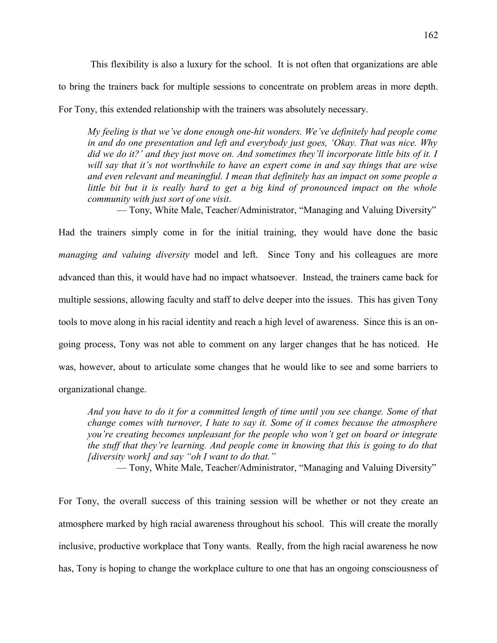This flexibility is also a luxury for the school. It is not often that organizations are able to bring the trainers back for multiple sessions to concentrate on problem areas in more depth. For Tony, this extended relationship with the trainers was absolutely necessary.

*My feeling is that we've done enough one-hit wonders. We've definitely had people come in and do one presentation and left and everybody just goes, 'Okay. That was nice. Why did we do it?' and they just move on. And sometimes they'll incorporate little bits of it. I will say that it's not worthwhile to have an expert come in and say things that are wise and even relevant and meaningful. I mean that definitely has an impact on some people a little bit but it is really hard to get a big kind of pronounced impact on the whole community with just sort of one visit*.

— Tony, White Male, Teacher/Administrator, "Managing and Valuing Diversity"

Had the trainers simply come in for the initial training, they would have done the basic *managing and valuing diversity* model and left. Since Tony and his colleagues are more advanced than this, it would have had no impact whatsoever. Instead, the trainers came back for multiple sessions, allowing faculty and staff to delve deeper into the issues. This has given Tony tools to move along in his racial identity and reach a high level of awareness. Since this is an ongoing process, Tony was not able to comment on any larger changes that he has noticed. He was, however, about to articulate some changes that he would like to see and some barriers to organizational change.

*And you have to do it for a committed length of time until you see change. Some of that change comes with turnover, I hate to say it. Some of it comes because the atmosphere you're creating becomes unpleasant for the people who won't get on board or integrate the stuff that they're learning. And people come in knowing that this is going to do that [diversity work] and say "oh I want to do that."*

— Tony, White Male, Teacher/Administrator, "Managing and Valuing Diversity"

For Tony, the overall success of this training session will be whether or not they create an atmosphere marked by high racial awareness throughout his school. This will create the morally inclusive, productive workplace that Tony wants. Really, from the high racial awareness he now has, Tony is hoping to change the workplace culture to one that has an ongoing consciousness of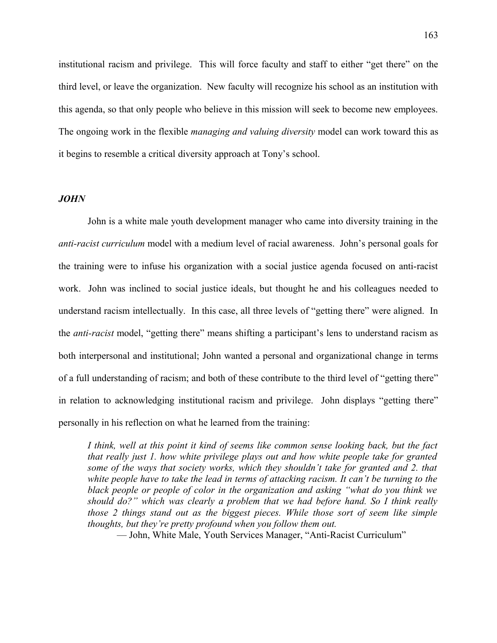institutional racism and privilege. This will force faculty and staff to either "get there" on the third level, or leave the organization. New faculty will recognize his school as an institution with this agenda, so that only people who believe in this mission will seek to become new employees. The ongoing work in the flexible *managing and valuing diversity* model can work toward this as it begins to resemble a critical diversity approach at Tony's school.

#### *JOHN*

John is a white male youth development manager who came into diversity training in the *anti-racist curriculum* model with a medium level of racial awareness. John's personal goals for the training were to infuse his organization with a social justice agenda focused on anti-racist work. John was inclined to social justice ideals, but thought he and his colleagues needed to understand racism intellectually. In this case, all three levels of "getting there" were aligned. In the *anti-racist* model, "getting there" means shifting a participant's lens to understand racism as both interpersonal and institutional; John wanted a personal and organizational change in terms of a full understanding of racism; and both of these contribute to the third level of "getting there" in relation to acknowledging institutional racism and privilege. John displays "getting there" personally in his reflection on what he learned from the training:

*I think, well at this point it kind of seems like common sense looking back, but the fact that really just 1. how white privilege plays out and how white people take for granted some of the ways that society works, which they shouldn't take for granted and 2. that white people have to take the lead in terms of attacking racism. It can't be turning to the black people or people of color in the organization and asking "what do you think we should do?" which was clearly a problem that we had before hand. So I think really those 2 things stand out as the biggest pieces. While those sort of seem like simple thoughts, but they're pretty profound when you follow them out.*

— John, White Male, Youth Services Manager, "Anti-Racist Curriculum"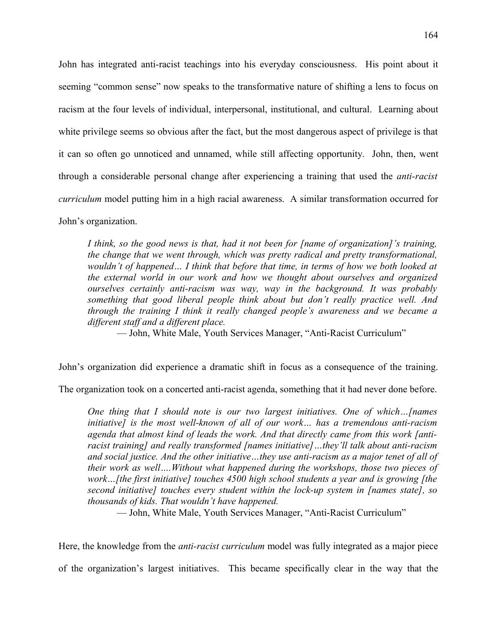John has integrated anti-racist teachings into his everyday consciousness. His point about it seeming "common sense" now speaks to the transformative nature of shifting a lens to focus on racism at the four levels of individual, interpersonal, institutional, and cultural. Learning about white privilege seems so obvious after the fact, but the most dangerous aspect of privilege is that it can so often go unnoticed and unnamed, while still affecting opportunity. John, then, went through a considerable personal change after experiencing a training that used the *anti-racist curriculum* model putting him in a high racial awareness. A similar transformation occurred for John's organization.

*I think, so the good news is that, had it not been for [name of organization]'s training, the change that we went through, which was pretty radical and pretty transformational, wouldn't of happened… I think that before that time, in terms of how we both looked at the external world in our work and how we thought about ourselves and organized ourselves certainly anti-racism was way, way in the background. It was probably something that good liberal people think about but don't really practice well. And through the training I think it really changed people's awareness and we became a different staff and a different place.*

— John, White Male, Youth Services Manager, "Anti-Racist Curriculum"

John's organization did experience a dramatic shift in focus as a consequence of the training.

The organization took on a concerted anti-racist agenda, something that it had never done before.

*One thing that I should note is our two largest initiatives. One of which…[names initiative] is the most well-known of all of our work… has a tremendous anti-racism agenda that almost kind of leads the work. And that directly came from this work [antiracist training] and really transformed [names initiative]…they'll talk about anti-racism and social justice. And the other initiative…they use anti-racism as a major tenet of all of their work as well….Without what happened during the workshops, those two pieces of work…[the first initiative] touches 4500 high school students a year and is growing [the second initiative] touches every student within the lock-up system in [names state], so thousands of kids. That wouldn't have happened.*

— John, White Male, Youth Services Manager, "Anti-Racist Curriculum"

Here, the knowledge from the *anti-racist curriculum* model was fully integrated as a major piece of the organization's largest initiatives. This became specifically clear in the way that the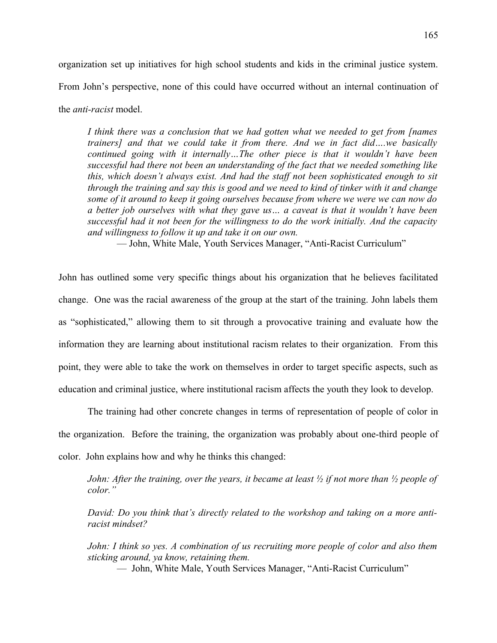organization set up initiatives for high school students and kids in the criminal justice system. From John's perspective, none of this could have occurred without an internal continuation of the *anti-racist* model.

*I think there was a conclusion that we had gotten what we needed to get from [names trainers] and that we could take it from there. And we in fact did….we basically continued going with it internally…The other piece is that it wouldn't have been successful had there not been an understanding of the fact that we needed something like this, which doesn't always exist. And had the staff not been sophisticated enough to sit through the training and say this is good and we need to kind of tinker with it and change some of it around to keep it going ourselves because from where we were we can now do a better job ourselves with what they gave us… a caveat is that it wouldn't have been successful had it not been for the willingness to do the work initially. And the capacity and willingness to follow it up and take it on our own.*

— John, White Male, Youth Services Manager, "Anti-Racist Curriculum"

John has outlined some very specific things about his organization that he believes facilitated change. One was the racial awareness of the group at the start of the training. John labels them as "sophisticated," allowing them to sit through a provocative training and evaluate how the information they are learning about institutional racism relates to their organization. From this point, they were able to take the work on themselves in order to target specific aspects, such as education and criminal justice, where institutional racism affects the youth they look to develop.

The training had other concrete changes in terms of representation of people of color in the organization. Before the training, the organization was probably about one-third people of color. John explains how and why he thinks this changed:

*John: After the training, over the years, it became at least ½ if not more than ½ people of color."*

*David: Do you think that's directly related to the workshop and taking on a more antiracist mindset?*

*John: I think so yes. A combination of us recruiting more people of color and also them sticking around, ya know, retaining them.*

— John, White Male, Youth Services Manager, "Anti-Racist Curriculum"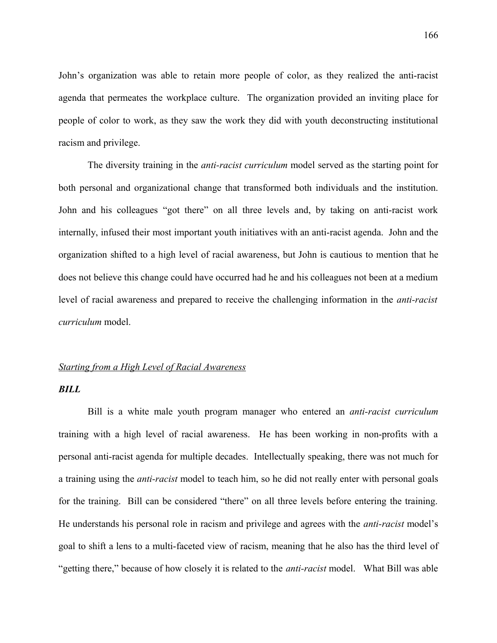John's organization was able to retain more people of color, as they realized the anti-racist agenda that permeates the workplace culture. The organization provided an inviting place for people of color to work, as they saw the work they did with youth deconstructing institutional racism and privilege.

The diversity training in the *anti-racist curriculum* model served as the starting point for both personal and organizational change that transformed both individuals and the institution. John and his colleagues "got there" on all three levels and, by taking on anti-racist work internally, infused their most important youth initiatives with an anti-racist agenda. John and the organization shifted to a high level of racial awareness, but John is cautious to mention that he does not believe this change could have occurred had he and his colleagues not been at a medium level of racial awareness and prepared to receive the challenging information in the *anti-racist curriculum* model.

# *Starting from a High Level of Racial Awareness*

# *BILL*

Bill is a white male youth program manager who entered an *anti-racist curriculum* training with a high level of racial awareness. He has been working in non-profits with a personal anti-racist agenda for multiple decades. Intellectually speaking, there was not much for a training using the *anti-racist* model to teach him, so he did not really enter with personal goals for the training. Bill can be considered "there" on all three levels before entering the training. He understands his personal role in racism and privilege and agrees with the *anti-racist* model's goal to shift a lens to a multi-faceted view of racism, meaning that he also has the third level of "getting there," because of how closely it is related to the *anti-racist* model. What Bill was able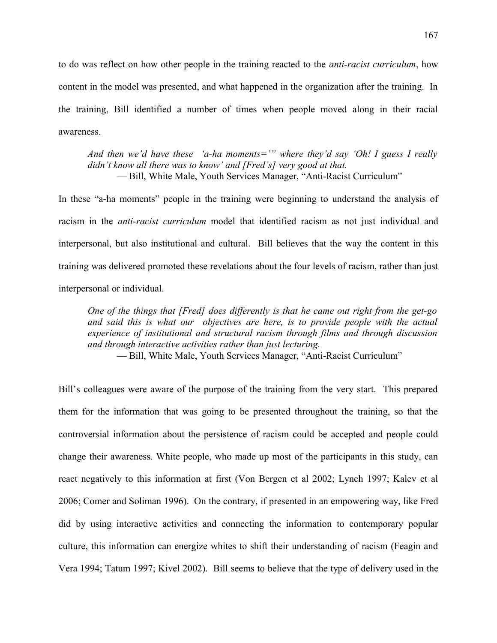to do was reflect on how other people in the training reacted to the *anti-racist curriculum*, how content in the model was presented, and what happened in the organization after the training. In the training, Bill identified a number of times when people moved along in their racial awareness.

*And then we'd have these 'a-ha moments='" where they'd say 'Oh! I guess I really didn't know all there was to know' and [Fred's] very good at that.* — Bill, White Male, Youth Services Manager, "Anti-Racist Curriculum"

In these "a-ha moments" people in the training were beginning to understand the analysis of racism in the *anti-racist curriculum* model that identified racism as not just individual and interpersonal, but also institutional and cultural. Bill believes that the way the content in this training was delivered promoted these revelations about the four levels of racism, rather than just interpersonal or individual.

*One of the things that [Fred] does differently is that he came out right from the get-go and said this is what our objectives are here, is to provide people with the actual experience of institutional and structural racism through films and through discussion and through interactive activities rather than just lecturing.*

— Bill, White Male, Youth Services Manager, "Anti-Racist Curriculum"

Bill's colleagues were aware of the purpose of the training from the very start. This prepared them for the information that was going to be presented throughout the training, so that the controversial information about the persistence of racism could be accepted and people could change their awareness. White people, who made up most of the participants in this study, can react negatively to this information at first (Von Bergen et al 2002; Lynch 1997; Kalev et al 2006; Comer and Soliman 1996). On the contrary, if presented in an empowering way, like Fred did by using interactive activities and connecting the information to contemporary popular culture, this information can energize whites to shift their understanding of racism (Feagin and Vera 1994; Tatum 1997; Kivel 2002). Bill seems to believe that the type of delivery used in the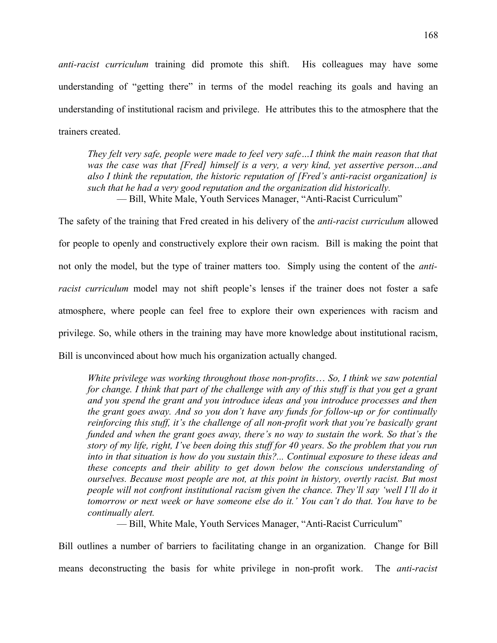*anti-racist curriculum* training did promote this shift. His colleagues may have some understanding of "getting there" in terms of the model reaching its goals and having an understanding of institutional racism and privilege. He attributes this to the atmosphere that the trainers created.

*They felt very safe, people were made to feel very safe…I think the main reason that that was the case was that [Fred] himself is a very, a very kind, yet assertive person…and also I think the reputation, the historic reputation of [Fred's anti-racist organization] is such that he had a very good reputation and the organization did historically.* — Bill, White Male, Youth Services Manager, "Anti-Racist Curriculum"

The safety of the training that Fred created in his delivery of the *anti-racist curriculum* allowed for people to openly and constructively explore their own racism. Bill is making the point that not only the model, but the type of trainer matters too. Simply using the content of the *antiracist curriculum* model may not shift people's lenses if the trainer does not foster a safe atmosphere, where people can feel free to explore their own experiences with racism and privilege. So, while others in the training may have more knowledge about institutional racism, Bill is unconvinced about how much his organization actually changed.

*White privilege was working throughout those non-profits*… *So, I think we saw potential for change. I think that part of the challenge with any of this stuff is that you get a grant and you spend the grant and you introduce ideas and you introduce processes and then the grant goes away. And so you don't have any funds for follow-up or for continually reinforcing this stuff, it's the challenge of all non-profit work that you're basically grant funded and when the grant goes away, there's no way to sustain the work. So that's the story of my life, right, I've been doing this stuff for 40 years. So the problem that you run into in that situation is how do you sustain this?... Continual exposure to these ideas and these concepts and their ability to get down below the conscious understanding of ourselves. Because most people are not, at this point in history, overtly racist. But most people will not confront institutional racism given the chance. They'll say 'well I'll do it tomorrow or next week or have someone else do it.' You can't do that. You have to be continually alert.*

— Bill, White Male, Youth Services Manager, "Anti-Racist Curriculum"

Bill outlines a number of barriers to facilitating change in an organization. Change for Bill means deconstructing the basis for white privilege in non-profit work. The *anti-racist*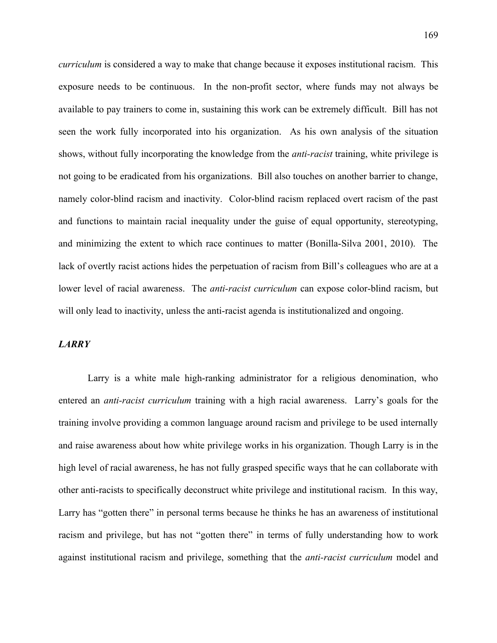*curriculum* is considered a way to make that change because it exposes institutional racism. This exposure needs to be continuous. In the non-profit sector, where funds may not always be available to pay trainers to come in, sustaining this work can be extremely difficult. Bill has not seen the work fully incorporated into his organization. As his own analysis of the situation shows, without fully incorporating the knowledge from the *anti-racist* training, white privilege is not going to be eradicated from his organizations. Bill also touches on another barrier to change, namely color-blind racism and inactivity. Color-blind racism replaced overt racism of the past and functions to maintain racial inequality under the guise of equal opportunity, stereotyping, and minimizing the extent to which race continues to matter (Bonilla-Silva 2001, 2010). The lack of overtly racist actions hides the perpetuation of racism from Bill's colleagues who are at a lower level of racial awareness. The *anti-racist curriculum* can expose color-blind racism, but will only lead to inactivity, unless the anti-racist agenda is institutionalized and ongoing.

# *LARRY*

Larry is a white male high-ranking administrator for a religious denomination, who entered an *anti-racist curriculum* training with a high racial awareness. Larry's goals for the training involve providing a common language around racism and privilege to be used internally and raise awareness about how white privilege works in his organization. Though Larry is in the high level of racial awareness, he has not fully grasped specific ways that he can collaborate with other anti-racists to specifically deconstruct white privilege and institutional racism. In this way, Larry has "gotten there" in personal terms because he thinks he has an awareness of institutional racism and privilege, but has not "gotten there" in terms of fully understanding how to work against institutional racism and privilege, something that the *anti-racist curriculum* model and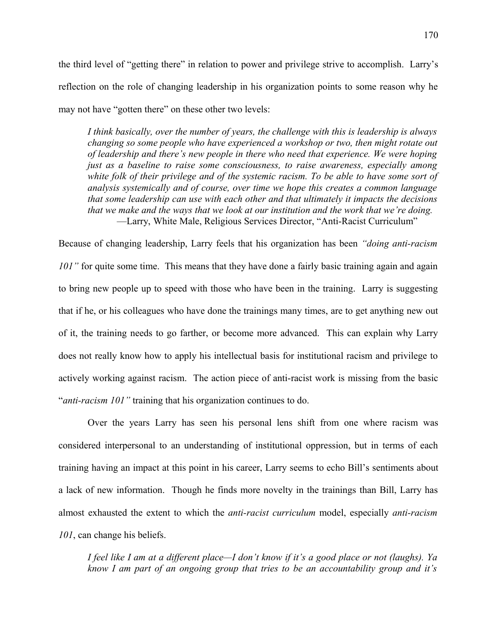the third level of "getting there" in relation to power and privilege strive to accomplish. Larry's reflection on the role of changing leadership in his organization points to some reason why he may not have "gotten there" on these other two levels:

*I think basically, over the number of years, the challenge with this is leadership is always changing so some people who have experienced a workshop or two, then might rotate out of leadership and there's new people in there who need that experience. We were hoping just as a baseline to raise some consciousness, to raise awareness, especially among white folk of their privilege and of the systemic racism. To be able to have some sort of analysis systemically and of course, over time we hope this creates a common language that some leadership can use with each other and that ultimately it impacts the decisions that we make and the ways that we look at our institution and the work that we're doing.* —Larry, White Male, Religious Services Director, "Anti-Racist Curriculum"

Because of changing leadership, Larry feels that his organization has been *"doing anti-racism 101*" for quite some time. This means that they have done a fairly basic training again and again to bring new people up to speed with those who have been in the training. Larry is suggesting that if he, or his colleagues who have done the trainings many times, are to get anything new out of it, the training needs to go farther, or become more advanced. This can explain why Larry does not really know how to apply his intellectual basis for institutional racism and privilege to actively working against racism. The action piece of anti-racist work is missing from the basic "*anti-racism 101"* training that his organization continues to do.

Over the years Larry has seen his personal lens shift from one where racism was considered interpersonal to an understanding of institutional oppression, but in terms of each training having an impact at this point in his career, Larry seems to echo Bill's sentiments about a lack of new information. Though he finds more novelty in the trainings than Bill, Larry has almost exhausted the extent to which the *anti-racist curriculum* model, especially *anti-racism 101*, can change his beliefs.

*I feel like I am at a different place—I don't know if it's a good place or not (laughs). Ya know I am part of an ongoing group that tries to be an accountability group and it's*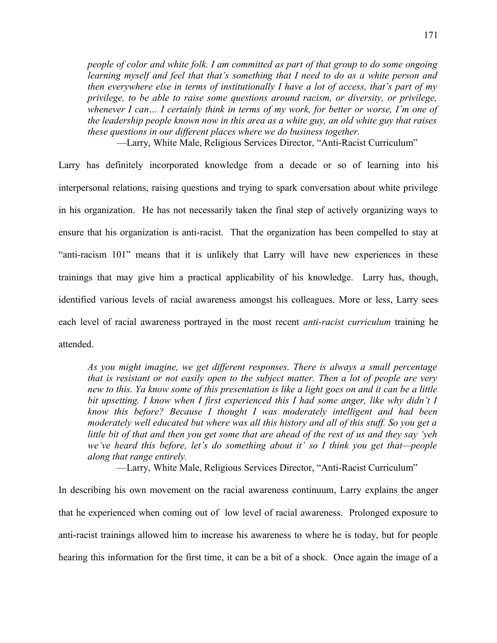*people of color and white folk. I am committed as part of that group to do some ongoing learning myself and feel that that's something that I need to do as a white person and then everywhere else in terms of institutionally I have a lot of access, that's part of my privilege, to be able to raise some questions around racism, or diversity, or privilege, whenever I can… I certainly think in terms of my work, for better or worse, I'm one of the leadership people known now in this area as a white guy, an old white guy that raises these questions in our different places where we do business together.*

—Larry, White Male, Religious Services Director, "Anti-Racist Curriculum"

Larry has definitely incorporated knowledge from a decade or so of learning into his interpersonal relations, raising questions and trying to spark conversation about white privilege in his organization. He has not necessarily taken the final step of actively organizing ways to ensure that his organization is anti-racist. That the organization has been compelled to stay at "anti-racism 101" means that it is unlikely that Larry will have new experiences in these trainings that may give him a practical applicability of his knowledge. Larry has, though, identified various levels of racial awareness amongst his colleagues. More or less, Larry sees each level of racial awareness portrayed in the most recent *anti-racist curriculum* training he attended.

*As you might imagine, we get different responses. There is always a small percentage that is resistant or not easily open to the subject matter. Then a lot of people are very new to this. Ya know some of this presentation is like a light goes on and it can be a little bit upsetting. I know when I first experienced this I had some anger, like why didn't I know this before? Because I thought I was moderately intelligent and had been moderately well educated but where was all this history and all of this stuff. So you get a little bit of that and then you get some that are ahead of the rest of us and they say 'yeh we've heard this before, let's do something about it' so I think you get that—people along that range entirely.*

—Larry, White Male, Religious Services Director, "Anti-Racist Curriculum"

In describing his own movement on the racial awareness continuum, Larry explains the anger that he experienced when coming out of low level of racial awareness. Prolonged exposure to anti-racist trainings allowed him to increase his awareness to where he is today, but for people hearing this information for the first time, it can be a bit of a shock. Once again the image of a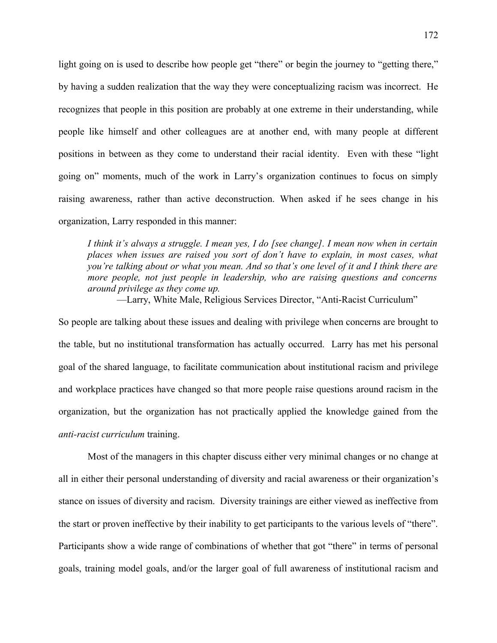light going on is used to describe how people get "there" or begin the journey to "getting there," by having a sudden realization that the way they were conceptualizing racism was incorrect. He recognizes that people in this position are probably at one extreme in their understanding, while people like himself and other colleagues are at another end, with many people at different positions in between as they come to understand their racial identity. Even with these "light going on" moments, much of the work in Larry's organization continues to focus on simply raising awareness, rather than active deconstruction. When asked if he sees change in his organization, Larry responded in this manner:

*I think it's always a struggle. I mean yes, I do [see change]. I mean now when in certain places when issues are raised you sort of don't have to explain, in most cases, what you're talking about or what you mean. And so that's one level of it and I think there are more people, not just people in leadership, who are raising questions and concerns around privilege as they come up.*

—Larry, White Male, Religious Services Director, "Anti-Racist Curriculum"

So people are talking about these issues and dealing with privilege when concerns are brought to the table, but no institutional transformation has actually occurred. Larry has met his personal goal of the shared language, to facilitate communication about institutional racism and privilege and workplace practices have changed so that more people raise questions around racism in the organization, but the organization has not practically applied the knowledge gained from the *anti-racist curriculum* training.

Most of the managers in this chapter discuss either very minimal changes or no change at all in either their personal understanding of diversity and racial awareness or their organization's stance on issues of diversity and racism. Diversity trainings are either viewed as ineffective from the start or proven ineffective by their inability to get participants to the various levels of "there". Participants show a wide range of combinations of whether that got "there" in terms of personal goals, training model goals, and/or the larger goal of full awareness of institutional racism and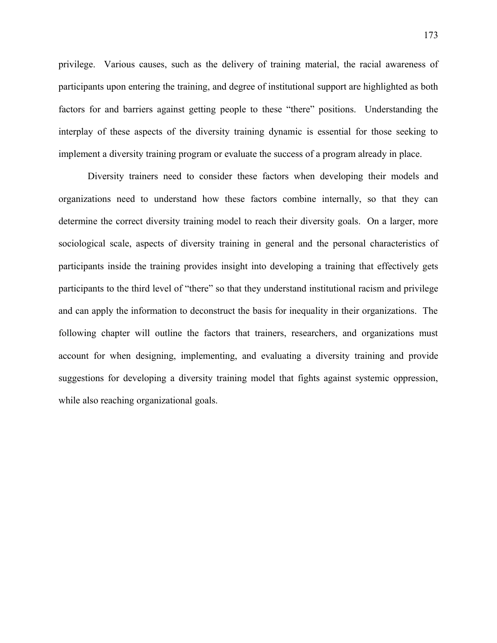privilege. Various causes, such as the delivery of training material, the racial awareness of participants upon entering the training, and degree of institutional support are highlighted as both factors for and barriers against getting people to these "there" positions. Understanding the interplay of these aspects of the diversity training dynamic is essential for those seeking to implement a diversity training program or evaluate the success of a program already in place.

Diversity trainers need to consider these factors when developing their models and organizations need to understand how these factors combine internally, so that they can determine the correct diversity training model to reach their diversity goals. On a larger, more sociological scale, aspects of diversity training in general and the personal characteristics of participants inside the training provides insight into developing a training that effectively gets participants to the third level of "there" so that they understand institutional racism and privilege and can apply the information to deconstruct the basis for inequality in their organizations. The following chapter will outline the factors that trainers, researchers, and organizations must account for when designing, implementing, and evaluating a diversity training and provide suggestions for developing a diversity training model that fights against systemic oppression, while also reaching organizational goals.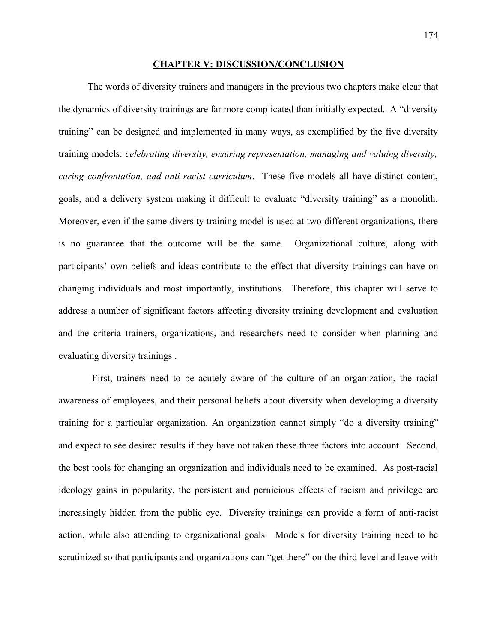#### **CHAPTER V: DISCUSSION/CONCLUSION**

The words of diversity trainers and managers in the previous two chapters make clear that the dynamics of diversity trainings are far more complicated than initially expected. A "diversity training" can be designed and implemented in many ways, as exemplified by the five diversity training models: *celebrating diversity, ensuring representation, managing and valuing diversity, caring confrontation, and anti-racist curriculum*. These five models all have distinct content, goals, and a delivery system making it difficult to evaluate "diversity training" as a monolith. Moreover, even if the same diversity training model is used at two different organizations, there is no guarantee that the outcome will be the same. Organizational culture, along with participants' own beliefs and ideas contribute to the effect that diversity trainings can have on changing individuals and most importantly, institutions. Therefore, this chapter will serve to address a number of significant factors affecting diversity training development and evaluation and the criteria trainers, organizations, and researchers need to consider when planning and evaluating diversity trainings .

 First, trainers need to be acutely aware of the culture of an organization, the racial awareness of employees, and their personal beliefs about diversity when developing a diversity training for a particular organization. An organization cannot simply "do a diversity training" and expect to see desired results if they have not taken these three factors into account. Second, the best tools for changing an organization and individuals need to be examined. As post-racial ideology gains in popularity, the persistent and pernicious effects of racism and privilege are increasingly hidden from the public eye. Diversity trainings can provide a form of anti-racist action, while also attending to organizational goals. Models for diversity training need to be scrutinized so that participants and organizations can "get there" on the third level and leave with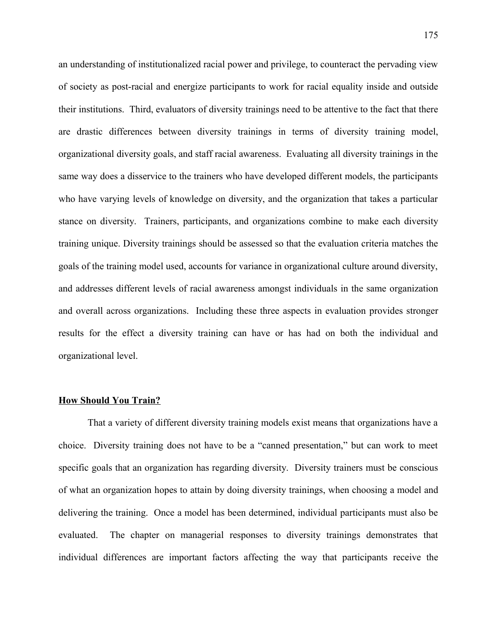an understanding of institutionalized racial power and privilege, to counteract the pervading view of society as post-racial and energize participants to work for racial equality inside and outside their institutions. Third, evaluators of diversity trainings need to be attentive to the fact that there are drastic differences between diversity trainings in terms of diversity training model, organizational diversity goals, and staff racial awareness. Evaluating all diversity trainings in the same way does a disservice to the trainers who have developed different models, the participants who have varying levels of knowledge on diversity, and the organization that takes a particular stance on diversity. Trainers, participants, and organizations combine to make each diversity training unique. Diversity trainings should be assessed so that the evaluation criteria matches the goals of the training model used, accounts for variance in organizational culture around diversity, and addresses different levels of racial awareness amongst individuals in the same organization and overall across organizations. Including these three aspects in evaluation provides stronger results for the effect a diversity training can have or has had on both the individual and organizational level.

### **How Should You Train?**

That a variety of different diversity training models exist means that organizations have a choice. Diversity training does not have to be a "canned presentation," but can work to meet specific goals that an organization has regarding diversity. Diversity trainers must be conscious of what an organization hopes to attain by doing diversity trainings, when choosing a model and delivering the training. Once a model has been determined, individual participants must also be evaluated. The chapter on managerial responses to diversity trainings demonstrates that individual differences are important factors affecting the way that participants receive the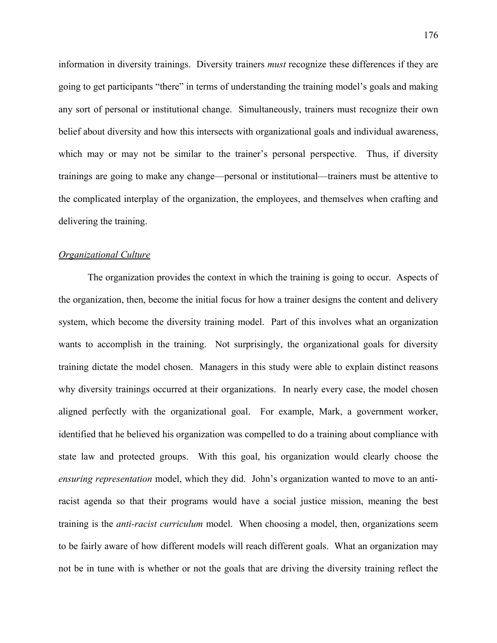information in diversity trainings. Diversity trainers *must* recognize these differences if they are going to get participants "there" in terms of understanding the training model's goals and making any sort of personal or institutional change. Simultaneously, trainers must recognize their own belief about diversity and how this intersects with organizational goals and individual awareness, which may or may not be similar to the trainer's personal perspective. Thus, if diversity trainings are going to make any change—personal or institutional—trainers must be attentive to the complicated interplay of the organization, the employees, and themselves when crafting and delivering the training.

# *Organizational Culture*

The organization provides the context in which the training is going to occur. Aspects of the organization, then, become the initial focus for how a trainer designs the content and delivery system, which become the diversity training model. Part of this involves what an organization wants to accomplish in the training. Not surprisingly, the organizational goals for diversity training dictate the model chosen. Managers in this study were able to explain distinct reasons why diversity trainings occurred at their organizations. In nearly every case, the model chosen aligned perfectly with the organizational goal. For example, Mark, a government worker, identified that he believed his organization was compelled to do a training about compliance with state law and protected groups. With this goal, his organization would clearly choose the *ensuring representation* model, which they did. John's organization wanted to move to an antiracist agenda so that their programs would have a social justice mission, meaning the best training is the *anti-racist curriculum* model. When choosing a model, then, organizations seem to be fairly aware of how different models will reach different goals. What an organization may not be in tune with is whether or not the goals that are driving the diversity training reflect the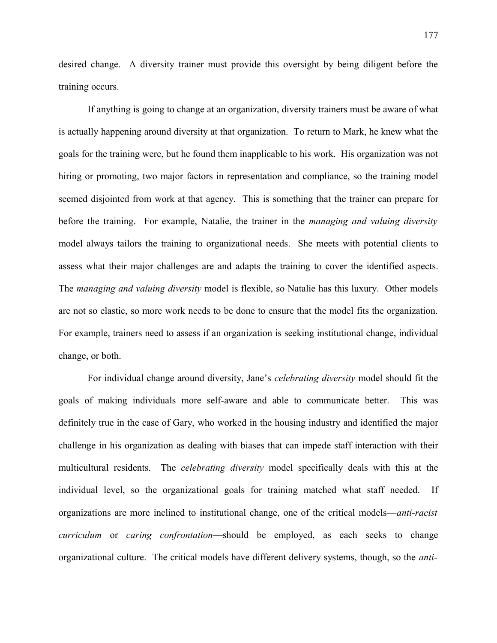desired change. A diversity trainer must provide this oversight by being diligent before the training occurs.

If anything is going to change at an organization, diversity trainers must be aware of what is actually happening around diversity at that organization. To return to Mark, he knew what the goals for the training were, but he found them inapplicable to his work. His organization was not hiring or promoting, two major factors in representation and compliance, so the training model seemed disjointed from work at that agency. This is something that the trainer can prepare for before the training. For example, Natalie, the trainer in the *managing and valuing diversity* model always tailors the training to organizational needs. She meets with potential clients to assess what their major challenges are and adapts the training to cover the identified aspects. The *managing and valuing diversity* model is flexible, so Natalie has this luxury. Other models are not so elastic, so more work needs to be done to ensure that the model fits the organization. For example, trainers need to assess if an organization is seeking institutional change, individual change, or both.

For individual change around diversity, Jane's *celebrating diversity* model should fit the goals of making individuals more self-aware and able to communicate better. This was definitely true in the case of Gary, who worked in the housing industry and identified the major challenge in his organization as dealing with biases that can impede staff interaction with their multicultural residents. The *celebrating diversity* model specifically deals with this at the individual level, so the organizational goals for training matched what staff needed. If organizations are more inclined to institutional change, one of the critical models—*anti-racist curriculum* or *caring confrontation*—should be employed, as each seeks to change organizational culture. The critical models have different delivery systems, though, so the *anti-*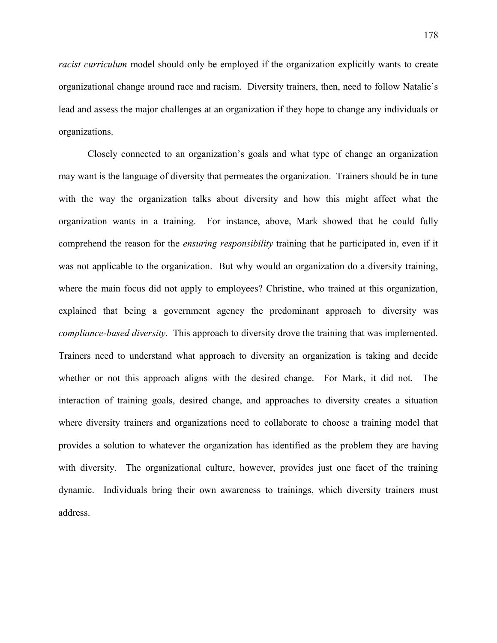*racist curriculum* model should only be employed if the organization explicitly wants to create organizational change around race and racism. Diversity trainers, then, need to follow Natalie's lead and assess the major challenges at an organization if they hope to change any individuals or organizations.

Closely connected to an organization's goals and what type of change an organization may want is the language of diversity that permeates the organization. Trainers should be in tune with the way the organization talks about diversity and how this might affect what the organization wants in a training. For instance, above, Mark showed that he could fully comprehend the reason for the *ensuring responsibility* training that he participated in, even if it was not applicable to the organization. But why would an organization do a diversity training, where the main focus did not apply to employees? Christine, who trained at this organization, explained that being a government agency the predominant approach to diversity was *compliance-based diversity*. This approach to diversity drove the training that was implemented. Trainers need to understand what approach to diversity an organization is taking and decide whether or not this approach aligns with the desired change. For Mark, it did not. The interaction of training goals, desired change, and approaches to diversity creates a situation where diversity trainers and organizations need to collaborate to choose a training model that provides a solution to whatever the organization has identified as the problem they are having with diversity. The organizational culture, however, provides just one facet of the training dynamic. Individuals bring their own awareness to trainings, which diversity trainers must address.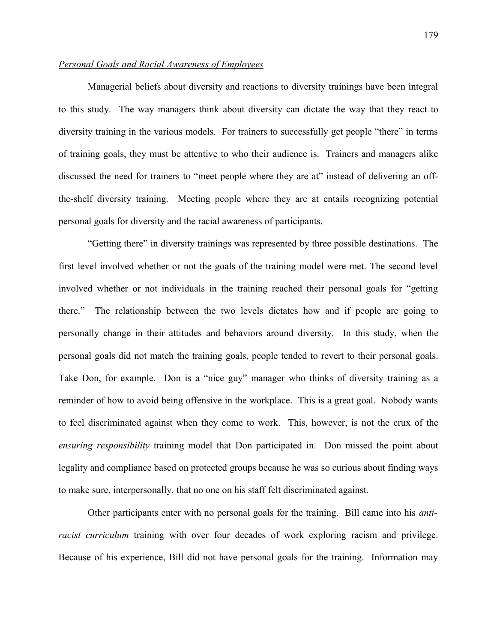# *Personal Goals and Racial Awareness of Employees*

Managerial beliefs about diversity and reactions to diversity trainings have been integral to this study. The way managers think about diversity can dictate the way that they react to diversity training in the various models. For trainers to successfully get people "there" in terms of training goals, they must be attentive to who their audience is. Trainers and managers alike discussed the need for trainers to "meet people where they are at" instead of delivering an offthe-shelf diversity training. Meeting people where they are at entails recognizing potential personal goals for diversity and the racial awareness of participants.

"Getting there" in diversity trainings was represented by three possible destinations. The first level involved whether or not the goals of the training model were met. The second level involved whether or not individuals in the training reached their personal goals for "getting there." The relationship between the two levels dictates how and if people are going to personally change in their attitudes and behaviors around diversity. In this study, when the personal goals did not match the training goals, people tended to revert to their personal goals. Take Don, for example. Don is a "nice guy" manager who thinks of diversity training as a reminder of how to avoid being offensive in the workplace. This is a great goal. Nobody wants to feel discriminated against when they come to work. This, however, is not the crux of the *ensuring responsibility* training model that Don participated in. Don missed the point about legality and compliance based on protected groups because he was so curious about finding ways to make sure, interpersonally, that no one on his staff felt discriminated against.

Other participants enter with no personal goals for the training. Bill came into his *antiracist curriculum* training with over four decades of work exploring racism and privilege. Because of his experience, Bill did not have personal goals for the training. Information may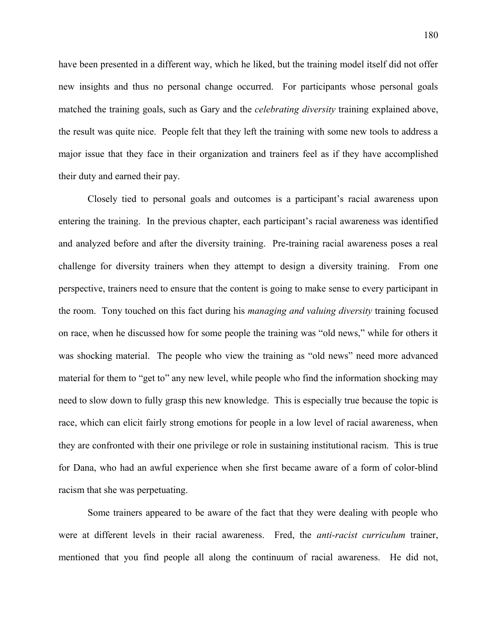have been presented in a different way, which he liked, but the training model itself did not offer new insights and thus no personal change occurred. For participants whose personal goals matched the training goals, such as Gary and the *celebrating diversity* training explained above, the result was quite nice. People felt that they left the training with some new tools to address a major issue that they face in their organization and trainers feel as if they have accomplished their duty and earned their pay.

Closely tied to personal goals and outcomes is a participant's racial awareness upon entering the training. In the previous chapter, each participant's racial awareness was identified and analyzed before and after the diversity training. Pre-training racial awareness poses a real challenge for diversity trainers when they attempt to design a diversity training. From one perspective, trainers need to ensure that the content is going to make sense to every participant in the room. Tony touched on this fact during his *managing and valuing diversity* training focused on race, when he discussed how for some people the training was "old news," while for others it was shocking material. The people who view the training as "old news" need more advanced material for them to "get to" any new level, while people who find the information shocking may need to slow down to fully grasp this new knowledge. This is especially true because the topic is race, which can elicit fairly strong emotions for people in a low level of racial awareness, when they are confronted with their one privilege or role in sustaining institutional racism. This is true for Dana, who had an awful experience when she first became aware of a form of color-blind racism that she was perpetuating.

Some trainers appeared to be aware of the fact that they were dealing with people who were at different levels in their racial awareness. Fred, the *anti-racist curriculum* trainer, mentioned that you find people all along the continuum of racial awareness. He did not,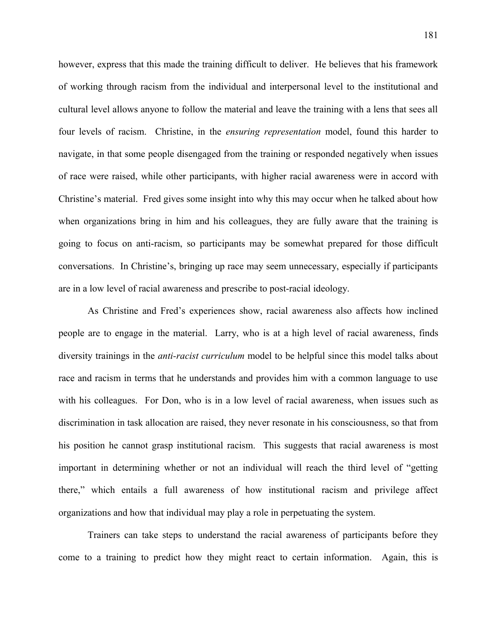however, express that this made the training difficult to deliver. He believes that his framework of working through racism from the individual and interpersonal level to the institutional and cultural level allows anyone to follow the material and leave the training with a lens that sees all four levels of racism. Christine, in the *ensuring representation* model, found this harder to navigate, in that some people disengaged from the training or responded negatively when issues of race were raised, while other participants, with higher racial awareness were in accord with Christine's material. Fred gives some insight into why this may occur when he talked about how when organizations bring in him and his colleagues, they are fully aware that the training is going to focus on anti-racism, so participants may be somewhat prepared for those difficult conversations. In Christine's, bringing up race may seem unnecessary, especially if participants are in a low level of racial awareness and prescribe to post-racial ideology.

As Christine and Fred's experiences show, racial awareness also affects how inclined people are to engage in the material. Larry, who is at a high level of racial awareness, finds diversity trainings in the *anti-racist curriculum* model to be helpful since this model talks about race and racism in terms that he understands and provides him with a common language to use with his colleagues. For Don, who is in a low level of racial awareness, when issues such as discrimination in task allocation are raised, they never resonate in his consciousness, so that from his position he cannot grasp institutional racism. This suggests that racial awareness is most important in determining whether or not an individual will reach the third level of "getting there," which entails a full awareness of how institutional racism and privilege affect organizations and how that individual may play a role in perpetuating the system.

Trainers can take steps to understand the racial awareness of participants before they come to a training to predict how they might react to certain information. Again, this is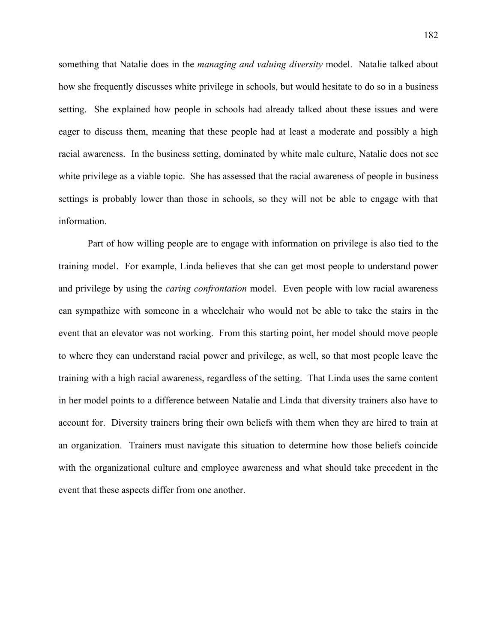something that Natalie does in the *managing and valuing diversity* model. Natalie talked about how she frequently discusses white privilege in schools, but would hesitate to do so in a business setting. She explained how people in schools had already talked about these issues and were eager to discuss them, meaning that these people had at least a moderate and possibly a high racial awareness. In the business setting, dominated by white male culture, Natalie does not see white privilege as a viable topic. She has assessed that the racial awareness of people in business settings is probably lower than those in schools, so they will not be able to engage with that information.

Part of how willing people are to engage with information on privilege is also tied to the training model. For example, Linda believes that she can get most people to understand power and privilege by using the *caring confrontation* model. Even people with low racial awareness can sympathize with someone in a wheelchair who would not be able to take the stairs in the event that an elevator was not working. From this starting point, her model should move people to where they can understand racial power and privilege, as well, so that most people leave the training with a high racial awareness, regardless of the setting. That Linda uses the same content in her model points to a difference between Natalie and Linda that diversity trainers also have to account for. Diversity trainers bring their own beliefs with them when they are hired to train at an organization. Trainers must navigate this situation to determine how those beliefs coincide with the organizational culture and employee awareness and what should take precedent in the event that these aspects differ from one another.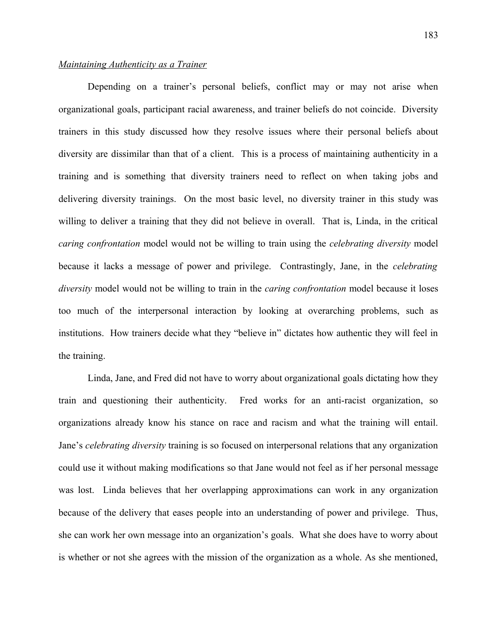### *Maintaining Authenticity as a Trainer*

Depending on a trainer's personal beliefs, conflict may or may not arise when organizational goals, participant racial awareness, and trainer beliefs do not coincide. Diversity trainers in this study discussed how they resolve issues where their personal beliefs about diversity are dissimilar than that of a client. This is a process of maintaining authenticity in a training and is something that diversity trainers need to reflect on when taking jobs and delivering diversity trainings. On the most basic level, no diversity trainer in this study was willing to deliver a training that they did not believe in overall. That is, Linda, in the critical *caring confrontation* model would not be willing to train using the *celebrating diversity* model because it lacks a message of power and privilege. Contrastingly, Jane, in the *celebrating diversity* model would not be willing to train in the *caring confrontation* model because it loses too much of the interpersonal interaction by looking at overarching problems, such as institutions. How trainers decide what they "believe in" dictates how authentic they will feel in the training.

Linda, Jane, and Fred did not have to worry about organizational goals dictating how they train and questioning their authenticity. Fred works for an anti-racist organization, so organizations already know his stance on race and racism and what the training will entail. Jane's *celebrating diversity* training is so focused on interpersonal relations that any organization could use it without making modifications so that Jane would not feel as if her personal message was lost. Linda believes that her overlapping approximations can work in any organization because of the delivery that eases people into an understanding of power and privilege. Thus, she can work her own message into an organization's goals. What she does have to worry about is whether or not she agrees with the mission of the organization as a whole. As she mentioned,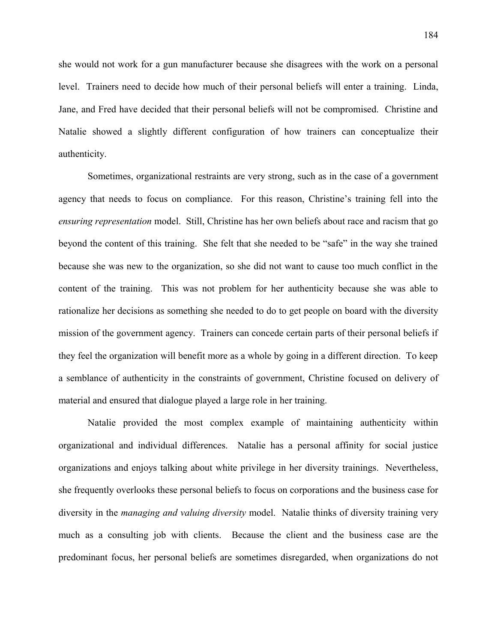she would not work for a gun manufacturer because she disagrees with the work on a personal level. Trainers need to decide how much of their personal beliefs will enter a training. Linda, Jane, and Fred have decided that their personal beliefs will not be compromised. Christine and Natalie showed a slightly different configuration of how trainers can conceptualize their authenticity.

Sometimes, organizational restraints are very strong, such as in the case of a government agency that needs to focus on compliance. For this reason, Christine's training fell into the *ensuring representation* model. Still, Christine has her own beliefs about race and racism that go beyond the content of this training. She felt that she needed to be "safe" in the way she trained because she was new to the organization, so she did not want to cause too much conflict in the content of the training. This was not problem for her authenticity because she was able to rationalize her decisions as something she needed to do to get people on board with the diversity mission of the government agency. Trainers can concede certain parts of their personal beliefs if they feel the organization will benefit more as a whole by going in a different direction. To keep a semblance of authenticity in the constraints of government, Christine focused on delivery of material and ensured that dialogue played a large role in her training.

Natalie provided the most complex example of maintaining authenticity within organizational and individual differences. Natalie has a personal affinity for social justice organizations and enjoys talking about white privilege in her diversity trainings. Nevertheless, she frequently overlooks these personal beliefs to focus on corporations and the business case for diversity in the *managing and valuing diversity* model. Natalie thinks of diversity training very much as a consulting job with clients. Because the client and the business case are the predominant focus, her personal beliefs are sometimes disregarded, when organizations do not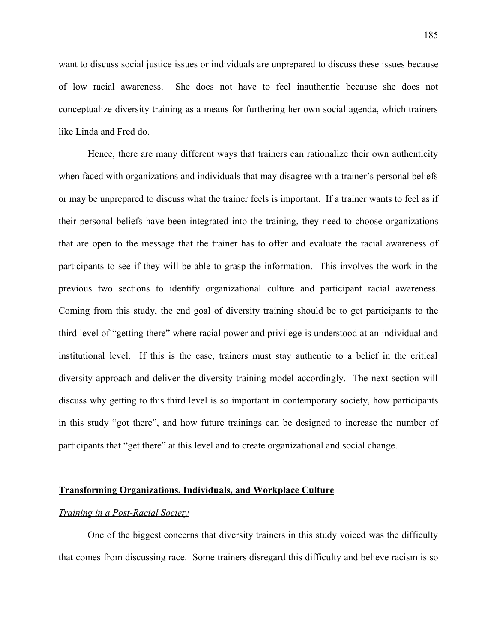want to discuss social justice issues or individuals are unprepared to discuss these issues because of low racial awareness. She does not have to feel inauthentic because she does not conceptualize diversity training as a means for furthering her own social agenda, which trainers like Linda and Fred do.

Hence, there are many different ways that trainers can rationalize their own authenticity when faced with organizations and individuals that may disagree with a trainer's personal beliefs or may be unprepared to discuss what the trainer feels is important. If a trainer wants to feel as if their personal beliefs have been integrated into the training, they need to choose organizations that are open to the message that the trainer has to offer and evaluate the racial awareness of participants to see if they will be able to grasp the information. This involves the work in the previous two sections to identify organizational culture and participant racial awareness. Coming from this study, the end goal of diversity training should be to get participants to the third level of "getting there" where racial power and privilege is understood at an individual and institutional level. If this is the case, trainers must stay authentic to a belief in the critical diversity approach and deliver the diversity training model accordingly. The next section will discuss why getting to this third level is so important in contemporary society, how participants in this study "got there", and how future trainings can be designed to increase the number of participants that "get there" at this level and to create organizational and social change.

#### **Transforming Organizations, Individuals, and Workplace Culture**

### *Training in a Post-Racial Society*

One of the biggest concerns that diversity trainers in this study voiced was the difficulty that comes from discussing race. Some trainers disregard this difficulty and believe racism is so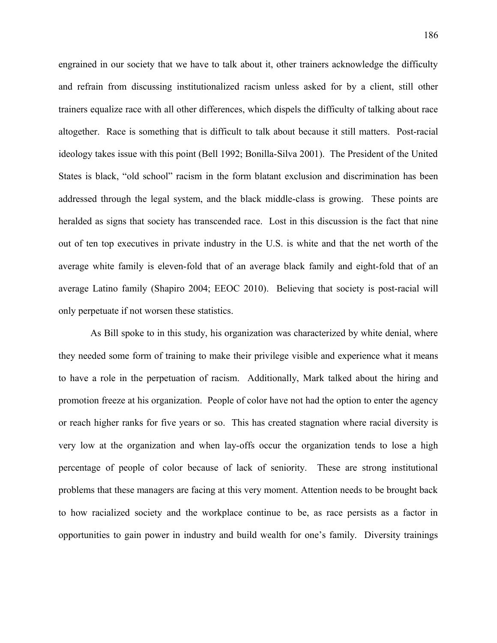engrained in our society that we have to talk about it, other trainers acknowledge the difficulty and refrain from discussing institutionalized racism unless asked for by a client, still other trainers equalize race with all other differences, which dispels the difficulty of talking about race altogether. Race is something that is difficult to talk about because it still matters. Post-racial ideology takes issue with this point (Bell 1992; Bonilla-Silva 2001). The President of the United States is black, "old school" racism in the form blatant exclusion and discrimination has been addressed through the legal system, and the black middle-class is growing. These points are heralded as signs that society has transcended race. Lost in this discussion is the fact that nine out of ten top executives in private industry in the U.S. is white and that the net worth of the average white family is eleven-fold that of an average black family and eight-fold that of an average Latino family (Shapiro 2004; EEOC 2010). Believing that society is post-racial will only perpetuate if not worsen these statistics.

 As Bill spoke to in this study, his organization was characterized by white denial, where they needed some form of training to make their privilege visible and experience what it means to have a role in the perpetuation of racism. Additionally, Mark talked about the hiring and promotion freeze at his organization. People of color have not had the option to enter the agency or reach higher ranks for five years or so. This has created stagnation where racial diversity is very low at the organization and when lay-offs occur the organization tends to lose a high percentage of people of color because of lack of seniority. These are strong institutional problems that these managers are facing at this very moment. Attention needs to be brought back to how racialized society and the workplace continue to be, as race persists as a factor in opportunities to gain power in industry and build wealth for one's family. Diversity trainings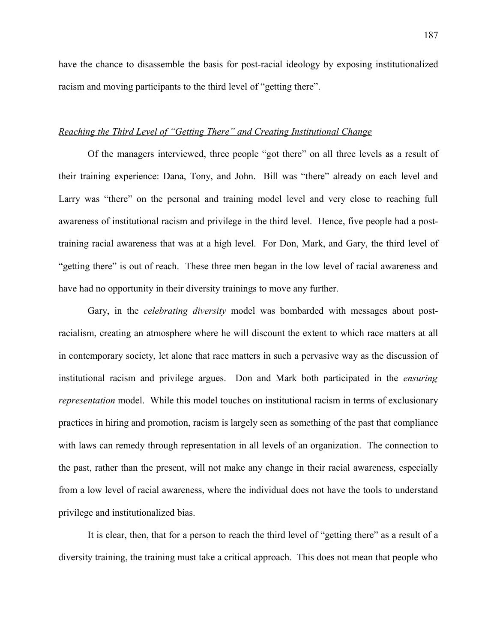have the chance to disassemble the basis for post-racial ideology by exposing institutionalized racism and moving participants to the third level of "getting there".

### *Reaching the Third Level of "Getting There" and Creating Institutional Change*

Of the managers interviewed, three people "got there" on all three levels as a result of their training experience: Dana, Tony, and John. Bill was "there" already on each level and Larry was "there" on the personal and training model level and very close to reaching full awareness of institutional racism and privilege in the third level. Hence, five people had a posttraining racial awareness that was at a high level. For Don, Mark, and Gary, the third level of "getting there" is out of reach. These three men began in the low level of racial awareness and have had no opportunity in their diversity trainings to move any further.

Gary, in the *celebrating diversity* model was bombarded with messages about postracialism, creating an atmosphere where he will discount the extent to which race matters at all in contemporary society, let alone that race matters in such a pervasive way as the discussion of institutional racism and privilege argues. Don and Mark both participated in the *ensuring representation* model. While this model touches on institutional racism in terms of exclusionary practices in hiring and promotion, racism is largely seen as something of the past that compliance with laws can remedy through representation in all levels of an organization. The connection to the past, rather than the present, will not make any change in their racial awareness, especially from a low level of racial awareness, where the individual does not have the tools to understand privilege and institutionalized bias.

It is clear, then, that for a person to reach the third level of "getting there" as a result of a diversity training, the training must take a critical approach. This does not mean that people who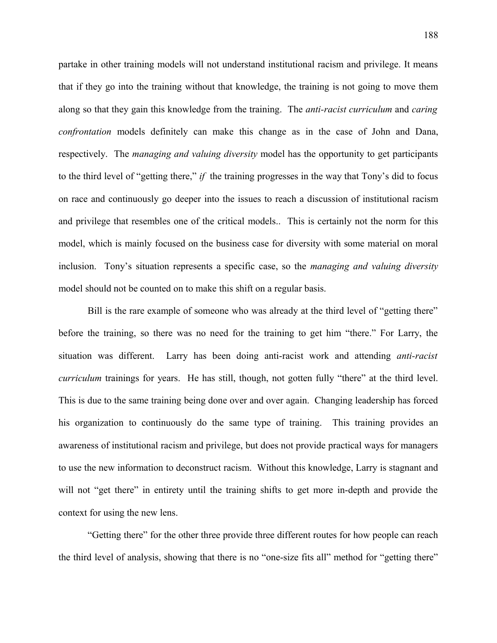partake in other training models will not understand institutional racism and privilege. It means that if they go into the training without that knowledge, the training is not going to move them along so that they gain this knowledge from the training. The *anti-racist curriculum* and *caring confrontation* models definitely can make this change as in the case of John and Dana, respectively. The *managing and valuing diversity* model has the opportunity to get participants to the third level of "getting there," *if* the training progresses in the way that Tony's did to focus on race and continuously go deeper into the issues to reach a discussion of institutional racism and privilege that resembles one of the critical models.. This is certainly not the norm for this model, which is mainly focused on the business case for diversity with some material on moral inclusion. Tony's situation represents a specific case, so the *managing and valuing diversity* model should not be counted on to make this shift on a regular basis.

Bill is the rare example of someone who was already at the third level of "getting there" before the training, so there was no need for the training to get him "there." For Larry, the situation was different. Larry has been doing anti-racist work and attending *anti-racist curriculum* trainings for years. He has still, though, not gotten fully "there" at the third level. This is due to the same training being done over and over again. Changing leadership has forced his organization to continuously do the same type of training. This training provides an awareness of institutional racism and privilege, but does not provide practical ways for managers to use the new information to deconstruct racism. Without this knowledge, Larry is stagnant and will not "get there" in entirety until the training shifts to get more in-depth and provide the context for using the new lens.

"Getting there" for the other three provide three different routes for how people can reach the third level of analysis, showing that there is no "one-size fits all" method for "getting there"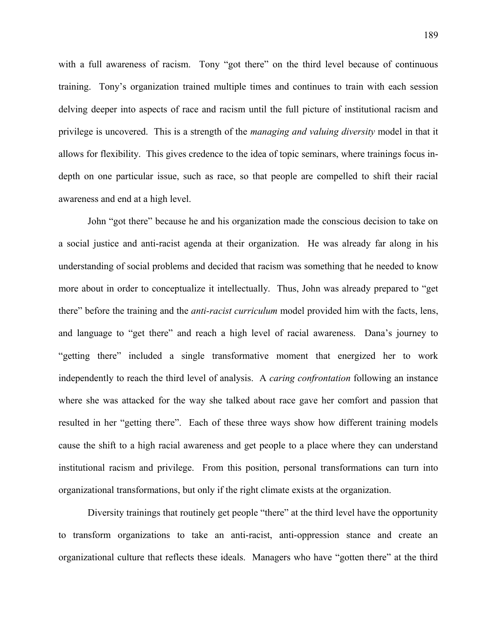with a full awareness of racism. Tony "got there" on the third level because of continuous training. Tony's organization trained multiple times and continues to train with each session delving deeper into aspects of race and racism until the full picture of institutional racism and privilege is uncovered. This is a strength of the *managing and valuing diversity* model in that it allows for flexibility. This gives credence to the idea of topic seminars, where trainings focus indepth on one particular issue, such as race, so that people are compelled to shift their racial awareness and end at a high level.

John "got there" because he and his organization made the conscious decision to take on a social justice and anti-racist agenda at their organization. He was already far along in his understanding of social problems and decided that racism was something that he needed to know more about in order to conceptualize it intellectually. Thus, John was already prepared to "get there" before the training and the *anti-racist curriculum* model provided him with the facts, lens, and language to "get there" and reach a high level of racial awareness. Dana's journey to "getting there" included a single transformative moment that energized her to work independently to reach the third level of analysis. A *caring confrontation* following an instance where she was attacked for the way she talked about race gave her comfort and passion that resulted in her "getting there". Each of these three ways show how different training models cause the shift to a high racial awareness and get people to a place where they can understand institutional racism and privilege. From this position, personal transformations can turn into organizational transformations, but only if the right climate exists at the organization.

Diversity trainings that routinely get people "there" at the third level have the opportunity to transform organizations to take an anti-racist, anti-oppression stance and create an organizational culture that reflects these ideals. Managers who have "gotten there" at the third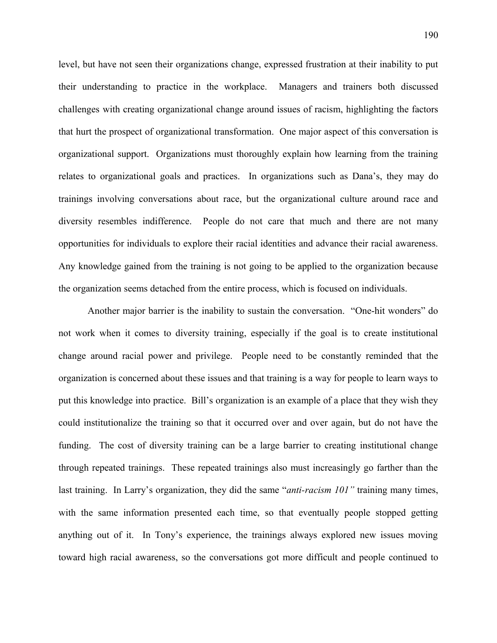level, but have not seen their organizations change, expressed frustration at their inability to put their understanding to practice in the workplace. Managers and trainers both discussed challenges with creating organizational change around issues of racism, highlighting the factors that hurt the prospect of organizational transformation. One major aspect of this conversation is organizational support. Organizations must thoroughly explain how learning from the training relates to organizational goals and practices. In organizations such as Dana's, they may do trainings involving conversations about race, but the organizational culture around race and diversity resembles indifference. People do not care that much and there are not many opportunities for individuals to explore their racial identities and advance their racial awareness. Any knowledge gained from the training is not going to be applied to the organization because the organization seems detached from the entire process, which is focused on individuals.

Another major barrier is the inability to sustain the conversation. "One-hit wonders" do not work when it comes to diversity training, especially if the goal is to create institutional change around racial power and privilege. People need to be constantly reminded that the organization is concerned about these issues and that training is a way for people to learn ways to put this knowledge into practice. Bill's organization is an example of a place that they wish they could institutionalize the training so that it occurred over and over again, but do not have the funding. The cost of diversity training can be a large barrier to creating institutional change through repeated trainings. These repeated trainings also must increasingly go farther than the last training. In Larry's organization, they did the same "*anti-racism 101"* training many times, with the same information presented each time, so that eventually people stopped getting anything out of it. In Tony's experience, the trainings always explored new issues moving toward high racial awareness, so the conversations got more difficult and people continued to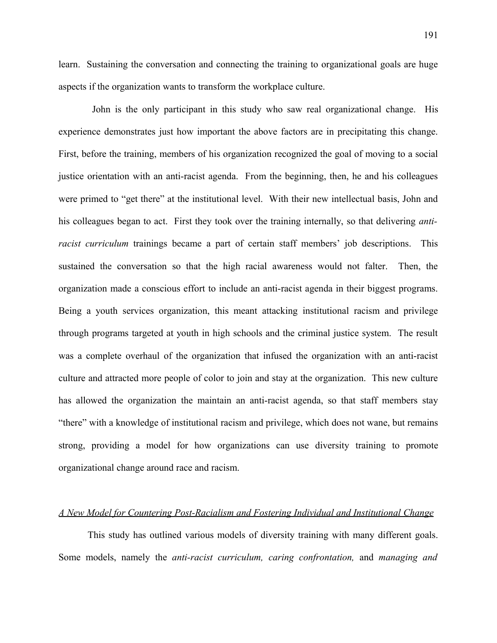191

learn. Sustaining the conversation and connecting the training to organizational goals are huge aspects if the organization wants to transform the workplace culture.

 John is the only participant in this study who saw real organizational change. His experience demonstrates just how important the above factors are in precipitating this change. First, before the training, members of his organization recognized the goal of moving to a social justice orientation with an anti-racist agenda. From the beginning, then, he and his colleagues were primed to "get there" at the institutional level. With their new intellectual basis, John and his colleagues began to act. First they took over the training internally, so that delivering *antiracist curriculum* trainings became a part of certain staff members' job descriptions. This sustained the conversation so that the high racial awareness would not falter. Then, the organization made a conscious effort to include an anti-racist agenda in their biggest programs. Being a youth services organization, this meant attacking institutional racism and privilege through programs targeted at youth in high schools and the criminal justice system. The result was a complete overhaul of the organization that infused the organization with an anti-racist culture and attracted more people of color to join and stay at the organization. This new culture has allowed the organization the maintain an anti-racist agenda, so that staff members stay "there" with a knowledge of institutional racism and privilege, which does not wane, but remains strong, providing a model for how organizations can use diversity training to promote organizational change around race and racism.

#### *A New Model for Countering Post-Racialism and Fostering Individual and Institutional Change*

This study has outlined various models of diversity training with many different goals. Some models, namely the *anti-racist curriculum, caring confrontation,* and *managing and*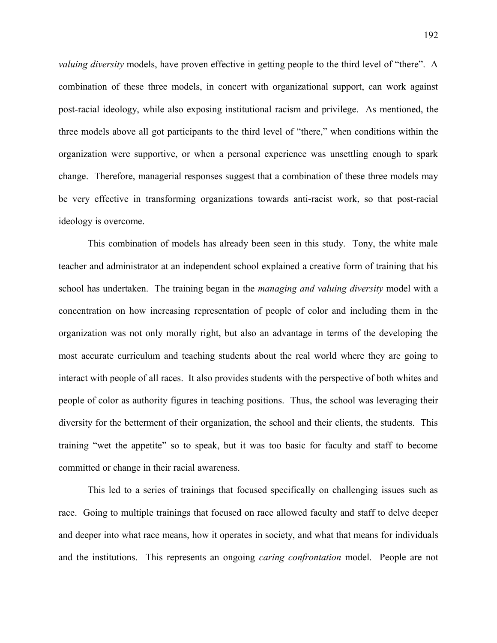*valuing diversity* models, have proven effective in getting people to the third level of "there". A combination of these three models, in concert with organizational support, can work against post-racial ideology, while also exposing institutional racism and privilege. As mentioned, the three models above all got participants to the third level of "there," when conditions within the organization were supportive, or when a personal experience was unsettling enough to spark change. Therefore, managerial responses suggest that a combination of these three models may be very effective in transforming organizations towards anti-racist work, so that post-racial ideology is overcome.

This combination of models has already been seen in this study. Tony, the white male teacher and administrator at an independent school explained a creative form of training that his school has undertaken. The training began in the *managing and valuing diversity* model with a concentration on how increasing representation of people of color and including them in the organization was not only morally right, but also an advantage in terms of the developing the most accurate curriculum and teaching students about the real world where they are going to interact with people of all races. It also provides students with the perspective of both whites and people of color as authority figures in teaching positions. Thus, the school was leveraging their diversity for the betterment of their organization, the school and their clients, the students. This training "wet the appetite" so to speak, but it was too basic for faculty and staff to become committed or change in their racial awareness.

This led to a series of trainings that focused specifically on challenging issues such as race. Going to multiple trainings that focused on race allowed faculty and staff to delve deeper and deeper into what race means, how it operates in society, and what that means for individuals and the institutions. This represents an ongoing *caring confrontation* model. People are not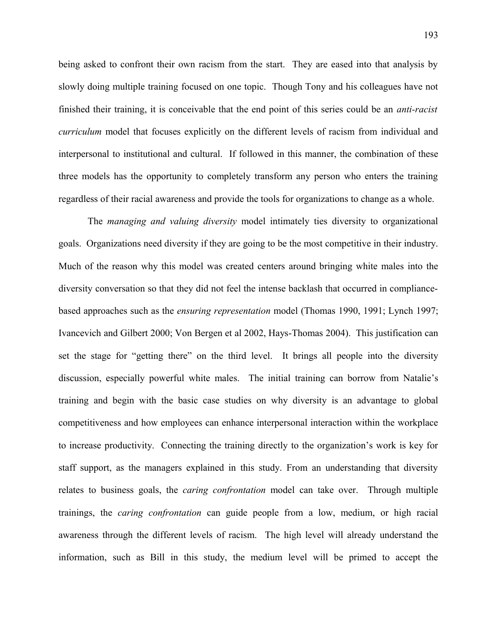being asked to confront their own racism from the start. They are eased into that analysis by slowly doing multiple training focused on one topic. Though Tony and his colleagues have not finished their training, it is conceivable that the end point of this series could be an *anti-racist curriculum* model that focuses explicitly on the different levels of racism from individual and interpersonal to institutional and cultural. If followed in this manner, the combination of these three models has the opportunity to completely transform any person who enters the training regardless of their racial awareness and provide the tools for organizations to change as a whole.

The *managing and valuing diversity* model intimately ties diversity to organizational goals. Organizations need diversity if they are going to be the most competitive in their industry. Much of the reason why this model was created centers around bringing white males into the diversity conversation so that they did not feel the intense backlash that occurred in compliancebased approaches such as the *ensuring representation* model (Thomas 1990, 1991; Lynch 1997; Ivancevich and Gilbert 2000; Von Bergen et al 2002, Hays-Thomas 2004). This justification can set the stage for "getting there" on the third level. It brings all people into the diversity discussion, especially powerful white males. The initial training can borrow from Natalie's training and begin with the basic case studies on why diversity is an advantage to global competitiveness and how employees can enhance interpersonal interaction within the workplace to increase productivity. Connecting the training directly to the organization's work is key for staff support, as the managers explained in this study. From an understanding that diversity relates to business goals, the *caring confrontation* model can take over. Through multiple trainings, the *caring confrontation* can guide people from a low, medium, or high racial awareness through the different levels of racism. The high level will already understand the information, such as Bill in this study, the medium level will be primed to accept the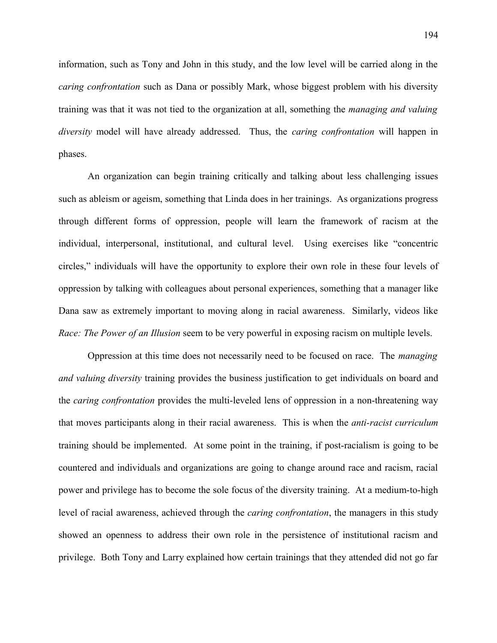information, such as Tony and John in this study, and the low level will be carried along in the *caring confrontation* such as Dana or possibly Mark, whose biggest problem with his diversity training was that it was not tied to the organization at all, something the *managing and valuing diversity* model will have already addressed. Thus, the *caring confrontation* will happen in phases.

An organization can begin training critically and talking about less challenging issues such as ableism or ageism, something that Linda does in her trainings. As organizations progress through different forms of oppression, people will learn the framework of racism at the individual, interpersonal, institutional, and cultural level. Using exercises like "concentric circles," individuals will have the opportunity to explore their own role in these four levels of oppression by talking with colleagues about personal experiences, something that a manager like Dana saw as extremely important to moving along in racial awareness. Similarly, videos like *Race: The Power of an Illusion* seem to be very powerful in exposing racism on multiple levels.

Oppression at this time does not necessarily need to be focused on race. The *managing and valuing diversity* training provides the business justification to get individuals on board and the *caring confrontation* provides the multi-leveled lens of oppression in a non-threatening way that moves participants along in their racial awareness. This is when the *anti-racist curriculum* training should be implemented. At some point in the training, if post-racialism is going to be countered and individuals and organizations are going to change around race and racism, racial power and privilege has to become the sole focus of the diversity training. At a medium-to-high level of racial awareness, achieved through the *caring confrontation*, the managers in this study showed an openness to address their own role in the persistence of institutional racism and privilege. Both Tony and Larry explained how certain trainings that they attended did not go far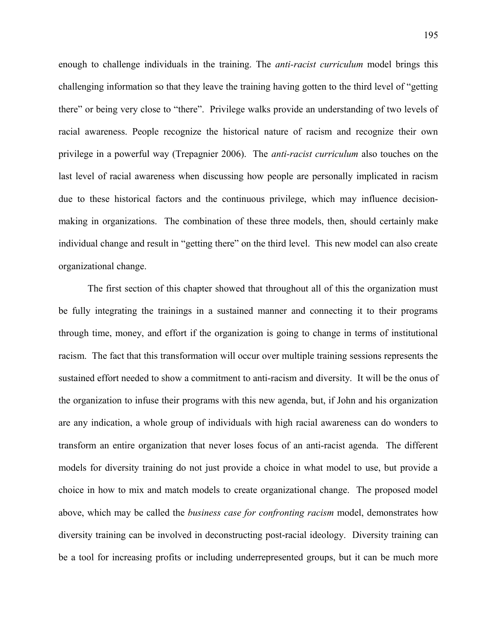enough to challenge individuals in the training. The *anti-racist curriculum* model brings this challenging information so that they leave the training having gotten to the third level of "getting there" or being very close to "there". Privilege walks provide an understanding of two levels of racial awareness. People recognize the historical nature of racism and recognize their own privilege in a powerful way (Trepagnier 2006). The *anti-racist curriculum* also touches on the last level of racial awareness when discussing how people are personally implicated in racism due to these historical factors and the continuous privilege, which may influence decisionmaking in organizations. The combination of these three models, then, should certainly make individual change and result in "getting there" on the third level. This new model can also create organizational change.

The first section of this chapter showed that throughout all of this the organization must be fully integrating the trainings in a sustained manner and connecting it to their programs through time, money, and effort if the organization is going to change in terms of institutional racism. The fact that this transformation will occur over multiple training sessions represents the sustained effort needed to show a commitment to anti-racism and diversity. It will be the onus of the organization to infuse their programs with this new agenda, but, if John and his organization are any indication, a whole group of individuals with high racial awareness can do wonders to transform an entire organization that never loses focus of an anti-racist agenda. The different models for diversity training do not just provide a choice in what model to use, but provide a choice in how to mix and match models to create organizational change. The proposed model above, which may be called the *business case for confronting racism* model, demonstrates how diversity training can be involved in deconstructing post-racial ideology. Diversity training can be a tool for increasing profits or including underrepresented groups, but it can be much more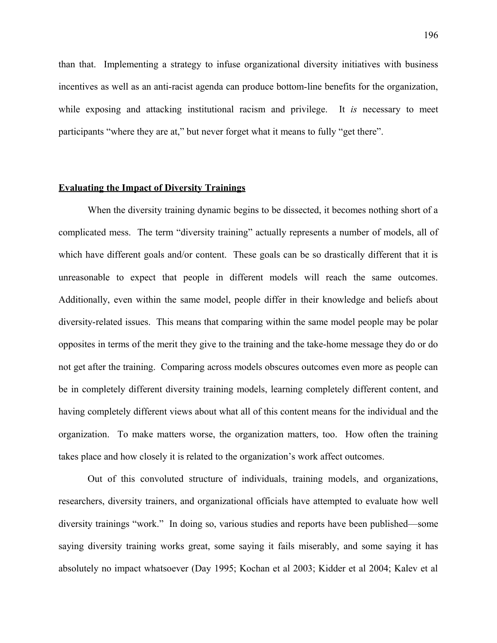than that. Implementing a strategy to infuse organizational diversity initiatives with business incentives as well as an anti-racist agenda can produce bottom-line benefits for the organization, while exposing and attacking institutional racism and privilege. It *is* necessary to meet participants "where they are at," but never forget what it means to fully "get there".

#### **Evaluating the Impact of Diversity Trainings**

When the diversity training dynamic begins to be dissected, it becomes nothing short of a complicated mess. The term "diversity training" actually represents a number of models, all of which have different goals and/or content. These goals can be so drastically different that it is unreasonable to expect that people in different models will reach the same outcomes. Additionally, even within the same model, people differ in their knowledge and beliefs about diversity-related issues. This means that comparing within the same model people may be polar opposites in terms of the merit they give to the training and the take-home message they do or do not get after the training. Comparing across models obscures outcomes even more as people can be in completely different diversity training models, learning completely different content, and having completely different views about what all of this content means for the individual and the organization. To make matters worse, the organization matters, too. How often the training takes place and how closely it is related to the organization's work affect outcomes.

Out of this convoluted structure of individuals, training models, and organizations, researchers, diversity trainers, and organizational officials have attempted to evaluate how well diversity trainings "work." In doing so, various studies and reports have been published—some saying diversity training works great, some saying it fails miserably, and some saying it has absolutely no impact whatsoever (Day 1995; Kochan et al 2003; Kidder et al 2004; Kalev et al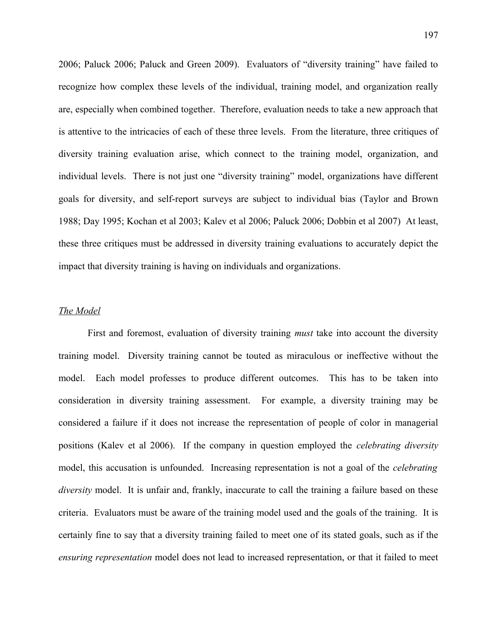2006; Paluck 2006; Paluck and Green 2009). Evaluators of "diversity training" have failed to recognize how complex these levels of the individual, training model, and organization really are, especially when combined together. Therefore, evaluation needs to take a new approach that is attentive to the intricacies of each of these three levels. From the literature, three critiques of diversity training evaluation arise, which connect to the training model, organization, and individual levels. There is not just one "diversity training" model, organizations have different goals for diversity, and self-report surveys are subject to individual bias (Taylor and Brown 1988; Day 1995; Kochan et al 2003; Kalev et al 2006; Paluck 2006; Dobbin et al 2007) At least, these three critiques must be addressed in diversity training evaluations to accurately depict the impact that diversity training is having on individuals and organizations.

### *The Model*

First and foremost, evaluation of diversity training *must* take into account the diversity training model. Diversity training cannot be touted as miraculous or ineffective without the model. Each model professes to produce different outcomes. This has to be taken into consideration in diversity training assessment. For example, a diversity training may be considered a failure if it does not increase the representation of people of color in managerial positions (Kalev et al 2006). If the company in question employed the *celebrating diversity* model, this accusation is unfounded. Increasing representation is not a goal of the *celebrating diversity* model. It is unfair and, frankly, inaccurate to call the training a failure based on these criteria. Evaluators must be aware of the training model used and the goals of the training. It is certainly fine to say that a diversity training failed to meet one of its stated goals, such as if the *ensuring representation* model does not lead to increased representation, or that it failed to meet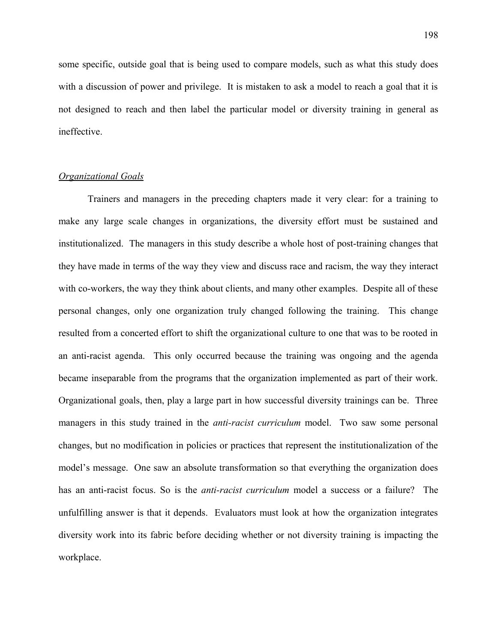some specific, outside goal that is being used to compare models, such as what this study does with a discussion of power and privilege. It is mistaken to ask a model to reach a goal that it is not designed to reach and then label the particular model or diversity training in general as ineffective.

#### *Organizational Goals*

Trainers and managers in the preceding chapters made it very clear: for a training to make any large scale changes in organizations, the diversity effort must be sustained and institutionalized. The managers in this study describe a whole host of post-training changes that they have made in terms of the way they view and discuss race and racism, the way they interact with co-workers, the way they think about clients, and many other examples. Despite all of these personal changes, only one organization truly changed following the training. This change resulted from a concerted effort to shift the organizational culture to one that was to be rooted in an anti-racist agenda. This only occurred because the training was ongoing and the agenda became inseparable from the programs that the organization implemented as part of their work. Organizational goals, then, play a large part in how successful diversity trainings can be. Three managers in this study trained in the *anti-racist curriculum* model. Two saw some personal changes, but no modification in policies or practices that represent the institutionalization of the model's message. One saw an absolute transformation so that everything the organization does has an anti-racist focus. So is the *anti-racist curriculum* model a success or a failure? The unfulfilling answer is that it depends. Evaluators must look at how the organization integrates diversity work into its fabric before deciding whether or not diversity training is impacting the workplace.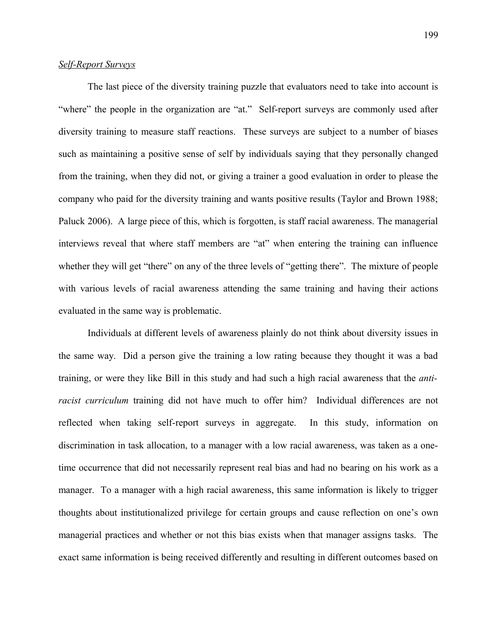### *Self-Report Surveys*

The last piece of the diversity training puzzle that evaluators need to take into account is "where" the people in the organization are "at." Self-report surveys are commonly used after diversity training to measure staff reactions. These surveys are subject to a number of biases such as maintaining a positive sense of self by individuals saying that they personally changed from the training, when they did not, or giving a trainer a good evaluation in order to please the company who paid for the diversity training and wants positive results (Taylor and Brown 1988; Paluck 2006). A large piece of this, which is forgotten, is staff racial awareness. The managerial interviews reveal that where staff members are "at" when entering the training can influence whether they will get "there" on any of the three levels of "getting there". The mixture of people with various levels of racial awareness attending the same training and having their actions evaluated in the same way is problematic.

Individuals at different levels of awareness plainly do not think about diversity issues in the same way. Did a person give the training a low rating because they thought it was a bad training, or were they like Bill in this study and had such a high racial awareness that the *antiracist curriculum* training did not have much to offer him? Individual differences are not reflected when taking self-report surveys in aggregate. In this study, information on discrimination in task allocation, to a manager with a low racial awareness, was taken as a onetime occurrence that did not necessarily represent real bias and had no bearing on his work as a manager. To a manager with a high racial awareness, this same information is likely to trigger thoughts about institutionalized privilege for certain groups and cause reflection on one's own managerial practices and whether or not this bias exists when that manager assigns tasks. The exact same information is being received differently and resulting in different outcomes based on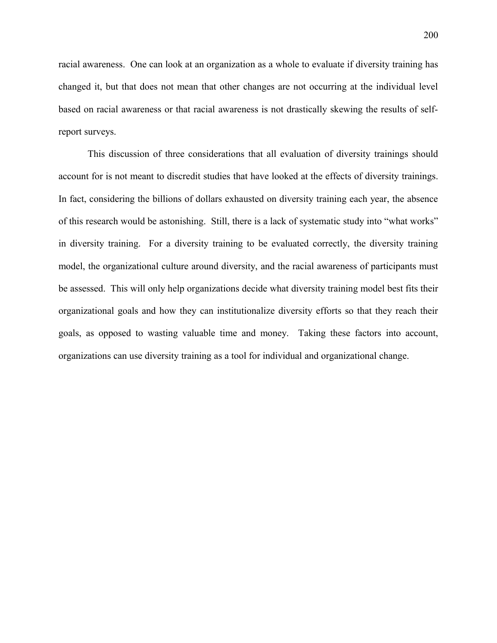racial awareness. One can look at an organization as a whole to evaluate if diversity training has changed it, but that does not mean that other changes are not occurring at the individual level based on racial awareness or that racial awareness is not drastically skewing the results of selfreport surveys.

This discussion of three considerations that all evaluation of diversity trainings should account for is not meant to discredit studies that have looked at the effects of diversity trainings. In fact, considering the billions of dollars exhausted on diversity training each year, the absence of this research would be astonishing. Still, there is a lack of systematic study into "what works" in diversity training. For a diversity training to be evaluated correctly, the diversity training model, the organizational culture around diversity, and the racial awareness of participants must be assessed. This will only help organizations decide what diversity training model best fits their organizational goals and how they can institutionalize diversity efforts so that they reach their goals, as opposed to wasting valuable time and money. Taking these factors into account, organizations can use diversity training as a tool for individual and organizational change.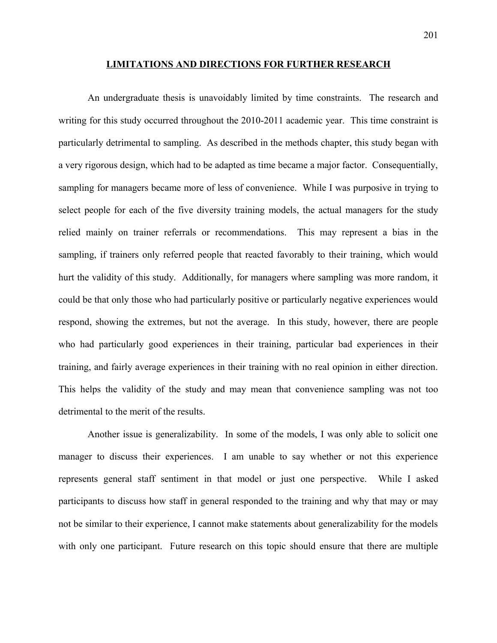#### **LIMITATIONS AND DIRECTIONS FOR FURTHER RESEARCH**

An undergraduate thesis is unavoidably limited by time constraints. The research and writing for this study occurred throughout the 2010-2011 academic year. This time constraint is particularly detrimental to sampling. As described in the methods chapter, this study began with a very rigorous design, which had to be adapted as time became a major factor. Consequentially, sampling for managers became more of less of convenience. While I was purposive in trying to select people for each of the five diversity training models, the actual managers for the study relied mainly on trainer referrals or recommendations. This may represent a bias in the sampling, if trainers only referred people that reacted favorably to their training, which would hurt the validity of this study. Additionally, for managers where sampling was more random, it could be that only those who had particularly positive or particularly negative experiences would respond, showing the extremes, but not the average. In this study, however, there are people who had particularly good experiences in their training, particular bad experiences in their training, and fairly average experiences in their training with no real opinion in either direction. This helps the validity of the study and may mean that convenience sampling was not too detrimental to the merit of the results.

Another issue is generalizability. In some of the models, I was only able to solicit one manager to discuss their experiences. I am unable to say whether or not this experience represents general staff sentiment in that model or just one perspective. While I asked participants to discuss how staff in general responded to the training and why that may or may not be similar to their experience, I cannot make statements about generalizability for the models with only one participant. Future research on this topic should ensure that there are multiple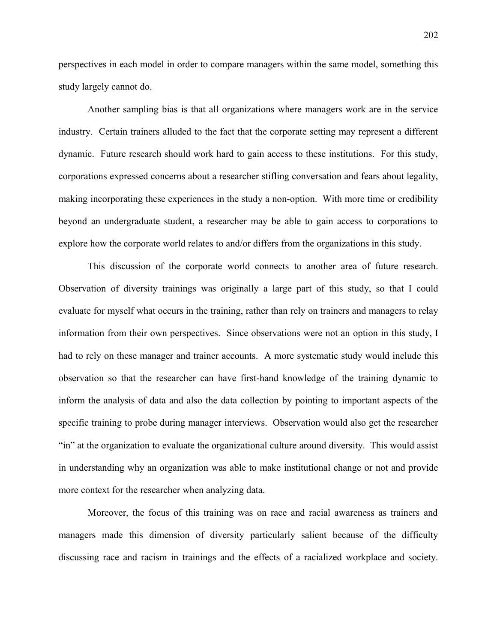perspectives in each model in order to compare managers within the same model, something this study largely cannot do.

Another sampling bias is that all organizations where managers work are in the service industry. Certain trainers alluded to the fact that the corporate setting may represent a different dynamic. Future research should work hard to gain access to these institutions. For this study, corporations expressed concerns about a researcher stifling conversation and fears about legality, making incorporating these experiences in the study a non-option. With more time or credibility beyond an undergraduate student, a researcher may be able to gain access to corporations to explore how the corporate world relates to and/or differs from the organizations in this study.

This discussion of the corporate world connects to another area of future research. Observation of diversity trainings was originally a large part of this study, so that I could evaluate for myself what occurs in the training, rather than rely on trainers and managers to relay information from their own perspectives. Since observations were not an option in this study, I had to rely on these manager and trainer accounts. A more systematic study would include this observation so that the researcher can have first-hand knowledge of the training dynamic to inform the analysis of data and also the data collection by pointing to important aspects of the specific training to probe during manager interviews. Observation would also get the researcher "in" at the organization to evaluate the organizational culture around diversity. This would assist in understanding why an organization was able to make institutional change or not and provide more context for the researcher when analyzing data.

Moreover, the focus of this training was on race and racial awareness as trainers and managers made this dimension of diversity particularly salient because of the difficulty discussing race and racism in trainings and the effects of a racialized workplace and society.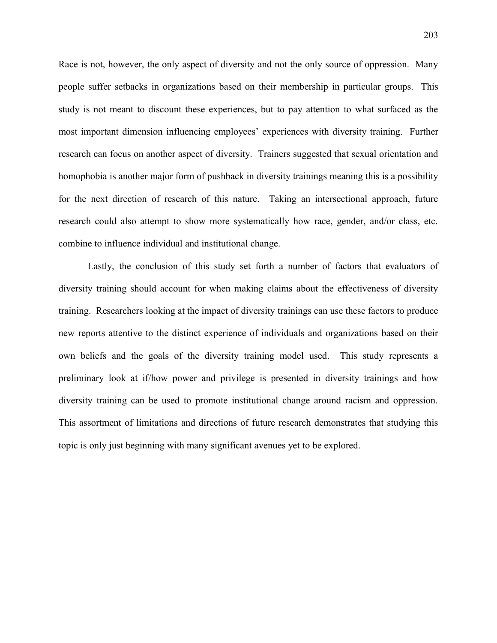Race is not, however, the only aspect of diversity and not the only source of oppression. Many people suffer setbacks in organizations based on their membership in particular groups. This study is not meant to discount these experiences, but to pay attention to what surfaced as the most important dimension influencing employees' experiences with diversity training. Further research can focus on another aspect of diversity. Trainers suggested that sexual orientation and homophobia is another major form of pushback in diversity trainings meaning this is a possibility for the next direction of research of this nature. Taking an intersectional approach, future research could also attempt to show more systematically how race, gender, and/or class, etc. combine to influence individual and institutional change.

Lastly, the conclusion of this study set forth a number of factors that evaluators of diversity training should account for when making claims about the effectiveness of diversity training. Researchers looking at the impact of diversity trainings can use these factors to produce new reports attentive to the distinct experience of individuals and organizations based on their own beliefs and the goals of the diversity training model used. This study represents a preliminary look at if/how power and privilege is presented in diversity trainings and how diversity training can be used to promote institutional change around racism and oppression. This assortment of limitations and directions of future research demonstrates that studying this topic is only just beginning with many significant avenues yet to be explored.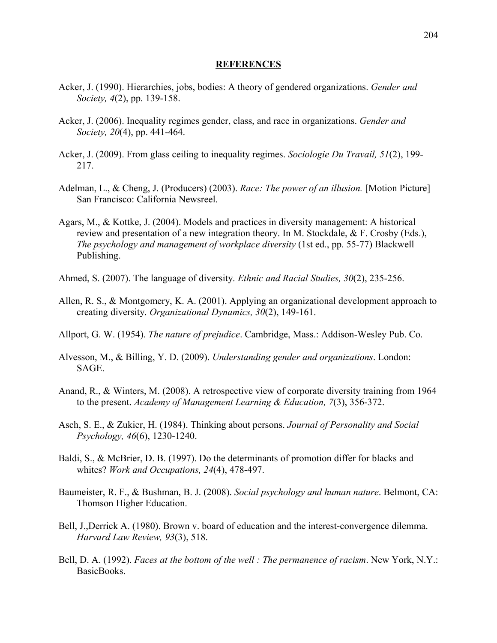#### **REFERENCES**

- Acker, J. (1990). Hierarchies, jobs, bodies: A theory of gendered organizations. *Gender and Society, 4*(2), pp. 139-158.
- Acker, J. (2006). Inequality regimes gender, class, and race in organizations. *Gender and Society, 20*(4), pp. 441-464.
- Acker, J. (2009). From glass ceiling to inequality regimes. *Sociologie Du Travail, 51*(2), 199- 217.
- Adelman, L., & Cheng, J. (Producers) (2003). *Race: The power of an illusion.* [Motion Picture] San Francisco: California Newsreel.
- Agars, M., & Kottke, J. (2004). Models and practices in diversity management: A historical review and presentation of a new integration theory. In M. Stockdale, & F. Crosby (Eds.), *The psychology and management of workplace diversity* (1st ed., pp. 55-77) Blackwell Publishing.
- Ahmed, S. (2007). The language of diversity. *Ethnic and Racial Studies, 30*(2), 235-256.
- Allen, R. S., & Montgomery, K. A. (2001). Applying an organizational development approach to creating diversity. *Organizational Dynamics, 30*(2), 149-161.
- Allport, G. W. (1954). *The nature of prejudice*. Cambridge, Mass.: Addison-Wesley Pub. Co.
- Alvesson, M., & Billing, Y. D. (2009). *Understanding gender and organizations*. London: SAGE.
- Anand, R., & Winters, M. (2008). A retrospective view of corporate diversity training from 1964 to the present. *Academy of Management Learning & Education, 7*(3), 356-372.
- Asch, S. E., & Zukier, H. (1984). Thinking about persons. *Journal of Personality and Social Psychology, 46*(6), 1230-1240.
- Baldi, S., & McBrier, D. B. (1997). Do the determinants of promotion differ for blacks and whites? *Work and Occupations, 24*(4), 478-497.
- Baumeister, R. F., & Bushman, B. J. (2008). *Social psychology and human nature*. Belmont, CA: Thomson Higher Education.
- Bell, J.,Derrick A. (1980). Brown v. board of education and the interest-convergence dilemma. *Harvard Law Review, 93*(3), 518.
- Bell, D. A. (1992). *Faces at the bottom of the well : The permanence of racism*. New York, N.Y.: BasicBooks.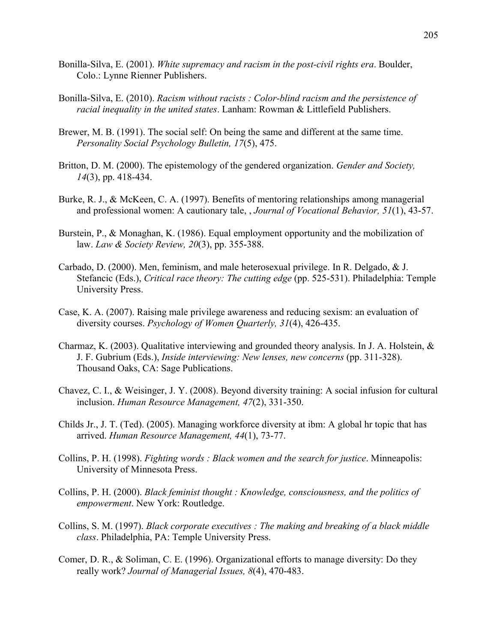- Bonilla-Silva, E. (2001). *White supremacy and racism in the post-civil rights era*. Boulder, Colo.: Lynne Rienner Publishers.
- Bonilla-Silva, E. (2010). *Racism without racists : Color-blind racism and the persistence of racial inequality in the united states*. Lanham: Rowman & Littlefield Publishers.
- Brewer, M. B. (1991). The social self: On being the same and different at the same time. *Personality Social Psychology Bulletin, 17*(5), 475.
- Britton, D. M. (2000). The epistemology of the gendered organization. *Gender and Society, 14*(3), pp. 418-434.
- Burke, R. J., & McKeen, C. A. (1997). Benefits of mentoring relationships among managerial and professional women: A cautionary tale, , *Journal of Vocational Behavior, 51*(1), 43-57.
- Burstein, P., & Monaghan, K. (1986). Equal employment opportunity and the mobilization of law. *Law & Society Review, 20*(3), pp. 355-388.
- Carbado, D. (2000). Men, feminism, and male heterosexual privilege. In R. Delgado, & J. Stefancic (Eds.), *Critical race theory: The cutting edge* (pp. 525-531). Philadelphia: Temple University Press.
- Case, K. A. (2007). Raising male privilege awareness and reducing sexism: an evaluation of diversity courses. *Psychology of Women Quarterly, 31*(4), 426-435.
- Charmaz, K. (2003). Qualitative interviewing and grounded theory analysis. In J. A. Holstein, & J. F. Gubrium (Eds.), *Inside interviewing: New lenses, new concerns* (pp. 311-328). Thousand Oaks, CA: Sage Publications.
- Chavez, C. I., & Weisinger, J. Y. (2008). Beyond diversity training: A social infusion for cultural inclusion. *Human Resource Management, 47*(2), 331-350.
- Childs Jr., J. T. (Ted). (2005). Managing workforce diversity at ibm: A global hr topic that has arrived. *Human Resource Management, 44*(1), 73-77.
- Collins, P. H. (1998). *Fighting words : Black women and the search for justice*. Minneapolis: University of Minnesota Press.
- Collins, P. H. (2000). *Black feminist thought : Knowledge, consciousness, and the politics of empowerment*. New York: Routledge.
- Collins, S. M. (1997). *Black corporate executives : The making and breaking of a black middle class*. Philadelphia, PA: Temple University Press.
- Comer, D. R., & Soliman, C. E. (1996). Organizational efforts to manage diversity: Do they really work? *Journal of Managerial Issues, 8*(4), 470-483.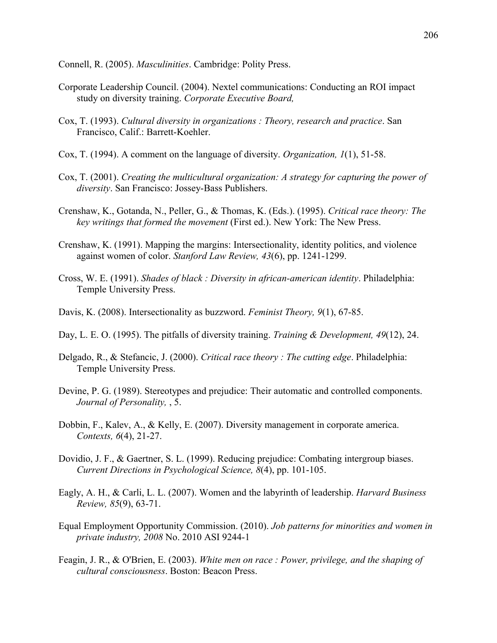Connell, R. (2005). *Masculinities*. Cambridge: Polity Press.

- Corporate Leadership Council. (2004). Nextel communications: Conducting an ROI impact study on diversity training. *Corporate Executive Board,*
- Cox, T. (1993). *Cultural diversity in organizations : Theory, research and practice*. San Francisco, Calif.: Barrett-Koehler.
- Cox, T. (1994). A comment on the language of diversity. *Organization, 1*(1), 51-58.
- Cox, T. (2001). *Creating the multicultural organization: A strategy for capturing the power of diversity*. San Francisco: Jossey-Bass Publishers.
- Crenshaw, K., Gotanda, N., Peller, G., & Thomas, K. (Eds.). (1995). *Critical race theory: The key writings that formed the movement* (First ed.). New York: The New Press.
- Crenshaw, K. (1991). Mapping the margins: Intersectionality, identity politics, and violence against women of color. *Stanford Law Review, 43*(6), pp. 1241-1299.
- Cross, W. E. (1991). *Shades of black : Diversity in african-american identity*. Philadelphia: Temple University Press.
- Davis, K. (2008). Intersectionality as buzzword. *Feminist Theory, 9*(1), 67-85.
- Day, L. E. O. (1995). The pitfalls of diversity training. *Training & Development, 49*(12), 24.
- Delgado, R., & Stefancic, J. (2000). *Critical race theory : The cutting edge*. Philadelphia: Temple University Press.
- Devine, P. G. (1989). Stereotypes and prejudice: Their automatic and controlled components. *Journal of Personality,* , 5.
- Dobbin, F., Kalev, A., & Kelly, E. (2007). Diversity management in corporate america. *Contexts, 6*(4), 21-27.
- Dovidio, J. F., & Gaertner, S. L. (1999). Reducing prejudice: Combating intergroup biases. *Current Directions in Psychological Science, 8*(4), pp. 101-105.
- Eagly, A. H., & Carli, L. L. (2007). Women and the labyrinth of leadership. *Harvard Business Review, 85*(9), 63-71.
- Equal Employment Opportunity Commission. (2010). *Job patterns for minorities and women in private industry, 2008* No. 2010 ASI 9244-1
- Feagin, J. R., & O'Brien, E. (2003). *White men on race : Power, privilege, and the shaping of cultural consciousness*. Boston: Beacon Press.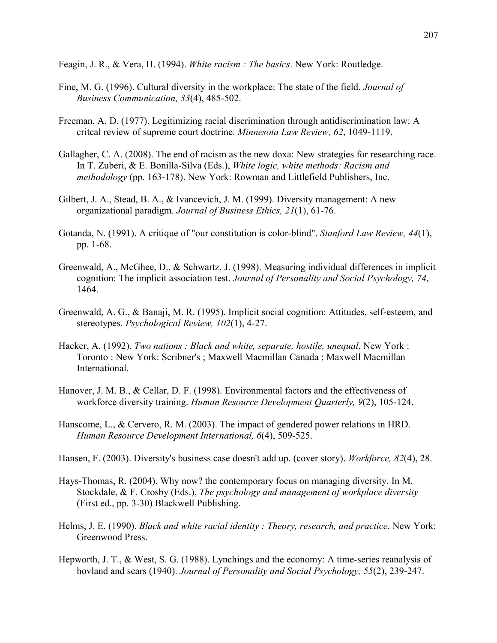Feagin, J. R., & Vera, H. (1994). *White racism : The basics*. New York: Routledge.

- Fine, M. G. (1996). Cultural diversity in the workplace: The state of the field. *Journal of Business Communication, 33*(4), 485-502.
- Freeman, A. D. (1977). Legitimizing racial discrimination through antidiscrimination law: A critcal review of supreme court doctrine. *Minnesota Law Review, 62*, 1049-1119.
- Gallagher, C. A. (2008). The end of racism as the new doxa: New strategies for researching race. In T. Zuberi, & E. Bonilla-Silva (Eds.), *White logic, white methods: Racism and methodology* (pp. 163-178). New York: Rowman and Littlefield Publishers, Inc.
- Gilbert, J. A., Stead, B. A., & Ivancevich, J. M. (1999). Diversity management: A new organizational paradigm. *Journal of Business Ethics, 21*(1), 61-76.
- Gotanda, N. (1991). A critique of "our constitution is color-blind". *Stanford Law Review, 44*(1), pp. 1-68.
- Greenwald, A., McGhee, D., & Schwartz, J. (1998). Measuring individual differences in implicit cognition: The implicit association test. *Journal of Personality and Social Psychology, 74*, 1464.
- Greenwald, A. G., & Banaji, M. R. (1995). Implicit social cognition: Attitudes, self-esteem, and stereotypes. *Psychological Review, 102*(1), 4-27.
- Hacker, A. (1992). *Two nations : Black and white, separate, hostile, unequal*. New York : Toronto : New York: Scribner's ; Maxwell Macmillan Canada ; Maxwell Macmillan International.
- Hanover, J. M. B., & Cellar, D. F. (1998). Environmental factors and the effectiveness of workforce diversity training. *Human Resource Development Quarterly, 9*(2), 105-124.
- Hanscome, L., & Cervero, R. M. (2003). The impact of gendered power relations in HRD. *Human Resource Development International, 6*(4), 509-525.
- Hansen, F. (2003). Diversity's business case doesn't add up. (cover story). *Workforce, 82*(4), 28.
- Hays-Thomas, R. (2004). Why now? the contemporary focus on managing diversity. In M. Stockdale, & F. Crosby (Eds.), *The psychology and management of workplace diversity* (First ed., pp. 3-30) Blackwell Publishing.
- Helms, J. E. (1990). *Black and white racial identity : Theory, research, and practice*. New York: Greenwood Press.
- Hepworth, J. T., & West, S. G. (1988). Lynchings and the economy: A time-series reanalysis of hovland and sears (1940). *Journal of Personality and Social Psychology, 55*(2), 239-247.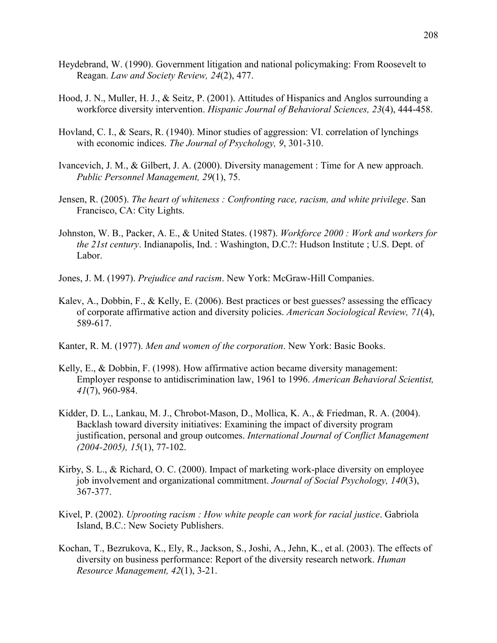- Heydebrand, W. (1990). Government litigation and national policymaking: From Roosevelt to Reagan. *Law and Society Review, 24*(2), 477.
- Hood, J. N., Muller, H. J., & Seitz, P. (2001). Attitudes of Hispanics and Anglos surrounding a workforce diversity intervention. *Hispanic Journal of Behavioral Sciences, 23*(4), 444-458.
- Hovland, C. I., & Sears, R. (1940). Minor studies of aggression: VI. correlation of lynchings with economic indices. *The Journal of Psychology, 9*, 301-310.
- Ivancevich, J. M., & Gilbert, J. A. (2000). Diversity management : Time for A new approach. *Public Personnel Management, 29*(1), 75.
- Jensen, R. (2005). *The heart of whiteness : Confronting race, racism, and white privilege*. San Francisco, CA: City Lights.
- Johnston, W. B., Packer, A. E., & United States. (1987). *Workforce 2000 : Work and workers for the 21st century*. Indianapolis, Ind. : Washington, D.C.?: Hudson Institute ; U.S. Dept. of Labor.
- Jones, J. M. (1997). *Prejudice and racism*. New York: McGraw-Hill Companies.
- Kalev, A., Dobbin, F., & Kelly, E. (2006). Best practices or best guesses? assessing the efficacy of corporate affirmative action and diversity policies. *American Sociological Review, 71*(4), 589-617.
- Kanter, R. M. (1977). *Men and women of the corporation*. New York: Basic Books.
- Kelly, E., & Dobbin, F. (1998). How affirmative action became diversity management: Employer response to antidiscrimination law, 1961 to 1996. *American Behavioral Scientist, 41*(7), 960-984.
- Kidder, D. L., Lankau, M. J., Chrobot-Mason, D., Mollica, K. A., & Friedman, R. A. (2004). Backlash toward diversity initiatives: Examining the impact of diversity program justification, personal and group outcomes. *International Journal of Conflict Management (2004-2005), 15*(1), 77-102.
- Kirby, S. L., & Richard, O. C. (2000). Impact of marketing work-place diversity on employee job involvement and organizational commitment. *Journal of Social Psychology, 140*(3), 367-377.
- Kivel, P. (2002). *Uprooting racism : How white people can work for racial justice*. Gabriola Island, B.C.: New Society Publishers.
- Kochan, T., Bezrukova, K., Ely, R., Jackson, S., Joshi, A., Jehn, K., et al. (2003). The effects of diversity on business performance: Report of the diversity research network. *Human Resource Management, 42*(1), 3-21.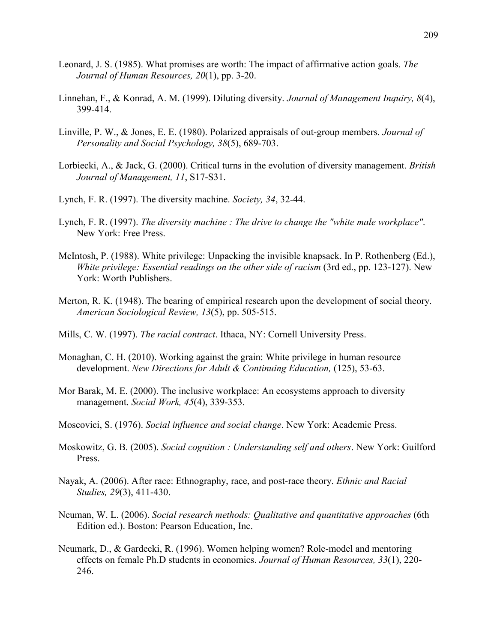- Leonard, J. S. (1985). What promises are worth: The impact of affirmative action goals. *The Journal of Human Resources, 20*(1), pp. 3-20.
- Linnehan, F., & Konrad, A. M. (1999). Diluting diversity. *Journal of Management Inquiry, 8*(4), 399-414.
- Linville, P. W., & Jones, E. E. (1980). Polarized appraisals of out-group members. *Journal of Personality and Social Psychology, 38*(5), 689-703.
- Lorbiecki, A., & Jack, G. (2000). Critical turns in the evolution of diversity management. *British Journal of Management, 11*, S17-S31.
- Lynch, F. R. (1997). The diversity machine. *Society, 34*, 32-44.
- Lynch, F. R. (1997). *The diversity machine : The drive to change the "white male workplace"*. New York: Free Press.
- McIntosh, P. (1988). White privilege: Unpacking the invisible knapsack. In P. Rothenberg (Ed.), *White privilege: Essential readings on the other side of racism* (3rd ed., pp. 123-127). New York: Worth Publishers.
- Merton, R. K. (1948). The bearing of empirical research upon the development of social theory. *American Sociological Review, 13*(5), pp. 505-515.
- Mills, C. W. (1997). *The racial contract*. Ithaca, NY: Cornell University Press.
- Monaghan, C. H. (2010). Working against the grain: White privilege in human resource development. *New Directions for Adult & Continuing Education,* (125), 53-63.
- Mor Barak, M. E. (2000). The inclusive workplace: An ecosystems approach to diversity management. *Social Work, 45*(4), 339-353.
- Moscovici, S. (1976). *Social influence and social change*. New York: Academic Press.
- Moskowitz, G. B. (2005). *Social cognition : Understanding self and others*. New York: Guilford Press.
- Nayak, A. (2006). After race: Ethnography, race, and post-race theory. *Ethnic and Racial Studies, 29*(3), 411-430.
- Neuman, W. L. (2006). *Social research methods: Qualitative and quantitative approaches* (6th Edition ed.). Boston: Pearson Education, Inc.
- Neumark, D., & Gardecki, R. (1996). Women helping women? Role-model and mentoring effects on female Ph.D students in economics. *Journal of Human Resources, 33*(1), 220- 246.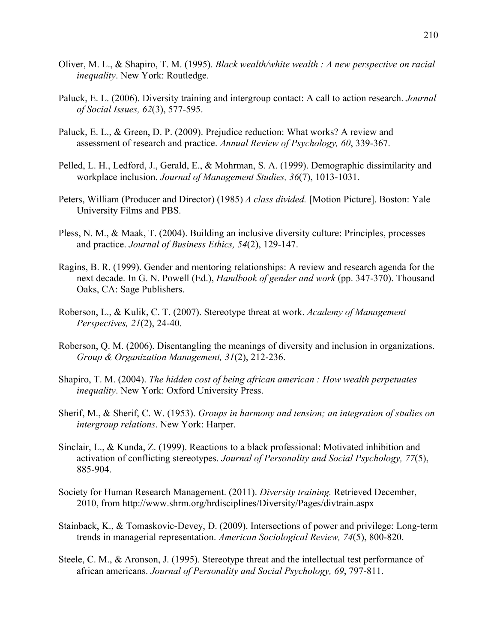- Oliver, M. L., & Shapiro, T. M. (1995). *Black wealth/white wealth : A new perspective on racial inequality*. New York: Routledge.
- Paluck, E. L. (2006). Diversity training and intergroup contact: A call to action research. *Journal of Social Issues, 62*(3), 577-595.
- Paluck, E. L., & Green, D. P. (2009). Prejudice reduction: What works? A review and assessment of research and practice. *Annual Review of Psychology, 60*, 339-367.
- Pelled, L. H., Ledford, J., Gerald, E., & Mohrman, S. A. (1999). Demographic dissimilarity and workplace inclusion. *Journal of Management Studies, 36*(7), 1013-1031.
- Peters, William (Producer and Director) (1985) *A class divided.* [Motion Picture]. Boston: Yale University Films and PBS.
- Pless, N. M., & Maak, T. (2004). Building an inclusive diversity culture: Principles, processes and practice. *Journal of Business Ethics, 54*(2), 129-147.
- Ragins, B. R. (1999). Gender and mentoring relationships: A review and research agenda for the next decade. In G. N. Powell (Ed.), *Handbook of gender and work* (pp. 347-370). Thousand Oaks, CA: Sage Publishers.
- Roberson, L., & Kulik, C. T. (2007). Stereotype threat at work. *Academy of Management Perspectives, 21*(2), 24-40.
- Roberson, Q. M. (2006). Disentangling the meanings of diversity and inclusion in organizations. *Group & Organization Management, 31*(2), 212-236.
- Shapiro, T. M. (2004). *The hidden cost of being african american : How wealth perpetuates inequality*. New York: Oxford University Press.
- Sherif, M., & Sherif, C. W. (1953). *Groups in harmony and tension; an integration of studies on intergroup relations*. New York: Harper.
- Sinclair, L., & Kunda, Z. (1999). Reactions to a black professional: Motivated inhibition and activation of conflicting stereotypes. *Journal of Personality and Social Psychology, 77*(5), 885-904.
- Society for Human Research Management. (2011). *Diversity training.* Retrieved December, 2010, from http://www.shrm.org/hrdisciplines/Diversity/Pages/divtrain.aspx
- Stainback, K., & Tomaskovic-Devey, D. (2009). Intersections of power and privilege: Long-term trends in managerial representation. *American Sociological Review, 74*(5), 800-820.
- Steele, C. M., & Aronson, J. (1995). Stereotype threat and the intellectual test performance of african americans. *Journal of Personality and Social Psychology, 69*, 797-811.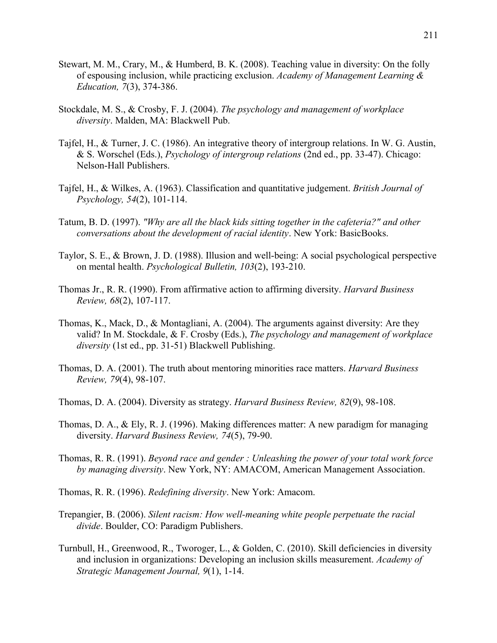- Stewart, M. M., Crary, M., & Humberd, B. K. (2008). Teaching value in diversity: On the folly of espousing inclusion, while practicing exclusion. *Academy of Management Learning & Education, 7*(3), 374-386.
- Stockdale, M. S., & Crosby, F. J. (2004). *The psychology and management of workplace diversity*. Malden, MA: Blackwell Pub.
- Tajfel, H., & Turner, J. C. (1986). An integrative theory of intergroup relations. In W. G. Austin, & S. Worschel (Eds.), *Psychology of intergroup relations* (2nd ed., pp. 33-47). Chicago: Nelson-Hall Publishers.
- Tajfel, H., & Wilkes, A. (1963). Classification and quantitative judgement. *British Journal of Psychology, 54*(2), 101-114.
- Tatum, B. D. (1997). *"Why are all the black kids sitting together in the cafeteria?" and other conversations about the development of racial identity*. New York: BasicBooks.
- Taylor, S. E., & Brown, J. D. (1988). Illusion and well-being: A social psychological perspective on mental health. *Psychological Bulletin, 103*(2), 193-210.
- Thomas Jr., R. R. (1990). From affirmative action to affirming diversity. *Harvard Business Review, 68*(2), 107-117.
- Thomas, K., Mack, D., & Montagliani, A. (2004). The arguments against diversity: Are they valid? In M. Stockdale, & F. Crosby (Eds.), *The psychology and management of workplace diversity* (1st ed., pp. 31-51) Blackwell Publishing.
- Thomas, D. A. (2001). The truth about mentoring minorities race matters. *Harvard Business Review, 79*(4), 98-107.
- Thomas, D. A. (2004). Diversity as strategy. *Harvard Business Review, 82*(9), 98-108.
- Thomas, D. A., & Ely, R. J. (1996). Making differences matter: A new paradigm for managing diversity. *Harvard Business Review, 74*(5), 79-90.
- Thomas, R. R. (1991). *Beyond race and gender : Unleashing the power of your total work force by managing diversity*. New York, NY: AMACOM, American Management Association.
- Thomas, R. R. (1996). *Redefining diversity*. New York: Amacom.
- Trepangier, B. (2006). *Silent racism: How well-meaning white people perpetuate the racial divide*. Boulder, CO: Paradigm Publishers.
- Turnbull, H., Greenwood, R., Tworoger, L., & Golden, C. (2010). Skill deficiencies in diversity and inclusion in organizations: Developing an inclusion skills measurement. *Academy of Strategic Management Journal, 9*(1), 1-14.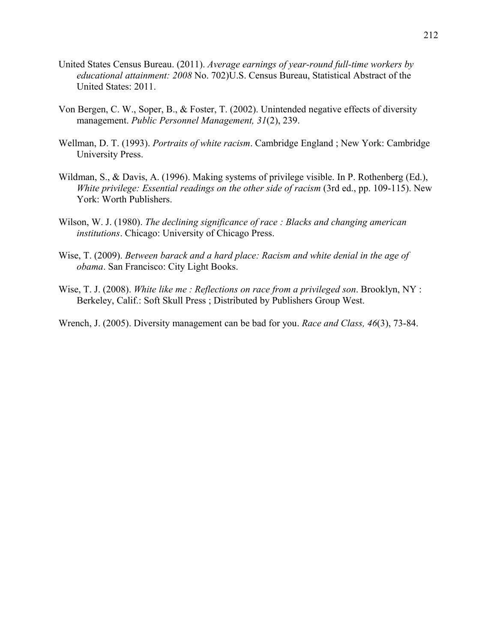- United States Census Bureau. (2011). *Average earnings of year-round full-time workers by educational attainment: 2008* No. 702)U.S. Census Bureau, Statistical Abstract of the United States: 2011.
- Von Bergen, C. W., Soper, B., & Foster, T. (2002). Unintended negative effects of diversity management. *Public Personnel Management, 31*(2), 239.
- Wellman, D. T. (1993). *Portraits of white racism*. Cambridge England ; New York: Cambridge University Press.
- Wildman, S., & Davis, A. (1996). Making systems of privilege visible. In P. Rothenberg (Ed.), *White privilege: Essential readings on the other side of racism* (3rd ed., pp. 109-115). New York: Worth Publishers.
- Wilson, W. J. (1980). *The declining significance of race : Blacks and changing american institutions*. Chicago: University of Chicago Press.
- Wise, T. (2009). *Between barack and a hard place: Racism and white denial in the age of obama*. San Francisco: City Light Books.
- Wise, T. J. (2008). *White like me : Reflections on race from a privileged son*. Brooklyn, NY : Berkeley, Calif.: Soft Skull Press ; Distributed by Publishers Group West.
- Wrench, J. (2005). Diversity management can be bad for you. *Race and Class, 46*(3), 73-84.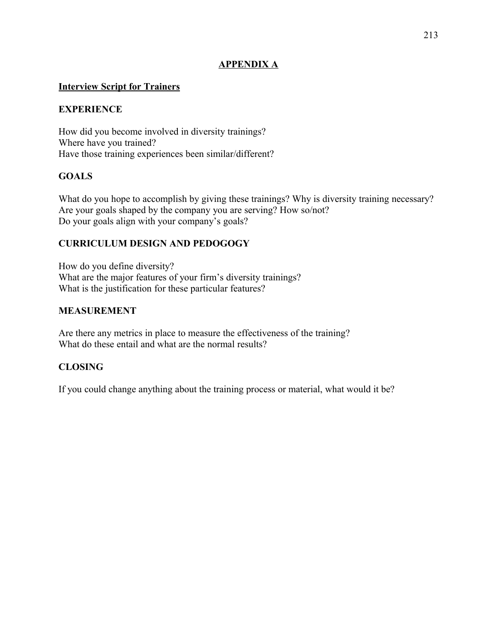# **APPENDIX A**

## **Interview Script for Trainers**

## **EXPERIENCE**

How did you become involved in diversity trainings? Where have you trained? Have those training experiences been similar/different?

## **GOALS**

What do you hope to accomplish by giving these trainings? Why is diversity training necessary? Are your goals shaped by the company you are serving? How so/not? Do your goals align with your company's goals?

## **CURRICULUM DESIGN AND PEDOGOGY**

How do you define diversity? What are the major features of your firm's diversity trainings? What is the justification for these particular features?

## **MEASUREMENT**

Are there any metrics in place to measure the effectiveness of the training? What do these entail and what are the normal results?

## **CLOSING**

If you could change anything about the training process or material, what would it be?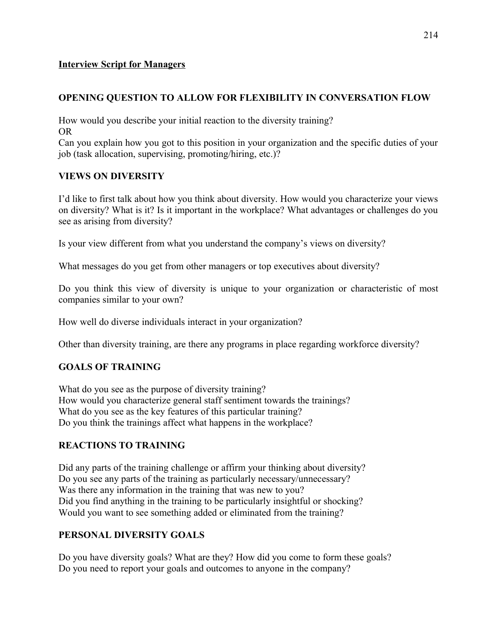## **Interview Script for Managers**

# **OPENING QUESTION TO ALLOW FOR FLEXIBILITY IN CONVERSATION FLOW**

How would you describe your initial reaction to the diversity training? OR

Can you explain how you got to this position in your organization and the specific duties of your job (task allocation, supervising, promoting/hiring, etc.)?

## **VIEWS ON DIVERSITY**

I'd like to first talk about how you think about diversity. How would you characterize your views on diversity? What is it? Is it important in the workplace? What advantages or challenges do you see as arising from diversity?

Is your view different from what you understand the company's views on diversity?

What messages do you get from other managers or top executives about diversity?

Do you think this view of diversity is unique to your organization or characteristic of most companies similar to your own?

How well do diverse individuals interact in your organization?

Other than diversity training, are there any programs in place regarding workforce diversity?

# **GOALS OF TRAINING**

What do you see as the purpose of diversity training? How would you characterize general staff sentiment towards the trainings? What do you see as the key features of this particular training? Do you think the trainings affect what happens in the workplace?

# **REACTIONS TO TRAINING**

Did any parts of the training challenge or affirm your thinking about diversity? Do you see any parts of the training as particularly necessary/unnecessary? Was there any information in the training that was new to you? Did you find anything in the training to be particularly insightful or shocking? Would you want to see something added or eliminated from the training?

# **PERSONAL DIVERSITY GOALS**

Do you have diversity goals? What are they? How did you come to form these goals? Do you need to report your goals and outcomes to anyone in the company?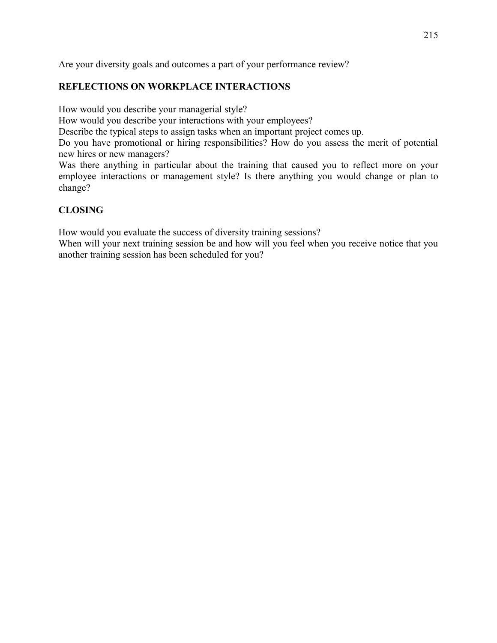Are your diversity goals and outcomes a part of your performance review?

# **REFLECTIONS ON WORKPLACE INTERACTIONS**

How would you describe your managerial style?

How would you describe your interactions with your employees?

Describe the typical steps to assign tasks when an important project comes up.

Do you have promotional or hiring responsibilities? How do you assess the merit of potential new hires or new managers?

Was there anything in particular about the training that caused you to reflect more on your employee interactions or management style? Is there anything you would change or plan to change?

# **CLOSING**

How would you evaluate the success of diversity training sessions?

When will your next training session be and how will you feel when you receive notice that you another training session has been scheduled for you?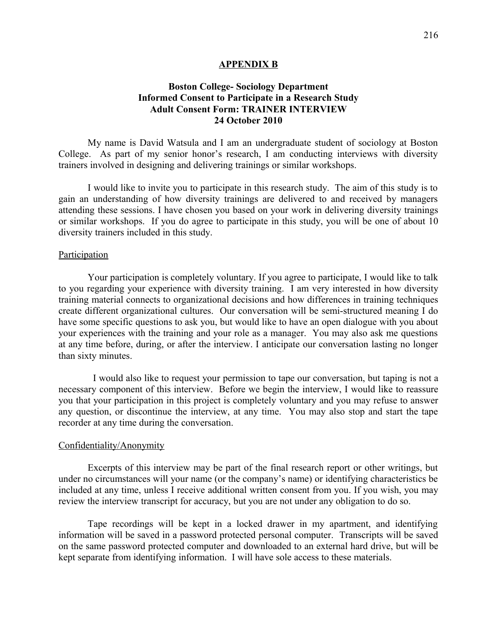#### **APPENDIX B**

# **Boston College- Sociology Department Informed Consent to Participate in a Research Study Adult Consent Form: TRAINER INTERVIEW 24 October 2010**

My name is David Watsula and I am an undergraduate student of sociology at Boston College. As part of my senior honor's research, I am conducting interviews with diversity trainers involved in designing and delivering trainings or similar workshops.

I would like to invite you to participate in this research study. The aim of this study is to gain an understanding of how diversity trainings are delivered to and received by managers attending these sessions. I have chosen you based on your work in delivering diversity trainings or similar workshops. If you do agree to participate in this study, you will be one of about 10 diversity trainers included in this study.

### **Participation**

Your participation is completely voluntary. If you agree to participate, I would like to talk to you regarding your experience with diversity training. I am very interested in how diversity training material connects to organizational decisions and how differences in training techniques create different organizational cultures. Our conversation will be semi-structured meaning I do have some specific questions to ask you, but would like to have an open dialogue with you about your experiences with the training and your role as a manager. You may also ask me questions at any time before, during, or after the interview. I anticipate our conversation lasting no longer than sixty minutes.

 I would also like to request your permission to tape our conversation, but taping is not a necessary component of this interview. Before we begin the interview, I would like to reassure you that your participation in this project is completely voluntary and you may refuse to answer any question, or discontinue the interview, at any time. You may also stop and start the tape recorder at any time during the conversation.

#### Confidentiality/Anonymity

Excerpts of this interview may be part of the final research report or other writings, but under no circumstances will your name (or the company's name) or identifying characteristics be included at any time, unless I receive additional written consent from you. If you wish, you may review the interview transcript for accuracy, but you are not under any obligation to do so.

Tape recordings will be kept in a locked drawer in my apartment, and identifying information will be saved in a password protected personal computer. Transcripts will be saved on the same password protected computer and downloaded to an external hard drive, but will be kept separate from identifying information. I will have sole access to these materials.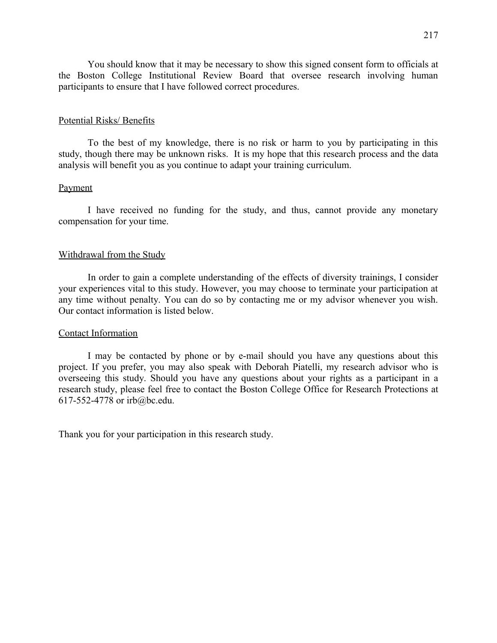You should know that it may be necessary to show this signed consent form to officials at the Boston College Institutional Review Board that oversee research involving human participants to ensure that I have followed correct procedures.

### Potential Risks/ Benefits

To the best of my knowledge, there is no risk or harm to you by participating in this study, though there may be unknown risks. It is my hope that this research process and the data analysis will benefit you as you continue to adapt your training curriculum.

### Payment

I have received no funding for the study, and thus, cannot provide any monetary compensation for your time.

### Withdrawal from the Study

In order to gain a complete understanding of the effects of diversity trainings, I consider your experiences vital to this study. However, you may choose to terminate your participation at any time without penalty. You can do so by contacting me or my advisor whenever you wish. Our contact information is listed below.

#### Contact Information

I may be contacted by phone or by e-mail should you have any questions about this project. If you prefer, you may also speak with Deborah Piatelli, my research advisor who is overseeing this study. Should you have any questions about your rights as a participant in a research study, please feel free to contact the Boston College Office for Research Protections at 617-552-4778 or irb@bc.edu.

Thank you for your participation in this research study.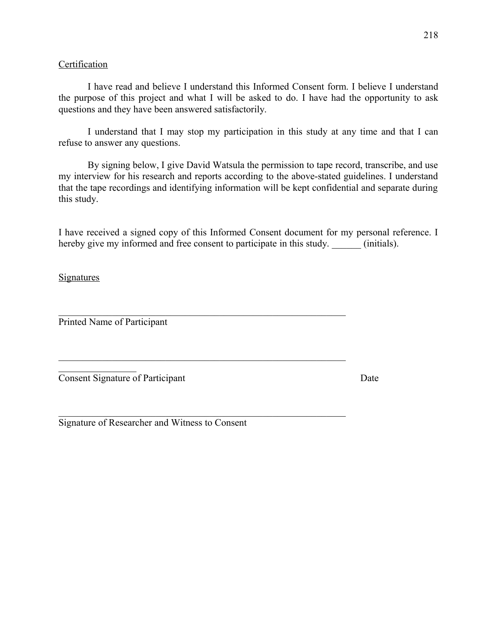# **Certification**

I have read and believe I understand this Informed Consent form. I believe I understand the purpose of this project and what I will be asked to do. I have had the opportunity to ask questions and they have been answered satisfactorily.

I understand that I may stop my participation in this study at any time and that I can refuse to answer any questions.

By signing below, I give David Watsula the permission to tape record, transcribe, and use my interview for his research and reports according to the above-stated guidelines. I understand that the tape recordings and identifying information will be kept confidential and separate during this study.

I have received a signed copy of this Informed Consent document for my personal reference. I hereby give my informed and free consent to participate in this study. (initials).

 $\mathcal{L}_\text{max}$  , and the contribution of the contribution of the contribution of the contribution of the contribution of the contribution of the contribution of the contribution of the contribution of the contribution of t

 $\mathcal{L}_\text{max}$  and the contract of the contract of the contract of the contract of the contract of the contract of

 $\mathcal{L}_\text{max}$  and the contract of the contract of the contract of the contract of the contract of the contract of

# **Signatures**

Printed Name of Participant

 $\mathcal{L}_\text{max}$  , where  $\mathcal{L}_\text{max}$ 

**Consent Signature of Participant** Date

Signature of Researcher and Witness to Consent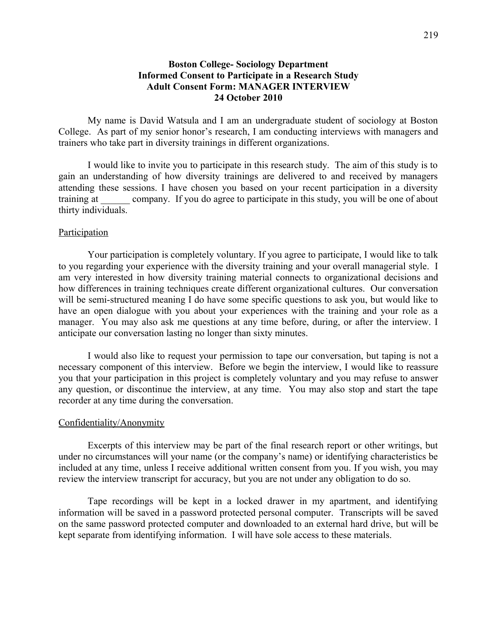## **Boston College- Sociology Department Informed Consent to Participate in a Research Study Adult Consent Form: MANAGER INTERVIEW 24 October 2010**

My name is David Watsula and I am an undergraduate student of sociology at Boston College. As part of my senior honor's research, I am conducting interviews with managers and trainers who take part in diversity trainings in different organizations.

I would like to invite you to participate in this research study. The aim of this study is to gain an understanding of how diversity trainings are delivered to and received by managers attending these sessions. I have chosen you based on your recent participation in a diversity training at company. If you do agree to participate in this study, you will be one of about thirty individuals.

### **Participation**

Your participation is completely voluntary. If you agree to participate, I would like to talk to you regarding your experience with the diversity training and your overall managerial style. I am very interested in how diversity training material connects to organizational decisions and how differences in training techniques create different organizational cultures. Our conversation will be semi-structured meaning I do have some specific questions to ask you, but would like to have an open dialogue with you about your experiences with the training and your role as a manager. You may also ask me questions at any time before, during, or after the interview. I anticipate our conversation lasting no longer than sixty minutes.

I would also like to request your permission to tape our conversation, but taping is not a necessary component of this interview. Before we begin the interview, I would like to reassure you that your participation in this project is completely voluntary and you may refuse to answer any question, or discontinue the interview, at any time. You may also stop and start the tape recorder at any time during the conversation.

### Confidentiality/Anonymity

Excerpts of this interview may be part of the final research report or other writings, but under no circumstances will your name (or the company's name) or identifying characteristics be included at any time, unless I receive additional written consent from you. If you wish, you may review the interview transcript for accuracy, but you are not under any obligation to do so.

Tape recordings will be kept in a locked drawer in my apartment, and identifying information will be saved in a password protected personal computer. Transcripts will be saved on the same password protected computer and downloaded to an external hard drive, but will be kept separate from identifying information. I will have sole access to these materials.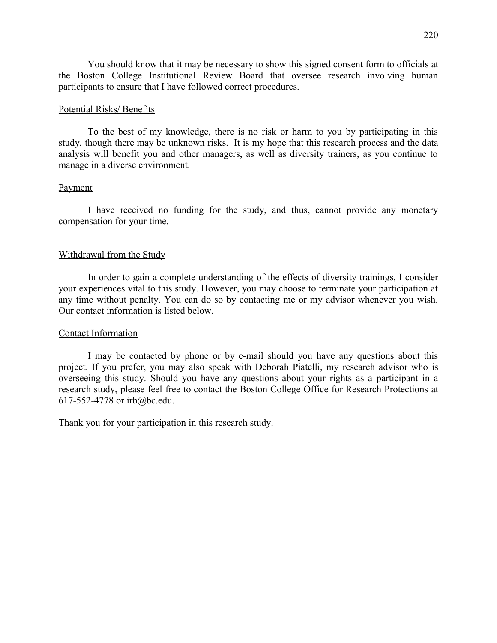You should know that it may be necessary to show this signed consent form to officials at the Boston College Institutional Review Board that oversee research involving human participants to ensure that I have followed correct procedures.

### Potential Risks/ Benefits

To the best of my knowledge, there is no risk or harm to you by participating in this study, though there may be unknown risks. It is my hope that this research process and the data analysis will benefit you and other managers, as well as diversity trainers, as you continue to manage in a diverse environment.

### Payment

I have received no funding for the study, and thus, cannot provide any monetary compensation for your time.

### Withdrawal from the Study

In order to gain a complete understanding of the effects of diversity trainings, I consider your experiences vital to this study. However, you may choose to terminate your participation at any time without penalty. You can do so by contacting me or my advisor whenever you wish. Our contact information is listed below.

#### Contact Information

I may be contacted by phone or by e-mail should you have any questions about this project. If you prefer, you may also speak with Deborah Piatelli, my research advisor who is overseeing this study. Should you have any questions about your rights as a participant in a research study, please feel free to contact the Boston College Office for Research Protections at 617-552-4778 or irb@bc.edu.

Thank you for your participation in this research study.